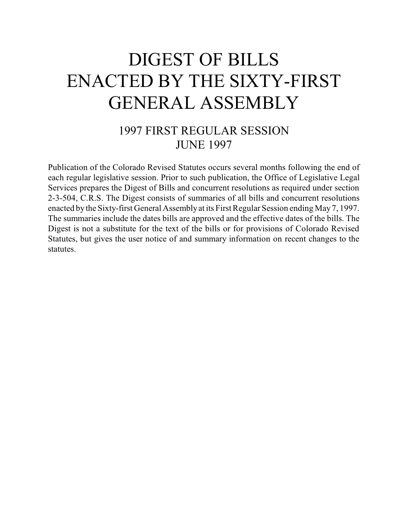# DIGEST OF BILLS ENACTED BY THE SIXTY-FIRST GENERAL ASSEMBLY

# 1997 FIRST REGULAR SESSION JUNE 1997

Publication of the Colorado Revised Statutes occurs several months following the end of each regular legislative session. Prior to such publication, the Office of Legislative Legal Services prepares the Digest of Bills and concurrent resolutions as required under section 2-3-504, C.R.S. The Digest consists of summaries of all bills and concurrent resolutions enacted by the Sixty-first General Assemblyat its First Regular Session ending May 7, 1997. The summaries include the dates bills are approved and the effective dates of the bills. The Digest is not a substitute for the text of the bills or for provisions of Colorado Revised Statutes, but gives the user notice of and summary information on recent changes to the statutes.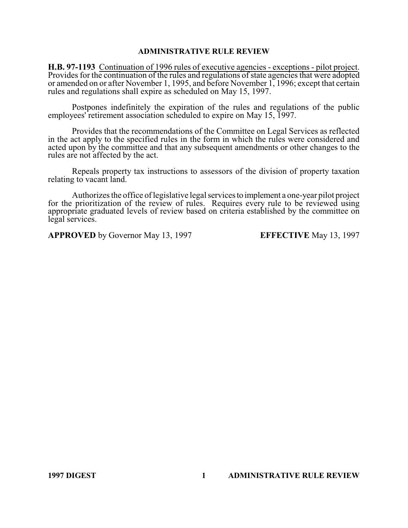#### **ADMINISTRATIVE RULE REVIEW**

**H.B. 97-1193** Continuation of 1996 rules of executive agencies - exceptions - pilot project. Provides for the continuation of the rules and regulations of state agencies that were adopted or amended on or after November 1, 1995, and before November 1, 1996; except that certain rules and regulations shall expire as scheduled on May 15, 1997.

Postpones indefinitely the expiration of the rules and regulations of the public employees' retirement association scheduled to expire on May 15, 1997.

Provides that the recommendations of the Committee on Legal Services as reflected in the act apply to the specified rules in the form in which the rules were considered and acted upon by the committee and that any subsequent amendments or other changes to the rules are not affected by the act.

Repeals property tax instructions to assessors of the division of property taxation relating to vacant land.

Authorizes the office of legislative legal services to implement a one-year pilot project for the prioritization of the review of rules. Requires every rule to be reviewed using appropriate graduated levels of review based on criteria established by the committee on legal services.

**APPROVED** by Governor May 13, 1997 **EFFECTIVE** May 13, 1997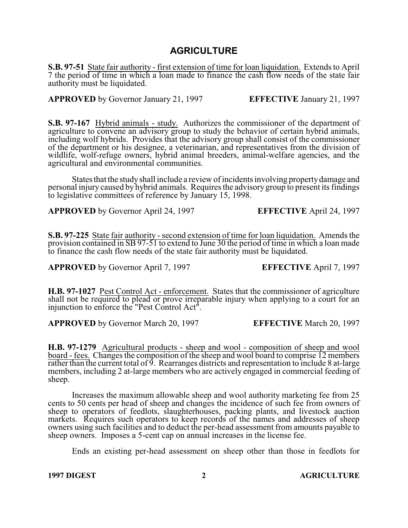## **AGRICULTURE**

**S.B. 97-51** State fair authority - first extension of time for loan liquidation. Extends to April 7 the period of time in which a loan made to finance the cash flow needs of the state fair authority must be liquidated.

**APPROVED** by Governor January 21, 1997 **EFFECTIVE** January 21, 1997

**S.B. 97-167** Hybrid animals - study. Authorizes the commissioner of the department of agriculture to convene an advisory group to study the behavior of certain hybrid animals, including wolf hybrids. Provides that the advisory group shall consist of the commissioner of the department or his designee, a veterinarian, and representatives from the division of wildlife, wolf-refuge owners, hybrid animal breeders, animal-welfare agencies, and the agricultural and environmental communities.

States that the study shall include a review of incidents involving property damage and personal injury caused by hybrid animals. Requires the advisory group to present its findings to legislative committees of reference by January 15, 1998.

**APPROVED** by Governor April 24, 1997 **EFFECTIVE** April 24, 1997

**S.B. 97-225** State fair authority - second extension of time for loan liquidation. Amends the provision contained in SB 97-51 to extend to June 30 the period of time in which a loan made to finance the cash flow needs of the state fair authority must be liquidated.

**APPROVED** by Governor April 7, 1997 **EFFECTIVE** April 7, 1997

**H.B. 97-1027** Pest Control Act - enforcement. States that the commissioner of agriculture shall not be required to plead or prove irreparable injury when applying to a court for an injunction to enforce the "Pest Control Act".

**APPROVED** by Governor March 20, 1997 **EFFECTIVE** March 20, 1997

**H.B. 97-1279** Agricultural products - sheep and wool - composition of sheep and wool board - fees. Changes the composition of the sheep and wool board to comprise 12 members rather than the current total of 9. Rearranges districts and representation to include 8 at-large members, including 2 at-large members who are actively engaged in commercial feeding of sheep.

Increases the maximum allowable sheep and wool authority marketing fee from 25 cents to 50 cents per head of sheep and changes the incidence of such fee from owners of sheep to operators of feedlots, slaughterhouses, packing plants, and livestock auction markets. Requires such operators to keep records of the names and addresses of sheep owners using such facilities and to deduct the per-head assessment from amounts payable to sheep owners. Imposes a 5-cent cap on annual increases in the license fee.

Ends an existing per-head assessment on sheep other than those in feedlots for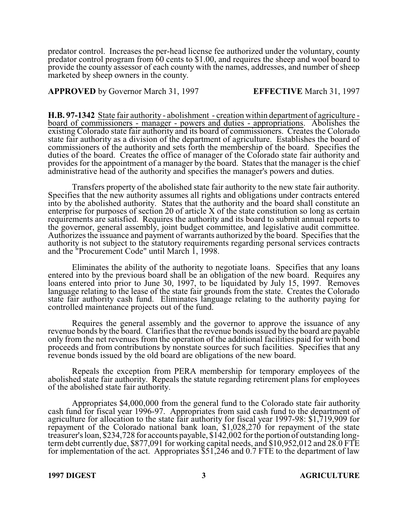predator control. Increases the per-head license fee authorized under the voluntary, county predator control program from 60 cents to \$1.00, and requires the sheep and wool board to provide the county assessor of each county with the names, addresses, and number of sheep marketed by sheep owners in the county.

**APPROVED** by Governor March 31, 1997 **EFFECTIVE** March 31, 1997

**H.B. 97-1342** State fair authority - abolishment - creation within department of agriculture board of commissioners - manager - powers and duties - appropriations. Abolishes the existing Colorado state fair authority and its board of commissioners. Creates the Colorado state fair authority as a division of the department of agriculture. Establishes the board of commissioners of the authority and sets forth the membership of the board. Specifies the duties of the board. Creates the office of manager of the Colorado state fair authority and provides for the appointment of a manager by the board. States that the manager is the chief administrative head of the authority and specifies the manager's powers and duties.

Transfers property of the abolished state fair authority to the new state fair authority. Specifies that the new authority assumes all rights and obligations under contracts entered into by the abolished authority. States that the authority and the board shall constitute an enterprise for purposes of section 20 of article X of the state constitution so long as certain requirements are satisfied. Requires the authority and its board to submit annual reports to the governor, general assembly, joint budget committee, and legislative audit committee. Authorizes the issuance and payment of warrants authorized by the board. Specifies that the authority is not subject to the statutory requirements regarding personal services contracts and the "Procurement Code" until March 1, 1998.

Eliminates the ability of the authority to negotiate loans. Specifies that any loans entered into by the previous board shall be an obligation of the new board. Requires any loans entered into prior to June 30, 1997, to be liquidated by July 15, 1997. Removes language relating to the lease of the state fair grounds from the state. Creates the Colorado state fair authority cash fund. Eliminates language relating to the authority paying for controlled maintenance projects out of the fund.

Requires the general assembly and the governor to approve the issuance of any revenue bonds by the board. Clarifies that the revenue bonds issued by the board are payable only from the net revenues from the operation of the additional facilities paid for with bond proceeds and from contributions by nonstate sources for such facilities. Specifies that any revenue bonds issued by the old board are obligations of the new board.

Repeals the exception from PERA membership for temporary employees of the abolished state fair authority. Repeals the statute regarding retirement plans for employees of the abolished state fair authority.

Appropriates \$4,000,000 from the general fund to the Colorado state fair authority cash fund for fiscal year 1996-97. Appropriates from said cash fund to the department of agriculture for allocation to the state fair authority for fiscal year 1997-98: \$1,719,909 for repayment of the Colorado national bank loan, \$1,028,270 for repayment of the state treasurer's loan, \$234,728 for accounts payable, \$142,002 forthe portion of outstanding longterm debt currently due, \$877,091 for working capital needs, and \$10,952,012 and 28.0 FTE for implementation of the act. Appropriates \$51,246 and 0.7 FTE to the department of law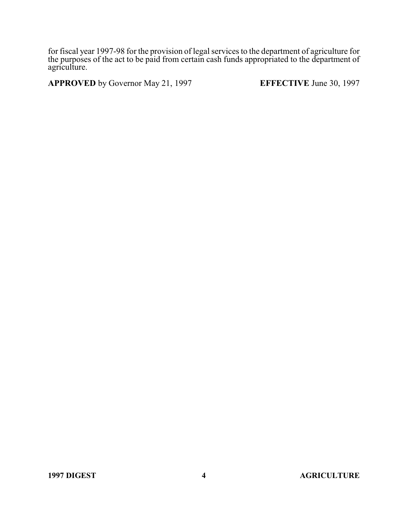for fiscal year 1997-98 for the provision of legal services to the department of agriculture for the purposes of the act to be paid from certain cash funds appropriated to the department of agriculture.

**APPROVED** by Governor May 21, 1997 **EFFECTIVE** June 30, 1997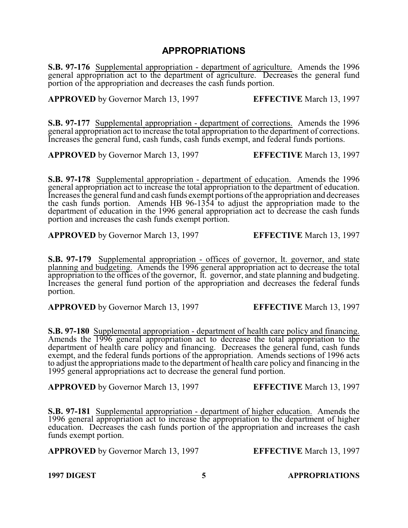# **APPROPRIATIONS**

**S.B. 97-176** Supplemental appropriation - department of agriculture. Amends the 1996 general appropriation act to the department of agriculture. Decreases the general fund portion of the appropriation and decreases the cash funds portion.

**APPROVED** by Governor March 13, 1997 **EFFECTIVE** March 13, 1997

**S.B. 97-177** Supplemental appropriation - department of corrections. Amends the 1996 general appropriation act to increase the total appropriation to the department of corrections. Increases the general fund, cash funds, cash funds exempt, and federal funds portions.

**APPROVED** by Governor March 13, 1997 **EFFECTIVE** March 13, 1997

**S.B. 97-178** Supplemental appropriation - department of education. Amends the 1996 general appropriation act to increase the total appropriation to the department of education. Increases the general fund and cash funds exempt portions ofthe appropriation and decreases the cash funds portion. Amends HB 96-1354 to adjust the appropriation made to the department of education in the 1996 general appropriation act to decrease the cash funds portion and increases the cash funds exempt portion.

**APPROVED** by Governor March 13, 1997 **EFFECTIVE** March 13, 1997

**S.B. 97-179** Supplemental appropriation - offices of governor, lt. governor, and state planning and budgeting. Amends the 1996 general appropriation act to decrease the total appropriation to the offices of the governor, lt. governor, and state planning and budgeting. Increases the general fund portion of the appropriation and decreases the federal funds portion.

**APPROVED** by Governor March 13, 1997 **EFFECTIVE** March 13, 1997

**S.B. 97-180** Supplemental appropriation - department of health care policy and financing. Amends the 1996 general appropriation act to decrease the total appropriation to the department of health care policy and financing. Decreases the general fund, cash funds exempt, and the federal funds portions of the appropriation. Amends sections of 1996 acts to adjust the appropriations made to the department of health care policy and financing in the 1995 general appropriations act to decrease the general fund portion.

**APPROVED** by Governor March 13, 1997 **EFFECTIVE** March 13, 1997

**S.B. 97-181** Supplemental appropriation - department of higher education. Amends the 1996 general appropriation act to increase the appropriation to the department of higher education. Decreases the cash funds portion of the appropriation and increases the cash funds exempt portion.

**APPROVED** by Governor March 13, 1997 **EFFECTIVE** March 13, 1997

**1997 DIGEST 5 APPROPRIATIONS**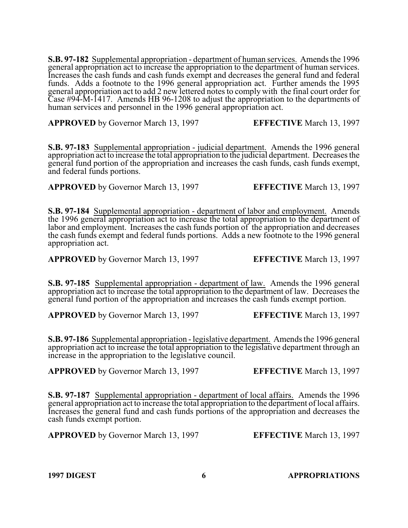**S.B. 97-182** Supplemental appropriation - department of human services. Amends the 1996 general appropriation act to increase the appropriation to the department of human services. Increases the cash funds and cash funds exempt and decreases the general fund and federal funds. Adds a footnote to the 1996 general appropriation act. Further amends the 1995 general appropriation act to add 2 new lettered notes to comply with the final court order for Case #94-M-1417. Amends HB 96-1208 to adjust the appropriation to the departments of human services and personnel in the 1996 general appropriation act.

**APPROVED** by Governor March 13, 1997 **EFFECTIVE** March 13, 1997

**S.B. 97-183** Supplemental appropriation - judicial department. Amends the 1996 general appropriation act to increase the total appropriation to the judicial department. Decreases the general fund portion of the appropriation and increases the cash funds, cash funds exempt, and federal funds portions.

**APPROVED** by Governor March 13, 1997 **EFFECTIVE** March 13, 1997

**S.B. 97-184** Supplemental appropriation - department of labor and employment. Amends the 1996 general appropriation act to increase the total appropriation to the department of labor and employment. Increases the cash funds portion of the appropriation and decreases the cash funds exempt and federal funds portions. Adds a new footnote to the 1996 general appropriation act.

**APPROVED** by Governor March 13, 1997 **EFFECTIVE** March 13, 1997

**S.B. 97-185** Supplemental appropriation - department of law. Amends the 1996 general appropriation act to increase the total appropriation to the department of law. Decreases the general fund portion of the appropriation and increases the cash funds exempt portion.

**APPROVED** by Governor March 13, 1997 **EFFECTIVE** March 13, 1997

**S.B. 97-186** Supplemental appropriation - legislative department. Amends the 1996 general appropriation act to increase the total appropriation to the legislative department through an increase in the appropriation to the legislative council.

**APPROVED** by Governor March 13, 1997 **EFFECTIVE** March 13, 1997

**S.B. 97-187** Supplemental appropriation - department of local affairs. Amends the 1996 general appropriation act to increase the total appropriation to the department of local affairs. Increases the general fund and cash funds portions of the appropriation and decreases the cash funds exempt portion.

**APPROVED** by Governor March 13, 1997 **EFFECTIVE** March 13, 1997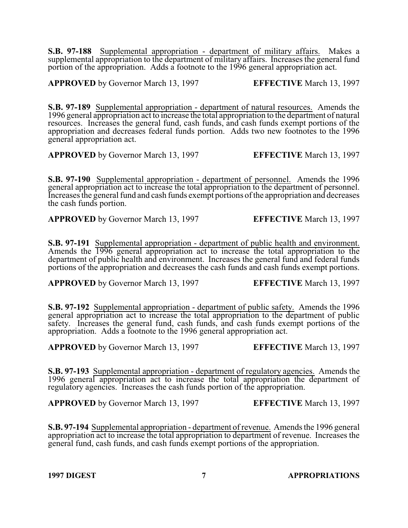**S.B. 97-188** Supplemental appropriation - department of military affairs. Makes a supplemental appropriation to the department of military affairs. Increases the general fund portion of the appropriation. Adds a footnote to the 1996 general appropriation act.

**APPROVED** by Governor March 13, 1997 **EFFECTIVE** March 13, 1997

**S.B. 97-189** Supplemental appropriation - department of natural resources. Amends the 1996 general appropriation act to increase the total appropriation to the department of natural resources. Increases the general fund, cash funds, and cash funds exempt portions of the appropriation and decreases federal funds portion. Adds two new footnotes to the 1996 general appropriation act.

**APPROVED** by Governor March 13, 1997 **EFFECTIVE** March 13, 1997

**S.B. 97-190** Supplemental appropriation - department of personnel. Amends the 1996 general appropriation act to increase the total appropriation to the department of personnel. Increases the general fund and cash funds exempt portions ofthe appropriation and decreases the cash funds portion.

**APPROVED** by Governor March 13, 1997 **EFFECTIVE** March 13, 1997

**S.B. 97-191** Supplemental appropriation - department of public health and environment. Amends the 1996 general appropriation act to increase the total appropriation to the department of public health and environment. Increases the general fund and federal funds portions of the appropriation and decreases the cash funds and cash funds exempt portions.

**APPROVED** by Governor March 13, 1997 **EFFECTIVE** March 13, 1997

**S.B. 97-192** Supplemental appropriation - department of public safety. Amends the 1996 general appropriation act to increase the total appropriation to the department of public safety. Increases the general fund, cash funds, and cash funds exempt portions of the appropriation. Adds a footnote to the 1996 general appropriation act.

**APPROVED** by Governor March 13, 1997 **EFFECTIVE** March 13, 1997

**S.B. 97-193** Supplemental appropriation - department of regulatory agencies. Amends the 1996 general appropriation act to increase the total appropriation the department of regulatory agencies. Increases the cash funds portion of the appropriation.

**APPROVED** by Governor March 13, 1997 **EFFECTIVE** March 13, 1997

**S.B. 97-194** Supplemental appropriation - department of revenue. Amends the 1996 general appropriation act to increase the total appropriation to department of revenue. Increases the general fund, cash funds, and cash funds exempt portions of the appropriation.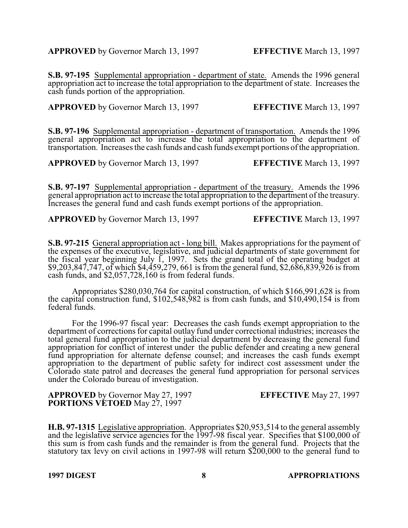**S.B. 97-195** Supplemental appropriation - department of state. Amends the 1996 general appropriation act to increase the total appropriation to the department of state. Increases the cash funds portion of the appropriation.

**APPROVED** by Governor March 13, 1997 **EFFECTIVE** March 13, 1997

**S.B. 97-196** Supplemental appropriation - department of transportation. Amends the 1996 general appropriation act to increase the total appropriation to the department of transportation. Increases the cash funds and cash funds exempt portions ofthe appropriation.

**APPROVED** by Governor March 13, 1997 **EFFECTIVE** March 13, 1997

**S.B. 97-197** Supplemental appropriation - department of the treasury. Amends the 1996 general appropriation act to increase the total appropriation to the department of the treasury. Increases the general fund and cash funds exempt portions of the appropriation.

**APPROVED** by Governor March 13, 1997 **EFFECTIVE** March 13, 1997

**S.B. 97-215** General appropriation act - long bill. Makes appropriations for the payment of the expenses of the executive, legislative, and judicial departments of state government for the fiscal year beginning July 1, 1997. Sets the grand total of the operating budget at \$9,203,847,747, of which \$4,459,279, 661 is from the general fund, \$2,686,839,926 is from cash funds, and \$2,057,728,160 is from federal funds.

Appropriates \$280,030,764 for capital construction, of which \$166,991,628 is from the capital construction fund, \$102,548,982 is from cash funds, and \$10,490,154 is from federal funds.

For the 1996-97 fiscal year: Decreases the cash funds exempt appropriation to the department of corrections for capital outlay fund under correctional industries; increases the total general fund appropriation to the judicial department by decreasing the general fund appropriation for conflict of interest under the public defender and creating a new general fund appropriation for alternate defense counsel; and increases the cash funds exempt appropriation to the department of public safety for indirect cost assessment under the Colorado state patrol and decreases the general fund appropriation for personal services under the Colorado bureau of investigation.

**APPROVED** by Governor May 27, 1997 **EFFECTIVE** May 27, 1997 **PORTIONS VETOED** May 27, 1997

**H.B. 97-1315** Legislative appropriation. Appropriates \$20,953,514 to the general assembly and the legislative service agencies for the 1997-98 fiscal year. Specifies that \$100,000 of this sum is from cash funds and the remainder is from the general fund. Projects that the statutory tax levy on civil actions in 1997-98 will return \$200,000 to the general fund to

**1997 DIGEST 8 APPROPRIATIONS**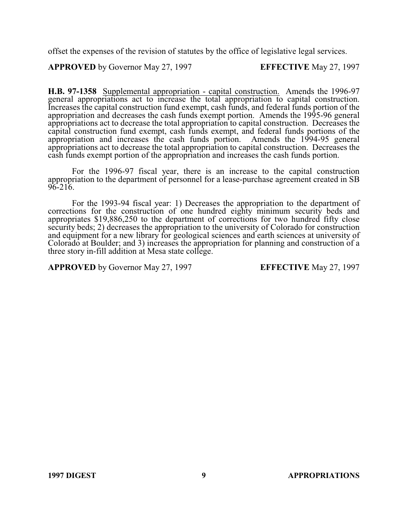offset the expenses of the revision of statutes by the office of legislative legal services.

**APPROVED** by Governor May 27, 1997 **EFFECTIVE** May 27, 1997

**H.B. 97-1358** Supplemental appropriation - capital construction. Amends the 1996-97 general appropriations act to increase the total appropriation to capital construction. Increases the capital construction fund exempt, cash funds, and federal funds portion of the appropriation and decreases the cash funds exempt portion. Amends the 1995-96 general appropriations act to decrease the total appropriation to capital construction. Decreases the capital construction fund exempt, cash funds exempt, and federal funds portions of the appropriation and increases the cash funds portion. Amends the 1994-95 general appropriations act to decrease the total appropriation to capital construction. Decreases the cash funds exempt portion of the appropriation and increases the cash funds portion.

For the 1996-97 fiscal year, there is an increase to the capital construction appropriation to the department of personnel for a lease-purchase agreement created in SB  $96 - 216$ .

For the 1993-94 fiscal year: 1) Decreases the appropriation to the department of corrections for the construction of one hundred eighty minimum security beds and appropriates \$19,886,250 to the department of corrections for two hundred fifty close security beds; 2) decreases the appropriation to the university of Colorado for construction and equipment for a new library for geological sciences and earth sciences at university of Colorado at Boulder; and 3) increases the appropriation for planning and construction of a three story in-fill addition at Mesa state college.

**APPROVED** by Governor May 27, 1997 **EFFECTIVE** May 27, 1997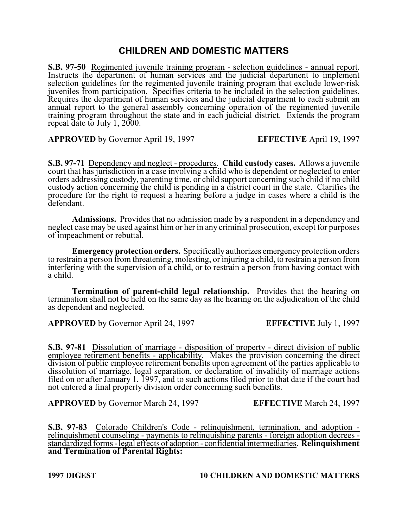# **CHILDREN AND DOMESTIC MATTERS**

**S.B. 97-50** Regimented juvenile training program - selection guidelines - annual report. Instructs the department of human services and the judicial department to implement selection guidelines for the regimented juvenile training program that exclude lower-risk juveniles from participation. Specifies criteria to be included in the selection guidelines. Requires the department of human services and the judicial department to each submit an annual report to the general assembly concerning operation of the regimented juvenile training program throughout the state and in each judicial district. Extends the program repeal date to July 1, 2000.

**APPROVED** by Governor April 19, 1997 **EFFECTIVE** April 19, 1997

**S.B. 97-71** Dependency and neglect - procedures. **Child custody cases.** Allows a juvenile court that has jurisdiction in a case involving a child who is dependent or neglected to enter orders addressing custody, parenting time, or child support concerning such child if no child custody action concerning the child is pending in a district court in the state. Clarifies the procedure for the right to request a hearing before a judge in cases where a child is the defendant.

**Admissions.** Provides that no admission made by a respondent in a dependency and neglect case may be used against him or her in any criminal prosecution, except for purposes of impeachment or rebuttal.

**Emergency protection orders.** Specifically authorizes emergency protection orders to restrain a person from threatening, molesting, or injuring a child, to restrain a person from interfering with the supervision of a child, or to restrain a person from having contact with a child.

**Termination of parent-child legal relationship.** Provides that the hearing on termination shall not be held on the same day as the hearing on the adjudication of the child as dependent and neglected.

**APPROVED** by Governor April 24, 1997 **EFFECTIVE** July 1, 1997

**S.B. 97-81** Dissolution of marriage - disposition of property - direct division of public employee retirement benefits - applicability. Makes the provision concerning the direct division of public employee retirement benefits upon agreement of the parties applicable to dissolution of marriage, legal separation, or declaration of invalidity of marriage actions filed on or after January 1, 1997, and to such actions filed prior to that date if the court had not entered a final property division order concerning such benefits.

**APPROVED** by Governor March 24, 1997 **EFFECTIVE** March 24, 1997

**S.B. 97-83** Colorado Children's Code - relinquishment, termination, and adoption relinquishment counseling - payments to relinquishing parents - foreign adoption decrees standardized forms - legal effects of adoption - confidential intermediaries. **Relinquishment and Termination of Parental Rights:**

**1997 DIGEST 10 CHILDREN AND DOMESTIC MATTERS**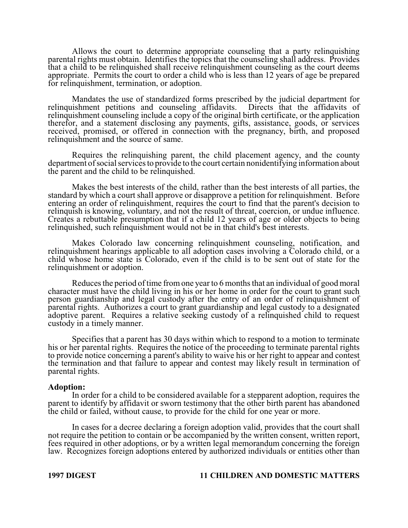Allows the court to determine appropriate counseling that a party relinquishing parental rights must obtain. Identifies the topics that the counseling shall address. Provides that a child to be relinquished shall receive relinquishment counseling as the court deems appropriate. Permits the court to order a child who is less than 12 years of age be prepared for relinquishment, termination, or adoption.

Mandates the use of standardized forms prescribed by the judicial department for inshment petitions and counseling affidavits. Directs that the affidavits of relinquishment petitions and counseling affidavits. relinquishment counseling include a copy of the original birth certificate, or the application therefor, and a statement disclosing any payments, gifts, assistance, goods, or services received, promised, or offered in connection with the pregnancy, birth, and proposed relinquishment and the source of same.

Requires the relinquishing parent, the child placement agency, and the county department ofsocial services to provide to the court certain nonidentifying information about the parent and the child to be relinquished.

Makes the best interests of the child, rather than the best interests of all parties, the standard by which a court shall approve or disapprove a petition for relinquishment. Before entering an order of relinquishment, requires the court to find that the parent's decision to relinquish is knowing, voluntary, and not the result of threat, coercion, or undue influence. Creates a rebuttable presumption that if a child 12 years of age or older objects to being relinquished, such relinquishment would not be in that child's best interests.

Makes Colorado law concerning relinquishment counseling, notification, and relinquishment hearings applicable to all adoption cases involving a Colorado child, or a child whose home state is Colorado, even if the child is to be sent out of state for the relinquishment or adoption.

Reduces the period of time fromone year to 6 months that an individual of good moral character must have the child living in his or her home in order for the court to grant such person guardianship and legal custody after the entry of an order of relinquishment of parental rights. Authorizes a court to grant guardianship and legal custody to a designated adoptive parent. Requires a relative seeking custody of a relinquished child to request custody in a timely manner.

Specifies that a parent has 30 days within which to respond to a motion to terminate his or her parental rights. Requires the notice of the proceeding to terminate parental rights to provide notice concerning a parent's ability to waive his or her right to appear and contest the termination and that failure to appear and contest may likely result in termination of parental rights.

#### **Adoption:**

In order for a child to be considered available for a stepparent adoption, requires the parent to identify by affidavit or sworn testimony that the other birth parent has abandoned the child or failed, without cause, to provide for the child for one year or more.

In cases for a decree declaring a foreign adoption valid, provides that the court shall not require the petition to contain or be accompanied by the written consent, written report, fees required in other adoptions, or by a written legal memorandum concerning the foreign law. Recognizes foreign adoptions entered by authorized individuals or entities other than

#### **1997 DIGEST 11 CHILDREN AND DOMESTIC MATTERS**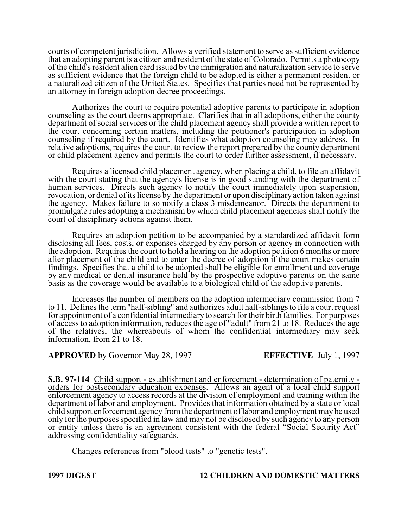courts of competent jurisdiction. Allows a verified statement to serve as sufficient evidence that an adopting parent is a citizen and resident of the state of Colorado. Permits a photocopy of the child's resident alien card issued by the immigration and naturalization service to serve as sufficient evidence that the foreign child to be adopted is either a permanent resident or a naturalized citizen of the United States. Specifies that parties need not be represented by an attorney in foreign adoption decree proceedings.

Authorizes the court to require potential adoptive parents to participate in adoption counseling as the court deems appropriate. Clarifies that in all adoptions, either the county department of social services or the child placement agency shall provide a written report to the court concerning certain matters, including the petitioner's participation in adoption counseling if required by the court. Identifies what adoption counseling may address. In relative adoptions, requires the court to review the report prepared by the county department or child placement agency and permits the court to order further assessment, if necessary.

Requires a licensed child placement agency, when placing a child, to file an affidavit with the court stating that the agency's license is in good standing with the department of human services. Directs such agency to notify the court immediately upon suspension, revocation, or denial of its license by the department or upon disciplinaryaction taken against the agency. Makes failure to so notify a class 3 misdemeanor. Directs the department to promulgate rules adopting a mechanism by which child placement agencies shall notify the court of disciplinary actions against them.

Requires an adoption petition to be accompanied by a standardized affidavit form disclosing all fees, costs, or expenses charged by any person or agency in connection with the adoption. Requires the court to hold a hearing on the adoption petition 6 months or more after placement of the child and to enter the decree of adoption if the court makes certain findings. Specifies that a child to be adopted shall be eligible for enrollment and coverage by any medical or dental insurance held by the prospective adoptive parents on the same basis as the coverage would be available to a biological child of the adoptive parents.

Increases the number of members on the adoption intermediary commission from 7 to 11. Defines the term"half-sibling" and authorizes adult half-siblings to file a court request for appointment of a confidential intermediary to search for their birth families. For purposes of access to adoption information, reduces the age of "adult" from 21 to 18. Reduces the age of the relatives, the whereabouts of whom the confidential intermediary may seek information, from 21 to 18.

### **APPROVED** by Governor May 28, 1997 **EFFECTIVE** July 1, 1997

**S.B. 97-114** Child support - establishment and enforcement - determination of paternity orders for postsecondary education expenses. Allows an agent of a local child support enforcement agency to access records at the division of employment and training within the department of labor and employment. Provides that information obtained by a state or local child support enforcement agency from the department of labor and employment may be used only for the purposes specified in law and may not be disclosed by such agency to any person or entity unless there is an agreement consistent with the federal "Social Security Act" addressing confidentiality safeguards.

Changes references from "blood tests" to "genetic tests".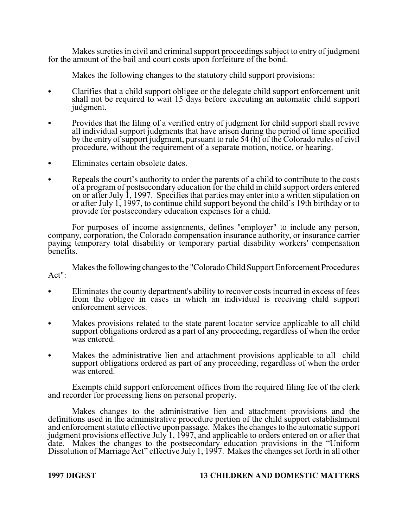Makes sureties in civil and criminal support proceedings subject to entry of judgment for the amount of the bail and court costs upon forfeiture of the bond.

Makes the following changes to the statutory child support provisions:

- C Clarifies that a child support obligee or the delegate child support enforcement unit shall not be required to wait 15 days before executing an automatic child support judgment.
- Provides that the filing of a verified entry of judgment for child support shall revive all individual support judgments that have arisen during the period of time specified by the entry ofsupport judgment, pursuant to rule 54 (h) of the Colorado rules of civil procedure, without the requirement of a separate motion, notice, or hearing.
- Eliminates certain obsolete dates.
- Repeals the court's authority to order the parents of a child to contribute to the costs of a program of postsecondary education for the child in child support orders entered on or after July 1, 1997. Specifies that parties may enter into a written stipulation on or after July 1, 1997, to continue child support beyond the child's 19th birthday or to provide for postsecondary education expenses for a child.

For purposes of income assignments, defines "employer" to include any person, company, corporation, the Colorado compensation insurance authority, or insurance carrier paying temporary total disability or temporary partial disability workers' compensation benefits.

Makes the following changes to the "Colorado Child Support Enforcement Procedures" Act":

- Eliminates the county department's ability to recover costs incurred in excess of fees from the obligee in cases in which an individual is receiving child support enforcement services.
- Makes provisions related to the state parent locator service applicable to all child support obligations ordered as a part of any proceeding, regardless of when the order was entered.
- Makes the administrative lien and attachment provisions applicable to all child support obligations ordered as part of any proceeding, regardless of when the order was entered.

Exempts child support enforcement offices from the required filing fee of the clerk and recorder for processing liens on personal property.

Makes changes to the administrative lien and attachment provisions and the definitions used in the administrative procedure portion of the child support establishment and enforcement statute effective upon passage. Makes the changes to the automatic support judgment provisions effective July 1, 1997, and applicable to orders entered on or after that date. Makes the changes to the postsecondary education provisions in the "Uniform Dissolution of Marriage Act" effective July 1, 1997. Makes the changes set forth in all other

#### **1997 DIGEST 13 CHILDREN AND DOMESTIC MATTERS**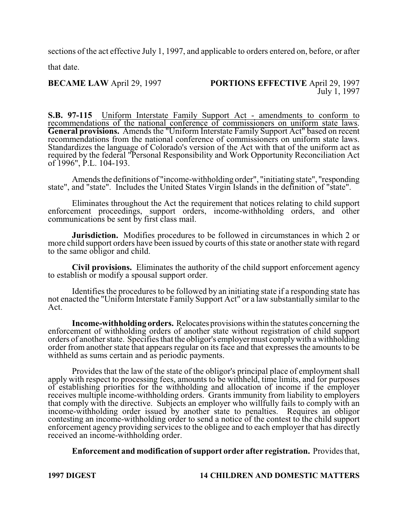sections of the act effective July 1, 1997, and applicable to orders entered on, before, or after

that date.

### **BECAME LAW** April 29, 1997 **PORTIONS EFFECTIVE** April 29, 1997 July 1, 1997

**S.B. 97-115** Uniform Interstate Family Support Act - amendments to conform to recommendations of the national conference of commissioners on uniform state laws. **General provisions.** Amends the "Uniform Interstate Family Support Act" based on recent recommendations from the national conference of commissioners on uniform state laws. Standardizes the language of Colorado's version of the Act with that of the uniform act as required by the federal "Personal Responsibility and Work Opportunity Reconciliation Act of 1996", P.L. 104-193.

Amends the definitions of "income-withholding order", "initiating state", "responding state", and "state". Includes the United States Virgin Islands in the definition of "state".

Eliminates throughout the Act the requirement that notices relating to child support enforcement proceedings, support orders, income-withholding orders, and other communications be sent by first class mail.

**Jurisdiction.** Modifies procedures to be followed in circumstances in which 2 or more child support orders have been issued by courts of this state or another state with regard to the same obligor and child.

**Civil provisions.** Eliminates the authority of the child support enforcement agency to establish or modify a spousal support order.

Identifies the procedures to be followed by an initiating state if a responding state has not enacted the "Uniform Interstate Family Support Act" or a law substantially similar to the Act.

**Income-withholding orders.** Relocates provisions within the statutes concerning the enforcement of withholding orders of another state without registration of child support orders of another state. Specifies that the obligor's employer must complywith a withholding order from another state that appears regular on its face and that expresses the amounts to be withheld as sums certain and as periodic payments.

Provides that the law of the state of the obligor's principal place of employment shall apply with respect to processing fees, amounts to be withheld, time limits, and for purposes of establishing priorities for the withholding and allocation of income if the employer receives multiple income-withholding orders. Grants immunity from liability to employers that comply with the directive. Subjects an employer who willfully fails to comply with an income-withholding order issued by another state to penalties. Requires an obligor contesting an income-withholding order to send a notice of the contest to the child support enforcement agency providing services to the obligee and to each employer that has directly received an income-withholding order.

**Enforcement and modification of support order after registration.** Provides that,

**1997 DIGEST 14 CHILDREN AND DOMESTIC MATTERS**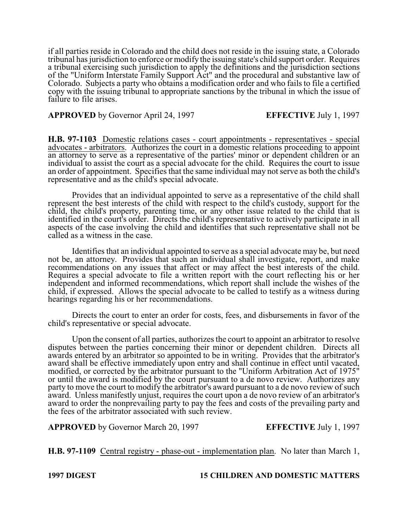if all parties reside in Colorado and the child does not reside in the issuing state, a Colorado tribunal has jurisdiction to enforce or modify the issuing state's child support order. Requires a tribunal exercising such jurisdiction to apply the definitions and the jurisdiction sections of the "Uniform Interstate Family Support Act" and the procedural and substantive law of Colorado. Subjects a party who obtains a modification order and who fails to file a certified copy with the issuing tribunal to appropriate sanctions by the tribunal in which the issue of failure to file arises.

### **APPROVED** by Governor April 24, 1997 **EFFECTIVE** July 1, 1997

**H.B. 97-1103** Domestic relations cases - court appointments - representatives - special advocates - arbitrators. Authorizes the court in a domestic relations proceeding to appoint an attorney to serve as a representative of the parties' minor or dependent children or an individual to assist the court as a special advocate for the child. Requires the court to issue an order of appointment. Specifies that the same individual may not serve as both the child's representative and as the child's special advocate.

Provides that an individual appointed to serve as a representative of the child shall represent the best interests of the child with respect to the child's custody, support for the child, the child's property, parenting time, or any other issue related to the child that is identified in the court's order. Directs the child's representative to actively participate in all aspects of the case involving the child and identifies that such representative shall not be called as a witness in the case.

Identifies that an individual appointed to serve as a special advocate may be, but need not be, an attorney. Provides that such an individual shall investigate, report, and make recommendations on any issues that affect or may affect the best interests of the child. Requires a special advocate to file a written report with the court reflecting his or her independent and informed recommendations, which report shall include the wishes of the child, if expressed. Allows the special advocate to be called to testify as a witness during hearings regarding his or her recommendations.

Directs the court to enter an order for costs, fees, and disbursements in favor of the child's representative or special advocate.

Upon the consent of all parties, authorizes the court to appoint an arbitrator to resolve disputes between the parties concerning their minor or dependent children. Directs all awards entered by an arbitrator so appointed to be in writing. Provides that the arbitrator's award shall be effective immediately upon entry and shall continue in effect until vacated, modified, or corrected by the arbitrator pursuant to the "Uniform Arbitration Act of 1975" or until the award is modified by the court pursuant to a de novo review. Authorizes any party to move the court to modify the arbitrator's award pursuant to a de novo review of such award. Unless manifestly unjust, requires the court upon a de novo review of an arbitrator's award to order the nonprevailing party to pay the fees and costs of the prevailing party and the fees of the arbitrator associated with such review.

**APPROVED** by Governor March 20, 1997 **EFFECTIVE** July 1, 1997

**H.B. 97-1109** Central registry - phase-out - implementation plan. No later than March 1,

**1997 DIGEST 15 CHILDREN AND DOMESTIC MATTERS**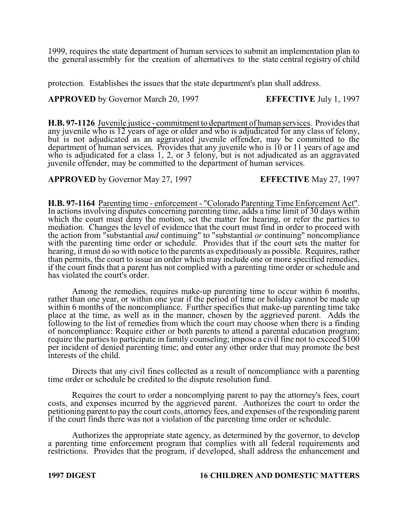1999, requires the state department of human services to submit an implementation plan to the general assembly for the creation of alternatives to the state central registry of child

protection. Establishes the issues that the state department's plan shall address.

**APPROVED** by Governor March 20, 1997 **EFFECTIVE** July 1, 1997

**H.B. 97-1126** Juvenile justice - commitment to department of human services. Provides that any juvenile who is 12 years of age or older and who is adjudicated for any class of felony, but is not adjudicated as an aggravated juvenile offender, may be committed to the department of human services. Provides that any juvenile who is 10 or 11 years of age and who is adjudicated for a class 1, 2, or 3 felony, but is not adjudicated as an aggravated juvenile offender, may be committed to the department of human services.

**APPROVED** by Governor May 27, 1997 **EFFECTIVE** May 27, 1997

**H.B. 97-1164** Parenting time - enforcement - "Colorado Parenting Time Enforcement Act". In actions involving disputes concerning parenting time, adds a time limit of 30 days within which the court must deny the motion, set the matter for hearing, or refer the parties to mediation. Changes the level of evidence that the court must find in order to proceed with the action from "substantial *and* continuing" to "substantial *or* continuing" noncompliance with the parenting time order or schedule. Provides that if the court sets the matter for hearing, it must do so with notice to the parents as expeditiously as possible. Requires, rather than permits, the court to issue an order which may include one or more specified remedies, if the court finds that a parent has not complied with a parenting time order or schedule and has violated the court's order.

Among the remedies, requires make-up parenting time to occur within 6 months, rather than one year, or within one year if the period of time or holiday cannot be made up within 6 months of the noncompliance. Further specifies that make-up parenting time take place at the time, as well as in the manner, chosen by the aggrieved parent. Adds the following to the list of remedies from which the court may choose when there is a finding of noncompliance: Require either or both parents to attend a parental education program; require the parties to participate in family counseling; impose a civil fine not to exceed \$100 per incident of denied parenting time; and enter any other order that may promote the best interests of the child.

Directs that any civil fines collected as a result of noncompliance with a parenting time order or schedule be credited to the dispute resolution fund.

Requires the court to order a noncomplying parent to pay the attorney's fees, court costs, and expenses incurred by the aggrieved parent. Authorizes the court to order the petitioning parent to pay the court costs, attorney fees, and expenses of the responding parent if the court finds there was not a violation of the parenting time order or schedule.

Authorizes the appropriate state agency, as determined by the governor, to develop a parenting time enforcement program that complies with all federal requirements and restrictions. Provides that the program, if developed, shall address the enhancement and

### **1997 DIGEST 16 CHILDREN AND DOMESTIC MATTERS**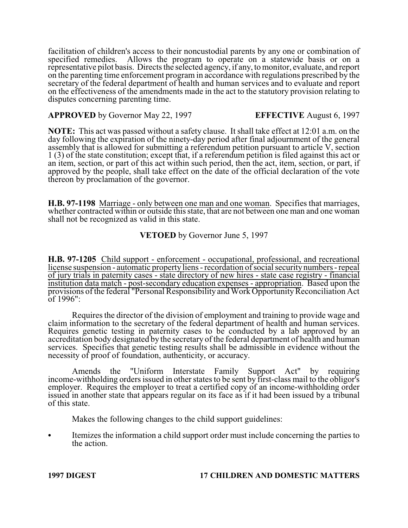facilitation of children's access to their noncustodial parents by any one or combination of specified remedies. Allows the program to operate on a statewide basis or on a Allows the program to operate on a statewide basis or on a representative pilot basis. Directs the selected agency, if any, to monitor, evaluate, and report on the parenting time enforcement program in accordance with regulations prescribed by the secretary of the federal department of health and human services and to evaluate and report on the effectiveness of the amendments made in the act to the statutory provision relating to disputes concerning parenting time.

**APPROVED** by Governor May 22, 1997 **EFFECTIVE** August 6, 1997

**NOTE:** This act was passed without a safety clause. It shall take effect at 12:01 a.m. on the day following the expiration of the ninety-day period after final adjournment of the general assembly that is allowed for submitting a referendum petition pursuant to article V, section 1 (3) of the state constitution; except that, if a referendum petition is filed against this act or an item, section, or part of this act within such period, then the act, item, section, or part, if approved by the people, shall take effect on the date of the official declaration of the vote thereon by proclamation of the governor.

**H.B. 97-1198** Marriage - only between one man and one woman. Specifies that marriages, whether contracted within or outside this state, that are not between one man and one woman shall not be recognized as valid in this state.

### **VETOED** by Governor June 5, 1997

**H.B. 97-1205** Child support - enforcement - occupational, professional, and recreational license suspension - automatic property liens - recordation of social security numbers - repeal of jury trials in paternity cases - state directory of new hires - state case registry - financial institution data match - post-secondary education expenses - appropriation. Based upon the provisions of the federal "Personal Responsibility and Work Opportunity Reconciliation Act  $\rm \dot{o}$ f 1996":

Requires the director of the division of employment and training to provide wage and claim information to the secretary of the federal department of health and human services. Requires genetic testing in paternity cases to be conducted by a lab approved by an accreditation body designated by the secretary of the federal department of health and human services. Specifies that genetic testing results shall be admissible in evidence without the necessity of proof of foundation, authenticity, or accuracy.

Amends the "Uniform Interstate Family Support Act" by requiring income-withholding orders issued in other states to be sent by first-class mail to the obligor's employer. Requires the employer to treat a certified copy of an income-withholding order issued in another state that appears regular on its face as if it had been issued by a tribunal of this state.

Makes the following changes to the child support guidelines:

Itemizes the information a child support order must include concerning the parties to the action.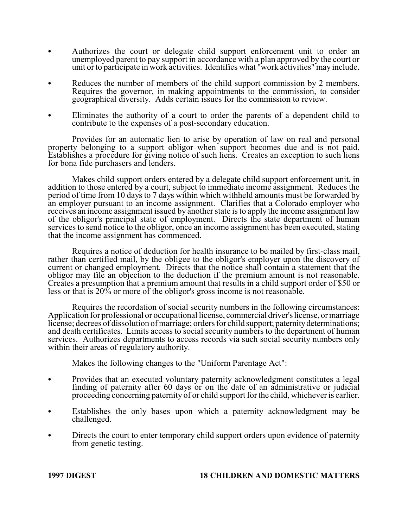- Authorizes the court or delegate child support enforcement unit to order an unemployed parent to pay support in accordance with a plan approved by the court or unit or to participate in work activities. Identifies what "work activities" may include.
- Reduces the number of members of the child support commission by 2 members. Requires the governor, in making appointments to the commission, to consider geographical diversity. Adds certain issues for the commission to review.
- C Eliminates the authority of a court to order the parents of a dependent child to contribute to the expenses of a post-secondary education.

Provides for an automatic lien to arise by operation of law on real and personal property belonging to a support obligor when support becomes due and is not paid. Establishes a procedure for giving notice of such liens. Creates an exception to such liens for bona fide purchasers and lenders.

Makes child support orders entered by a delegate child support enforcement unit, in addition to those entered by a court, subject to immediate income assignment. Reduces the period of time from 10 days to 7 days within which withheld amounts must be forwarded by an employer pursuant to an income assignment. Clarifies that a Colorado employer who receives an income assignment issued by another state is to apply the income assignment law of the obligor's principal state of employment. Directs the state department of human services to send notice to the obligor, once an income assignment has been executed, stating that the income assignment has commenced.

Requires a notice of deduction for health insurance to be mailed by first-class mail, rather than certified mail, by the obligee to the obligor's employer upon the discovery of current or changed employment. Directs that the notice shall contain a statement that the obligor may file an objection to the deduction if the premium amount is not reasonable. Creates a presumption that a premium amount that results in a child support order of \$50 or less or that is 20% or more of the obligor's gross income is not reasonable.

Requires the recordation of social security numbers in the following circumstances: Application for professional or occupational license, commercial driver's license, or marriage license; decrees of dissolution of marriage; orders for child support; paternity determinations; and death certificates. Limits access to social security numbers to the department of human services. Authorizes departments to access records via such social security numbers only within their areas of regulatory authority.

Makes the following changes to the "Uniform Parentage Act":

- Provides that an executed voluntary paternity acknowledgment constitutes a legal finding of paternity after 60 days or on the date of an administrative or judicial proceeding concerning paternity of or child support for the child, whichever is earlier.
- Establishes the only bases upon which a paternity acknowledgment may be challenged.
- Directs the court to enter temporary child support orders upon evidence of paternity from genetic testing.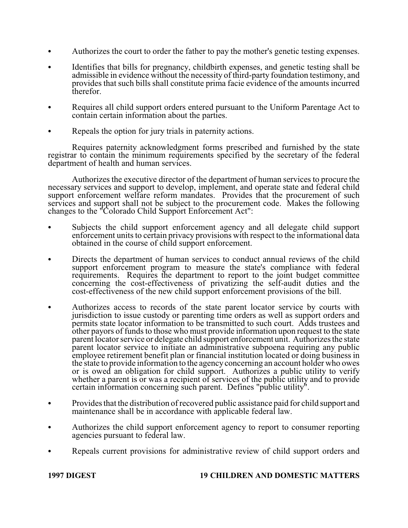- Authorizes the court to order the father to pay the mother's genetic testing expenses.
- Identifies that bills for pregnancy, childbirth expenses, and genetic testing shall be admissible in evidence without the necessity of third-party foundation testimony, and provides that such bills shall constitute prima facie evidence of the amounts incurred therefor.
- Requires all child support orders entered pursuant to the Uniform Parentage Act to contain certain information about the parties.
- Repeals the option for jury trials in paternity actions.

Requires paternity acknowledgment forms prescribed and furnished by the state registrar to contain the minimum requirements specified by the secretary of the federal department of health and human services.

Authorizes the executive director of the department of human services to procure the necessary services and support to develop, implement, and operate state and federal child support enforcement welfare reform mandates. Provides that the procurement of such services and support shall not be subject to the procurement code. Makes the following changes to the "Colorado Child Support Enforcement Act":

- Subjects the child support enforcement agency and all delegate child support enforcement units to certain privacy provisions with respect to the informational data obtained in the course of child support enforcement.
- Directs the department of human services to conduct annual reviews of the child support enforcement program to measure the state's compliance with federal requirements. Requires the department to report to the joint budget committee concerning the cost-effectiveness of privatizing the self-audit duties and the cost-effectiveness of the new child support enforcement provisions of the bill.
- Authorizes access to records of the state parent locator service by courts with jurisdiction to issue custody or parenting time orders as well as support orders and permits state locator information to be transmitted to such court. Adds trustees and other payors of funds to those who must provide information upon request to the state parent locator service or delegate child support enforcement unit. Authorizes the state parent locator service to initiate an administrative subpoena requiring any public employee retirement benefit plan or financial institution located or doing business in the state to provide information to the agency concerning an account holder who owes or is owed an obligation for child support. Authorizes a public utility to verify whether a parent is or was a recipient of services of the public utility and to provide certain information concerning such parent. Defines "public utility".
- Provides that the distribution of recovered public assistance paid for child support and maintenance shall be in accordance with applicable federal law.
- Authorizes the child support enforcement agency to report to consumer reporting agencies pursuant to federal law.
- Repeals current provisions for administrative review of child support orders and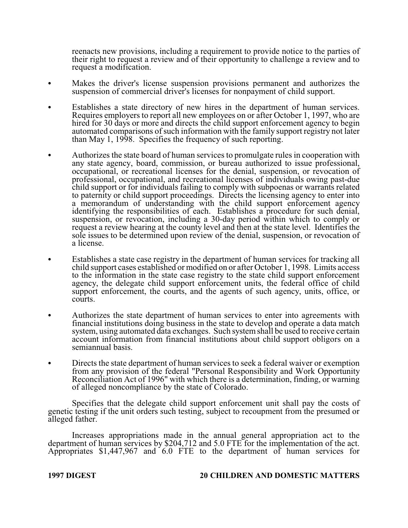reenacts new provisions, including a requirement to provide notice to the parties of their right to request a review and of their opportunity to challenge a review and to request a modification.

- Makes the driver's license suspension provisions permanent and authorizes the suspension of commercial driver's licenses for nonpayment of child support.
- Establishes a state directory of new hires in the department of human services. Requires employers to report all new employees on or after October 1, 1997, who are hired for 30 days or more and directs the child support enforcement agency to begin automated comparisons of such information with the family support registry not later than May 1, 1998. Specifies the frequency of such reporting.
- Authorizes the state board of human services to promulgate rules in cooperation with any state agency, board, commission, or bureau authorized to issue professional, occupational, or recreational licenses for the denial, suspension, or revocation of professional, occupational, and recreational licenses of individuals owing past-due child support or for individuals failing to comply with subpoenas or warrants related to paternity or child support proceedings. Directs the licensing agency to enter into a memorandum of understanding with the child support enforcement agency identifying the responsibilities of each. Establishes a procedure for such denial, suspension, or revocation, including a 30-day period within which to comply or request a review hearing at the county level and then at the state level. Identifies the sole issues to be determined upon review of the denial, suspension, or revocation of a license.
- Establishes a state case registry in the department of human services for tracking all child support cases established or modified on or after October 1, 1998. Limits access to the information in the state case registry to the state child support enforcement agency, the delegate child support enforcement units, the federal office of child support enforcement, the courts, and the agents of such agency, units, office, or courts.
- Authorizes the state department of human services to enter into agreements with financial institutions doing business in the state to develop and operate a data match system, using automated data exchanges. Such systemshall be used to receive certain account information from financial institutions about child support obligors on a semiannual basis.
- Directs the state department of human services to seek a federal waiver or exemption from any provision of the federal "Personal Responsibility and Work Opportunity Reconciliation Act of 1996" with which there is a determination, finding, or warning of alleged noncompliance by the state of Colorado.

Specifies that the delegate child support enforcement unit shall pay the costs of genetic testing if the unit orders such testing, subject to recoupment from the presumed or alleged father.

Increases appropriations made in the annual general appropriation act to the department of human services by \$204,712 and 5.0 FTE for the implementation of the act. Appropriates \$1,447,967 and 6.0 FTE to the department of human services for

#### **1997 DIGEST 20 CHILDREN AND DOMESTIC MATTERS**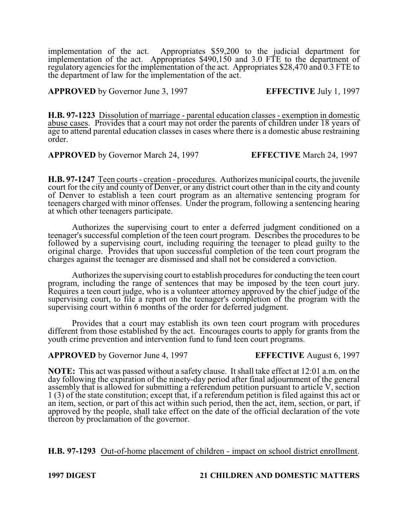implementation of the act. Appropriates \$59,200 to the judicial department for implementation of the act. Appropriates \$490,150 and 3.0 FTE to the department of regulatory agencies for the implementation of the act. Appropriates \$28,470 and 0.3 FTE to the department of law for the implementation of the act.

**APPROVED** by Governor June 3, 1997 **EFFECTIVE** July 1, 1997

**H.B. 97-1223** Dissolution of marriage - parental education classes - exemption in domestic abuse cases. Provides that a court may not order the parents of children under 18 years of age to attend parental education classes in cases where there is a domestic abuse restraining order.

**APPROVED** by Governor March 24, 1997 **EFFECTIVE** March 24, 1997

**H.B. 97-1247** Teen courts - creation - procedures. Authorizes municipal courts, the juvenile court for the city and county of Denver, or any district court other than in the city and county of Denver to establish a teen court program as an alternative sentencing program for teenagers charged with minor offenses. Under the program, following a sentencing hearing at which other teenagers participate.

Authorizes the supervising court to enter a deferred judgment conditioned on a teenager's successful completion of the teen court program. Describes the procedures to be followed by a supervising court, including requiring the teenager to plead guilty to the original charge. Provides that upon successful completion of the teen court program the charges against the teenager are dismissed and shall not be considered a conviction.

Authorizes the supervising court to establish procedures for conducting the teen court program, including the range of sentences that may be imposed by the teen court jury. Requires a teen court judge, who is a volunteer attorney approved by the chief judge of the supervising court, to file a report on the teenager's completion of the program with the supervising court within 6 months of the order for deferred judgment.

Provides that a court may establish its own teen court program with procedures different from those established by the act. Encourages courts to apply for grants from the youth crime prevention and intervention fund to fund teen court programs.

**APPROVED** by Governor June 4, 1997 **EFFECTIVE** August 6, 1997

**NOTE:** This act was passed without a safety clause. It shall take effect at 12:01 a.m. on the day following the expiration of the ninety-day period after final adjournment of the general assembly that is allowed for submitting a referendum petition pursuant to article V, section 1 (3) of the state constitution; except that, if a referendum petition is filed against this act or an item, section, or part of this act within such period, then the act, item, section, or part, if approved by the people, shall take effect on the date of the official declaration of the vote thereon by proclamation of the governor.

**H.B. 97-1293** Out-of-home placement of children - impact on school district enrollment.

### **1997 DIGEST 21 CHILDREN AND DOMESTIC MATTERS**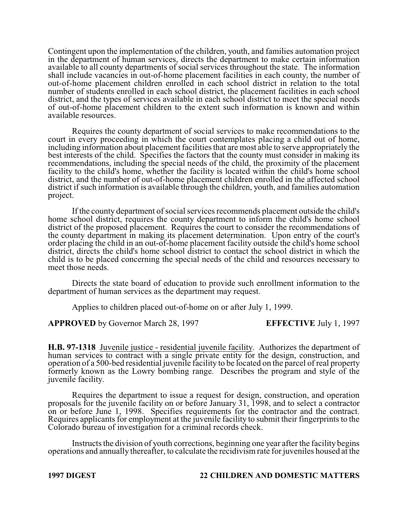Contingent upon the implementation of the children, youth, and families automation project in the department of human services, directs the department to make certain information available to all county departments of social services throughout the state. The information shall include vacancies in out-of-home placement facilities in each county, the number of out-of-home placement children enrolled in each school district in relation to the total number of students enrolled in each school district, the placement facilities in each school district, and the types of services available in each school district to meet the special needs of out-of-home placement children to the extent such information is known and within available resources.

Requires the county department of social services to make recommendations to the court in every proceeding in which the court contemplates placing a child out of home, including information about placement facilities that are most able to serve appropriately the best interests of the child. Specifies the factors that the county must consider in making its recommendations, including the special needs of the child, the proximity of the placement facility to the child's home, whether the facility is located within the child's home school district, and the number of out-of-home placement children enrolled in the affected school district if such information is available through the children, youth, and families automation project.

If the county department of social services recommends placement outside the child's home school district, requires the county department to inform the child's home school district of the proposed placement. Requires the court to consider the recommendations of the county department in making its placement determination. Upon entry of the court's order placing the child in an out-of-home placement facility outside the child's home school district, directs the child's home school district to contact the school district in which the child is to be placed concerning the special needs of the child and resources necessary to meet those needs.

Directs the state board of education to provide such enrollment information to the department of human services as the department may request.

Applies to children placed out-of-home on or after July 1, 1999.

**APPROVED** by Governor March 28, 1997 **EFFECTIVE** July 1, 1997

**H.B. 97-1318** Juvenile justice - residential juvenile facility. Authorizes the department of human services to contract with a single private entity for the design, construction, and operation of a 500-bed residential juvenile facility to be located on the parcel of real property formerly known as the Lowry bombing range. Describes the program and style of the juvenile facility.

Requires the department to issue a request for design, construction, and operation proposals for the juvenile facility on or before January 31, 1998, and to select a contractor on or before June 1, 1998. Specifies requirements for the contractor and the contract. Requires applicants for employment at the juvenile facility to submit their fingerprints to the Colorado bureau of investigation for a criminal records check.

Instructs the division of youth corrections, beginning one year after the facility begins operations and annually thereafter, to calculate the recidivism rate for juveniles housed at the

#### **1997 DIGEST 22 CHILDREN AND DOMESTIC MATTERS**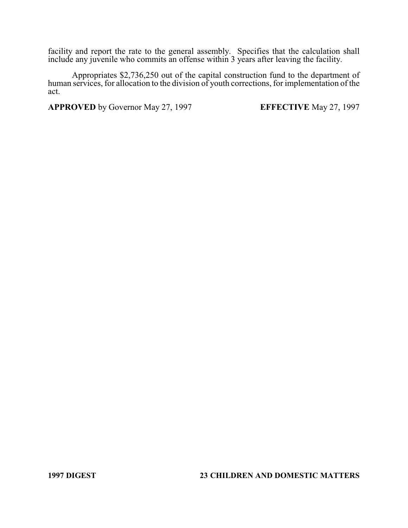facility and report the rate to the general assembly. Specifies that the calculation shall include any juvenile who commits an offense within 3 years after leaving the facility.

Appropriates \$2,736,250 out of the capital construction fund to the department of human services, for allocation to the division of youth corrections, for implementation of the act.

**APPROVED** by Governor May 27, 1997 **EFFECTIVE** May 27, 1997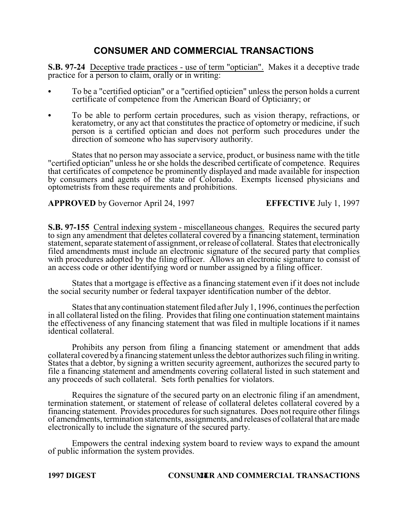# **CONSUMER AND COMMERCIAL TRANSACTIONS**

**S.B. 97-24** Deceptive trade practices - use of term "optician". Makes it a deceptive trade practice for a person to claim, orally or in writing:

- To be a "certified optician" or a "certified opticien" unless the person holds a current certificate of competence from the American Board of Opticianry; or
- To be able to perform certain procedures, such as vision therapy, refractions, or keratometry, or any act that constitutes the practice of optometry or medicine, if such person is a certified optician and does not perform such procedures under the direction of someone who has supervisory authority.

States that no person may associate a service, product, or business name with the title "certified optician" unless he or she holds the described certificate of competence. Requires that certificates of competence be prominently displayed and made available for inspection by consumers and agents of the state of Colorado. Exempts licensed physicians and optometrists from these requirements and prohibitions.

### **APPROVED** by Governor April 24, 1997 **EFFECTIVE** July 1, 1997

**S.B. 97-155** Central indexing system - miscellaneous changes. Requires the secured party to sign any amendment that deletes collateral covered by a financing statement, termination statement, separate statement of assignment, or release of collateral. States that electronically filed amendments must include an electronic signature of the secured party that complies with procedures adopted by the filing officer. Allows an electronic signature to consist of an access code or other identifying word or number assigned by a filing officer.

States that a mortgage is effective as a financing statement even if it does not include the social security number or federal taxpayer identification number of the debtor.

States that anycontinuation statement filed after July1, 1996, continues the perfection in all collateral listed on the filing. Provides that filing one continuation statement maintains the effectiveness of any financing statement that was filed in multiple locations if it names identical collateral.

Prohibits any person from filing a financing statement or amendment that adds collateral covered bya financing statement unless the debtor authorizes such filing inwriting. States that a debtor, by signing a written security agreement, authorizes the secured party to file a financing statement and amendments covering collateral listed in such statement and any proceeds of such collateral. Sets forth penalties for violators.

Requires the signature of the secured party on an electronic filing if an amendment, termination statement, or statement of release of collateral deletes collateral covered by a financing statement. Provides procedures for such signatures. Does not require other filings of amendments, termination statements, assignments, and releases of collateral that are made electronically to include the signature of the secured party.

Empowers the central indexing system board to review ways to expand the amount of public information the system provides.

### **1997 DIGEST CONSUM2E4 R AND COMMERCIAL TRANSACTIONS**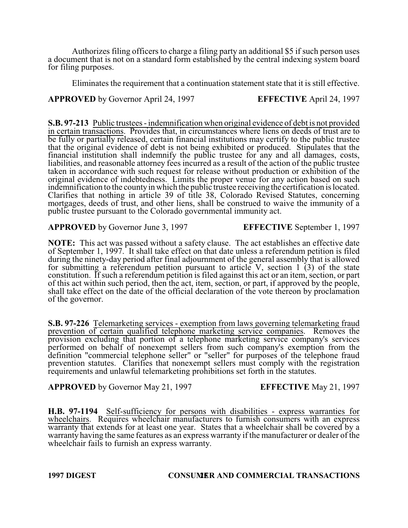Authorizes filing officers to charge a filing party an additional \$5 if such person uses a document that is not on a standard form established by the central indexing system board for filing purposes.

Eliminates the requirement that a continuation statement state that it is still effective.

**APPROVED** by Governor April 24, 1997 **EFFECTIVE** April 24, 1997

**S.B. 97-213** Public trustees - indemnification when original evidence of debt is not provided in certain transactions. Provides that, in circumstances where liens on deeds of trust are to be fully or partially released, certain financial institutions may certify to the public trustee that the original evidence of debt is not being exhibited or produced. Stipulates that the financial institution shall indemnify the public trustee for any and all damages, costs, liabilities, and reasonable attorney fees incurred as a result of the action of the public trustee taken in accordance with such request for release without production or exhibition of the original evidence of indebtedness. Limits the proper venue for any action based on such indemnification to the countyin which the public trustee receiving the certification is located. Clarifies that nothing in article 39 of title 38, Colorado Revised Statutes, concerning mortgages, deeds of trust, and other liens, shall be construed to waive the immunity of a public trustee pursuant to the Colorado governmental immunity act.

**APPROVED** by Governor June 3, 1997 **EFFECTIVE** September 1, 1997

**NOTE:** This act was passed without a safety clause. The act establishes an effective date of September 1, 1997. It shall take effect on that date unless a referendum petition is filed during the ninety-day period after final adjournment of the general assembly that is allowed for submitting a referendum petition pursuant to article V, section 1 (3) of the state constitution. If such a referendum petition is filed against this act or an item, section, or part of this act within such period, then the act, item, section, or part, if approved by the people, shall take effect on the date of the official declaration of the vote thereon by proclamation of the governor.

**S.B. 97-226** Telemarketing services - exemption from laws governing telemarketing fraud prevention of certain qualified telephone marketing service companies. Removes the provision excluding that portion of a telephone marketing service company's services performed on behalf of nonexempt sellers from such company's exemption from the definition "commercial telephone seller" or "seller" for purposes of the telephone fraud prevention statutes. Clarifies that nonexempt sellers must comply with the registration requirements and unlawful telemarketing prohibitions set forth in the statutes.

**APPROVED** by Governor May 21, 1997 **EFFECTIVE** May 21, 1997

**H.B. 97-1194** Self-sufficiency for persons with disabilities - express warranties for wheelchairs. Requires wheelchair manufacturers to furnish consumers with an express warranty that extends for at least one year. States that a wheelchair shall be covered by a warranty having the same features as an express warranty if the manufacturer or dealer of the wheelchair fails to furnish an express warranty.

**1997 DIGEST CONSUMER AND COMMERCIAL TRANSACTIONS**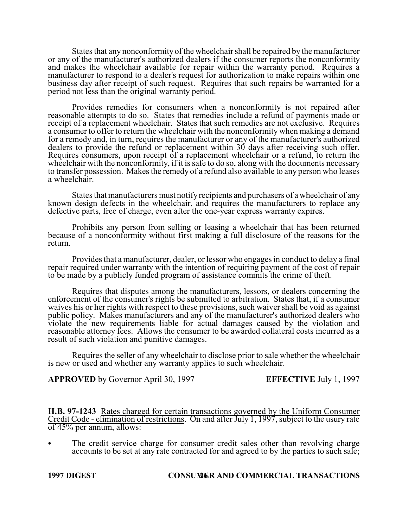States that any nonconformity of the wheelchair shall be repaired by the manufacturer or any of the manufacturer's authorized dealers if the consumer reports the nonconformity and makes the wheelchair available for repair within the warranty period. Requires a manufacturer to respond to a dealer's request for authorization to make repairs within one business day after receipt of such request. Requires that such repairs be warranted for a period not less than the original warranty period.

Provides remedies for consumers when a nonconformity is not repaired after reasonable attempts to do so. States that remedies include a refund of payments made or receipt of a replacement wheelchair. States that such remedies are not exclusive. Requires a consumer to offer to return the wheelchair with the nonconformity when making a demand for a remedy and, in turn, requires the manufacturer or any of the manufacturer's authorized dealers to provide the refund or replacement within 30 days after receiving such offer. Requires consumers, upon receipt of a replacement wheelchair or a refund, to return the wheelchair with the nonconformity, if it is safe to do so, along with the documents necessary to transfer possession. Makes the remedy of a refund also available to any person who leases a wheelchair.

States that manufacturers must notifyrecipients and purchasers of a wheelchair of any known design defects in the wheelchair, and requires the manufacturers to replace any defective parts, free of charge, even after the one-year express warranty expires.

Prohibits any person from selling or leasing a wheelchair that has been returned because of a nonconformity without first making a full disclosure of the reasons for the return.

Provides that a manufacturer, dealer, or lessor who engages in conduct to delay a final repair required under warranty with the intention of requiring payment of the cost of repair to be made by a publicly funded program of assistance commits the crime of theft.

Requires that disputes among the manufacturers, lessors, or dealers concerning the enforcement of the consumer's rights be submitted to arbitration. States that, if a consumer waives his or her rights with respect to these provisions, such waiver shall be void as against public policy. Makes manufacturers and any of the manufacturer's authorized dealers who violate the new requirements liable for actual damages caused by the violation and reasonable attorney fees. Allows the consumer to be awarded collateral costs incurred as a result of such violation and punitive damages.

Requires the seller of any wheelchair to disclose prior to sale whether the wheelchair is new or used and whether any warranty applies to such wheelchair.

### **APPROVED** by Governor April 30, 1997 **EFFECTIVE** July 1, 1997

**H.B. 97-1243** Rates charged for certain transactions governed by the Uniform Consumer Credit Code - elimination of restrictions. On and after July 1, 1997, subject to the usury rate of 45% per annum, allows:

The credit service charge for consumer credit sales other than revolving charge accounts to be set at any rate contracted for and agreed to by the parties to such sale;

### **1997 DIGEST CONSUM2E6 R AND COMMERCIAL TRANSACTIONS**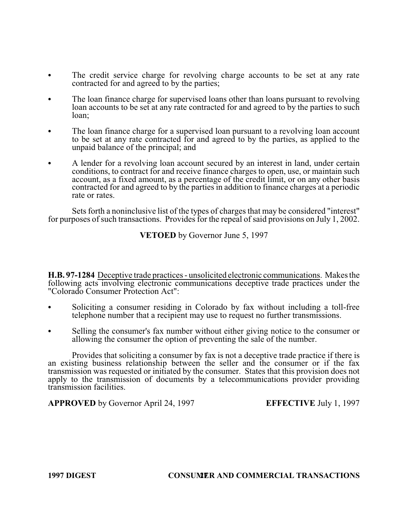- The credit service charge for revolving charge accounts to be set at any rate contracted for and agreed to by the parties;
- The loan finance charge for supervised loans other than loans pursuant to revolving loan accounts to be set at any rate contracted for and agreed to by the parties to such loan;
- The loan finance charge for a supervised loan pursuant to a revolving loan account to be set at any rate contracted for and agreed to by the parties, as applied to the unpaid balance of the principal; and
- C A lender for a revolving loan account secured by an interest in land, under certain conditions, to contract for and receive finance charges to open, use, or maintain such account, as a fixed amount, as a percentage of the credit limit, or on any other basis contracted for and agreed to by the parties in addition to finance charges at a periodic rate or rates.

Sets forth a noninclusive list of the types of charges that may be considered "interest" for purposes of such transactions. Provides for the repeal of said provisions on July 1, 2002.

**VETOED** by Governor June 5, 1997

**H.B. 97-1284** Deceptive trade practices - unsolicited electronic communications. Makes the following acts involving electronic communications deceptive trade practices under the "Colorado Consumer Protection Act":

- Soliciting a consumer residing in Colorado by fax without including a toll-free telephone number that a recipient may use to request no further transmissions.
- Selling the consumer's fax number without either giving notice to the consumer or allowing the consumer the option of preventing the sale of the number.

Provides that soliciting a consumer by fax is not a deceptive trade practice if there is an existing business relationship between the seller and the consumer or if the fax transmission was requested or initiated by the consumer. States that this provision does not apply to the transmission of documents by a telecommunications provider providing transmission facilities.

**APPROVED** by Governor April 24, 1997 **EFFECTIVE** July 1, 1997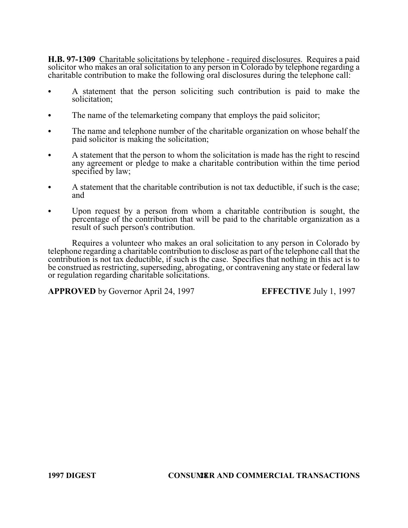**H.B. 97-1309** Charitable solicitations by telephone - required disclosures. Requires a paid solicitor who makes an oral solicitation to any person in Colorado by telephone regarding a charitable contribution to make the following oral disclosures during the telephone call:

- A statement that the person soliciting such contribution is paid to make the solicitation;
- The name of the telemarketing company that employs the paid solicitor;
- The name and telephone number of the charitable organization on whose behalf the paid solicitor is making the solicitation;
- A statement that the person to whom the solicitation is made has the right to rescind any agreement or pledge to make a charitable contribution within the time period specified by law;
- A statement that the charitable contribution is not tax deductible, if such is the case; and
- Upon request by a person from whom a charitable contribution is sought, the percentage of the contribution that will be paid to the charitable organization as a result of such person's contribution.

Requires a volunteer who makes an oral solicitation to any person in Colorado by telephone regarding a charitable contribution to disclose as part of the telephone call that the contribution is not tax deductible, if such is the case. Specifies that nothing in this act is to be construed as restricting, superseding, abrogating, or contravening any state or federal law or regulation regarding charitable solicitations.

**APPROVED** by Governor April 24, 1997 **EFFECTIVE** July 1, 1997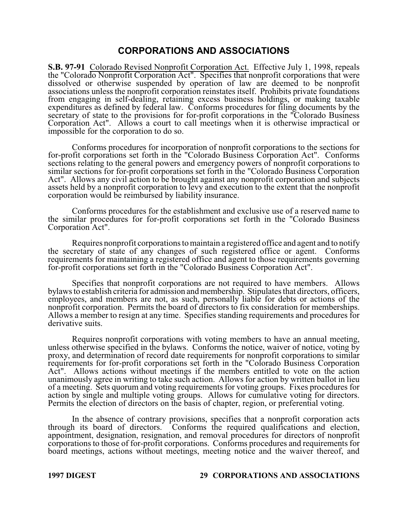# **CORPORATIONS AND ASSOCIATIONS**

**S.B. 97-91** Colorado Revised Nonprofit Corporation Act. Effective July 1, 1998, repeals the "Colorado Nonprofit Corporation Act". Specifies that nonprofit corporations that were dissolved or otherwise suspended by operation of law are deemed to be nonprofit associations unless the nonprofit corporation reinstates itself. Prohibits private foundations from engaging in self-dealing, retaining excess business holdings, or making taxable expenditures as defined by federal law. Conforms procedures for filing documents by the secretary of state to the provisions for for-profit corporations in the "Colorado Business" Corporation Act". Allows a court to call meetings when it is otherwise impractical or impossible for the corporation to do so.

Conforms procedures for incorporation of nonprofit corporations to the sections for for-profit corporations set forth in the "Colorado Business Corporation Act". Conforms sections relating to the general powers and emergency powers of nonprofit corporations to similar sections for for-profit corporations set forth in the "Colorado Business Corporation Act". Allows any civil action to be brought against any nonprofit corporation and subjects assets held by a nonprofit corporation to levy and execution to the extent that the nonprofit corporation would be reimbursed by liability insurance.

Conforms procedures for the establishment and exclusive use of a reserved name to the similar procedures for for-profit corporations set forth in the "Colorado Business Corporation Act".

Requires nonprofit corporations to maintain a registered office and agent and to notify the secretary of state of any changes of such registered office or agent. Conforms requirements for maintaining a registered office and agent to those requirements governing for-profit corporations set forth in the "Colorado Business Corporation Act".

Specifies that nonprofit corporations are not required to have members. Allows bylaws to establish criteria for admission and membership. Stipulates that directors, officers, employees, and members are not, as such, personally liable for debts or actions of the nonprofit corporation. Permits the board of directors to fix consideration for memberships. Allows a member to resign at any time. Specifies standing requirements and procedures for derivative suits.

Requires nonprofit corporations with voting members to have an annual meeting, unless otherwise specified in the bylaws. Conforms the notice, waiver of notice, voting by proxy, and determination of record date requirements for nonprofit corporations to similar requirements for for-profit corporations set forth in the "Colorado Business Corporation Act". Allows actions without meetings if the members entitled to vote on the action unanimously agree in writing to take such action. Allows for action by written ballot in lieu of a meeting. Sets quorum and voting requirements for voting groups. Fixes procedures for action by single and multiple voting groups. Allows for cumulative voting for directors. Permits the election of directors on the basis of chapter, region, or preferential voting.

In the absence of contrary provisions, specifies that a nonprofit corporation acts through its board of directors. Conforms the required qualifications and election, appointment, designation, resignation, and removal procedures for directors of nonprofit corporations to those of for-profit corporations. Conforms procedures and requirements for board meetings, actions without meetings, meeting notice and the waiver thereof, and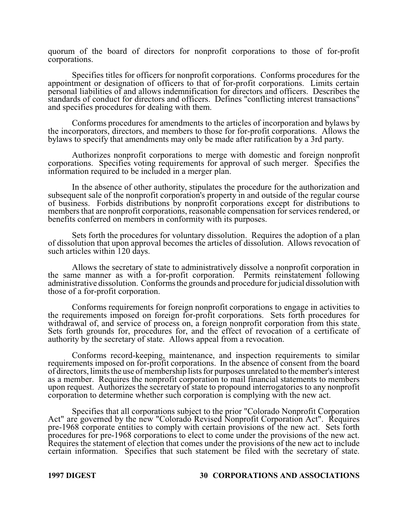quorum of the board of directors for nonprofit corporations to those of for-profit corporations.

Specifies titles for officers for nonprofit corporations. Conforms procedures for the appointment or designation of officers to that of for-profit corporations. Limits certain personal liabilities of and allows indemnification for directors and officers. Describes the standards of conduct for directors and officers. Defines "conflicting interest transactions" and specifies procedures for dealing with them.

Conforms procedures for amendments to the articles of incorporation and bylaws by the incorporators, directors, and members to those for for-profit corporations. Allows the bylaws to specify that amendments may only be made after ratification by a 3rd party.

Authorizes nonprofit corporations to merge with domestic and foreign nonprofit corporations. Specifies voting requirements for approval of such merger. Specifies the information required to be included in a merger plan.

In the absence of other authority, stipulates the procedure for the authorization and subsequent sale of the nonprofit corporation's property in and outside of the regular course of business. Forbids distributions by nonprofit corporations except for distributions to members that are nonprofit corporations, reasonable compensation for services rendered, or benefits conferred on members in conformity with its purposes.

Sets forth the procedures for voluntary dissolution. Requires the adoption of a plan of dissolution that upon approval becomes the articles of dissolution. Allows revocation of such articles within 120 days.

Allows the secretary of state to administratively dissolve a nonprofit corporation in the same manner as with a for-profit corporation. Permits reinstatement following administrative dissolution. Conforms the grounds and procedure for judicial dissolution with those of a for-profit corporation.

Conforms requirements for foreign nonprofit corporations to engage in activities to the requirements imposed on foreign for-profit corporations. Sets forth procedures for withdrawal of, and service of process on, a foreign nonprofit corporation from this state. Sets forth grounds for, procedures for, and the effect of revocation of a certificate of authority by the secretary of state. Allows appeal from a revocation.

Conforms record-keeping, maintenance, and inspection requirements to similar requirements imposed on for-profit corporations. In the absence of consent from the board of directors, limits the use of membership lists for purposes unrelated to the member's interest as a member. Requires the nonprofit corporation to mail financial statements to members upon request. Authorizes the secretary of state to propound interrogatories to any nonprofit corporation to determine whether such corporation is complying with the new act.

Specifies that all corporations subject to the prior "Colorado Nonprofit Corporation Act" are governed by the new "Colorado Revised Nonprofit Corporation Act". Requires pre-1968 corporate entities to comply with certain provisions of the new act. Sets forth procedures for pre-1968 corporations to elect to come under the provisions of the new act. Requires the statement of election that comes under the provisions of the new act to include certain information. Specifies that such statement be filed with the secretary of state.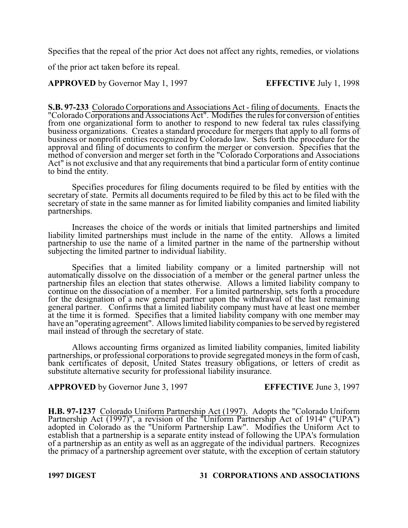Specifies that the repeal of the prior Act does not affect any rights, remedies, or violations

of the prior act taken before its repeal.

**APPROVED** by Governor May 1, 1997 **EFFECTIVE** July 1, 1998

**S.B. 97-233** Colorado Corporations and Associations Act - filing of documents. Enacts the "Colorado Corporations and Associations Act". Modifies the rules for conversion of entities from one organizational form to another to respond to new federal tax rules classifying business organizations. Creates a standard procedure for mergers that apply to all forms of business or nonprofit entities recognized by Colorado law. Sets forth the procedure for the approval and filing of documents to confirm the merger or conversion. Specifies that the method of conversion and merger set forth in the "Colorado Corporations and Associations Act" is not exclusive and that any requirements that bind a particular form of entity continue to bind the entity.

Specifies procedures for filing documents required to be filed by entities with the secretary of state. Permits all documents required to be filed by this act to be filed with the secretary of state in the same manner as for limited liability companies and limited liability partnerships.

Increases the choice of the words or initials that limited partnerships and limited liability limited partnerships must include in the name of the entity. Allows a limited partnership to use the name of a limited partner in the name of the partnership without subjecting the limited partner to individual liability.

Specifies that a limited liability company or a limited partnership will not automatically dissolve on the dissociation of a member or the general partner unless the partnership files an election that states otherwise. Allows a limited liability company to continue on the dissociation of a member. For a limited partnership, sets forth a procedure for the designation of a new general partner upon the withdrawal of the last remaining general partner. Confirms that a limited liability company must have at least one member at the time it is formed. Specifies that a limited liability company with one member may have an "operating agreement". Allows limited liability companies to be served by registered mail instead of through the secretary of state.

Allows accounting firms organized as limited liability companies, limited liability partnerships, or professional corporations to provide segregated moneys in the form of cash, bank certificates of deposit, United States treasury obligations, or letters of credit as substitute alternative security for professional liability insurance.

**APPROVED** by Governor June 3, 1997 **EFFECTIVE** June 3, 1997

**H.B. 97-1237** Colorado Uniform Partnership Act (1997). Adopts the "Colorado Uniform Partnership Act (1997)", a revision of the "Uniform Partnership Act of 1914" ("UPA") adopted in Colorado as the "Uniform Partnership Law". Modifies the Uniform Act to establish that a partnership is a separate entity instead of following the UPA's formulation of a partnership as an entity as well as an aggregate of the individual partners. Recognizes the primacy of a partnership agreement over statute, with the exception of certain statutory

#### **1997 DIGEST 31 CORPORATIONS AND ASSOCIATIONS**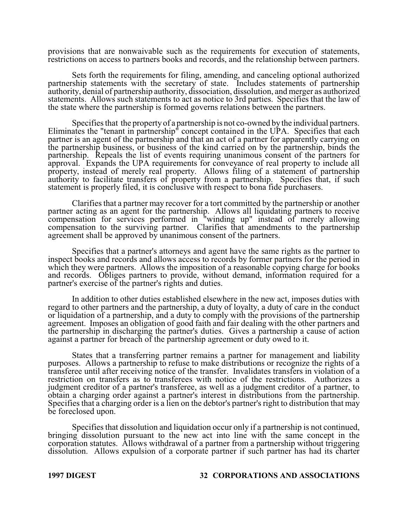provisions that are nonwaivable such as the requirements for execution of statements, restrictions on access to partners books and records, and the relationship between partners.

Sets forth the requirements for filing, amending, and canceling optional authorized partnership statements with the secretary of state. Includes statements of partnership authority, denial of partnership authority, dissociation, dissolution, and merger as authorized statements. Allows such statements to act as notice to 3rd parties. Specifies that the law of the state where the partnership is formed governs relations between the partners.

Specifies that the property of a partnership is not co-owned by the individual partners. Eliminates the "tenant in partnership" concept contained in the UPA. Specifies that each partner is an agent of the partnership and that an act of a partner for apparently carrying on the partnership business, or business of the kind carried on by the partnership, binds the partnership. Repeals the list of events requiring unanimous consent of the partners for approval. Expands the UPA requirements for conveyance of real property to include all property, instead of merely real property. Allows filing of a statement of partnership authority to facilitate transfers of property from a partnership. Specifies that, if such statement is properly filed, it is conclusive with respect to bona fide purchasers.

Clarifies that a partner may recover for a tort committed by the partnership or another partner acting as an agent for the partnership. Allows all liquidating partners to receive compensation for services performed in "winding up" instead of merely allowing compensation to better performed in manning the method of the partnership compensation to the surviving partner. Clarifies that amendments to the partnership agreement shall be approved by unanimous consent of the partners.

Specifies that a partner's attorneys and agent have the same rights as the partner to inspect books and records and allows access to records by former partners for the period in which they were partners. Allows the imposition of a reasonable copying charge for books and records. Obliges partners to provide, without demand, information required for a partner's exercise of the partner's rights and duties.

In addition to other duties established elsewhere in the new act, imposes duties with regard to other partners and the partnership, a duty of loyalty, a duty of care in the conduct or liquidation of a partnership, and a duty to comply with the provisions of the partnership agreement. Imposes an obligation of good faith and fair dealing with the other partners and the partnership in discharging the partner's duties. Gives a partnership a cause of action against a partner for breach of the partnership agreement or duty owed to it.

States that a transferring partner remains a partner for management and liability purposes. Allows a partnership to refuse to make distributions or recognize the rights of a transferee until after receiving notice of the transfer. Invalidates transfers in violation of a restriction on transfers as to transferees with notice of the restrictions. Authorizes a judgment creditor of a partner's transferee, as well as a judgment creditor of a partner, to obtain a charging order against a partner's interest in distributions from the partnership. Specifies that a charging order is a lien on the debtor's partner's right to distribution that may be foreclosed upon.

Specifies that dissolution and liquidation occur only if a partnership is not continued, bringing dissolution pursuant to the new act into line with the same concept in the corporation statutes. Allows withdrawal of a partner from a partnership without triggering dissolution. Allows expulsion of a corporate partner if such partner has had its charter

#### **1997 DIGEST 32 CORPORATIONS AND ASSOCIATIONS**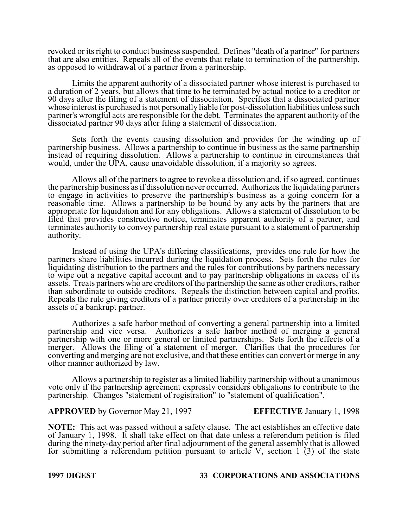revoked or its right to conduct business suspended. Defines "death of a partner" for partners that are also entities. Repeals all of the events that relate to termination of the partnership, as opposed to withdrawal of a partner from a partnership.

Limits the apparent authority of a dissociated partner whose interest is purchased to a duration of 2 years, but allows that time to be terminated by actual notice to a creditor or 90 days after the filing of a statement of dissociation. Specifies that a dissociated partner whose interest is purchased is not personally liable for post-dissolution liabilities unless such partner's wrongful acts are responsible for the debt. Terminates the apparent authority of the dissociated partner 90 days after filing a statement of dissociation.

Sets forth the events causing dissolution and provides for the winding up of partnership business. Allows a partnership to continue in business as the same partnership instead of requiring dissolution. Allows a partnership to continue in circumstances that would, under the UPA, cause unavoidable dissolution, if a majority so agrees.

Allows all of the partners to agree to revoke a dissolution and, if so agreed, continues the partnership business as if dissolution never occurred. Authorizes the liquidating partners to engage in activities to preserve the partnership's business as a going concern for a reasonable time. Allows a partnership to be bound by any acts by the partners that are appropriate for liquidation and for any obligations. Allows a statement of dissolution to be filed that provides constructive notice, terminates apparent authority of a partner, and terminates authority to convey partnership real estate pursuant to a statement of partnership authority.

Instead of using the UPA's differing classifications, provides one rule for how the partners share liabilities incurred during the liquidation process. Sets forth the rules for liquidating distribution to the partners and the rules for contributions by partners necessary to wipe out a negative capital account and to pay partnership obligations in excess of its assets. Treats partners who are creditors of the partnership the same as other creditors, rather than subordinate to outside creditors. Repeals the distinction between capital and profits. Repeals the rule giving creditors of a partner priority over creditors of a partnership in the assets of a bankrupt partner.

Authorizes a safe harbor method of converting a general partnership into a limited partnership and vice versa. Authorizes a safe harbor method of merging a general partnership with one or more general or limited partnerships. Sets forth the effects of a merger. Allows the filing of a statement of merger. Clarifies that the procedures for converting and merging are not exclusive, and that these entities can convert or merge in any other manner authorized by law.

Allows a partnership to register as a limited liability partnership without a unanimous vote only if the partnership agreement expressly considers obligations to contribute to the partnership. Changes "statement of registration" to "statement of qualification".

**APPROVED** by Governor May 21, 1997 **EFFECTIVE** January 1, 1998

**NOTE:** This act was passed without a safety clause. The act establishes an effective date of January 1, 1998. It shall take effect on that date unless a referendum petition is filed during the ninety-day period after final adjournment of the general assembly that is allowed for submitting a referendum petition pursuant to article V, section 1  $(3)$  of the state

#### **1997 DIGEST 33 CORPORATIONS AND ASSOCIATIONS**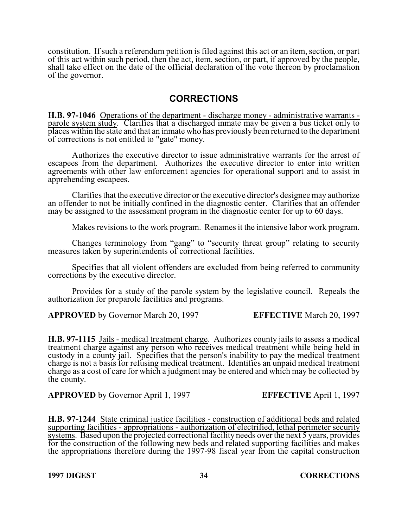constitution. If such a referendum petition is filed against this act or an item, section, or part of this act within such period, then the act, item, section, or part, if approved by the people, shall take effect on the date of the official declaration of the vote thereon by proclamation of the governor.

# **CORRECTIONS**

**H.B. 97-1046** Operations of the department - discharge money - administrative warrants parole system study. Clarifies that a discharged inmate may be given a bus ticket only to places within the state and that an inmate who has previously been returned to the department of corrections is not entitled to "gate" money.

Authorizes the executive director to issue administrative warrants for the arrest of escapees from the department. Authorizes the executive director to enter into written agreements with other law enforcement agencies for operational support and to assist in apprehending escapees.

Clarifies that the executive director or the executive director's designee may authorize an offender to not be initially confined in the diagnostic center. Clarifies that an offender may be assigned to the assessment program in the diagnostic center for up to 60 days.

Makes revisions to the work program. Renames it the intensive labor work program.

Changes terminology from "gang" to "security threat group" relating to security measures taken by superintendents of correctional facilities.

Specifies that all violent offenders are excluded from being referred to community corrections by the executive director.

Provides for a study of the parole system by the legislative council. Repeals the authorization for preparole facilities and programs.

**APPROVED** by Governor March 20, 1997 **EFFECTIVE** March 20, 1997

**H.B. 97-1115** Jails - medical treatment charge. Authorizes county jails to assess a medical treatment charge against any person who receives medical treatment while being held in custody in a county jail. Specifies that the person's inability to pay the medical treatment charge is not a basis for refusing medical treatment. Identifies an unpaid medical treatment charge as a cost of care for which a judgment may be entered and which may be collected by the county.

**APPROVED** by Governor April 1, 1997 **EFFECTIVE** April 1, 1997

**H.B. 97-1244** State criminal justice facilities - construction of additional beds and related supporting facilities - appropriations - authorization of electrified, lethal perimeter security systems. Based upon the projected correctional facility needs over the next 5 years, provides for the construction of the following new beds and related supporting facilities and makes the appropriations therefore during the 1997-98 fiscal year from the capital construction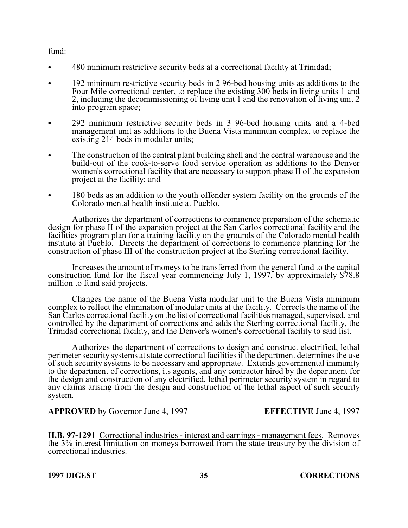fund:

- C 480 minimum restrictive security beds at a correctional facility at Trinidad;
- 192 minimum restrictive security beds in 2 96-bed housing units as additions to the Four Mile correctional center, to replace the existing 300 beds in living units 1 and 2, including the decommissioning of living unit 1 and the renovation of living unit 2 into program space;
- C 292 minimum restrictive security beds in 3 96-bed housing units and a 4-bed management unit as additions to the Buena Vista minimum complex, to replace the existing 214 beds in modular units;
- The construction of the central plant building shell and the central warehouse and the build-out of the cook-to-serve food service operation as additions to the Denver women's correctional facility that are necessary to support phase II of the expansion project at the facility; and
- 180 beds as an addition to the youth offender system facility on the grounds of the Colorado mental health institute at Pueblo.

Authorizes the department of corrections to commence preparation of the schematic design for phase II of the expansion project at the San Carlos correctional facility and the facilities program plan for a training facility on the grounds of the Colorado mental health institute at Pueblo. Directs the department of corrections to commence planning for the construction of phase III of the construction project at the Sterling correctional facility.

Increases the amount of moneys to be transferred from the general fund to the capital construction fund for the fiscal year commencing July 1, 1997, by approximately \$78.8 million to fund said projects.

Changes the name of the Buena Vista modular unit to the Buena Vista minimum complex to reflect the elimination of modular units at the facility. Corrects the name of the San Carlos correctional facility on the list of correctional facilities managed, supervised, and controlled by the department of corrections and adds the Sterling correctional facility, the Trinidad correctional facility, and the Denver's women's correctional facility to said list.

Authorizes the department of corrections to design and construct electrified, lethal perimeter security systems at state correctional facilities if the department determines the use of such security systems to be necessary and appropriate. Extends governmental immunity to the department of corrections, its agents, and any contractor hired by the department for the design and construction of any electrified, lethal perimeter security system in regard to any claims arising from the design and construction of the lethal aspect of such security system.

**APPROVED** by Governor June 4, 1997 **EFFECTIVE** June 4, 1997

**H.B. 97-1291** Correctional industries - interest and earnings - management fees. Removes the 3% interest limitation on moneys borrowed from the state treasury by the division of correctional industries.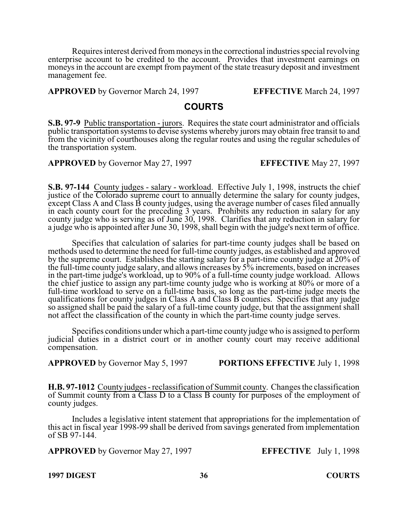Requires interest derived frommoneys in the correctional industries special revolving enterprise account to be credited to the account. Provides that investment earnings on moneys in the account are exempt from payment of the state treasury deposit and investment management fee.

**APPROVED** by Governor March 24, 1997 **EFFECTIVE** March 24, 1997

## **COURTS**

**S.B. 97-9** Public transportation - jurors. Requires the state court administrator and officials public transportation systems to devise systems whereby jurors may obtain free transit to and from the vicinity of courthouses along the regular routes and using the regular schedules of the transportation system.

**APPROVED** by Governor May 27, 1997 **EFFECTIVE** May 27, 1997

**S.B. 97-144** County judges - salary - workload. Effective July 1, 1998, instructs the chief justice of the Colorado supreme court to annually determine the salary for county judges, except Class A and Class  $\vec{B}$  county judges, using the average number of cases filed annually in each county court for the preceding 3 years. Prohibits any reduction in salary for any county judge who is serving as of June 30, 1998. Clarifies that any reduction in salary for a judge who is appointed after June 30, 1998, shall begin with the judge's next term of office.

Specifies that calculation of salaries for part-time county judges shall be based on methods used to determine the need for full-time county judges, as established and approved by the supreme court. Establishes the starting salary for a part-time county judge at 20% of the full-time county judge salary, and allows increases by 5% increments, based on increases in the part-time judge's workload, up to 90% of a full-time county judge workload. Allows the chief justice to assign any part-time county judge who is working at 80% or more of a full-time workload to serve on a full-time basis, so long as the part-time judge meets the qualifications for county judges in Class A and Class B counties. Specifies that any judge so assigned shall be paid the salary of a full-time county judge, but that the assignment shall not affect the classification of the county in which the part-time county judge serves.

Specifies conditions under which a part-time county judge who is assigned to perform judicial duties in a district court or in another county court may receive additional compensation.

**APPROVED** by Governor May 5, 1997 **PORTIONS EFFECTIVE** July 1, 1998

**H.B. 97-1012** Countyjudges - reclassification of Summit county. Changes the classification of Summit county from a Class D to a Class B county for purposes of the employment of county judges.

Includes a legislative intent statement that appropriations for the implementation of this act in fiscal year 1998-99 shall be derived from savings generated from implementation of SB 97-144.

**APPROVED** by Governor May 27, 1997 **EFFECTIVE** July 1, 1998

**1997 DIGEST 36 COURTS**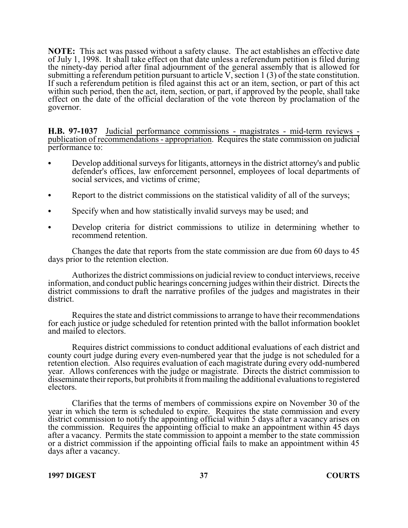**NOTE:** This act was passed without a safety clause. The act establishes an effective date of July 1, 1998. It shall take effect on that date unless a referendum petition is filed during the ninety-day period after final adjournment of the general assembly that is allowed for submitting a referendum petition pursuant to article V, section 1 (3) of the state constitution. If such a referendum petition is filed against this act or an item, section, or part of this act within such period, then the act, item, section, or part, if approved by the people, shall take effect on the date of the official declaration of the vote thereon by proclamation of the governor.

**H.B. 97-1037** Judicial performance commissions - magistrates - mid-term reviews publication of recommendations - appropriation. Requires the state commission on judicial performance to:

- Develop additional surveys for litigants, attorneys in the district attorney's and public defender's offices, law enforcement personnel, employees of local departments of social services, and victims of crime:
- Report to the district commissions on the statistical validity of all of the surveys;
- Specify when and how statistically invalid surveys may be used; and
- Develop criteria for district commissions to utilize in determining whether to recommend retention.

Changes the date that reports from the state commission are due from 60 days to 45 days prior to the retention election.

Authorizes the district commissions on judicial review to conduct interviews, receive information, and conduct public hearings concerning judges within their district. Directs the district commissions to draft the narrative profiles of the judges and magistrates in their district.

Requires the state and district commissions to arrange to have their recommendations for each justice or judge scheduled for retention printed with the ballot information booklet and mailed to electors.

Requires district commissions to conduct additional evaluations of each district and county court judge during every even-numbered year that the judge is not scheduled for a retention election. Also requires evaluation of each magistrate during every odd-numbered year. Allows conferences with the judge or magistrate. Directs the district commission to disseminate their reports, but prohibits it from mailing the additional evaluations to registered electors.

Clarifies that the terms of members of commissions expire on November 30 of the year in which the term is scheduled to expire. Requires the state commission and every district commission to notify the appointing official within 5 days after a vacancy arises on the commission. Requires the appointing official to make an appointment within 45 days after a vacancy. Permits the state commission to appoint a member to the state commission or a district commission if the appointing official fails to make an appointment within 45 days after a vacancy.

### **1997 DIGEST 37 COURTS**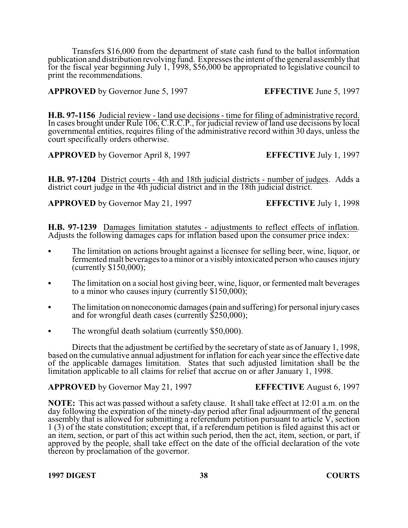Transfers \$16,000 from the department of state cash fund to the ballot information publication and distribution revolving fund. Expresses the intent of the general assemblythat for the fiscal year beginning July 1, 1998, \$56,000 be appropriated to legislative council to print the recommendations.

**APPROVED** by Governor June 5, 1997 **EFFECTIVE** June 5, 1997

**H.B. 97-1156** Judicial review - land use decisions - time for filing of administrative record. In cases brought under Rule 106, C.R.C.P., for judicial review of land use decisions by local governmental entities, requires filing of the administrative record within 30 days, unless the court specifically orders otherwise.

**APPROVED** by Governor April 8, 1997 **EFFECTIVE** July 1, 1997

**H.B. 97-1204** District courts - 4th and 18th judicial districts - number of judges. Adds a district court judge in the 4th judicial district and in the 18th judicial district.

**APPROVED** by Governor May 21, 1997 **EFFECTIVE** July 1, 1998

**H.B. 97-1239** Damages limitation statutes - adjustments to reflect effects of inflation. Adjusts the following damages caps for inflation based upon the consumer price index:

- The limitation on actions brought against a licensee for selling beer, wine, liquor, or fermented malt beverages to a minor or a visibly intoxicated person who causes injury (currently \$150,000);
- The limitation on a social host giving beer, wine, liquor, or fermented malt beverages to a minor who causes injury (currently  $$150,000$ );
- C The limitation on noneconomic damages (pain and suffering) for personal injurycases and for wrongful death cases (currently \$250,000);
- The wrongful death solatium (currently \$50,000).

Directs that the adjustment be certified by the secretary of state as of January 1, 1998, based on the cumulative annual adjustment for inflation for each year since the effective date of the applicable damages limitation. States that such adjusted limitation shall be the limitation applicable to all claims for relief that accrue on or after January 1, 1998.

**APPROVED** by Governor May 21, 1997 **EFFECTIVE** August 6, 1997

**NOTE:** This act was passed without a safety clause. It shall take effect at 12:01 a.m. on the day following the expiration of the ninety-day period after final adjournment of the general assembly that is allowed for submitting a referendum petition pursuant to article V, section 1 (3) of the state constitution; except that, if a referendum petition is filed against this act or an item, section, or part of this act within such period, then the act, item, section, or part, if approved by the people, shall take effect on the date of the official declaration of the vote thereon by proclamation of the governor.

**1997 DIGEST 38 COURTS**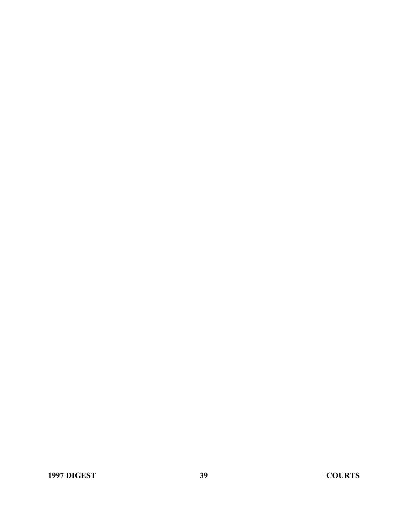# **1997 DIGEST 39 COURTS**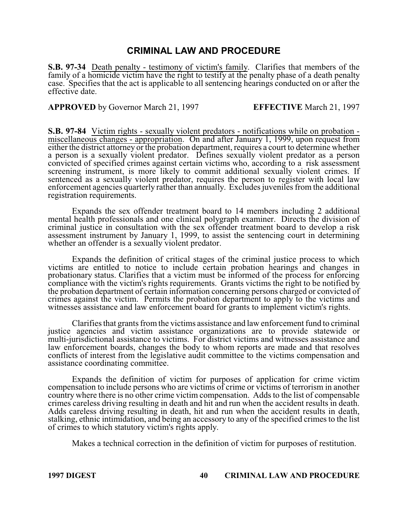## **CRIMINAL LAW AND PROCEDURE**

**S.B. 97-34** Death penalty - testimony of victim's family. Clarifies that members of the family of a homicide victim have the right to testify at the penalty phase of a death penalty case. Specifies that the act is applicable to all sentencing hearings conducted on or after the effective date.

**APPROVED** by Governor March 21, 1997 **EFFECTIVE** March 21, 1997

**S.B. 97-84** Victim rights - sexually violent predators - notifications while on probation miscellaneous changes - appropriation. On and after January 1, 1999, upon request from either the district attorney or the probation department, requires a court to determine whether a person is a sexually violent predator. Defines sexually violent predator as a person convicted of specified crimes against certain victims who, according to a risk assessment screening instrument, is more likely to commit additional sexually violent crimes. If sentenced as a sexually violent predator, requires the person to register with local law enforcement agencies quarterly rather than annually. Excludes juveniles from the additional registration requirements.

Expands the sex offender treatment board to 14 members including 2 additional mental health professionals and one clinical polygraph examiner. Directs the division of criminal justice in consultation with the sex offender treatment board to develop a risk assessment instrument by January 1, 1999, to assist the sentencing court in determining whether an offender is a sexually violent predator.

Expands the definition of critical stages of the criminal justice process to which victims are entitled to notice to include certain probation hearings and changes in probationary status. Clarifies that a victim must be informed of the process for enforcing compliance with the victim's rights requirements. Grants victims the right to be notified by the probation department of certain information concerning persons charged or convicted of crimes against the victim. Permits the probation department to apply to the victims and witnesses assistance and law enforcement board for grants to implement victim's rights.

Clarifies that grants from the victims assistance and law enforcement fund to criminal justice agencies and victim assistance organizations are to provide statewide or multi-jurisdictional assistance to victims. For district victims and witnesses assistance and law enforcement boards, changes the body to whom reports are made and that resolves conflicts of interest from the legislative audit committee to the victims compensation and assistance coordinating committee.

Expands the definition of victim for purposes of application for crime victim compensation to include persons who are victims of crime or victims of terrorism in another country where there is no other crime victim compensation. Adds to the list of compensable crimes careless driving resulting in death and hit and run when the accident results in death. Adds careless driving resulting in death, hit and run when the accident results in death, stalking, ethnic intimidation, and being an accessory to any of the specified crimes to the list of crimes to which statutory victim's rights apply.

Makes a technical correction in the definition of victim for purposes of restitution.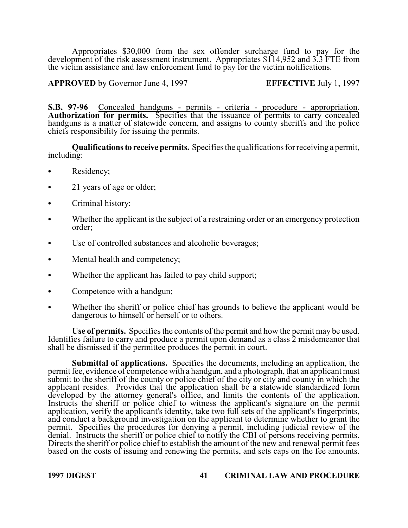Appropriates \$30,000 from the sex offender surcharge fund to pay for the development of the risk assessment instrument. Appropriates \$114,952 and 3.3 FTE from the victim assistance and law enforcement fund to pay for the victim notifications.

**APPROVED** by Governor June 4, 1997 **EFFECTIVE** July 1, 1997

**S.B. 97-96** Concealed handguns - permits - criteria - procedure - appropriation. **Authorization for permits.** Specifies that the issuance of permits to carry concealed handguns is a matter of statewide concern, and assigns to county sheriffs and the police chiefs responsibility for issuing the permits.

**Qualificationsto receive permits.** Specifies the qualifications for receiving a permit, including:

- Residency;
- 21 years of age or older;
- Criminal history;
- Whether the applicant is the subject of a restraining order or an emergency protection order;
- Use of controlled substances and alcoholic beverages;
- Mental health and competency;
- Whether the applicant has failed to pay child support;
- Competence with a handgun;
- Whether the sheriff or police chief has grounds to believe the applicant would be dangerous to himself or herself or to others.

**Use of permits.** Specifies the contents of the permit and how the permit may be used. Identifies failure to carry and produce a permit upon demand as a class 2 misdemeanor that shall be dismissed if the permittee produces the permit in court.

**Submittal of applications.** Specifies the documents, including an application, the permit fee, evidence of competence with a handgun, and a photograph, that an applicant must submit to the sheriff of the county or police chief of the city or city and county in which the applicant resides. Provides that the application shall be a statewide standardized form developed by the attorney general's office, and limits the contents of the application. Instructs the sheriff or police chief to witness the applicant's signature on the permit application, verify the applicant's identity, take two full sets of the applicant's fingerprints, and conduct a background investigation on the applicant to determine whether to grant the permit. Specifies the procedures for denying a permit, including judicial review of the denial. Instructs the sheriff or police chief to notify the CBI of persons receiving permits. Directs the sheriff or police chief to establish the amount of the new and renewal permit fees based on the costs of issuing and renewing the permits, and sets caps on the fee amounts.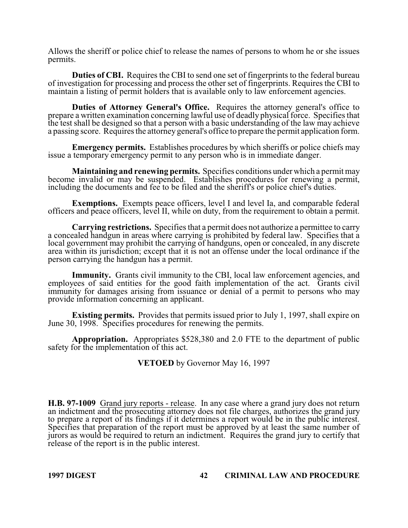Allows the sheriff or police chief to release the names of persons to whom he or she issues permits.

**Duties of CBI.** Requires the CBI to send one set of fingerprints to the federal bureau of investigation for processing and process the other set of fingerprints. Requires the CBI to maintain a listing of permit holders that is available only to law enforcement agencies.

**Duties of Attorney General's Office.** Requires the attorney general's office to prepare a written examination concerning lawful use of deadly physical force. Specifies that the test shall be designed so that a person with a basic understanding of the law may achieve a passing score. Requires the attorney general's office to prepare the permit application form.

**Emergency permits.** Establishes procedures by which sheriffs or police chiefs may issue a temporary emergency permit to any person who is in immediate danger.

**Maintaining and renewing permits.** Specifies conditions under which a permit may become invalid or may be suspended. Establishes procedures for renewing a permit, including the documents and fee to be filed and the sheriff's or police chief's duties.

**Exemptions.** Exempts peace officers, level I and level Ia, and comparable federal officers and peace officers, level II, while on duty, from the requirement to obtain a permit.

**Carrying restrictions.** Specifies that a permit does not authorize a permittee to carry a concealed handgun in areas where carrying is prohibited by federal law. Specifies that a local government may prohibit the carrying of handguns, open or concealed, in any discrete area within its jurisdiction; except that it is not an offense under the local ordinance if the person carrying the handgun has a permit.

**Immunity.** Grants civil immunity to the CBI, local law enforcement agencies, and employees of said entities for the good faith implementation of the act. Grants civil immunity for damages arising from issuance or denial of a permit to persons who may provide information concerning an applicant.

**Existing permits.** Provides that permits issued prior to July 1, 1997, shall expire on June 30, 1998. Specifies procedures for renewing the permits.

**Appropriation.** Appropriates \$528,380 and 2.0 FTE to the department of public safety for the implementation of this act.

## **VETOED** by Governor May 16, 1997

**H.B. 97-1009** Grand jury reports - release. In any case where a grand jury does not return an indictment and the prosecuting attorney does not file charges, authorizes the grand jury to prepare a report of its findings if it determines a report would be in the public interest. Specifies that preparation of the report must be approved by at least the same number of jurors as would be required to return an indictment. Requires the grand jury to certify that release of the report is in the public interest.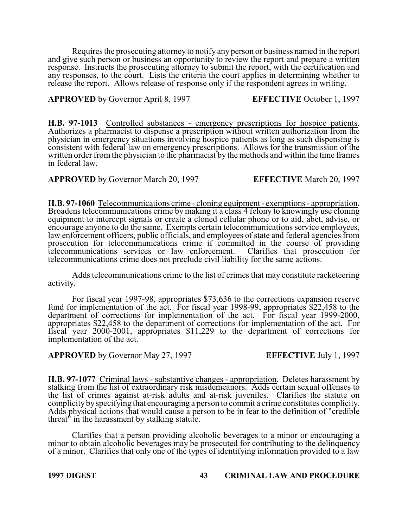Requires the prosecuting attorney to notify any person or business named in the report and give such person or business an opportunity to review the report and prepare a written response. Instructs the prosecuting attorney to submit the report, with the certification and any responses, to the court. Lists the criteria the court applies in determining whether to release the report. Allows release of response only if the respondent agrees in writing.

## **APPROVED** by Governor April 8, 1997 **EFFECTIVE** October 1, 1997

**H.B. 97-1013** Controlled substances - emergency prescriptions for hospice patients. Authorizes a pharmacist to dispense a prescription without written authorization from the physician in emergency situations involving hospice patients as long as such dispensing is consistent with federal law on emergency prescriptions. Allows for the transmission of the written order from the physician to the pharmacist by the methods and within the time frames in federal law.

**APPROVED** by Governor March 20, 1997 **EFFECTIVE** March 20, 1997

**H.B. 97-1060** Telecommunications crime - cloning equipment - exemptions - appropriation. Broadens telecommunications crime by making it a class 4 felony to knowingly use cloning equipment to intercept signals or create a cloned cellular phone or to aid, abet, advise, or encourage anyone to do the same. Exempts certain telecommunications service employees, law enforcement officers, public officials, and employees of state and federal agencies from prosecution for telecommunications crime if committed in the course of providing telecommunications services or law enforcement. Clarifies that prosecution for telecommunications crime does not preclude civil liability for the same actions.

Adds telecommunications crime to the list of crimes that may constitute racketeering activity.

For fiscal year 1997-98, appropriates \$73,636 to the corrections expansion reserve fund for implementation of the act. For fiscal year 1998-99, appropriates \$22,458 to the department of corrections for implementation of the act. For fiscal year 1999-2000, appropriates \$22,458 to the department of corrections for implementation of the act. For fiscal year 2000-2001, appropriates \$11,229 to the department of corrections for implementation of the act.

**APPROVED** by Governor May 27, 1997 **EFFECTIVE** July 1, 1997

**H.B. 97-1077** Criminal laws - substantive changes - appropriation. Deletes harassment by stalking from the list of extraordinary risk misdemeanors. Adds certain sexual offenses to the list of crimes against at-risk adults and at-risk juveniles. Clarifies the statute on complicity by specifying that encouraging a person to commit a crime constitutes complicity. Adds physical actions that would cause a person to be in fear to the definition of "credible threat" in the harassment by stalking statute.

Clarifies that a person providing alcoholic beverages to a minor or encouraging a minor to obtain alcoholic beverages may be prosecuted for contributing to the delinquency of a minor. Clarifies that only one of the types of identifying information provided to a law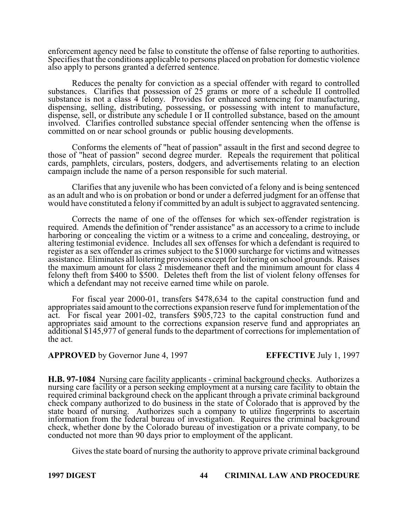enforcement agency need be false to constitute the offense of false reporting to authorities. Specifies that the conditions applicable to persons placed on probation for domestic violence also apply to persons granted a deferred sentence.

Reduces the penalty for conviction as a special offender with regard to controlled substances. Clarifies that possession of 25 grams or more of a schedule II controlled substance is not a class 4 felony. Provides for enhanced sentencing for manufacturing, dispensing, selling, distributing, possessing, or possessing with intent to manufacture, dispense, sell, or distribute any schedule I or II controlled substance, based on the amount involved. Clarifies controlled substance special offender sentencing when the offense is committed on or near school grounds or public housing developments.

Conforms the elements of "heat of passion" assault in the first and second degree to those of "heat of passion" second degree murder. Repeals the requirement that political cards, pamphlets, circulars, posters, dodgers, and advertisements relating to an election campaign include the name of a person responsible for such material.

Clarifies that any juvenile who has been convicted of a felony and is being sentenced as an adult and who is on probation or bond or under a deferred judgment for an offense that would have constituted a felony if committed by an adult is subject to aggravated sentencing.

Corrects the name of one of the offenses for which sex-offender registration is required. Amends the definition of "render assistance" as an accessory to a crime to include harboring or concealing the victim or a witness to a crime and concealing, destroying, or altering testimonial evidence. Includes all sex offenses for which a defendant is required to register as a sex offender as crimes subject to the \$1000 surcharge for victims and witnesses assistance. Eliminates all loitering provisions except for loitering on school grounds. Raises the maximum amount for class 2 misdemeanor theft and the minimum amount for class 4 felony theft from \$400 to \$500. Deletes theft from the list of violent felony offenses for which a defendant may not receive earned time while on parole.

For fiscal year 2000-01, transfers \$478,634 to the capital construction fund and appropriates said amount to the corrections expansion reserve fund for implementation ofthe act. For fiscal year 2001-02, transfers \$905,723 to the capital construction fund and appropriates said amount to the corrections expansion reserve fund and appropriates an additional \$145,977 of general funds to the department of corrections for implementation of the act.

## **APPROVED** by Governor June 4, 1997 **EFFECTIVE** July 1, 1997

**H.B. 97-1084** Nursing care facility applicants - criminal background checks. Authorizes a nursing care facility or a person seeking employment at a nursing care facility to obtain the required criminal background check on the applicant through a private criminal background check company authorized to do business in the state of Colorado that is approved by the state board of nursing. Authorizes such a company to utilize fingerprints to ascertain information from the federal bureau of investigation. Requires the criminal background check, whether done by the Colorado bureau of investigation or a private company, to be conducted not more than 90 days prior to employment of the applicant.

Gives the state board of nursing the authority to approve private criminal background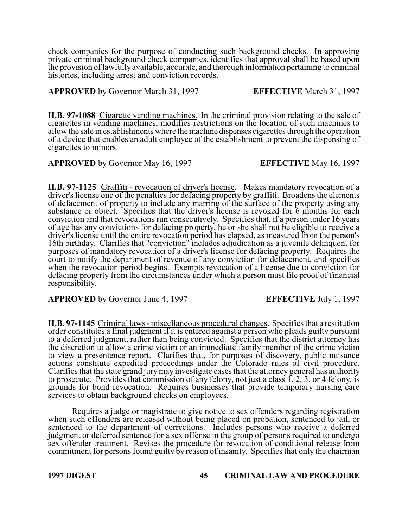check companies for the purpose of conducting such background checks. In approving private criminal background check companies, identifies that approval shall be based upon the provision oflawfullyavailable, accurate, and thorough information pertaining to criminal histories, including arrest and conviction records.

**APPROVED** by Governor March 31, 1997 **EFFECTIVE** March 31, 1997

**H.B. 97-1088** Cigarette vending machines. In the criminal provision relating to the sale of cigarettes in vending machines, modifies restrictions on the location of such machines to allow the sale in establishments where the machine dispenses cigarettes through the operation of a device that enables an adult employee of the establishment to prevent the dispensing of cigarettes to minors.

**APPROVED** by Governor May 16, 1997 **EFFECTIVE** May 16, 1997

**H.B. 97-1125** Graffiti - revocation of driver's license. Makes mandatory revocation of a driver's license one of the penalties for defacing property by graffiti. Broadens the elements of defacement of property to include any marring of the surface of the property using any substance or object. Specifies that the driver's license is revoked for 6 months for each conviction and that revocations run consecutively. Specifies that, if a person under 16 years of age has any convictions for defacing property, he or she shall not be eligible to receive a driver's license until the entire revocation period has elapsed, as measured from the person's 16th birthday. Clarifies that "conviction" includes adjudication as a juvenile delinquent for purposes of mandatory revocation of a driver's license for defacing property. Requires the court to notify the department of revenue of any conviction for defacement, and specifies when the revocation period begins. Exempts revocation of a license due to conviction for defacing property from the circumstances under which a person must file proof of financial responsibility.

**APPROVED** by Governor June 4, 1997 **EFFECTIVE** July 1, 1997

**H.B. 97-1145** Criminal laws - miscellaneous procedural changes. Specifies that a restitution order constitutes a final judgment if it is entered against a person who pleads guilty pursuant to a deferred judgment, rather than being convicted. Specifies that the district attorney has the discretion to allow a crime victim or an immediate family member of the crime victim to view a presentence report. Clarifies that, for purposes of discovery, public nuisance actions constitute expedited proceedings under the Colorado rules of civil procedure. Clarifies that the state grand jurymay investigate cases that the attorney general has authority to prosecute. Provides that commission of any felony, not just a class 1, 2, 3, or 4 felony, is grounds for bond revocation. Requires businesses that provide temporary nursing care services to obtain background checks on employees.

Requires a judge or magistrate to give notice to sex offenders regarding registration when such offenders are released without being placed on probation, sentenced to jail, or sentenced to the department of corrections. Includes persons who receive a deferred judgment or deferred sentence for a sex offense in the group of persons required to undergo sex offender treatment. Revises the procedure for revocation of conditional release from commitment for persons found guilty by reason of insanity. Specifies that only the chairman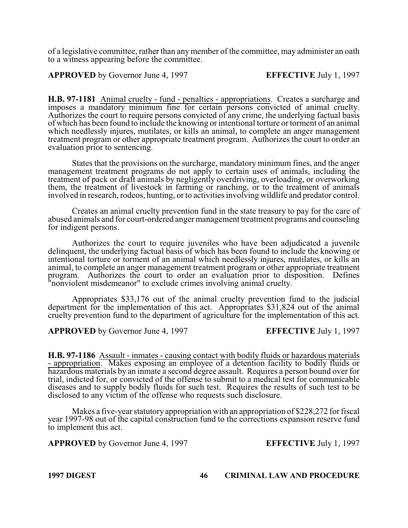of a legislative committee, rather than anymember of the committee, may administer an oath to a witness appearing before the committee.

**APPROVED** by Governor June 4, 1997 **EFFECTIVE** July 1, 1997

**H.B. 97-1181** Animal cruelty - fund - penalties - appropriations. Creates a surcharge and imposes a mandatory minimum fine for certain persons convicted of animal cruelty. Authorizes the court to require persons convicted of any crime, the underlying factual basis of which has been found to include the knowing or intentional torture or torment of an animal which needlessly injures, mutilates, or kills an animal, to complete an anger management treatment program or other appropriate treatment program. Authorizes the court to order an evaluation prior to sentencing.

States that the provisions on the surcharge, mandatory minimum fines, and the anger management treatment programs do not apply to certain uses of animals, including the treatment of pack or draft animals by negligently overdriving, overloading, or overworking them, the treatment of livestock in farming or ranching, or to the treatment of animals involved in research, rodeos, hunting, or to activities involving wildlife and predator control.

Creates an animal cruelty prevention fund in the state treasury to pay for the care of abused animals and for court-ordered anger management treatment programs and counseling for indigent persons.

Authorizes the court to require juveniles who have been adjudicated a juvenile delinquent, the underlying factual basis of which has been found to include the knowing or intentional torture or torment of an animal which needlessly injures, mutilates, or kills an animal, to complete an anger management treatment program or other appropriate treatment program. Authorizes the court to order an evaluation prior to disposition. Defines "nonviolent misdemeanor" to exclude crimes involving animal cruelty.

Appropriates \$33,176 out of the animal cruelty prevention fund to the judicial department for the implementation of this act. Appropriates \$31,824 out of the animal cruelty prevention fund to the department of agriculture for the implementation of this act.

**APPROVED** by Governor June 4, 1997 **EFFECTIVE** July 1, 1997

**H.B. 97-1186** Assault - inmates - causing contact with bodily fluids or hazardous materials - appropriation. Makes exposing an employee of a detention facility to bodily fluids or hazardous materials by an inmate a second degree assault. Requires a person bound over for trial, indicted for, or convicted of the offense to submit to a medical test for communicable diseases and to supply bodily fluids for such test. Requires the results of such test to be disclosed to any victim of the offense who requests such disclosure.

Makes a five-year statutory appropriation with an appropriation of \$228,272 for fiscal year 1997-98 out of the capital construction fund to the corrections expansion reserve fund to implement this act.

**APPROVED** by Governor June 4, 1997 **EFFECTIVE** July 1, 1997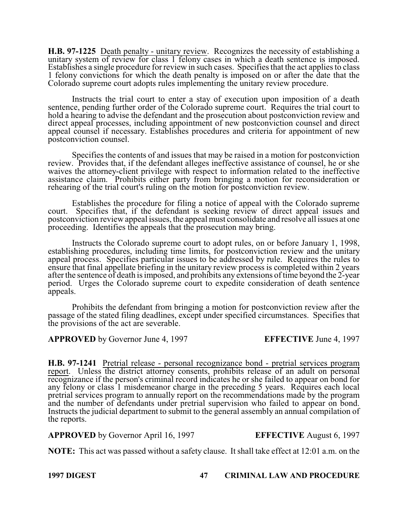**H.B. 97-1225** Death penalty - unitary review. Recognizes the necessity of establishing a unitary system of review for class 1 felony cases in which a death sentence is imposed. Establishes a single procedure for review in such cases. Specifies that the act applies to class 1 felony convictions for which the death penalty is imposed on or after the date that the Colorado supreme court adopts rules implementing the unitary review procedure.

Instructs the trial court to enter a stay of execution upon imposition of a death sentence, pending further order of the Colorado supreme court. Requires the trial court to hold a hearing to advise the defendant and the prosecution about postconviction review and direct appeal processes, including appointment of new postconviction counsel and direct appeal counsel if necessary. Establishes procedures and criteria for appointment of new postconviction counsel.

Specifies the contents of and issues that may be raised in a motion for postconviction review. Provides that, if the defendant alleges ineffective assistance of counsel, he or she waives the attorney-client privilege with respect to information related to the ineffective assistance claim. Prohibits either party from bringing a motion for reconsideration or rehearing of the trial court's ruling on the motion for postconviction review.

Establishes the procedure for filing a notice of appeal with the Colorado supreme court. Specifies that, if the defendant is seeking review of direct appeal issues and Specifies that, if the defendant is seeking review of direct appeal issues and postconviction review appeal issues, the appeal must consolidate and resolve all issues at one proceeding. Identifies the appeals that the prosecution may bring.

Instructs the Colorado supreme court to adopt rules, on or before January 1, 1998, establishing procedures, including time limits, for postconviction review and the unitary appeal process. Specifies particular issues to be addressed by rule. Requires the rules to ensure that final appellate briefing in the unitary review process is completed within 2 years after the sentence of death is imposed, and prohibits any extensions of time beyond the 2-year period. Urges the Colorado supreme court to expedite consideration of death sentence appeals.

Prohibits the defendant from bringing a motion for postconviction review after the passage of the stated filing deadlines, except under specified circumstances. Specifies that the provisions of the act are severable.

**APPROVED** by Governor June 4, 1997 **EFFECTIVE** June 4, 1997

**H.B. 97-1241** Pretrial release - personal recognizance bond - pretrial services program report. Unless the district attorney consents, prohibits release of an adult on personal recognizance if the person's criminal record indicates he or she failed to appear on bond for any felony or class 1 misdemeanor charge in the preceding 5 years. Requires each local pretrial services program to annually report on the recommendations made by the program and the number of defendants under pretrial supervision who failed to appear on bond. Instructs the judicial department to submit to the general assembly an annual compilation of the reports.

**APPROVED** by Governor April 16, 1997 **EFFECTIVE** August 6, 1997

**NOTE:** This act was passed without a safety clause. It shall take effect at 12:01 a.m. on the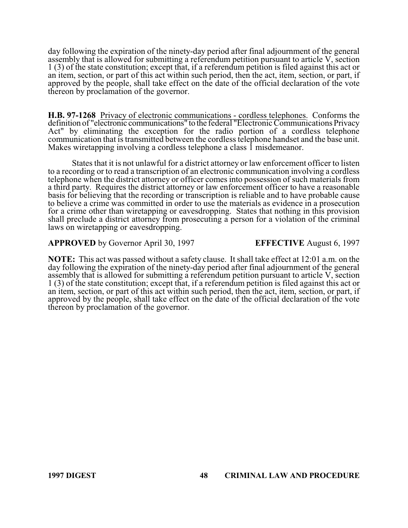day following the expiration of the ninety-day period after final adjournment of the general assembly that is allowed for submitting a referendum petition pursuant to article V, section 1 (3) of the state constitution; except that, if a referendum petition is filed against this act or an item, section, or part of this act within such period, then the act, item, section, or part, if approved by the people, shall take effect on the date of the official declaration of the vote thereon by proclamation of the governor.

**H.B. 97-1268** Privacy of electronic communications - cordless telephones. Conforms the definition of "electronic communications" to the federal "Electronic Communications Privacy Act" by eliminating the exception for the radio portion of a cordless telephone communication that is transmitted between the cordless telephone handset and the base unit. Makes wiretapping involving a cordless telephone a class 1 misdemeanor.

States that it is not unlawful for a district attorney or law enforcement officer to listen to a recording or to read a transcription of an electronic communication involving a cordless telephone when the district attorney or officer comes into possession of such materials from a third party. Requires the district attorney or law enforcement officer to have a reasonable basis for believing that the recording or transcription is reliable and to have probable cause to believe a crime was committed in order to use the materials as evidence in a prosecution for a crime other than wiretapping or eavesdropping. States that nothing in this provision shall preclude a district attorney from prosecuting a person for a violation of the criminal laws on wiretapping or eavesdropping.

**APPROVED** by Governor April 30, 1997 **EFFECTIVE** August 6, 1997

**NOTE:** This act was passed without a safety clause. It shall take effect at 12:01 a.m. on the day following the expiration of the ninety-day period after final adjournment of the general assembly that is allowed for submitting a referendum petition pursuant to article V, section 1 (3) of the state constitution; except that, if a referendum petition is filed against this act or an item, section, or part of this act within such period, then the act, item, section, or part, if approved by the people, shall take effect on the date of the official declaration of the vote thereon by proclamation of the governor.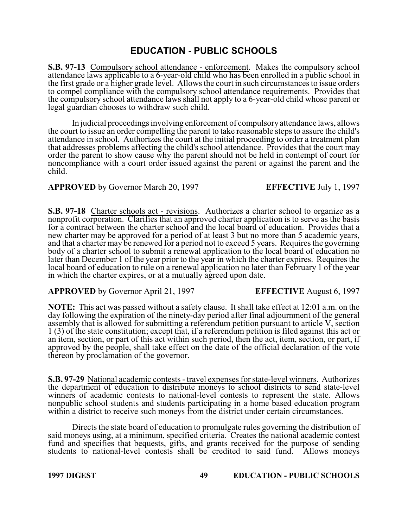# **EDUCATION - PUBLIC SCHOOLS**

**S.B. 97-13** Compulsory school attendance - enforcement. Makes the compulsory school attendance laws applicable to a 6-year-old child who has been enrolled in a public school in the first grade or a higher grade level. Allows the court in such circumstances to issue orders to compel compliance with the compulsory school attendance requirements. Provides that the compulsory school attendance laws shall not apply to a 6-year-old child whose parent or legal guardian chooses to withdraw such child.

In judicial proceedings involving enforcement of compulsoryattendance laws, allows the court to issue an order compelling the parent to take reasonable steps to assure the child's attendance in school. Authorizes the court at the initial proceeding to order a treatment plan that addresses problems affecting the child's school attendance. Provides that the court may order the parent to show cause why the parent should not be held in contempt of court for noncompliance with a court order issued against the parent or against the parent and the child.

## **APPROVED** by Governor March 20, 1997 **EFFECTIVE** July 1, 1997

**S.B. 97-18** Charter schools act - revisions. Authorizes a charter school to organize as a nonprofit corporation. Clarifies that an approved charter application is to serve as the basis for a contract between the charter school and the local board of education. Provides that a new charter may be approved for a period of at least 3 but no more than 5 academic years, and that a charter may be renewed for a period not to exceed 5 years. Requires the governing body of a charter school to submit a renewal application to the local board of education no later than December 1 of the year prior to the year in which the charter expires. Requires the local board of education to rule on a renewal application no later than February 1 of the year in which the charter expires, or at a mutually agreed upon date.

**APPROVED** by Governor April 21, 1997 **EFFECTIVE** August 6, 1997

**NOTE:** This act was passed without a safety clause. It shall take effect at 12:01 a.m. on the day following the expiration of the ninety-day period after final adjournment of the general assembly that is allowed for submitting a referendum petition pursuant to article V, section 1 (3) of the state constitution; except that, if a referendum petition is filed against this act or an item, section, or part of this act within such period, then the act, item, section, or part, if approved by the people, shall take effect on the date of the official declaration of the vote thereon by proclamation of the governor.

**S.B. 97-29** National academic contests - travel expenses for state-level winners. Authorizes the department of education to distribute moneys to school districts to send state-level winners of academic contests to national-level contests to represent the state. Allows nonpublic school students and students participating in a home based education program within a district to receive such moneys from the district under certain circumstances.

Directs the state board of education to promulgate rules governing the distribution of said moneys using, at a minimum, specified criteria. Creates the national academic contest fund and specifies that bequests, gifts, and grants received for the purpose of sending students to national-level contests shall be credited to said fund. Allows moneys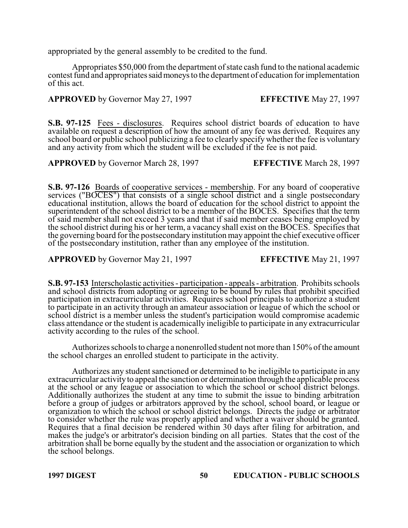appropriated by the general assembly to be credited to the fund.

Appropriates \$50,000 from the department of state cash fund to the national academic contest fund and appropriates said moneys to the department of education for implementation of this act.

**APPROVED** by Governor May 27, 1997 **EFFECTIVE** May 27, 1997

**S.B. 97-125** Fees - disclosures. Requires school district boards of education to have available on request a description of how the amount of any fee was derived. Requires any school board or public school publicizing a fee to clearly specify whether the fee is voluntary and any activity from which the student will be excluded if the fee is not paid.

**APPROVED** by Governor March 28, 1997 **EFFECTIVE** March 28, 1997

**S.B. 97-126** Boards of cooperative services - membership. For any board of cooperative services ("BOCES") that consists of a single school district and a single postsecondary educational institution, allows the board of education for the school district to appoint the superintendent of the school district to be a member of the BOCES. Specifies that the term of said member shall not exceed 3 years and that if said member ceases being employed by the school district during his or her term, a vacancy shall exist on the BOCES. Specifies that the governing board for the postsecondary institution may appoint the chief executive officer of the postsecondary institution, rather than any employee of the institution.

**APPROVED** by Governor May 21, 1997 **EFFECTIVE** May 21, 1997

**S.B. 97-153** Interscholastic activities - participation - appeals - arbitration. Prohibits schools and school districts from adopting or agreeing to be bound by rules that prohibit specified participation in extracurricular activities. Requires school principals to authorize a student to participate in an activity through an amateur association or league of which the school or school district is a member unless the student's participation would compromise academic class attendance or the student is academically ineligible to participate in any extracurricular activity according to the rules of the school.

Authorizes schools to charge a nonenrolled student not more than 150% of the amount the school charges an enrolled student to participate in the activity.

Authorizes any student sanctioned or determined to be ineligible to participate in any extracurricular activityto appeal the sanction or determination through the applicable process at the school or any league or association to which the school or school district belongs. Additionally authorizes the student at any time to submit the issue to binding arbitration before a group of judges or arbitrators approved by the school, school board, or league or organization to which the school or school district belongs. Directs the judge or arbitrator to consider whether the rule was properly applied and whether a waiver should be granted. Requires that a final decision be rendered within 30 days after filing for arbitration, and makes the judge's or arbitrator's decision binding on all parties. States that the cost of the arbitration shall be borne equally by the student and the association or organization to which the school belongs.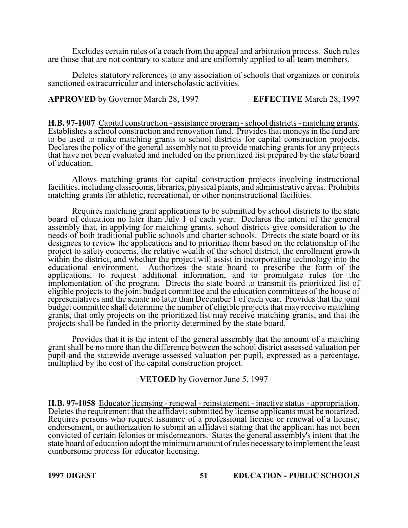Excludes certain rules of a coach from the appeal and arbitration process. Such rules are those that are not contrary to statute and are uniformly applied to all team members.

Deletes statutory references to any association of schools that organizes or controls sanctioned extracurricular and interscholastic activities.

**APPROVED** by Governor March 28, 1997 **EFFECTIVE** March 28, 1997

**H.B. 97-1007** Capital construction - assistance program - school districts - matching grants. Establishes a school construction and renovation fund. Provides that moneysin the fund are to be used to make matching grants to school districts for capital construction projects. Declares the policy of the general assembly not to provide matching grants for any projects that have not been evaluated and included on the prioritized list prepared by the state board of education.

Allows matching grants for capital construction projects involving instructional facilities, including classrooms, libraries, physical plants, and administrative areas. Prohibits matching grants for athletic, recreational, or other noninstructional facilities.

Requires matching grant applications to be submitted by school districts to the state board of education no later than July 1 of each year. Declares the intent of the general assembly that, in applying for matching grants, school districts give consideration to the needs of both traditional public schools and charter schools. Directs the state board or its designees to review the applications and to prioritize them based on the relationship of the project to safety concerns, the relative wealth of the school district, the enrollment growth within the district, and whether the project will assist in incorporating technology into the educational environment. Authorizes the state board to prescribe the form of the applications, to request additional information, and to promulgate rules for the implementation of the program. Directs the state board to transmit its prioritized list of eligible projects to the joint budget committee and the education committees of the house of representatives and the senate no later than December 1 of each year. Provides that the joint budget committee shall determine the number of eligible projects that may receive matching grants, that only projects on the prioritized list may receive matching grants, and that the projects shall be funded in the priority determined by the state board.

Provides that it is the intent of the general assembly that the amount of a matching grant shall be no more than the difference between the school district assessed valuation per pupil and the statewide average assessed valuation per pupil, expressed as a percentage, multiplied by the cost of the capital construction project.

**VETOED** by Governor June 5, 1997

**H.B. 97-1058** Educator licensing - renewal - reinstatement - inactive status - appropriation. Deletes the requirement that the affidavit submitted by license applicants must be notarized. Requires persons who request issuance of a professional license or renewal of a license, endorsement, or authorization to submit an affidavit stating that the applicant has not been convicted of certain felonies or misdemeanors. States the general assembly's intent that the state board of education adopt the minimumamount of rules necessary to implement the least cumbersome process for educator licensing.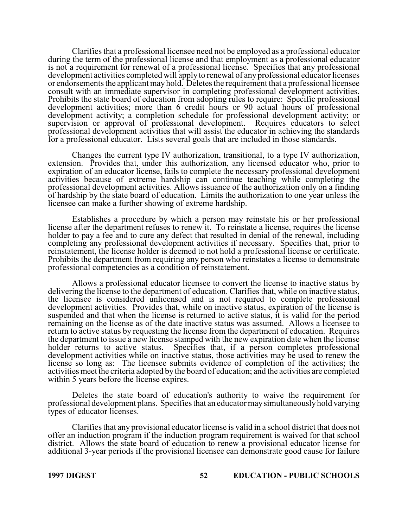Clarifies that a professional licensee need not be employed as a professional educator during the term of the professional license and that employment as a professional educator is not a requirement for renewal of a professional license. Specifies that any professional development activities completed will apply to renewal of any professional educator licenses or endorsements the applicant may hold. Deletes the requirement that a professional licensee consult with an immediate supervisor in completing professional development activities. Prohibits the state board of education from adopting rules to require: Specific professional development activities; more than 6 credit hours or 90 actual hours of professional development activity; a completion schedule for professional development activity; or supervision or approval of professional development. Requires educators to select professional development activities that will assist the educator in achieving the standards for a professional educator. Lists several goals that are included in those standards.

Changes the current type IV authorization, transitional, to a type IV authorization, extension. Provides that, under this authorization, any licensed educator who, prior to expiration of an educator license, fails to complete the necessary professional development activities because of extreme hardship can continue teaching while completing the professional development activities. Allows issuance of the authorization only on a finding of hardship by the state board of education. Limits the authorization to one year unless the licensee can make a further showing of extreme hardship.

Establishes a procedure by which a person may reinstate his or her professional license after the department refuses to renew it. To reinstate a license, requires the license holder to pay a fee and to cure any defect that resulted in denial of the renewal, including completing any professional development activities if necessary. Specifies that, prior to reinstatement, the license holder is deemed to not hold a professional license or certificate. Prohibits the department from requiring any person who reinstates a license to demonstrate professional competencies as a condition of reinstatement.

Allows a professional educator licensee to convert the license to inactive status by delivering the license to the department of education. Clarifies that, while on inactive status, the licensee is considered unlicensed and is not required to complete professional development activities. Provides that, while on inactive status, expiration of the license is suspended and that when the license is returned to active status, it is valid for the period remaining on the license as of the date inactive status was assumed. Allows a licensee to return to active status by requesting the license from the department of education. Requires the department to issue a new license stamped with the new expiration date when the license holder returns to active status. Specifies that, if a person completes professional development activities while on inactive status, those activities may be used to renew the license so long as: The licensee submits evidence of completion of the activities; the activities meet the criteria adopted by the board of education; and the activities are completed within 5 years before the license expires.

Deletes the state board of education's authority to waive the requirement for professional development plans. Specifies that an educator maysimultaneouslyhold varying types of educator licenses.

Clarifies that any provisional educator license is valid in a school district that does not offer an induction program if the induction program requirement is waived for that school district. Allows the state board of education to renew a provisional educator license for additional 3-year periods if the provisional licensee can demonstrate good cause for failure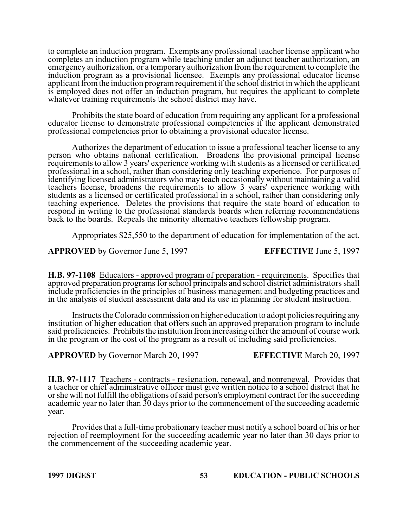to complete an induction program. Exempts any professional teacher license applicant who completes an induction program while teaching under an adjunct teacher authorization, an emergency authorization, or a temporary authorization from the requirement to complete the induction program as a provisional licensee. Exempts any professional educator license applicant from the induction program requirement if the school district in which the applicant is employed does not offer an induction program, but requires the applicant to complete whatever training requirements the school district may have.

Prohibits the state board of education from requiring any applicant for a professional educator license to demonstrate professional competencies if the applicant demonstrated professional competencies prior to obtaining a provisional educator license.

Authorizes the department of education to issue a professional teacher license to any person who obtains national certification. Broadens the provisional principal license requirements to allow 3 years' experience working with students as a licensed or certificated professional in a school, rather than considering only teaching experience. For purposes of identifying licensed administrators who may teach occasionally without maintaining a valid teachers license, broadens the requirements to allow 3 years' experience working with students as a licensed or certificated professional in a school, rather than considering only teaching experience. Deletes the provisions that require the state board of education to respond in writing to the professional standards boards when referring recommendations back to the boards. Repeals the minority alternative teachers fellowship program.

Appropriates \$25,550 to the department of education for implementation of the act.

**APPROVED** by Governor June 5, 1997 **EFFECTIVE** June 5, 1997

**H.B. 97-1108** Educators - approved program of preparation - requirements. Specifies that approved preparation programs for school principals and school district administrators shall include proficiencies in the principles of business management and budgeting practices and in the analysis of student assessment data and its use in planning for student instruction.

Instructs the Colorado commission on higher education to adopt policiesrequiring any institution of higher education that offers such an approved preparation program to include said proficiencies. Prohibits the institution fromincreasing either the amount of course work in the program or the cost of the program as a result of including said proficiencies.

**APPROVED** by Governor March 20, 1997 **EFFECTIVE** March 20, 1997

**H.B. 97-1117** Teachers - contracts - resignation, renewal, and nonrenewal. Provides that a teacher or chief administrative officer must give written notice to a school district that he or she will not fulfill the obligations of said person's employment contract for the succeeding academic year no later than 30 days prior to the commencement of the succeeding academic year.

Provides that a full-time probationary teacher must notify a school board of his or her rejection of reemployment for the succeeding academic year no later than 30 days prior to the commencement of the succeeding academic year.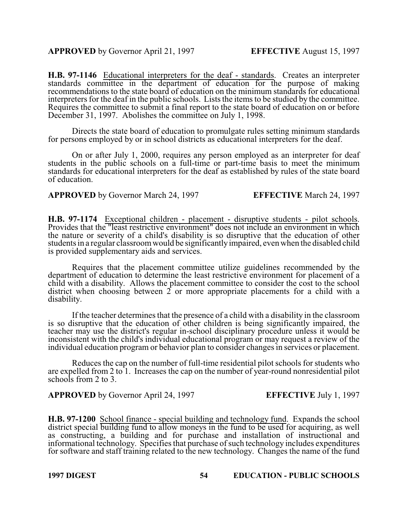**H.B. 97-1146** Educational interpreters for the deaf - standards. Creates an interpreter standards committee in the department of education for the purpose of making recommendations to the state board of education on the minimum standards for educational interpreters for the deaf in the public schools. Lists the items to be studied by the committee. Requires the committee to submit a final report to the state board of education on or before December 31, 1997. Abolishes the committee on July 1, 1998.

Directs the state board of education to promulgate rules setting minimum standards for persons employed by or in school districts as educational interpreters for the deaf.

On or after July 1, 2000, requires any person employed as an interpreter for deaf students in the public schools on a full-time or part-time basis to meet the minimum standards for educational interpreters for the deaf as established by rules of the state board of education.

### **APPROVED** by Governor March 24, 1997 **EFFECTIVE** March 24, 1997

**H.B. 97-1174** Exceptional children - placement - disruptive students - pilot schools. Provides that the "least restrictive environment" does not include an environment in which the nature or severity of a child's disability is so disruptive that the education of other students in a regular classroomwould be significantlyimpaired, even when the disabled child is provided supplementary aids and services.

Requires that the placement committee utilize guidelines recommended by the department of education to determine the least restrictive environment for placement of a child with a disability. Allows the placement committee to consider the cost to the school district when choosing between  $\hat{2}$  or more appropriate placements for a child with a disability.

If the teacher determines that the presence of a child with a disability in the classroom is so disruptive that the education of other children is being significantly impaired, the teacher may use the district's regular in-school disciplinary procedure unless it would be inconsistent with the child's individual educational program or may request a review of the individual education program or behavior plan to consider changes in services or placement.

Reduces the cap on the number of full-time residential pilot schools for students who are expelled from 2 to 1. Increases the cap on the number of year-round nonresidential pilot schools from 2 to 3.

**APPROVED** by Governor April 24, 1997 **EFFECTIVE** July 1, 1997

**H.B. 97-1200** School finance - special building and technology fund. Expands the school district special building fund to allow moneys in the fund to be used for acquiring, as well as constructing, a building and for purchase and installation of instructional and informational technology. Specifies that purchase of such technology includes expenditures for software and staff training related to the new technology. Changes the name of the fund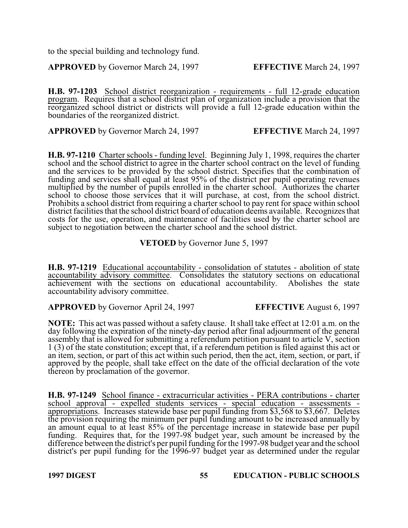to the special building and technology fund.

**APPROVED** by Governor March 24, 1997 **EFFECTIVE** March 24, 1997

**H.B. 97-1203** School district reorganization - requirements - full 12-grade education program. Requires that a school district plan of organization include a provision that the reorganized school district or districts will provide a full 12-grade education within the boundaries of the reorganized district.

**APPROVED** by Governor March 24, 1997 **EFFECTIVE** March 24, 1997

**H.B. 97-1210** Charter schools - funding level. Beginning July 1, 1998, requires the charter school and the school district to agree in the charter school contract on the level of funding and the services to be provided by the school district. Specifies that the combination of funding and services shall equal at least 95% of the district per pupil operating revenues multiplied by the number of pupils enrolled in the charter school. Authorizes the charter school to choose those services that it will purchase, at cost, from the school district. Prohibits a school district from requiring a charter school to pay rent for space within school district facilities that the school district board of education deems available. Recognizes that costs for the use, operation, and maintenance of facilities used by the charter school are subject to negotiation between the charter school and the school district.

**VETOED** by Governor June 5, 1997

**H.B. 97-1219** Educational accountability - consolidation of statutes - abolition of state accountability advisory committee. Consolidates the statutory sections on educational achievement with the sections on educational accountability. Abolishes the state accountability advisory committee.

**APPROVED** by Governor April 24, 1997 **EFFECTIVE** August 6, 1997

**NOTE:** This act was passed without a safety clause. It shall take effect at 12:01 a.m. on the day following the expiration of the ninety-day period after final adjournment of the general assembly that is allowed for submitting a referendum petition pursuant to article V, section 1 (3) of the state constitution; except that, if a referendum petition is filed against this act or an item, section, or part of this act within such period, then the act, item, section, or part, if approved by the people, shall take effect on the date of the official declaration of the vote thereon by proclamation of the governor.

**H.B. 97-1249** School finance - extracurricular activities - PERA contributions - charter school approval - expelled students services - special education - assessments appropriations. Increases statewide base per pupil funding from \$3,568 to \$3,667. Deletes the provision requiring the minimum per pupil funding amount to be increased annually by an amount equal to at least 85% of the percentage increase in statewide base per pupil funding. Requires that, for the 1997-98 budget year, such amount be increased by the difference between the district's per pupil funding for the 1997-98 budget year and the school district's per pupil funding for the 1996-97 budget year as determined under the regular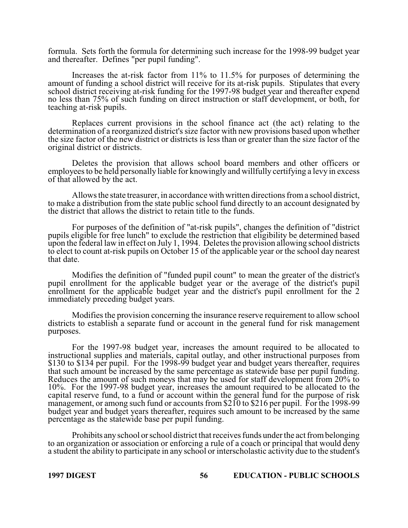formula. Sets forth the formula for determining such increase for the 1998-99 budget year and thereafter. Defines "per pupil funding".

Increases the at-risk factor from 11% to 11.5% for purposes of determining the amount of funding a school district will receive for its at-risk pupils. Stipulates that every school district receiving at-risk funding for the 1997-98 budget year and thereafter expend no less than 75% of such funding on direct instruction or staff development, or both, for teaching at-risk pupils.

Replaces current provisions in the school finance act (the act) relating to the determination of a reorganized district's size factor with new provisions based upon whether the size factor of the new district or districts is less than or greater than the size factor of the original district or districts.

Deletes the provision that allows school board members and other officers or employees to be held personally liable for knowingly and willfully certifying a levy in excess of that allowed by the act.

Allows the state treasurer, in accordance with written directions froma school district, to make a distribution from the state public school fund directly to an account designated by the district that allows the district to retain title to the funds.

For purposes of the definition of "at-risk pupils", changes the definition of "district pupils eligible for free lunch" to exclude the restriction that eligibility be determined based upon the federal law in effect on July 1, 1994. Deletes the provision allowing school districts to elect to count at-risk pupils on October 15 of the applicable year or the school day nearest that date.

Modifies the definition of "funded pupil count" to mean the greater of the district's pupil enrollment for the applicable budget year or the average of the district's pupil enrollment for the applicable budget year and the district's pupil enrollment for the 2 immediately preceding budget years.

Modifies the provision concerning the insurance reserve requirement to allow school districts to establish a separate fund or account in the general fund for risk management purposes.

For the 1997-98 budget year, increases the amount required to be allocated to instructional supplies and materials, capital outlay, and other instructional purposes from \$130 to \$134 per pupil. For the 1998-99 budget year and budget years thereafter, requires that such amount be increased by the same percentage as statewide base per pupil funding. Reduces the amount of such moneys that may be used for staff development from 20% to 10%. For the 1997-98 budget year, increases the amount required to be allocated to the capital reserve fund, to a fund or account within the general fund for the purpose of risk management, or among such fund or accounts from \$210 to \$216 per pupil. For the 1998-99 budget year and budget years thereafter, requires such amount to be increased by the same percentage as the statewide base per pupil funding.

Prohibits anyschool or school district that receives funds under the act frombelonging to an organization or association or enforcing a rule of a coach or principal that would deny a student the ability to participate in any school or interscholastic activity due to the student's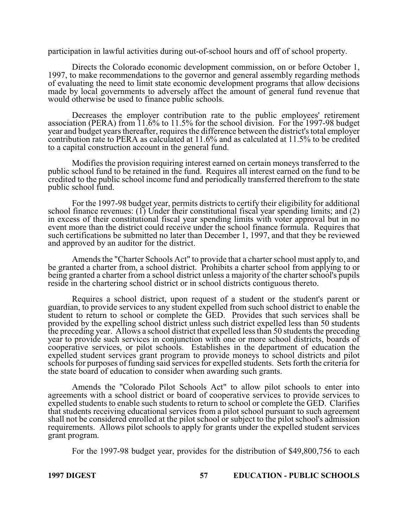participation in lawful activities during out-of-school hours and off of school property.

Directs the Colorado economic development commission, on or before October 1, 1997, to make recommendations to the governor and general assembly regarding methods of evaluating the need to limit state economic development programs that allow decisions made by local governments to adversely affect the amount of general fund revenue that would otherwise be used to finance public schools.

Decreases the employer contribution rate to the public employees' retirement association (PERA) from 11.6% to 11.5% for the school division. For the 1997-98 budget year and budget years thereafter, requires the difference between the district's total employer contribution rate to PERA as calculated at 11.6% and as calculated at 11.5% to be credited to a capital construction account in the general fund.

Modifies the provision requiring interest earned on certain moneys transferred to the public school fund to be retained in the fund. Requires all interest earned on the fund to be credited to the public school income fund and periodically transferred therefrom to the state public school fund.

For the 1997-98 budget year, permits districts to certify their eligibility for additional school finance revenues: (1) Under their constitutional fiscal year spending limits; and (2) in excess of their constitutional fiscal year spending limits with voter approval but in no event more than the district could receive under the school finance formula. Requires that such certifications be submitted no later than December 1, 1997, and that they be reviewed and approved by an auditor for the district.

Amends the "Charter Schools Act" to provide that a charter school must apply to, and be granted a charter from, a school district. Prohibits a charter school from applying to or being granted a charter from a school district unless a majority of the charter school's pupils reside in the chartering school district or in school districts contiguous thereto.

Requires a school district, upon request of a student or the student's parent or guardian, to provide services to any student expelled from such school district to enable the student to return to school or complete the GED. Provides that such services shall be provided by the expelling school district unless such district expelled less than 50 students the preceding year. Allows a school district that expelled less than 50 students the preceding year to provide such services in conjunction with one or more school districts, boards of cooperative services, or pilot schools. Establishes in the department of education the expelled student services grant program to provide moneys to school districts and pilot schools for purposes of funding said services for expelled students. Sets forth the criteria for the state board of education to consider when awarding such grants.

Amends the "Colorado Pilot Schools Act" to allow pilot schools to enter into agreements with a school district or board of cooperative services to provide services to expelled students to enable such students to return to school or complete the GED. Clarifies that students receiving educational services from a pilot school pursuant to such agreement shall not be considered enrolled at the pilot school or subject to the pilot school's admission requirements. Allows pilot schools to apply for grants under the expelled student services grant program.

For the 1997-98 budget year, provides for the distribution of \$49,800,756 to each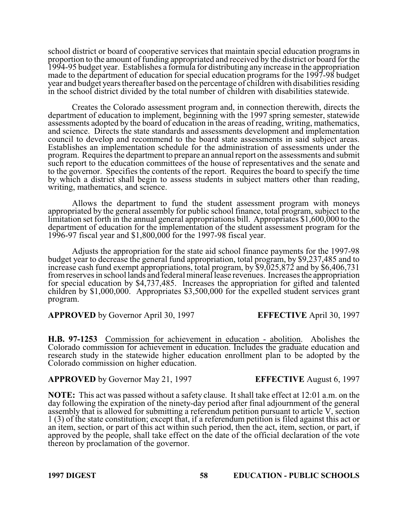school district or board of cooperative services that maintain special education programs in proportion to the amount of funding appropriated and received by the district or board for the 1994-95 budget year. Establishes a formula for distributing any increase in the appropriation made to the department of education for special education programs for the 1997-98 budget year and budget years thereafter based on the percentage of children with disabilities residing in the school district divided by the total number of children with disabilities statewide.

Creates the Colorado assessment program and, in connection therewith, directs the department of education to implement, beginning with the 1997 spring semester, statewide assessments adopted by the board of education in the areas of reading, writing, mathematics, and science. Directs the state standards and assessments development and implementation council to develop and recommend to the board state assessments in said subject areas. Establishes an implementation schedule for the administration of assessments under the program. Requires the department to prepare an annual report on the assessments and submit such report to the education committees of the house of representatives and the senate and to the governor. Specifies the contents of the report. Requires the board to specify the time by which a district shall begin to assess students in subject matters other than reading, writing, mathematics, and science.

Allows the department to fund the student assessment program with moneys appropriated by the general assembly for public school finance, total program, subject to the limitation set forth in the annual general appropriations bill. Appropriates \$1,600,000 to the department of education for the implementation of the student assessment program for the 1996-97 fiscal year and \$1,800,000 for the 1997-98 fiscal year.

Adjusts the appropriation for the state aid school finance payments for the 1997-98 budget year to decrease the general fund appropriation, total program, by \$9,237,485 and to increase cash fund exempt appropriations, total program, by \$9,025,872 and by \$6,406,731 fromreserves in school lands and federal mineral lease revenues. Increases the appropriation for special education by \$4,737,485. Increases the appropriation for gifted and talented children by \$1,000,000. Appropriates \$3,500,000 for the expelled student services grant program.

**APPROVED** by Governor April 30, 1997 **EFFECTIVE** April 30, 1997

**H.B. 97-1253** Commission for achievement in education - abolition. Abolishes the Colorado commission for achievement in education. Includes the graduate education and research study in the statewide higher education enrollment plan to be adopted by the Colorado commission on higher education.

**APPROVED** by Governor May 21, 1997 **EFFECTIVE** August 6, 1997

**NOTE:** This act was passed without a safety clause. It shall take effect at 12:01 a.m. on the day following the expiration of the ninety-day period after final adjournment of the general assembly that is allowed for submitting a referendum petition pursuant to article V, section 1 (3) of the state constitution; except that, if a referendum petition is filed against this act or an item, section, or part of this act within such period, then the act, item, section, or part, if approved by the people, shall take effect on the date of the official declaration of the vote thereon by proclamation of the governor.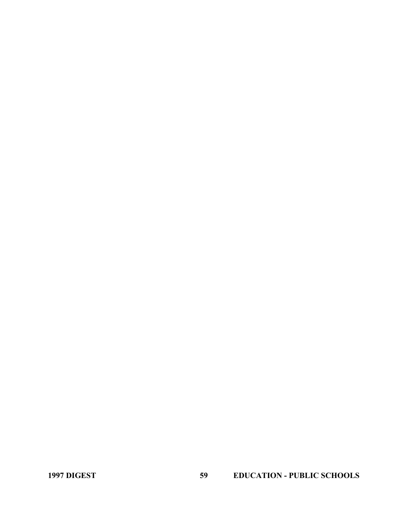# **1997 DIGEST 59 EDUCATION - PUBLIC SCHOOLS**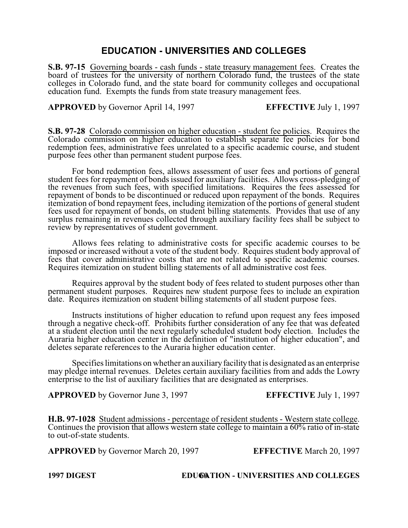# **EDUCATION - UNIVERSITIES AND COLLEGES**

**S.B. 97-15** Governing boards - cash funds - state treasury management fees. Creates the board of trustees for the university of northern Colorado fund, the trustees of the state colleges in Colorado fund, and the state board for community colleges and occupational education fund. Exempts the funds from state treasury management fees.

**APPROVED** by Governor April 14, 1997 **EFFECTIVE** July 1, 1997

**S.B. 97-28** Colorado commission on higher education - student fee policies. Requires the Colorado commission on higher education to establish separate fee policies for bond redemption fees, administrative fees unrelated to a specific academic course, and student purpose fees other than permanent student purpose fees.

For bond redemption fees, allows assessment of user fees and portions of general student fees for repayment of bonds issued for auxiliary facilities. Allows cross-pledging of the revenues from such fees, with specified limitations. Requires the fees assessed for repayment of bonds to be discontinued or reduced upon repayment of the bonds. Requires itemization of bond repayment fees, including itemization of the portions of general student fees used for repayment of bonds, on student billing statements. Provides that use of any surplus remaining in revenues collected through auxiliary facility fees shall be subject to review by representatives of student government.

Allows fees relating to administrative costs for specific academic courses to be imposed or increased without a vote of the student body. Requires student body approval of fees that cover administrative costs that are not related to specific academic courses. Requires itemization on student billing statements of all administrative cost fees.

Requires approval by the student body of fees related to student purposes other than permanent student purposes. Requires new student purpose fees to include an expiration date. Requires itemization on student billing statements of all student purpose fees.

Instructs institutions of higher education to refund upon request any fees imposed through a negative check-off. Prohibits further consideration of any fee that was defeated at a student election until the next regularly scheduled student body election. Includes the Auraria higher education center in the definition of "institution of higher education", and deletes separate references to the Auraria higher education center.

Specifies limitations on whether an auxiliary facility that is designated as an enterprise may pledge internal revenues. Deletes certain auxiliary facilities from and adds the Lowry enterprise to the list of auxiliary facilities that are designated as enterprises.

**APPROVED** by Governor June 3, 1997 **EFFECTIVE** July 1, 1997

**H.B. 97-1028** Student admissions - percentage of resident students - Western state college. Continues the provision that allows western state college to maintain a 60% ratio of in-state to out-of-state students.

**APPROVED** by Governor March 20, 1997 **EFFECTIVE** March 20, 1997

## **1997 DIGEST EDUC60ATION - UNIVERSITIES AND COLLEGES**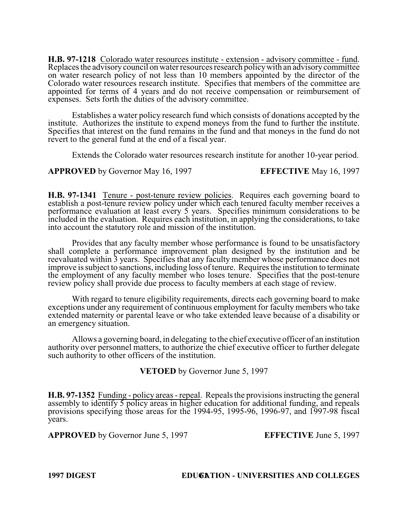**H.B. 97-1218** Colorado water resources institute - extension - advisory committee - fund. Replaces the advisory council on water resources research policy with an advisory committee on water research policy of not less than 10 members appointed by the director of the Colorado water resources research institute. Specifies that members of the committee are appointed for terms of 4 years and do not receive compensation or reimbursement of expenses. Sets forth the duties of the advisory committee.

Establishes a water policy research fund which consists of donations accepted by the institute. Authorizes the institute to expend moneys from the fund to further the institute. Specifies that interest on the fund remains in the fund and that moneys in the fund do not revert to the general fund at the end of a fiscal year.

Extends the Colorado water resources research institute for another 10-year period.

**APPROVED** by Governor May 16, 1997 **EFFECTIVE** May 16, 1997

**H.B. 97-1341** Tenure - post-tenure review policies. Requires each governing board to establish a post-tenure review policy under which each tenured faculty member receives a performance evaluation at least every 5 years. Specifies minimum considerations to be included in the evaluation. Requires each institution, in applying the considerations, to take into account the statutory role and mission of the institution.

Provides that any faculty member whose performance is found to be unsatisfactory shall complete a performance improvement plan designed by the institution and be reevaluated within 3 years. Specifies that any faculty member whose performance does not improve is subject to sanctions, including loss of tenure. Requires the institution to terminate the employment of any faculty member who loses tenure. Specifies that the post-tenure review policy shall provide due process to faculty members at each stage of review.

With regard to tenure eligibility requirements, directs each governing board to make exceptions under any requirement of continuous employment for faculty members who take extended maternity or parental leave or who take extended leave because of a disability or an emergency situation.

Allows a governing board, in delegating to the chief executive officer of an institution authority over personnel matters, to authorize the chief executive officer to further delegate such authority to other officers of the institution.

**VETOED** by Governor June 5, 1997

**H.B. 97-1352** Funding - policy areas - repeal. Repeals the provisions instructing the general assembly to identify 5 policy areas in higher education for additional funding, and repeals provisions specifying those areas for the 1994-95, 1995-96, 1996-97, and 1997-98 fiscal years.

**APPROVED** by Governor June 5, 1997 **EFFECTIVE** June 5, 1997

**1997 DIGEST EDUC61ATION - UNIVERSITIES AND COLLEGES**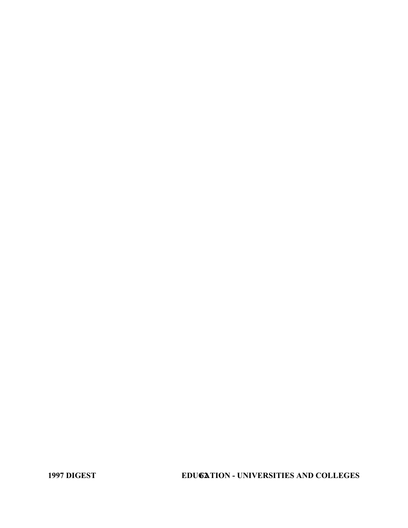# **1997 DIGEST EDUC62ATION - UNIVERSITIES AND COLLEGES**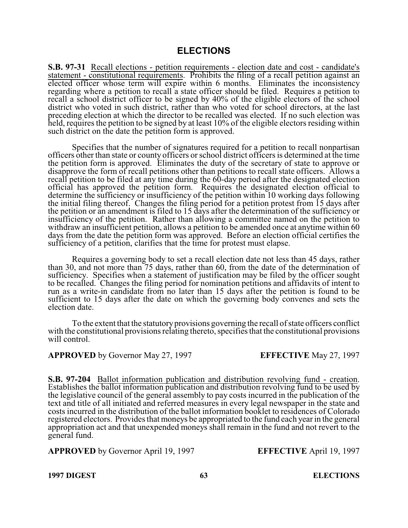## **ELECTIONS**

**S.B. 97-31** Recall elections - petition requirements - election date and cost - candidate's statement - constitutional requirements. Prohibits the filing of a recall petition against an elected officer whose term will expire within 6 months. Eliminates the inconsistency regarding where a petition to recall a state officer should be filed. Requires a petition to recall a school district officer to be signed by 40% of the eligible electors of the school district who voted in such district, rather than who voted for school directors, at the last preceding election at which the director to be recalled was elected. If no such election was held, requires the petition to be signed by at least 10% of the eligible electors residing within such district on the date the petition form is approved.

Specifies that the number of signatures required for a petition to recall nonpartisan officers other than state or county officers or school district officers is determined at the time the petition form is approved. Eliminates the duty of the secretary of state to approve or disapprove the form of recall petitions other than petitions to recall state officers. Allows a recall petition to be filed at any time during the 60-day period after the designated election official has approved the petition form. Requires the designated election official to determine the sufficiency or insufficiency of the petition within 10 working days following the initial filing thereof. Changes the filing period for a petition protest from 15 days after the petition or an amendment is filed to 15 days after the determination of the sufficiency or insufficiency of the petition. Rather than allowing a committee named on the petition to withdraw an insufficient petition, allows a petition to be amended once at anytime within 60 days from the date the petition form was approved. Before an election official certifies the sufficiency of a petition, clarifies that the time for protest must elapse.

Requires a governing body to set a recall election date not less than 45 days, rather than 30, and not more than 75 days, rather than 60, from the date of the determination of sufficiency. Specifies when a statement of justification may be filed by the officer sought to be recalled. Changes the filing period for nomination petitions and affidavits of intent to run as a write-in candidate from no later than 15 days after the petition is found to be sufficient to 15 days after the date on which the governing body convenes and sets the election date.

To the extent that the statutory provisions governing the recall of state officers conflict with the constitutional provisions relating thereto, specifies that the constitutional provisions will control.

### **APPROVED** by Governor May 27, 1997 **EFFECTIVE** May 27, 1997

**S.B. 97-204** Ballot information publication and distribution revolving fund - creation. Establishes the ballot information publication and distribution revolving fund to be used by the legislative council of the general assembly to pay costs incurred in the publication of the text and title of all initiated and referred measures in every legal newspaper in the state and costs incurred in the distribution of the ballot information booklet to residences of Colorado registered electors. Provides that moneys be appropriated to the fund each year in the general appropriation act and that unexpended moneys shall remain in the fund and not revert to the general fund.

**APPROVED** by Governor April 19, 1997 **EFFECTIVE** April 19, 1997

**1997 DIGEST 63 ELECTIONS**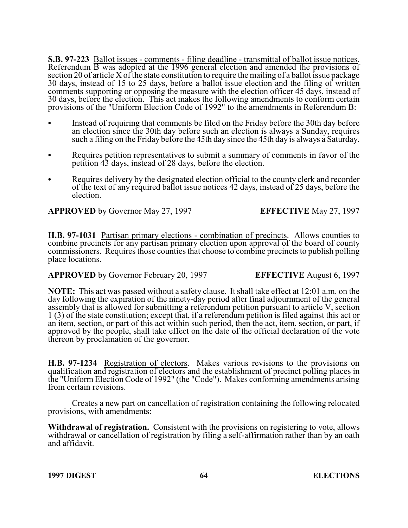**S.B. 97-223** Ballot issues - comments - filing deadline - transmittal of ballot issue notices. Referendum B was adopted at the 1996 general election and amended the provisions of section 20 of article X of the state constitution to require the mailing of a ballot issue package 30 days, instead of 15 to 25 days, before a ballot issue election and the filing of written comments supporting or opposing the measure with the election officer 45 days, instead of 30 days, before the election. This act makes the following amendments to conform certain provisions of the "Uniform Election Code of 1992" to the amendments in Referendum B:

- Instead of requiring that comments be filed on the Friday before the 30th day before an election since the 30th day before such an election is always a Sunday, requires such a filing on the Friday before the 45th day since the 45th day is always a Saturday.
- Requires petition representatives to submit a summary of comments in favor of the petition 43 days, instead of 28 days, before the election.
- Requires delivery by the designated election official to the county clerk and recorder of the text of any required ballot issue notices 42 days, instead of 25 days, before the election.

**APPROVED** by Governor May 27, 1997 **EFFECTIVE** May 27, 1997

**H.B. 97-1031** Partisan primary elections - combination of precincts. Allows counties to combine precincts for any partisan primary election upon approval of the board of county commissioners. Requires those counties that choose to combine precincts to publish polling place locations.

**APPROVED** by Governor February 20, 1997 **EFFECTIVE** August 6, 1997

**NOTE:** This act was passed without a safety clause. It shall take effect at 12:01 a.m. on the day following the expiration of the ninety-day period after final adjournment of the general assembly that is allowed for submitting a referendum petition pursuant to article V, section 1 (3) of the state constitution; except that, if a referendum petition is filed against this act or an item, section, or part of this act within such period, then the act, item, section, or part, if approved by the people, shall take effect on the date of the official declaration of the vote thereon by proclamation of the governor.

**H.B. 97-1234** Registration of electors. Makes various revisions to the provisions on qualification and registration of electors and the establishment of precinct polling places in the "Uniform Election Code of 1992" (the "Code"). Makes conforming amendments arising from certain revisions.

Creates a new part on cancellation of registration containing the following relocated provisions, with amendments:

**Withdrawal of registration.** Consistent with the provisions on registering to vote, allows withdrawal or cancellation of registration by filing a self-affirmation rather than by an oath and affidavit.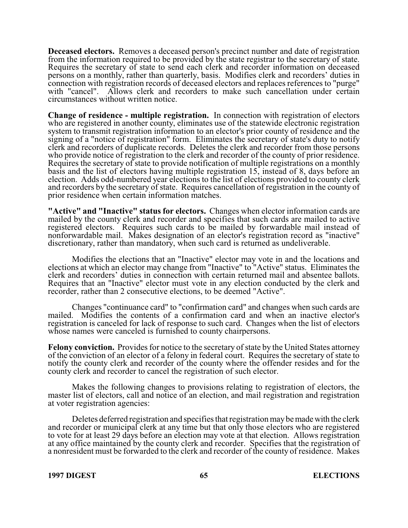**Deceased electors.** Removes a deceased person's precinct number and date of registration from the information required to be provided by the state registrar to the secretary of state. Requires the secretary of state to send each clerk and recorder information on deceased persons on a monthly, rather than quarterly, basis. Modifies clerk and recorders' duties in connection with registration records of deceased electors and replaces references to "purge" with "cancel". Allows clerk and recorders to make such cancellation under certain circumstances without written notice.

**Change of residence - multiple registration.** In connection with registration of electors who are registered in another county, eliminates use of the statewide electronic registration system to transmit registration information to an elector's prior county of residence and the signing of a "notice of registration" form. Eliminates the secretary of state's duty to notify clerk and recorders of duplicate records. Deletes the clerk and recorder from those persons who provide notice of registration to the clerk and recorder of the county of prior residence. Requires the secretary of state to provide notification of multiple registrations on a monthly basis and the list of electors having multiple registration 15, instead of 8, days before an election. Adds odd-numbered year elections to the list of elections provided to county clerk and recorders by the secretary of state. Requires cancellation of registration in the county of prior residence when certain information matches.

**"Active" and "Inactive" status for electors.** Changes when elector information cards are mailed by the county clerk and recorder and specifies that such cards are mailed to active registered electors. Requires such cards to be mailed by forwardable mail instead of nonforwardable mail. Makes designation of an elector's registration record as "inactive" discretionary, rather than mandatory, when such card is returned as undeliverable.

Modifies the elections that an "Inactive" elector may vote in and the locations and elections at which an elector may change from "Inactive" to "Active" status. Eliminates the clerk and recorders' duties in connection with certain returned mail and absentee ballots. Requires that an "Inactive" elector must vote in any election conducted by the clerk and recorder, rather than 2 consecutive elections, to be deemed "Active".

Changes "continuance card" to "confirmation card" and changes when such cards are mailed. Modifies the contents of a confirmation card and when an inactive elector's registration is canceled for lack of response to such card. Changes when the list of electors whose names were canceled is furnished to county chairpersons.

Felony conviction. Provides for notice to the secretary of state by the United States attorney of the conviction of an elector of a felony in federal court. Requires the secretary of state to notify the county clerk and recorder of the county where the offender resides and for the county clerk and recorder to cancel the registration of such elector.

Makes the following changes to provisions relating to registration of electors, the master list of electors, call and notice of an election, and mail registration and registration at voter registration agencies:

Deletes deferred registration and specifies that registration may be made with the clerk and recorder or municipal clerk at any time but that only those electors who are registered to vote for at least 29 days before an election may vote at that election. Allows registration at any office maintained by the county clerk and recorder. Specifies that the registration of a nonresident must be forwarded to the clerk and recorder of the county of residence. Makes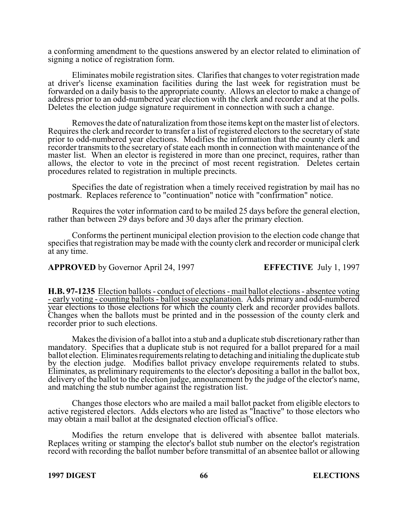a conforming amendment to the questions answered by an elector related to elimination of signing a notice of registration form.

Eliminates mobile registration sites. Clarifies that changes to voter registration made at driver's license examination facilities during the last week for registration must be forwarded on a daily basis to the appropriate county. Allows an elector to make a change of address prior to an odd-numbered year election with the clerk and recorder and at the polls. Deletes the election judge signature requirement in connection with such a change.

Removes the date of naturalization fromthose items kept on the master list of electors. Requires the clerk and recorder to transfer a list of registered electors to the secretary of state prior to odd-numbered year elections. Modifies the information that the county clerk and recorder transmits to the secretary of state each month in connection with maintenance of the master list. When an elector is registered in more than one precinct, requires, rather than allows, the elector to vote in the precinct of most recent registration. Deletes certain procedures related to registration in multiple precincts.

Specifies the date of registration when a timely received registration by mail has no postmark. Replaces reference to "continuation" notice with "confirmation" notice.

Requires the voter information card to be mailed 25 days before the general election, rather than between 29 days before and 30 days after the primary election.

Conformsthe pertinent municipal election provision to the election code change that specifies that registration may be made with the county clerk and recorder or municipal clerk at any time.

## **APPROVED** by Governor April 24, 1997 **EFFECTIVE** July 1, 1997

**H.B. 97-1235** Election ballots - conduct of elections - mail ballot elections - absentee voting - early voting - counting ballots - ballot issue explanation. Adds primary and odd-numbered year elections to those elections for which the county clerk and recorder provides ballots. Changes when the ballots must be printed and in the possession of the county clerk and recorder prior to such elections.

Makes the division of a ballot into a stub and a duplicate stub discretionary rather than mandatory. Specifies that a duplicate stub is not required for a ballot prepared for a mail ballot election. Eliminates requirements relating to detaching and initialing the duplicate stub by the election judge. Modifies ballot privacy envelope requirements related to stubs. Eliminates, as preliminary requirements to the elector's depositing a ballot in the ballot box, delivery of the ballot to the election judge, announcement by the judge of the elector's name, and matching the stub number against the registration list.

Changes those electors who are mailed a mail ballot packet from eligible electors to active registered electors. Adds electors who are listed as "Inactive" to those electors who may obtain a mail ballot at the designated election official's office.

Modifies the return envelope that is delivered with absentee ballot materials. Replaces writing or stamping the elector's ballot stub number on the elector's registration record with recording the ballot number before transmittal of an absentee ballot or allowing

**1997 DIGEST 66 ELECTIONS**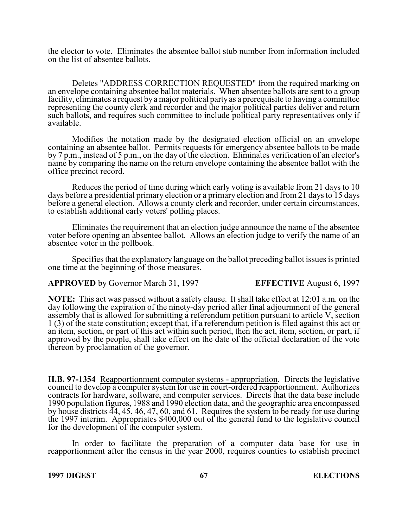the elector to vote. Eliminates the absentee ballot stub number from information included on the list of absentee ballots.

Deletes "ADDRESS CORRECTION REQUESTED" from the required marking on an envelope containing absentee ballot materials. When absentee ballots are sent to a group facility, eliminates a request by a major political party as a prerequisite to having a committee representing the county clerk and recorder and the major political parties deliver and return such ballots, and requires such committee to include political party representatives only if available.

Modifies the notation made by the designated election official on an envelope containing an absentee ballot. Permits requests for emergency absentee ballots to be made by 7 p.m., instead of 5 p.m., on the day of the election. Eliminates verification of an elector's name by comparing the name on the return envelope containing the absentee ballot with the office precinct record.

Reduces the period of time during which early voting is available from 21 days to 10 days before a presidential primary election or a primary election and from 21 days to 15 days before a general election. Allows a county clerk and recorder, under certain circumstances, to establish additional early voters' polling places.

Eliminates the requirement that an election judge announce the name of the absentee voter before opening an absentee ballot. Allows an election judge to verify the name of an absentee voter in the pollbook.

Specifies that the explanatory language on the ballot preceding ballot issues is printed one time at the beginning of those measures.

**APPROVED** by Governor March 31, 1997 **EFFECTIVE** August 6, 1997

**NOTE:** This act was passed without a safety clause. It shall take effect at 12:01 a.m. on the day following the expiration of the ninety-day period after final adjournment of the general assembly that is allowed for submitting a referendum petition pursuant to article V, section 1 (3) of the state constitution; except that, if a referendum petition is filed against this act or an item, section, or part of this act within such period, then the act, item, section, or part, if approved by the people, shall take effect on the date of the official declaration of the vote thereon by proclamation of the governor.

**H.B. 97-1354** Reapportionment computer systems - appropriation. Directs the legislative council to develop a computer system for use in court-ordered reapportionment. Authorizes contracts for hardware, software, and computer services. Directs that the data base include 1990 population figures, 1988 and 1990 election data, and the geographic area encompassed by house districts 44, 45, 46, 47, 60, and 61. Requires the system to be ready for use during the 1997 interim. Appropriates \$400,000 out of the general fund to the legislative council for the development of the computer system.

In order to facilitate the preparation of a computer data base for use in reapportionment after the census in the year 2000, requires counties to establish precinct

**1997 DIGEST 67 ELECTIONS**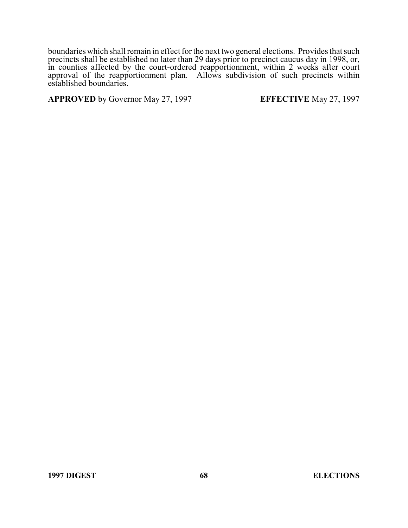boundaries which shall remain in effect for the next two general elections. Provides that such precincts shall be established no later than 29 days prior to precinct caucus day in 1998, or, in counties affected by the court-ordered reapportionment, within 2 weeks after court approval of the reapportionment plan. Allows subdivision of such precincts within established boundaries.

**APPROVED** by Governor May 27, 1997 **EFFECTIVE** May 27, 1997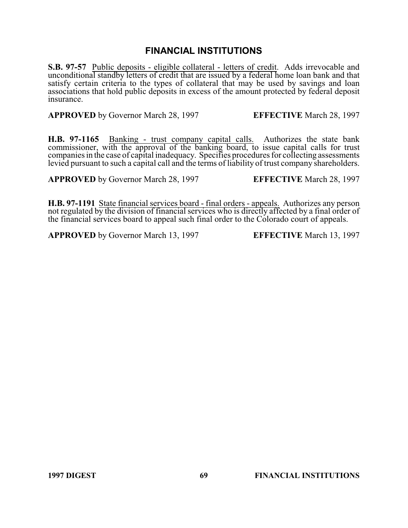# **FINANCIAL INSTITUTIONS**

**S.B. 97-57** Public deposits - eligible collateral - letters of credit. Adds irrevocable and unconditional standby letters of credit that are issued by a federal home loan bank and that satisfy certain criteria to the types of collateral that may be used by savings and loan associations that hold public deposits in excess of the amount protected by federal deposit insurance.

**APPROVED** by Governor March 28, 1997 **EFFECTIVE** March 28, 1997

**H.B. 97-1165** Banking - trust company capital calls. Authorizes the state bank commissioner, with the approval of the banking board, to issue capital calls for trust companies in the case of capital inadequacy. Specifies procedures for collecting assessments levied pursuant to such a capital call and the terms of liability of trust company shareholders.

**APPROVED** by Governor March 28, 1997 **EFFECTIVE** March 28, 1997

**H.B. 97-1191** State financial services board - final orders - appeals. Authorizes any person not regulated by the division of financial services who is directly affected by a final order of the financial services board to appeal such final order to the Colorado court of appeals.

**APPROVED** by Governor March 13, 1997 **EFFECTIVE** March 13, 1997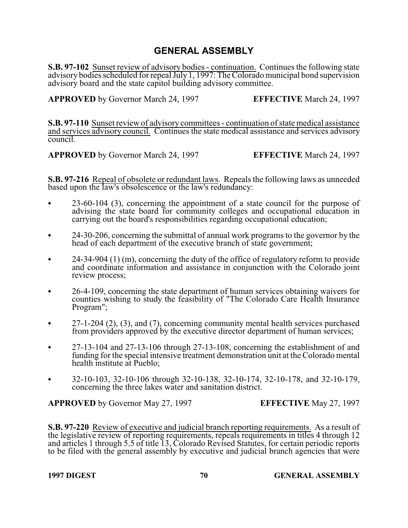# **GENERAL ASSEMBLY**

**S.B. 97-102** Sunset review of advisory bodies - continuation. Continues the following state advisory bodies scheduled for repeal July 1, 1997: The Colorado municipal bond supervision advisory board and the state capitol building advisory committee.

**APPROVED** by Governor March 24, 1997 **EFFECTIVE** March 24, 1997

**S.B. 97-110** Sunset review of advisory committees - continuation of state medical assistance and services advisory council. Continues the state medical assistance and services advisory council.

**APPROVED** by Governor March 24, 1997 **EFFECTIVE** March 24, 1997

**S.B. 97-216** Repeal of obsolete or redundant laws. Repeals the following laws as unneeded based upon the law's obsolescence or the law's redundancy:

- 23-60-104 (3), concerning the appointment of a state council for the purpose of advising the state board for community colleges and occupational education in carrying out the board's responsibilities regarding occupational education;
- C 24-30-206, concerning the submittal of annual work programs to the governor by the head of each department of the executive branch of state government;
- 24-34-904 (1) (m), concerning the duty of the office of regulatory reform to provide and coordinate information and assistance in conjunction with the Colorado joint review process;
- C 26-4-109, concerning the state department of human services obtaining waivers for counties wishing to study the feasibility of "The Colorado Care Health Insurance Program";
- $27-1-204$   $(2)$ ,  $(3)$ , and  $(7)$ , concerning community mental health services purchased from providers approved by the executive director department of human services;
- C 27-13-104 and 27-13-106 through 27-13-108, concerning the establishment of and funding for the special intensive treatment demonstration unit at the Colorado mental health institute at Pueblo;
- C 32-10-103, 32-10-106 through 32-10-138, 32-10-174, 32-10-178, and 32-10-179, concerning the three lakes water and sanitation district.

**APPROVED** by Governor May 27, 1997 **EFFECTIVE** May 27, 1997

**S.B. 97-220** Review of executive and judicial branch reporting requirements. As a result of the legislative review of reporting requirements, repeals requirements in titles 4 through 12 and articles 1 through 5.5 of title 13, Colorado Revised Statutes, for certain periodic reports to be filed with the general assembly by executive and judicial branch agencies that were

**1997 DIGEST 70 GENERAL ASSEMBLY**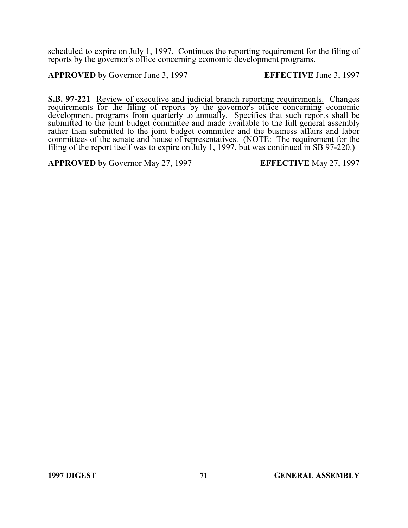scheduled to expire on July 1, 1997. Continues the reporting requirement for the filing of reports by the governor's office concerning economic development programs.

**APPROVED** by Governor June 3, 1997 **EFFECTIVE** June 3, 1997

**S.B. 97-221** Review of executive and judicial branch reporting requirements. Changes requirements for the filing of reports by the governor's office concerning economic development programs from quarterly to annually. Specifies that such reports shall be submitted to the joint budget committee and made available to the full general assembly rather than submitted to the joint budget committee and the business affairs and labor committees of the senate and house of representatives. (NOTE: The requirement for the filing of the report itself was to expire on July 1, 1997, but was continued in SB 97-220.)

**APPROVED** by Governor May 27, 1997 **EFFECTIVE** May 27, 1997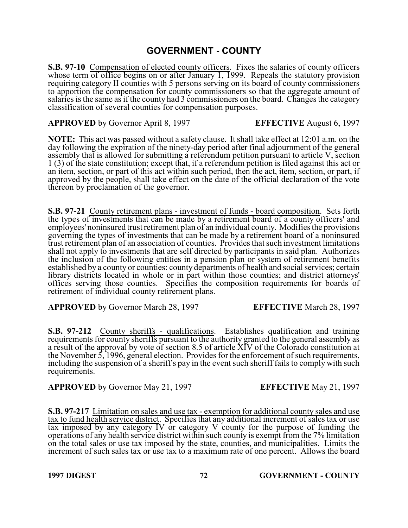# **GOVERNMENT - COUNTY**

**S.B. 97-10** Compensation of elected county officers. Fixes the salaries of county officers whose term of office begins on or after January 1, 1999. Repeals the statutory provision requiring category II counties with 5 persons serving on its board of county commissioners to apportion the compensation for county commissioners so that the aggregate amount of salaries is the same as if the county had 3 commissioners on the board. Changes the category classification of several counties for compensation purposes.

### **APPROVED** by Governor April 8, 1997 **EFFECTIVE** August 6, 1997

**NOTE:** This act was passed without a safety clause. It shall take effect at 12:01 a.m. on the day following the expiration of the ninety-day period after final adjournment of the general assembly that is allowed for submitting a referendum petition pursuant to article V, section 1 (3) of the state constitution; except that, if a referendum petition is filed against this act or an item, section, or part of this act within such period, then the act, item, section, or part, if approved by the people, shall take effect on the date of the official declaration of the vote thereon by proclamation of the governor.

**S.B. 97-21** County retirement plans - investment of funds - board composition. Sets forth the types of investments that can be made by a retirement board of a county officers' and employees' noninsured trust retirement plan of an individual county. Modifies the provisions governing the types of investments that can be made by a retirement board of a noninsured trust retirement plan of an association of counties. Provides that such investment limitations shall not apply to investments that are self directed by participants in said plan. Authorizes the inclusion of the following entities in a pension plan or system of retirement benefits established by a county or counties: county departments of health and social services; certain library districts located in whole or in part within those counties; and district attorneys' offices serving those counties. Specifies the composition requirements for boards of retirement of individual county retirement plans.

**APPROVED** by Governor March 28, 1997 **EFFECTIVE** March 28, 1997

**S.B. 97-212** County sheriffs - qualifications. Establishes qualification and training requirements for county sheriffs pursuant to the authority granted to the general assembly as a result of the approval by vote of section 8.5 of article XIV of the Colorado constitution at the November  $\frac{5}{3}$ , 1996, general election. Provides for the enforcement of such requirements, including the suspension of a sheriff's pay in the event such sheriff fails to comply with such requirements.

**APPROVED** by Governor May 21, 1997 **EFFECTIVE** May 21, 1997

**S.B. 97-217** Limitation on sales and use tax - exemption for additional county sales and use tax to fund health service district. Specifies that any additional increment of sales tax or use tax imposed by any category IV or category V county for the purpose of funding the operations of any health service district within such county is exempt from the 7% limitation on the total sales or use tax imposed by the state, counties, and municipalities. Limits the increment of such sales tax or use tax to a maximum rate of one percent. Allows the board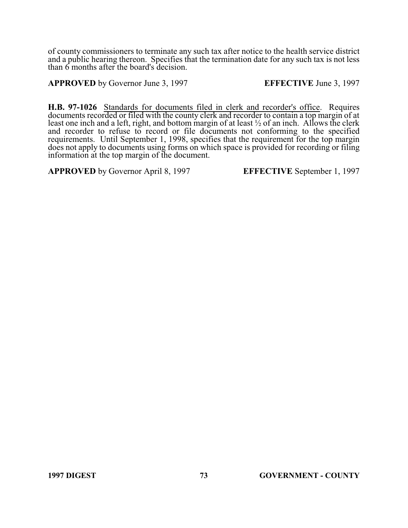of county commissioners to terminate any such tax after notice to the health service district and a public hearing thereon. Specifies that the termination date for any such tax is not less than 6 months after the board's decision.

**APPROVED** by Governor June 3, 1997 **EFFECTIVE** June 3, 1997

**H.B. 97-1026** Standards for documents filed in clerk and recorder's office. Requires documents recorded or filed with the county clerk and recorder to contain a top margin of at least one inch and a left, right, and bottom margin of at least ½ of an inch. Allows the clerk and recorder to refuse to record or file documents not conforming to the specified requirements. Until September 1, 1998, specifies that the requirement for the top margin does not apply to documents using forms on which space is provided for recording or filing information at the top margin of the document.

**APPROVED** by Governor April 8, 1997 **EFFECTIVE** September 1, 1997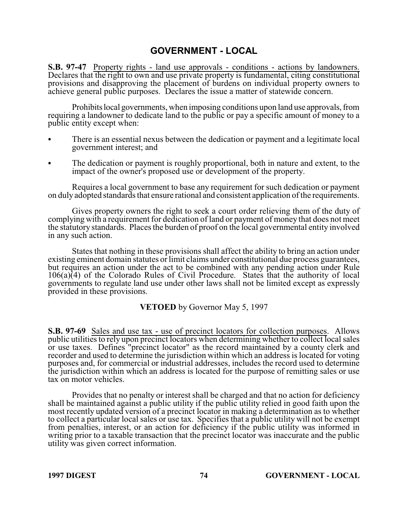# **GOVERNMENT - LOCAL**

**S.B. 97-47** Property rights - land use approvals - conditions - actions by landowners. Declares that the right to own and use private property is fundamental, citing constitutional provisions and disapproving the placement of burdens on individual property owners to achieve general public purposes. Declares the issue a matter of statewide concern.

Prohibits local governments, when imposing conditions upon land use approvals, from requiring a landowner to dedicate land to the public or pay a specific amount of money to a public entity except when:

- There is an essential nexus between the dedication or payment and a legitimate local government interest; and
- The dedication or payment is roughly proportional, both in nature and extent, to the impact of the owner's proposed use or development of the property.

Requires a local government to base any requirement for such dedication or payment on duly adopted standards that ensure rational and consistent application of the requirements.

Gives property owners the right to seek a court order relieving them of the duty of complying with a requirement for dedication of land or payment of money that does not meet the statutory standards. Places the burden of proof on the local governmental entity involved in any such action.

States that nothing in these provisions shall affect the ability to bring an action under existing eminent domain statutes or limit claims under constitutional due process guarantees, but requires an action under the act to be combined with any pending action under Rule 106(a)(4) of the Colorado Rules of Civil Procedure. States that the authority of local governments to regulate land use under other laws shall not be limited except as expressly provided in these provisions.

**VETOED** by Governor May 5, 1997

**S.B. 97-69** Sales and use tax - use of precinct locators for collection purposes. Allows public utilities to rely upon precinct locators when determining whether to collect local sales or use taxes. Defines "precinct locator" as the record maintained by a county clerk and recorder and used to determine the jurisdiction within which an address is located for voting purposes and, for commercial or industrial addresses, includes the record used to determine the jurisdiction within which an address is located for the purpose of remitting sales or use tax on motor vehicles.

Provides that no penalty or interest shall be charged and that no action for deficiency shall be maintained against a public utility if the public utility relied in good faith upon the most recently updated version of a precinct locator in making a determination as to whether to collect a particular local sales or use tax. Specifies that a public utility will not be exempt from penalties, interest, or an action for deficiency if the public utility was informed in writing prior to a taxable transaction that the precinct locator was inaccurate and the public utility was given correct information.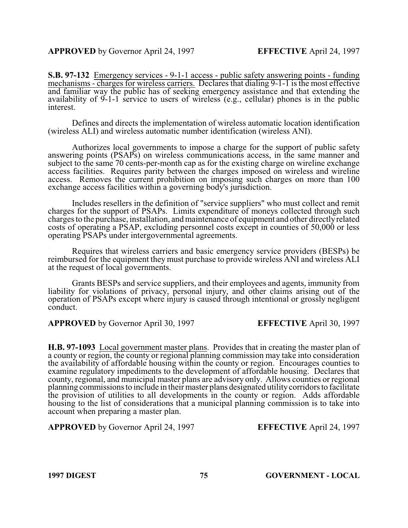**S.B. 97-132** Emergency services - 9-1-1 access - public safety answering points - funding mechanisms - charges for wireless carriers. Declares that dialing 9-1-1 is the most effective and familiar way the public has of seeking emergency assistance and that extending the availability of 9-1-1 service to users of wireless (e.g., cellular) phones is in the public interest.

Defines and directs the implementation of wireless automatic location identification (wireless ALI) and wireless automatic number identification (wireless ANI).

Authorizes local governments to impose a charge for the support of public safety answering points (PSAPs) on wireless communications access, in the same manner and subject to the same 70 cents-per-month cap as for the existing charge on wireline exchange access facilities. Requires parity between the charges imposed on wireless and wireline access. Removes the current prohibition on imposing such charges on more than 100 exchange access facilities within a governing body's jurisdiction.

Includes resellers in the definition of "service suppliers" who must collect and remit charges for the support of PSAPs. Limits expenditure of moneys collected through such charges to the purchase, installation, and maintenance of equipment and other directlyrelated costs of operating a PSAP, excluding personnel costs except in counties of 50,000 or less operating PSAPs under intergovernmental agreements.

Requires that wireless carriers and basic emergency service providers (BESPs) be reimbursed for the equipment they must purchase to provide wireless ANI and wireless ALI at the request of local governments.

Grants BESPs and service suppliers, and their employees and agents, immunity from liability for violations of privacy, personal injury, and other claims arising out of the operation of PSAPs except where injury is caused through intentional or grossly negligent conduct.

**APPROVED** by Governor April 30, 1997 **EFFECTIVE** April 30, 1997

**H.B. 97-1093** Local government master plans. Provides that in creating the master plan of a county or region, the county or regional planning commission may take into consideration the availability of affordable housing within the county or region. Encourages counties to examine regulatory impediments to the development of affordable housing. Declares that county, regional, and municipal master plans are advisory only. Allows counties or regional planning commissions to include in their master plans designated utilitycorridors to facilitate the provision of utilities to all developments in the county or region. Adds affordable housing to the list of considerations that a municipal planning commission is to take into account when preparing a master plan.

**APPROVED** by Governor April 24, 1997 **EFFECTIVE** April 24, 1997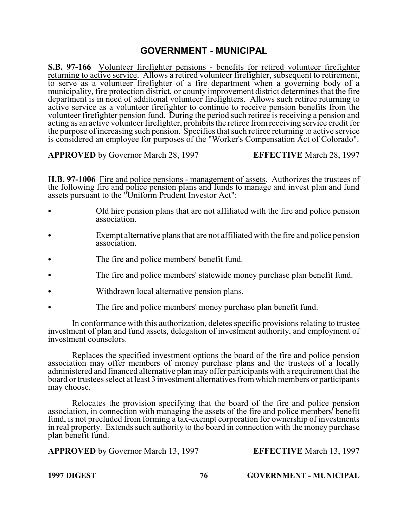# **GOVERNMENT - MUNICIPAL**

**S.B. 97-166** Volunteer firefighter pensions - benefits for retired volunteer firefighter returning to active service. Allows a retired volunteer firefighter, subsequent to retirement, to serve as a volunteer firefighter of a fire department when a governing body of a municipality, fire protection district, or county improvement district determines that the fire department is in need of additional volunteer firefighters. Allows such retiree returning to active service as a volunteer firefighter to continue to receive pension benefits from the volunteer firefighter pension fund. During the period such retiree is receiving a pension and acting as an active volunteer firefighter, prohibits the retiree fromreceiving service credit for the purpose of increasing such pension. Specifies that such retiree returning to active service is considered an employee for purposes of the "Worker's Compensation Act of Colorado".

**APPROVED** by Governor March 28, 1997 **EFFECTIVE** March 28, 1997

**H.B. 97-1006** Fire and police pensions - management of assets. Authorizes the trustees of the following fire and police pension plans and funds to manage and invest plan and fund assets pursuant to the "Uniform Prudent Investor Act":

- C Old hire pension plans that are not affiliated with the fire and police pension association.
- Exempt alternative plans that are not affiliated with the fire and police pension association.
- The fire and police members' benefit fund.
- The fire and police members' statewide money purchase plan benefit fund.
- Withdrawn local alternative pension plans.
- The fire and police members' money purchase plan benefit fund.

In conformance with this authorization, deletes specific provisions relating to trustee investment of plan and fund assets, delegation of investment authority, and employment of investment counselors.

Replaces the specified investment options the board of the fire and police pension association may offer members of money purchase plans and the trustees of a locally administered and financed alternative plan may offer participants with a requirement that the board or trustees select at least 3 investment alternatives fromwhich members or participants may choose.

Relocates the provision specifying that the board of the fire and police pension association, in connection with managing the assets of the fire and police members' benefit fund, is not precluded from forming a tax-exempt corporation for ownership of investments in real property. Extends such authority to the board in connection with the money purchase plan benefit fund.

**APPROVED** by Governor March 13, 1997 **EFFECTIVE** March 13, 1997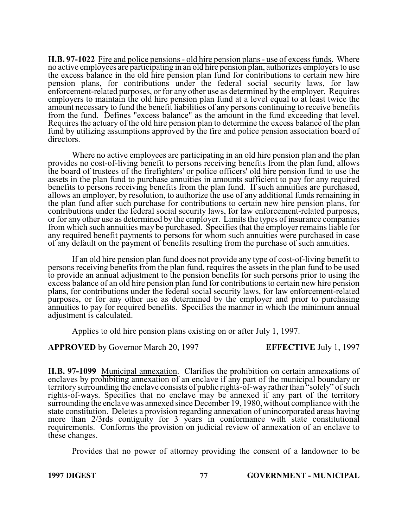**H.B. 97-1022** Fire and police pensions - old hire pension plans - use of excess funds. Where no active employees are participating in an old hire pension plan, authorizes employers to use the excess balance in the old hire pension plan fund for contributions to certain new hire pension plans, for contributions under the federal social security laws, for law enforcement-related purposes, or for any other use as determined by the employer. Requires employers to maintain the old hire pension plan fund at a level equal to at least twice the amount necessary to fund the benefit liabilities of any persons continuing to receive benefits from the fund. Defines "excess balance" as the amount in the fund exceeding that level. Requires the actuary of the old hire pension plan to determine the excess balance of the plan fund by utilizing assumptions approved by the fire and police pension association board of directors.

Where no active employees are participating in an old hire pension plan and the plan provides no cost-of-living benefit to persons receiving benefits from the plan fund, allows the board of trustees of the firefighters' or police officers' old hire pension fund to use the assets in the plan fund to purchase annuities in amounts sufficient to pay for any required benefits to persons receiving benefits from the plan fund. If such annuities are purchased, allows an employer, by resolution, to authorize the use of any additional funds remaining in the plan fund after such purchase for contributions to certain new hire pension plans, for contributions under the federal social security laws, for law enforcement-related purposes, or for any other use as determined by the employer. Limits the types of insurance companies from which such annuities may be purchased. Specifies that the employer remains liable for any required benefit payments to persons for whom such annuities were purchased in case of any default on the payment of benefits resulting from the purchase of such annuities.

If an old hire pension plan fund does not provide any type of cost-of-living benefit to persons receiving benefits from the plan fund, requires the assets in the plan fund to be used to provide an annual adjustment to the pension benefits for such persons prior to using the excess balance of an old hire pension plan fund for contributions to certain new hire pension plans, for contributions under the federal social security laws, for law enforcement-related purposes, or for any other use as determined by the employer and prior to purchasing annuities to pay for required benefits. Specifies the manner in which the minimum annual adjustment is calculated.

Applies to old hire pension plans existing on or after July 1, 1997.

**APPROVED** by Governor March 20, 1997 **EFFECTIVE** July 1, 1997

**H.B. 97-1099** Municipal annexation. Clarifies the prohibition on certain annexations of enclaves by prohibiting annexation of an enclave if any part of the municipal boundary or territory surrounding the enclave consists of public rights-of-way rather than "solely" of such rights-of-ways. Specifies that no enclave may be annexed if any part of the territory surrounding the enclave was annexed since December 19, 1980, without compliance with the state constitution. Deletes a provision regarding annexation of unincorporated areas having more than 2/3rds contiguity for 3 years in conformance with state constitutional requirements. Conforms the provision on judicial review of annexation of an enclave to these changes.

Provides that no power of attorney providing the consent of a landowner to be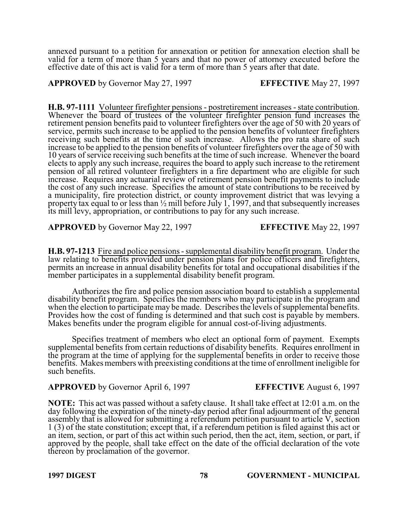annexed pursuant to a petition for annexation or petition for annexation election shall be valid for a term of more than 5 years and that no power of attorney executed before the effective date of this act is valid for a term of more than 5 years after that date.

**APPROVED** by Governor May 27, 1997 **EFFECTIVE** May 27, 1997

**H.B. 97-1111** Volunteer firefighter pensions - postretirement increases - state contribution. Whenever the board of trustees of the volunteer firefighter pension fund increases the retirement pension benefits paid to volunteer firefighters over the age of 50 with 20 years of service, permits such increase to be applied to the pension benefits of volunteer firefighters receiving such benefits at the time of such increase. Allows the pro rata share of such increase to be applied to the pension benefits of volunteer firefighters over the age of 50 with 10 years of service receiving such benefits at the time of such increase. Whenever the board elects to apply any such increase, requires the board to apply such increase to the retirement pension of all retired volunteer firefighters in a fire department who are eligible for such increase. Requires any actuarial review of retirement pension benefit payments to include the cost of any such increase. Specifies the amount of state contributions to be received by a municipality, fire protection district, or county improvement district that was levying a property tax equal to or less than  $\frac{1}{2}$  mill before July 1, 1997, and that subsequently increases its mill levy, appropriation, or contributions to pay for any such increase.

**APPROVED** by Governor May 22, 1997 **EFFECTIVE** May 22, 1997

**H.B. 97-1213** Fire and police pensions - supplemental disability benefit program. Under the law relating to benefits provided under pension plans for police officers and firefighters, permits an increase in annual disability benefits for total and occupational disabilities if the member participates in a supplemental disability benefit program.

Authorizes the fire and police pension association board to establish a supplemental disability benefit program. Specifies the members who may participate in the program and when the election to participate may be made. Describes the levels of supplemental benefits. Provides how the cost of funding is determined and that such cost is payable by members. Makes benefits under the program eligible for annual cost-of-living adjustments.

Specifies treatment of members who elect an optional form of payment. Exempts supplemental benefits from certain reductions of disability benefits. Requires enrollment in the program at the time of applying for the supplemental benefits in order to receive those benefits. Makes members with preexisting conditions at the time of enrollment ineligible for such benefits.

### **APPROVED** by Governor April 6, 1997 **EFFECTIVE** August 6, 1997

**NOTE:** This act was passed without a safety clause. It shall take effect at 12:01 a.m. on the day following the expiration of the ninety-day period after final adjournment of the general assembly that is allowed for submitting a referendum petition pursuant to article V, section 1 (3) of the state constitution; except that, if a referendum petition is filed against this act or an item, section, or part of this act within such period, then the act, item, section, or part, if approved by the people, shall take effect on the date of the official declaration of the vote thereon by proclamation of the governor.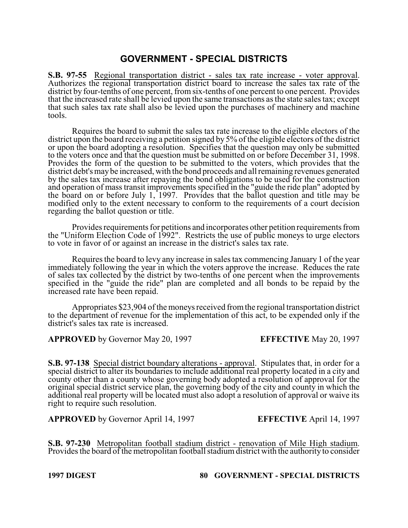# **GOVERNMENT - SPECIAL DISTRICTS**

**S.B. 97-55** Regional transportation district - sales tax rate increase - voter approval. Authorizes the regional transportation district board to increase the sales tax rate of the district by four-tenths of one percent, from six-tenths of one percent to one percent. Provides that the increased rate shall be levied upon the same transactions as the state sales tax; except that such sales tax rate shall also be levied upon the purchases of machinery and machine tools.

Requires the board to submit the sales tax rate increase to the eligible electors of the district upon the board receiving a petition signed by 5% of the eligible electors of the district or upon the board adopting a resolution. Specifies that the question may only be submitted to the voters once and that the question must be submitted on or before December 31, 1998. Provides the form of the question to be submitted to the voters, which provides that the district debt's maybe increased, with the bond proceeds and all remaining revenues generated by the sales tax increase after repaying the bond obligations to be used for the construction and operation of mass transit improvements specified in the "guide the ride plan" adopted by the board on or before July 1, 1997. Provides that the ballot question and title may be modified only to the extent necessary to conform to the requirements of a court decision regarding the ballot question or title.

Provides requirements for petitions and incorporates other petition requirements from the "Uniform Election Code of 1992". Restricts the use of public moneys to urge electors to vote in favor of or against an increase in the district's sales tax rate.

Requires the board to levy any increase in sales tax commencing January 1 of the year immediately following the year in which the voters approve the increase. Reduces the rate of sales tax collected by the district by two-tenths of one percent when the improvements specified in the "guide the ride" plan are completed and all bonds to be repaid by the increased rate have been repaid.

Appropriates \$23,904 of the moneys received fromthe regional transportation district to the department of revenue for the implementation of this act, to be expended only if the district's sales tax rate is increased.

**APPROVED** by Governor May 20, 1997 **EFFECTIVE** May 20, 1997

**S.B. 97-138** Special district boundary alterations - approval. Stipulates that, in order for a special district to alter its boundaries to include additional real property located in a city and county other than a county whose governing body adopted a resolution of approval for the original special district service plan, the governing body of the city and county in which the additional real property will be located must also adopt a resolution of approval or waive its right to require such resolution.

**APPROVED** by Governor April 14, 1997 **EFFECTIVE** April 14, 1997

**S.B. 97-230** Metropolitan football stadium district - renovation of Mile High stadium. Provides the board of the metropolitan football stadium district with the authority to consider

### **1997 DIGEST 80 GOVERNMENT - SPECIAL DISTRICTS**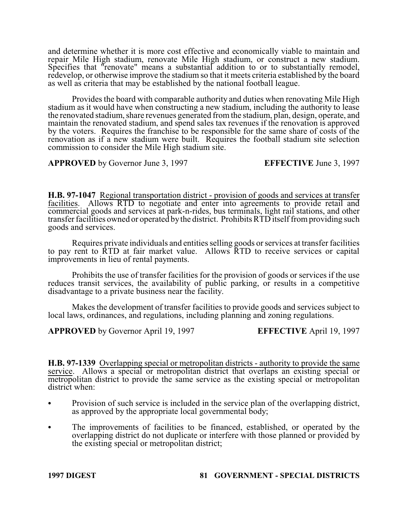and determine whether it is more cost effective and economically viable to maintain and repair Mile High stadium, renovate Mile High stadium, or construct a new stadium. Specifies that "renovate" means a substantial addition to or to substantially remodel, redevelop, or otherwise improve the stadium so that it meets criteria established by the board as well as criteria that may be established by the national football league.

Provides the board with comparable authority and duties when renovating Mile High stadium as it would have when constructing a new stadium, including the authority to lease the renovated stadium, share revenues generated from the stadium, plan, design, operate, and maintain the renovated stadium, and spend sales tax revenues if the renovation is approved by the voters. Requires the franchise to be responsible for the same share of costs of the renovation as if a new stadium were built. Requires the football stadium site selection commission to consider the Mile High stadium site.

**APPROVED** by Governor June 3, 1997 **EFFECTIVE** June 3, 1997

**H.B. 97-1047** Regional transportation district - provision of goods and services at transfer facilities. Allows RTD to negotiate and enter into agreements to provide retail and commercial goods and services at park-n-rides, bus terminals, light rail stations, and other transfer facilities owned or operated bythe district. Prohibits RTD itself fromproviding such goods and services.

Requires private individuals and entities selling goods or services at transfer facilities to pay rent to RTD at fair market value. Allows RTD to receive services or capital improvements in lieu of rental payments.

Prohibits the use of transfer facilities for the provision of goods or services if the use reduces transit services, the availability of public parking, or results in a competitive disadvantage to a private business near the facility.

Makes the development of transfer facilities to provide goods and services subject to local laws, ordinances, and regulations, including planning and zoning regulations.

**APPROVED** by Governor April 19, 1997 **EFFECTIVE** April 19, 1997

**H.B. 97-1339** Overlapping special or metropolitan districts - authority to provide the same service. Allows a special or metropolitan district that overlaps an existing special or metropolitan district to provide the same service as the existing special or metropolitan district when:

- Provision of such service is included in the service plan of the overlapping district, as approved by the appropriate local governmental body;
- The improvements of facilities to be financed, established, or operated by the overlapping district do not duplicate or interfere with those planned or provided by the existing special or metropolitan district;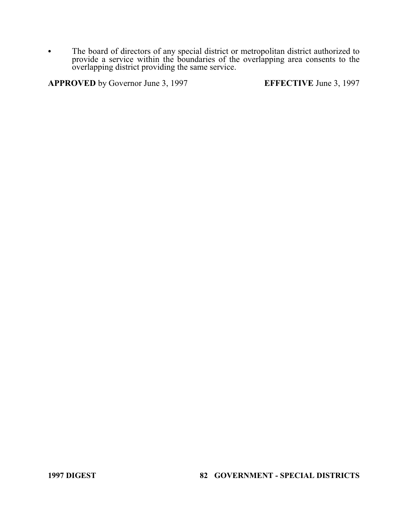• The board of directors of any special district or metropolitan district authorized to provide a service within the boundaries of the overlapping area consents to the overlapping district providing the same service.

**APPROVED** by Governor June 3, 1997 **EFFECTIVE** June 3, 1997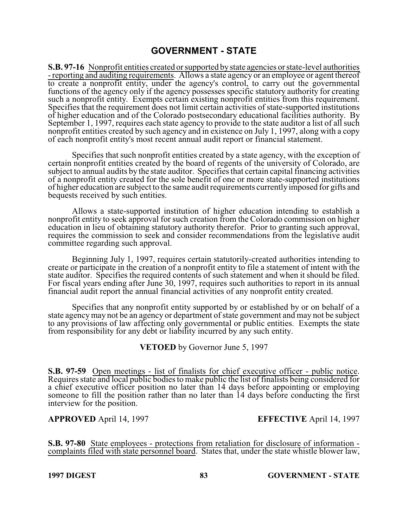# **GOVERNMENT - STATE**

**S.B. 97-16** Nonprofit entities created or supported by state agencies or state-level authorities - reporting and auditing requirements. Allows a state agency or an employee or agent thereof to create a nonprofit entity, under the agency's control, to carry out the governmental functions of the agency only if the agency possesses specific statutory authority for creating such a nonprofit entity. Exempts certain existing nonprofit entities from this requirement. Specifies that the requirement does not limit certain activities of state-supported institutions of higher education and of the Colorado postsecondary educational facilities authority. By September 1, 1997, requires each state agency to provide to the state auditor a list of all such nonprofit entities created by such agency and in existence on July 1, 1997, along with a copy of each nonprofit entity's most recent annual audit report or financial statement.

Specifies that such nonprofit entities created by a state agency, with the exception of certain nonprofit entities created by the board of regents of the university of Colorado, are subject to annual audits by the state auditor. Specifies that certain capital financing activities of a nonprofit entity created for the sole benefit of one or more state-supported institutions of higher education are subject to the same audit requirements currentlyimposed for gifts and bequests received by such entities.

Allows a state-supported institution of higher education intending to establish a nonprofit entity to seek approval for such creation from the Colorado commission on higher education in lieu of obtaining statutory authority therefor. Prior to granting such approval, requires the commission to seek and consider recommendations from the legislative audit committee regarding such approval.

Beginning July 1, 1997, requires certain statutorily-created authorities intending to create or participate in the creation of a nonprofit entity to file a statement of intent with the state auditor. Specifies the required contents of such statement and when it should be filed. For fiscal years ending after June 30, 1997, requires such authorities to report in its annual financial audit report the annual financial activities of any nonprofit entity created.

Specifies that any nonprofit entity supported by or established by or on behalf of a state agency may not be an agency or department of state government and may not be subject to any provisions of law affecting only governmental or public entities. Exempts the state from responsibility for any debt or liability incurred by any such entity.

## **VETOED** by Governor June 5, 1997

**S.B. 97-59** Open meetings - list of finalists for chief executive officer - public notice. Requires state and local public bodies to make public the list of finalists being considered for a chief executive officer position no later than 14 days before appointing or employing someone to fill the position rather than no later than 14 days before conducting the first interview for the position.

## **APPROVED** April 14, 1997 **EFFECTIVE** April 14, 1997

**S.B. 97-80** State employees - protections from retaliation for disclosure of information complaints filed with state personnel board. States that, under the state whistle blower law,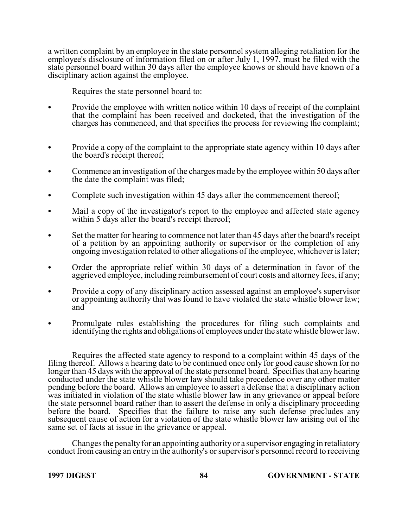a written complaint by an employee in the state personnel system alleging retaliation for the employee's disclosure of information filed on or after July 1, 1997, must be filed with the state personnel board within 30 days after the employee knows or should have known of a disciplinary action against the employee.

Requires the state personnel board to:

- Provide the employee with written notice within 10 days of receipt of the complaint that the complaint has been received and docketed, that the investigation of the charges has commenced, and that specifies the process for reviewing the complaint;
- Provide a copy of the complaint to the appropriate state agency within 10 days after the board's receipt thereof;
- Commence an investigation of the charges made by the employee within 50 days after the date the complaint was filed;
- Complete such investigation within 45 days after the commencement thereof;
- Mail a copy of the investigator's report to the employee and affected state agency within 5 days after the board's receipt thereof;
- Set the matter for hearing to commence not later than 45 days after the board's receipt of a petition by an appointing authority or supervisor or the completion of any ongoing investigation related to other allegations of the employee, whichever is later;
- Order the appropriate relief within 30 days of a determination in favor of the aggrieved employee, including reimbursement of court costs and attorney fees, if any;
- Provide a copy of any disciplinary action assessed against an employee's supervisor or appointing authority that was found to have violated the state whistle blower law; and
- Promulgate rules establishing the procedures for filing such complaints and identifying the rights and obligations of employees under the state whistle blower law.

Requires the affected state agency to respond to a complaint within 45 days of the filing thereof. Allows a hearing date to be continued once only for good cause shown for no longer than 45 days with the approval of the state personnel board. Specifies that any hearing conducted under the state whistle blower law should take precedence over any other matter pending before the board. Allows an employee to assert a defense that a disciplinary action was initiated in violation of the state whistle blower law in any grievance or appeal before the state personnel board rather than to assert the defense in only a disciplinary proceeding before the board. Specifies that the failure to raise any such defense precludes any subsequent cause of action for a violation of the state whistle blower law arising out of the same set of facts at issue in the grievance or appeal.

Changes the penalty for an appointing authority or a supervisor engaging in retaliatory conduct from causing an entry in the authority's or supervisor's personnel record to receiving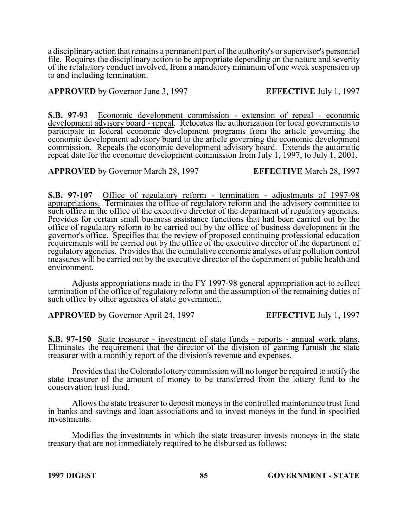a disciplinary action that remains a permanent part of the authority's or supervisor's personnel file. Requires the disciplinary action to be appropriate depending on the nature and severity of the retaliatory conduct involved, from a mandatory minimum of one week suspension up to and including termination.

**APPROVED** by Governor June 3, 1997 **EFFECTIVE** July 1, 1997

**S.B. 97-93** Economic development commission - extension of repeal - economic development advisory board - repeal. Relocates the authorization for local governments to participate in federal economic development programs from the article governing the economic development advisory board to the article governing the economic development commission. Repeals the economic development advisory board. Extends the automatic repeal date for the economic development commission from July 1, 1997, to July 1, 2001.

**APPROVED** by Governor March 28, 1997 **EFFECTIVE** March 28, 1997

**S.B. 97-107** Office of regulatory reform - termination - adjustments of 1997-98 appropriations. Terminates the office of regulatory reform and the advisory committee to such office in the office of the executive director of the department of regulatory agencies. Provides for certain small business assistance functions that had been carried out by the office of regulatory reform to be carried out by the office of business development in the governor's office. Specifies that the review of proposed continuing professional education requirements will be carried out by the office of the executive director of the department of regulatory agencies. Provides that the cumulative economic analyses of air pollution control measures will be carried out by the executive director of the department of public health and environment.

Adjusts appropriations made in the FY 1997-98 general appropriation act to reflect termination of the office of regulatory reform and the assumption of the remaining duties of such office by other agencies of state government.

**APPROVED** by Governor April 24, 1997 **EFFECTIVE** July 1, 1997

**S.B. 97-150** State treasurer - investment of state funds - reports - annual work plans. Eliminates the requirement that the director of the division of gaming furnish the state treasurer with a monthly report of the division's revenue and expenses.

Provides that the Colorado lottery commission will no longer be required to notify the state treasurer of the amount of money to be transferred from the lottery fund to the conservation trust fund.

Allows the state treasurer to deposit moneys in the controlled maintenance trust fund in banks and savings and loan associations and to invest moneys in the fund in specified investments.

Modifies the investments in which the state treasurer invests moneys in the state treasury that are not immediately required to be disbursed as follows: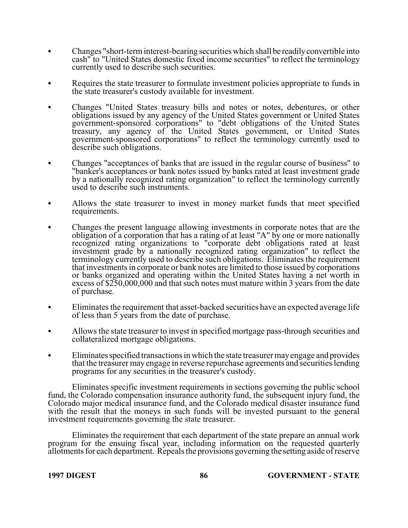- Changes "short-term interest-bearing securities which shall be readily convertible into cash" to "United States domestic fixed income securities" to reflect the terminology currently used to describe such securities.
- Requires the state treasurer to formulate investment policies appropriate to funds in the state treasurer's custody available for investment.
- Changes "United States treasury bills and notes or notes, debentures, or other obligations issued by any agency of the United States government or United States government-sponsored corporations" to "debt obligations of the United States treasury, any agency of the United States government, or United States government-sponsored corporations" to reflect the terminology currently used to describe such obligations.
- Changes "acceptances of banks that are issued in the regular course of business" to "banker's acceptances or bank notes issued by banks rated at least investment grade by a nationally recognized rating organization" to reflect the terminology currently used to describe such instruments.
- Allows the state treasurer to invest in money market funds that meet specified requirements.
- Changes the present language allowing investments in corporate notes that are the obligation of a corporation that has a rating of at least "A" by one or more nationally recognized rating organizations to "corporate debt obligations rated at least investment grade by a nationally recognized rating organization" to reflect the terminology currently used to describe such obligations. Eliminates the requirement that investments in corporate or bank notes are limited to those issued by corporations or banks organized and operating within the United States having a net worth in excess of \$250,000,000 and that such notes must mature within 3 years from the date of purchase.
- Eliminates the requirement that asset-backed securities have an expected average life of less than 5 years from the date of purchase.
- Allows the state treasurer to invest in specified mortgage pass-through securities and collateralized mortgage obligations.
- Eliminates specified transactions in which the state treasurer may engage and provides that the treasurer may engage in reverse repurchase agreements and securities lending programs for any securities in the treasurer's custody.

Eliminates specific investment requirements in sections governing the public school fund, the Colorado compensation insurance authority fund, the subsequent injury fund, the Colorado major medical insurance fund, and the Colorado medical disaster insurance fund with the result that the moneys in such funds will be invested pursuant to the general investment requirements governing the state treasurer.

Eliminates the requirement that each department of the state prepare an annual work program for the ensuing fiscal year, including information on the requested quarterly allotments for each department. Repeals the provisions governing the setting aside ofreserve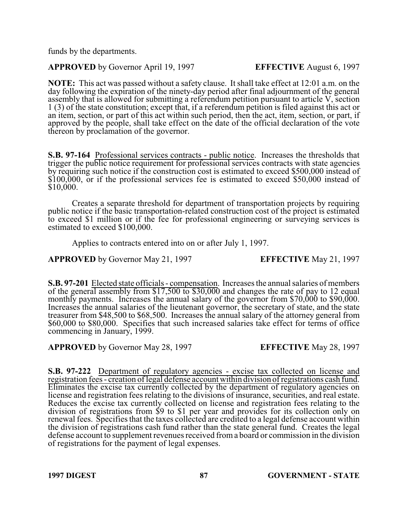funds by the departments.

**APPROVED** by Governor April 19, 1997 **EFFECTIVE** August 6, 1997

**NOTE:** This act was passed without a safety clause. It shall take effect at 12:01 a.m. on the day following the expiration of the ninety-day period after final adjournment of the general assembly that is allowed for submitting a referendum petition pursuant to article V, section 1 (3) of the state constitution; except that, if a referendum petition is filed against this act or an item, section, or part of this act within such period, then the act, item, section, or part, if approved by the people, shall take effect on the date of the official declaration of the vote thereon by proclamation of the governor.

**S.B. 97-164** Professional services contracts - public notice. Increases the thresholds that trigger the public notice requirement for professional services contracts with state agencies by requiring such notice if the construction cost is estimated to exceed \$500,000 instead of \$100,000, or if the professional services fee is estimated to exceed \$50,000 instead of \$10,000.

Creates a separate threshold for department of transportation projects by requiring public notice if the basic transportation-related construction cost of the project is estimated to exceed \$1 million or if the fee for professional engineering or surveying services is estimated to exceed \$100,000.

Applies to contracts entered into on or after July 1, 1997.

**APPROVED** by Governor May 21, 1997 **EFFECTIVE** May 21, 1997

**S.B. 97-201** Elected state officials - compensation. Increases the annual salaries of members of the general assembly from \$17,500 to \$30,000 and changes the rate of pay to 12 equal monthly payments. Increases the annual salary of the governor from \$70,000 to \$90,000. Increases the annual salaries of the lieutenant governor, the secretary of state, and the state treasurer from \$48,500 to \$68,500. Increases the annual salary of the attorney general from \$60,000 to \$80,000. Specifies that such increased salaries take effect for terms of office commencing in January, 1999.

**APPROVED** by Governor May 28, 1997 **EFFECTIVE** May 28, 1997

**S.B. 97-222** Department of regulatory agencies - excise tax collected on license and registration fees - creation of legal defense account within division ofregistrations cash fund. Eliminates the excise tax currently collected by the department of regulatory agencies on license and registration fees relating to the divisions of insurance, securities, and real estate. Reduces the excise tax currently collected on license and registration fees relating to the division of registrations from \$9 to \$1 per year and provides for its collection only on renewal fees. Specifies that the taxes collected are credited to a legal defense account within the division of registrations cash fund rather than the state general fund. Creates the legal defense account to supplement revenues received froma board or commission in the division of registrations for the payment of legal expenses.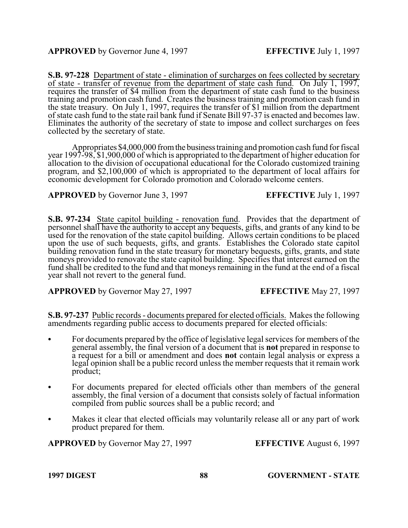**S.B. 97-228** Department of state - elimination of surcharges on fees collected by secretary of state - transfer of revenue from the department of state cash fund. On July 1, 1997, requires the transfer of \$4 million from the department of state cash fund to the business training and promotion cash fund. Creates the business training and promotion cash fund in the state treasury. On July 1, 1997, requires the transfer of \$1 million from the department of state cash fund to the state rail bank fund if Senate Bill 97-37 is enacted and becomes law. Eliminates the authority of the secretary of state to impose and collect surcharges on fees collected by the secretary of state.

Appropriates \$4,000,000 fromthe businesstraining and promotion cash fund for fiscal year 1997-98, \$1,900,000 of which is appropriated to the department of higher education for allocation to the division of occupational educational for the Colorado customized training program, and \$2,100,000 of which is appropriated to the department of local affairs for economic development for Colorado promotion and Colorado welcome centers.

## **APPROVED** by Governor June 3, 1997 **EFFECTIVE** July 1, 1997

**S.B. 97-234** State capitol building - renovation fund. Provides that the department of personnel shall have the authority to accept any bequests, gifts, and grants of any kind to be used for the renovation of the state capitol building. Allows certain conditions to be placed upon the use of such bequests, gifts, and grants. Establishes the Colorado state capitol building renovation fund in the state treasury for monetary bequests, gifts, grants, and state moneys provided to renovate the state capitol building. Specifies that interest earned on the fund shall be credited to the fund and that moneys remaining in the fund at the end of a fiscal year shall not revert to the general fund.

**APPROVED** by Governor May 27, 1997 **EFFECTIVE** May 27, 1997

**S.B. 97-237** Public records - documents prepared for elected officials. Makes the following amendments regarding public access to documents prepared for elected officials:

- For documents prepared by the office of legislative legal services for members of the general assembly, the final version of a document that is **not** prepared in response to a request for a bill or amendment and does **not** contain legal analysis or express a legal opinion shall be a public record unless the member requests that it remain work product;
- For documents prepared for elected officials other than members of the general assembly, the final version of a document that consists solely of factual information compiled from public sources shall be a public record; and
- Makes it clear that elected officials may voluntarily release all or any part of work product prepared for them.

**APPROVED** by Governor May 27, 1997 **EFFECTIVE** August 6, 1997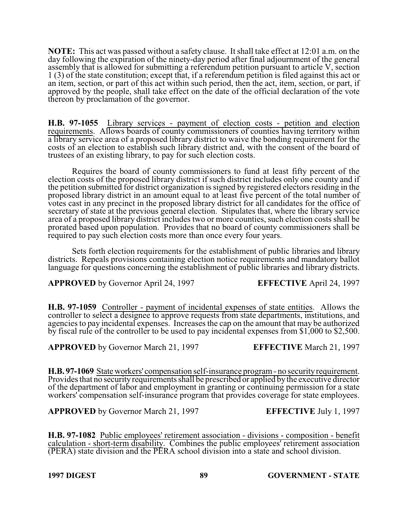**NOTE:** This act was passed without a safety clause. It shall take effect at 12:01 a.m. on the day following the expiration of the ninety-day period after final adjournment of the general assembly that is allowed for submitting a referendum petition pursuant to article V, section 1 (3) of the state constitution; except that, if a referendum petition is filed against this act or an item, section, or part of this act within such period, then the act, item, section, or part, if approved by the people, shall take effect on the date of the official declaration of the vote thereon by proclamation of the governor.

**H.B. 97-1055** Library services - payment of election costs - petition and election requirements. Allows boards of county commissioners of counties having territory within a library service area of a proposed library district to waive the bonding requirement for the costs of an election to establish such library district and, with the consent of the board of trustees of an existing library, to pay for such election costs.

Requires the board of county commissioners to fund at least fifty percent of the election costs of the proposed library district if such district includes only one county and if the petition submitted for district organization is signed by registered electors residing in the proposed library district in an amount equal to at least five percent of the total number of votes cast in any precinct in the proposed library district for all candidates for the office of secretary of state at the previous general election. Stipulates that, where the library service area of a proposed library district includes two or more counties, such election costs shall be prorated based upon population. Provides that no board of county commissioners shall be required to pay such election costs more than once every four years.

Sets forth election requirements for the establishment of public libraries and library districts. Repeals provisions containing election notice requirements and mandatory ballot language for questions concerning the establishment of public libraries and library districts.

**APPROVED** by Governor April 24, 1997 **EFFECTIVE** April 24, 1997

**H.B. 97-1059** Controller - payment of incidental expenses of state entities. Allows the controller to select a designee to approve requests from state departments, institutions, and agencies to pay incidental expenses. Increases the cap on the amount that may be authorized by fiscal rule of the controller to be used to pay incidental expenses from \$1,000 to \$2,500.

**APPROVED** by Governor March 21, 1997 **EFFECTIVE** March 21, 1997

**H.B. 97-1069** Stateworkers' compensation self-insurance program- no securityrequirement. Provides that no security requirements shall be prescribed or applied by the executive director of the department of labor and employment in granting or continuing permission for a state workers' compensation self-insurance program that provides coverage for state employees.

**APPROVED** by Governor March 21, 1997 **EFFECTIVE** July 1, 1997

**H.B. 97-1082** Public employees' retirement association - divisions - composition - benefit calculation - short-term disability. Combines the public employees' retirement association (PERA) state division and the PERA school division into a state and school division.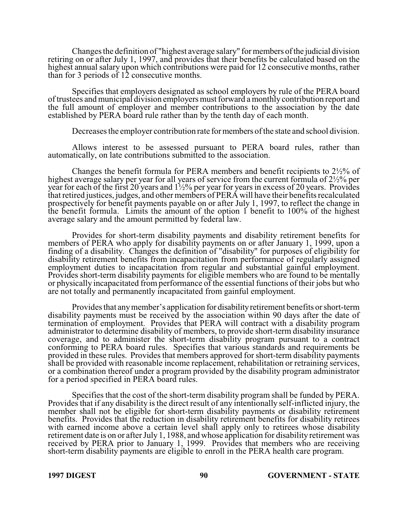Changes the definition of "highest average salary" for members of the judicial division retiring on or after July 1, 1997, and provides that their benefits be calculated based on the highest annual salary upon which contributions were paid for 12 consecutive months, rather than for 3 periods of 12 consecutive months.

Specifies that employers designated as school employers by rule of the PERA board of trustees and municipal division employers must forward a monthly contribution report and the full amount of employer and member contributions to the association by the date established by PERA board rule rather than by the tenth day of each month.

Decreases the employer contribution rate for members of the state and school division.

Allows interest to be assessed pursuant to PERA board rules, rather than automatically, on late contributions submitted to the association.

Changes the benefit formula for PERA members and benefit recipients to 2½% of highest average salary per year for all years of service from the current formula of 2½% per year for each of the first 20 years and  $1\frac{1}{2}\%$  per year for years in excess of 20 years. Provides that retired justices, judges, and other members of PERA will have their benefits recalculated prospectively for benefit payments payable on or after July 1, 1997, to reflect the change in the benefit formula. Limits the amount of the option 1 benefit to 100% of the highest average salary and the amount permitted by federal law.

Provides for short-term disability payments and disability retirement benefits for members of PERA who apply for disability payments on or after January 1, 1999, upon a finding of a disability. Changes the definition of "disability" for purposes of eligibility for disability retirement benefits from incapacitation from performance of regularly assigned employment duties to incapacitation from regular and substantial gainful employment. Provides short-term disability payments for eligible members who are found to be mentally or physically incapacitated from performance of the essential functions of their jobs but who are not totally and permanently incapacitated from gainful employment.

Provides that anymember's application for disabilityretirement benefits or short-term disability payments must be received by the association within 90 days after the date of termination of employment. Provides that PERA will contract with a disability program administrator to determine disability of members, to provide short-term disability insurance coverage, and to administer the short-term disability program pursuant to a contract conforming to PERA board rules. Specifies that various standards and requirements be provided in these rules. Provides that members approved for short-term disability payments shall be provided with reasonable income replacement, rehabilitation or retraining services, or a combination thereof under a program provided by the disability program administrator for a period specified in PERA board rules.

Specifies that the cost of the short-term disability program shall be funded by PERA. Provides that if any disability is the direct result of any intentionally self-inflicted injury, the member shall not be eligible for short-term disability payments or disability retirement benefits. Provides that the reduction in disability retirement benefits for disability retirees with earned income above a certain level shall apply only to retirees whose disability retirement date is on or after July 1, 1988, and whose application for disability retirement was received by PERA prior to January 1, 1999. Provides that members who are receiving short-term disability payments are eligible to enroll in the PERA health care program.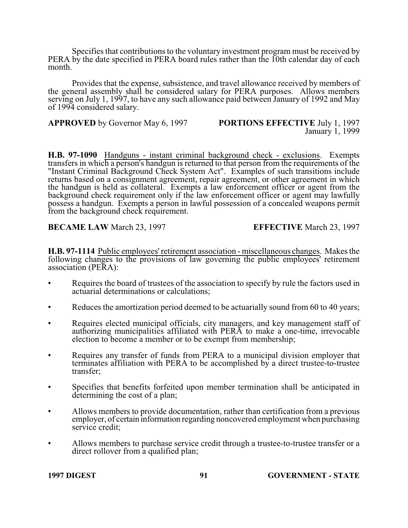Specifies that contributions to the voluntary investment program must be received by PERA by the date specified in PERA board rules rather than the 10th calendar day of each month.

Provides that the expense, subsistence, and travel allowance received by members of the general assembly shall be considered salary for PERA purposes. Allows members serving on July 1, 1997, to have any such allowance paid between January of 1992 and May of 1994 considered salary.

## **APPROVED** by Governor May 6, 1997 **PORTIONS EFFECTIVE** July 1, 1997 January 1, 1999

**H.B. 97-1090** Handguns - instant criminal background check - exclusions. Exempts transfers in which a person's handgun is returned to that person from the requirements of the "Instant Criminal Background Check System Act". Examples of such transitions include returns based on a consignment agreement, repair agreement, or other agreement in which the handgun is held as collateral. Exempts a law enforcement officer or agent from the background check requirement only if the law enforcement officer or agent may lawfully possess a handgun. Exempts a person in lawful possession of a concealed weapons permit from the background check requirement.

**BECAME LAW** March 23, 1997 **EFFECTIVE** March 23, 1997

**H.B. 97-1114** Public employees'retirement association - miscellaneous changes. Makes the following changes to the provisions of law governing the public employees' retirement association (PERA):

- Requires the board of trustees of the association to specify by rule the factors used in actuarial determinations or calculations;
- Reduces the amortization period deemed to be actuarially sound from 60 to 40 years;
- Requires elected municipal officials, city managers, and key management staff of authorizing municipalities affiliated with PERA to make a one-time, irrevocable election to become a member or to be exempt from membership;
- Requires any transfer of funds from PERA to a municipal division employer that terminates affiliation with PERA to be accomplished by a direct trustee-to-trustee transfer;
- Specifies that benefits forfeited upon member termination shall be anticipated in determining the cost of a plan;
- Allows members to provide documentation, rather than certification from a previous employer, of certain information regarding noncovered employment when purchasing service credit:
- Allows members to purchase service credit through a trustee-to-trustee transfer or a direct rollover from a qualified plan;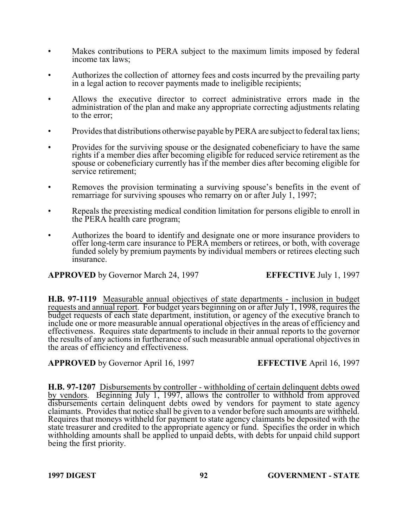- Makes contributions to PERA subject to the maximum limits imposed by federal income tax laws;
- Authorizes the collection of attorney fees and costs incurred by the prevailing party in a legal action to recover payments made to ineligible recipients;
- Allows the executive director to correct administrative errors made in the administration of the plan and make any appropriate correcting adjustments relating to the error;
- Provides that distributions otherwise payable by PERA are subject to federal tax liens;
- Provides for the surviving spouse or the designated cobeneficiary to have the same rights if a member dies after becoming eligible for reduced service retirement as the spouse or cobeneficiary currently has if the member dies after becoming eligible for service retirement;
- Removes the provision terminating a surviving spouse's benefits in the event of remarriage for surviving spouses who remarry on or after July 1, 1997;
- Repeals the preexisting medical condition limitation for persons eligible to enroll in the PERA health care program;
- Authorizes the board to identify and designate one or more insurance providers to offer long-term care insurance to PERA members or retirees, or both, with coverage funded solely by premium payments by individual members or retirees electing such insurance.

**APPROVED** by Governor March 24, 1997 **EFFECTIVE** July 1, 1997

**H.B. 97-1119** Measurable annual objectives of state departments - inclusion in budget requests and annual report. For budget years beginning on or after July 1, 1998, requires the budget requests of each state department, institution, or agency of the executive branch to include one or more measurable annual operational objectives in the areas of efficiency and effectiveness. Requires state departments to include in their annual reports to the governor the results of any actions in furtherance of such measurable annual operational objectives in the areas of efficiency and effectiveness.

**APPROVED** by Governor April 16, 1997 **EFFECTIVE** April 16, 1997

**H.B. 97-1207** Disbursements by controller - withholding of certain delinquent debts owed by vendors. Beginning July 1, 1997, allows the controller to withhold from approved disbursements certain delinquent debts owed by vendors for payment to state agency claimants. Provides that notice shall be given to a vendor before such amounts are withheld. Requires that moneys withheld for payment to state agency claimants be deposited with the state treasurer and credited to the appropriate agency or fund. Specifies the order in which withholding amounts shall be applied to unpaid debts, with debts for unpaid child support being the first priority.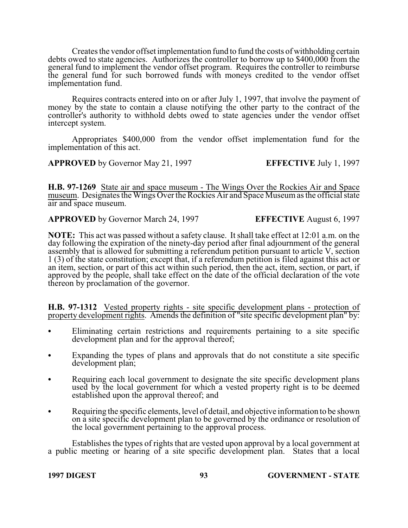Creates the vendor offset implementation fund to fund the costs of withholding certain debts owed to state agencies. Authorizes the controller to borrow up to \$400,000 from the general fund to implement the vendor offset program. Requires the controller to reimburse the general fund for such borrowed funds with moneys credited to the vendor offset implementation fund.

Requires contracts entered into on or after July 1, 1997, that involve the payment of money by the state to contain a clause notifying the other party to the contract of the controller's authority to withhold debts owed to state agencies under the vendor offset intercept system.

Appropriates \$400,000 from the vendor offset implementation fund for the implementation of this act.

**APPROVED** by Governor May 21, 1997 **EFFECTIVE** July 1, 1997

**H.B. 97-1269** State air and space museum - The Wings Over the Rockies Air and Space museum. Designates the Wings Over the Rockies Air and Space Museumas the official state air and space museum.

**APPROVED** by Governor March 24, 1997 **EFFECTIVE** August 6, 1997

**NOTE:** This act was passed without a safety clause. It shall take effect at 12:01 a.m. on the day following the expiration of the ninety-day period after final adjournment of the general assembly that is allowed for submitting a referendum petition pursuant to article V, section 1 (3) of the state constitution; except that, if a referendum petition is filed against this act or an item, section, or part of this act within such period, then the act, item, section, or part, if approved by the people, shall take effect on the date of the official declaration of the vote thereon by proclamation of the governor.

**H.B. 97-1312** Vested property rights - site specific development plans - protection of property development rights. Amends the definition of "site specific development plan" by:

- Eliminating certain restrictions and requirements pertaining to a site specific development plan and for the approval thereof;
- Expanding the types of plans and approvals that do not constitute a site specific development plan;
- Requiring each local government to designate the site specific development plans used by the local government for which a vested property right is to be deemed established upon the approval thereof; and
- Requiring the specific elements, level of detail, and objective information to be shown on a site specific development plan to be governed by the ordinance or resolution of the local government pertaining to the approval process.

Establishes the types of rights that are vested upon approval by a local government at a public meeting or hearing of a site specific development plan. States that a local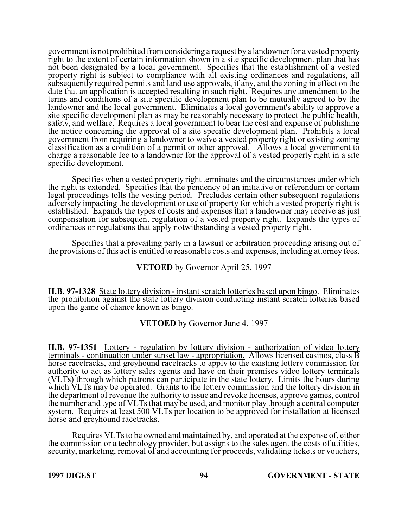government is not prohibited fromconsidering a request by a landowner for a vested property right to the extent of certain information shown in a site specific development plan that has not been designated by a local government. Specifies that the establishment of a vested property right is subject to compliance with all existing ordinances and regulations, all subsequently required permits and land use approvals, if any, and the zoning in effect on the date that an application is accepted resulting in such right. Requires any amendment to the terms and conditions of a site specific development plan to be mutually agreed to by the landowner and the local government. Eliminates a local government's ability to approve a site specific development plan as may be reasonably necessary to protect the public health, safety, and welfare. Requires a local government to bear the cost and expense of publishing the notice concerning the approval of a site specific development plan. Prohibits a local government from requiring a landowner to waive a vested property right or existing zoning classification as a condition of a permit or other approval. Allows a local government to charge a reasonable fee to a landowner for the approval of a vested property right in a site specific development.

Specifies when a vested property right terminates and the circumstances under which the right is extended. Specifies that the pendency of an initiative or referendum or certain legal proceedings tolls the vesting period. Precludes certain other subsequent regulations adversely impacting the development or use of property for which a vested property right is established. Expands the types of costs and expenses that a landowner may receive as just compensation for subsequent regulation of a vested property right. Expands the types of ordinances or regulations that apply notwithstanding a vested property right.

Specifies that a prevailing party in a lawsuit or arbitration proceeding arising out of the provisions of this act is entitled to reasonable costs and expenses, including attorney fees.

**VETOED** by Governor April 25, 1997

**H.B. 97-1328** State lottery division - instant scratch lotteries based upon bingo. Eliminates the prohibition against the state lottery division conducting instant scratch lotteries based upon the game of chance known as bingo.

**VETOED** by Governor June 4, 1997

**H.B. 97-1351** Lottery - regulation by lottery division - authorization of video lottery terminals - continuation under sunset law - appropriation. Allows licensed casinos, class B horse racetracks, and greyhound racetracks to apply to the existing lottery commission for authority to act as lottery sales agents and have on their premises video lottery terminals (VLTs) through which patrons can participate in the state lottery. Limits the hours during which VLTs may be operated. Grants to the lottery commission and the lottery division in the department of revenue the authority to issue and revoke licenses, approve games, control the number and type of VLTs that may be used, and monitor play through a central computer system. Requires at least 500 VLTs per location to be approved for installation at licensed horse and greyhound racetracks.

Requires VLTs to be owned and maintained by, and operated at the expense of, either the commission or a technology provider, but assigns to the sales agent the costs of utilities, security, marketing, removal of and accounting for proceeds, validating tickets or vouchers,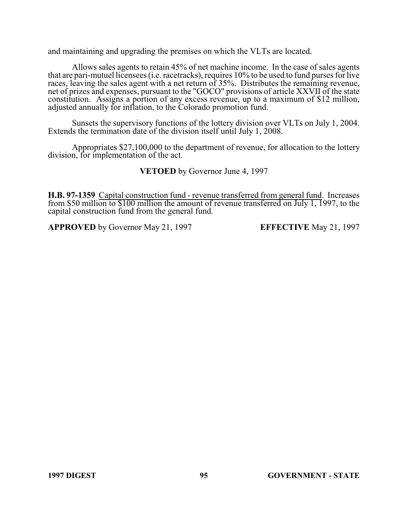and maintaining and upgrading the premises on which the VLTs are located.

Allows sales agents to retain 45% of net machine income. In the case of sales agents that are pari-mutuel licensees (i.e. racetracks), requires 10% to be used to fund purses for live races, leaving the sales agent with a net return of 35%. Distributes the remaining revenue, net of prizes and expenses, pursuant to the "GOCO" provisions of article XXVII of the state constitution. Assigns a portion of any excess revenue, up to a maximum of \$12 million, adjusted annually for inflation, to the Colorado promotion fund.

Sunsets the supervisory functions of the lottery division over VLTs on July 1, 2004. Extends the termination date of the division itself until July 1, 2008.

Appropriates \$27,100,000 to the department of revenue, for allocation to the lottery division, for implementation of the act.

**VETOED** by Governor June 4, 1997

**H.B. 97-1359** Capital construction fund - revenue transferred from general fund. Increases from \$50 million to \$100 million the amount of revenue transferred on July 1, 1997, to the capital construction fund from the general fund.

**APPROVED** by Governor May 21, 1997 **EFFECTIVE** May 21, 1997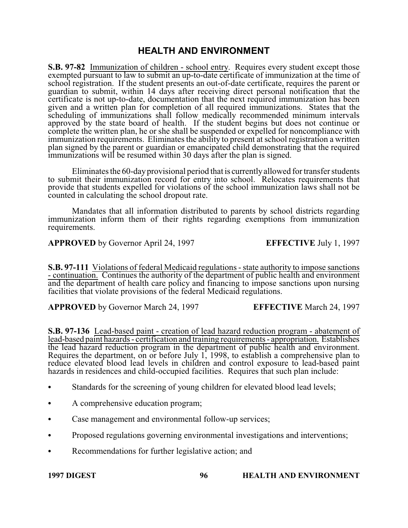# **HEALTH AND ENVIRONMENT**

**S.B. 97-82** Immunization of children - school entry. Requires every student except those exempted pursuant to law to submit an up-to-date certificate of immunization at the time of school registration. If the student presents an out-of-date certificate, requires the parent or guardian to submit, within 14 days after receiving direct personal notification that the certificate is not up-to-date, documentation that the next required immunization has been given and a written plan for completion of all required immunizations. States that the scheduling of immunizations shall follow medically recommended minimum intervals approved by the state board of health. If the student begins but does not continue or complete the written plan, he or she shall be suspended or expelled for noncompliance with immunization requirements. Eliminates the ability to present at school registration a written plan signed by the parent or guardian or emancipated child demonstrating that the required immunizations will be resumed within 30 days after the plan is signed.

Eliminates the 60-day provisional period that is currently allowed for transfer students to submit their immunization record for entry into school. Relocates requirements that provide that students expelled for violations of the school immunization laws shall not be counted in calculating the school dropout rate.

Mandates that all information distributed to parents by school districts regarding immunization inform them of their rights regarding exemptions from immunization requirements.

**APPROVED** by Governor April 24, 1997 **EFFECTIVE** July 1, 1997

**S.B. 97-111** Violations of federal Medicaid regulations - state authority to impose sanctions - continuation. Continues the authority of the department of public health and environment and the department of health care policy and financing to impose sanctions upon nursing facilities that violate provisions of the federal Medicaid regulations.

**APPROVED** by Governor March 24, 1997 **EFFECTIVE** March 24, 1997

**S.B. 97-136** Lead-based paint - creation of lead hazard reduction program - abatement of lead-based paint hazards - certification and training requirements - appropriation. Establishes the lead hazard reduction program in the department of public health and environment. Requires the department, on or before July 1, 1998, to establish a comprehensive plan to reduce elevated blood lead levels in children and control exposure to lead-based paint hazards in residences and child-occupied facilities. Requires that such plan include:

- Standards for the screening of young children for elevated blood lead levels;
- A comprehensive education program;
- Case management and environmental follow-up services;
- Proposed regulations governing environmental investigations and interventions;
- Recommendations for further legislative action; and

### **1997 DIGEST 96 HEALTH AND ENVIRONMENT**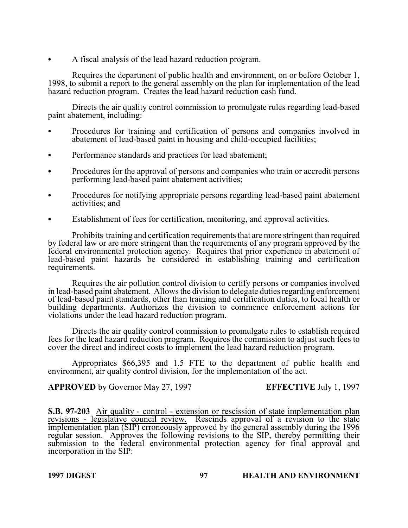A fiscal analysis of the lead hazard reduction program.

Requires the department of public health and environment, on or before October 1, 1998, to submit a report to the general assembly on the plan for implementation of the lead hazard reduction program. Creates the lead hazard reduction cash fund.

Directs the air quality control commission to promulgate rules regarding lead-based paint abatement, including:

- C Procedures for training and certification of persons and companies involved in abatement of lead-based paint in housing and child-occupied facilities;
- Performance standards and practices for lead abatement;
- Procedures for the approval of persons and companies who train or accredit persons performing lead-based paint abatement activities;
- Procedures for notifying appropriate persons regarding lead-based paint abatement activities; and
- Establishment of fees for certification, monitoring, and approval activities.

Prohibits training and certification requirements that are more stringent than required by federal law or are more stringent than the requirements of any program approved by the federal environmental protection agency. Requires that prior experience in abatement of lead-based paint hazards be considered in establishing training and certification requirements.

Requires the air pollution control division to certify persons or companies involved in lead-based paint abatement. Allows the division to delegate duties regarding enforcement of lead-based paint standards, other than training and certification duties, to local health or building departments. Authorizes the division to commence enforcement actions for violations under the lead hazard reduction program.

Directs the air quality control commission to promulgate rules to establish required fees for the lead hazard reduction program. Requires the commission to adjust such fees to cover the direct and indirect costs to implement the lead hazard reduction program.

Appropriates \$66,395 and 1.5 FTE to the department of public health and environment, air quality control division, for the implementation of the act.

**APPROVED** by Governor May 27, 1997 **EFFECTIVE** July 1, 1997

**S.B. 97-203** Air quality - control - extension or rescission of state implementation plan revisions - legislative council review. Rescinds approval of a revision to the state implementation plan (SIP) erroneously approved by the general assembly during the 1996 regular session. Approves the following revisions to the SIP, thereby permitting their submission to the federal environmental protection agency for final approval and incorporation in the SIP: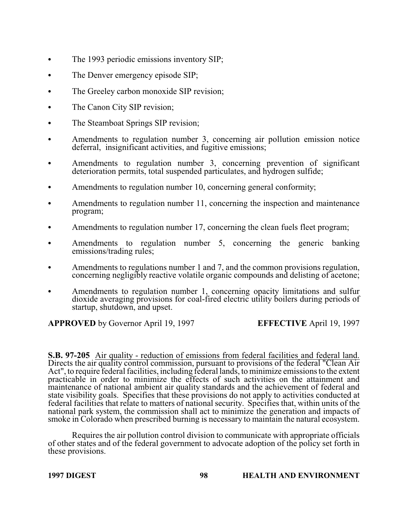- The 1993 periodic emissions inventory SIP:
- The Denver emergency episode SIP;
- The Greeley carbon monoxide SIP revision;
- The Canon City SIP revision;
- The Steamboat Springs SIP revision;
- Amendments to regulation number 3, concerning air pollution emission notice deferral, insignificant activities, and fugitive emissions;
- Amendments to regulation number 3, concerning prevention of significant deterioration permits, total suspended particulates, and hydrogen sulfide;
- Amendments to regulation number 10, concerning general conformity;
- Amendments to regulation number 11, concerning the inspection and maintenance program;
- Amendments to regulation number 17, concerning the clean fuels fleet program;
- Amendments to regulation number 5, concerning the generic banking emissions/trading rules;
- Amendments to regulations number 1 and 7, and the common provisions regulation, concerning negligibly reactive volatile organic compounds and delisting of acetone;
- Amendments to regulation number 1, concerning opacity limitations and sulfur dioxide averaging provisions for coal-fired electric utility boilers during periods of startup, shutdown, and upset.

**APPROVED** by Governor April 19, 1997 **EFFECTIVE** April 19, 1997

**S.B. 97-205** Air quality - reduction of emissions from federal facilities and federal land. Directs the air quality control commission, pursuant to provisions of the federal "Clean Air Act", to require federal facilities, including federal lands, to minimize emissions to the extent practicable in order to minimize the effects of such activities on the attainment and maintenance of national ambient air quality standards and the achievement of federal and state visibility goals. Specifies that these provisions do not apply to activities conducted at federal facilities that relate to matters of national security. Specifies that, within units of the national park system, the commission shall act to minimize the generation and impacts of smoke in Colorado when prescribed burning is necessary to maintain the natural ecosystem.

Requires the air pollution control division to communicate with appropriate officials of other states and of the federal government to advocate adoption of the policy set forth in these provisions.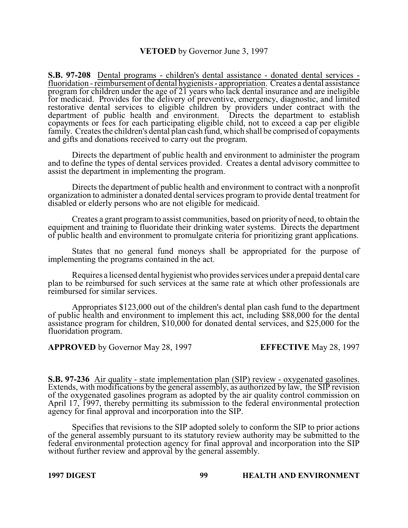### **VETOED** by Governor June 3, 1997

**S.B. 97-208** Dental programs - children's dental assistance - donated dental services fluoridation - reimbursement of dental hygienists - appropriation. Creates a dental assistance program for children under the age of 21 years who lack dental insurance and are ineligible for medicaid. Provides for the delivery of preventive, emergency, diagnostic, and limited restorative dental services to eligible children by providers under contract with the department of public health and environment. Directs the department to establish copayments or fees for each participating eligible child, not to exceed a cap per eligible family. Creates the children's dental plan cash fund, which shall be comprised of copayments and gifts and donations received to carry out the program.

 Directs the department of public health and environment to administer the program and to define the types of dental services provided. Creates a dental advisory committee to assist the department in implementing the program.

Directs the department of public health and environment to contract with a nonprofit organization to administer a donated dental services program to provide dental treatment for disabled or elderly persons who are not eligible for medicaid.

Creates a grant program to assist communities, based on priority of need, to obtain the equipment and training to fluoridate their drinking water systems. Directs the department of public health and environment to promulgate criteria for prioritizing grant applications.

States that no general fund moneys shall be appropriated for the purpose of implementing the programs contained in the act.

Requires a licensed dental hygienistwho provides services under a prepaid dental care plan to be reimbursed for such services at the same rate at which other professionals are reimbursed for similar services.

Appropriates \$123,000 out of the children's dental plan cash fund to the department of public health and environment to implement this act, including \$88,000 for the dental assistance program for children, \$10,000 for donated dental services, and \$25,000 for the fluoridation program.

**APPROVED** by Governor May 28, 1997 **EFFECTIVE** May 28, 1997

**S.B. 97-236** Air quality - state implementation plan (SIP) review - oxygenated gasolines. Extends, with modifications by the general assembly, as authorized by law, the SIP revision of the oxygenated gasolines program as adopted by the air quality control commission on April 17, 1997, thereby permitting its submission to the federal environmental protection agency for final approval and incorporation into the SIP.

Specifies that revisions to the SIP adopted solely to conform the SIP to prior actions of the general assembly pursuant to its statutory review authority may be submitted to the federal environmental protection agency for final approval and incorporation into the SIP without further review and approval by the general assembly.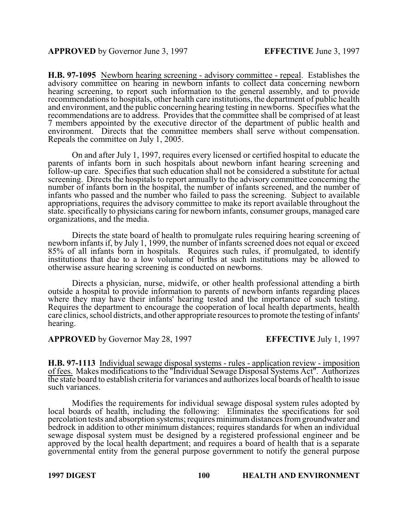**H.B. 97-1095** Newborn hearing screening - advisory committee - repeal. Establishes the advisory committee on hearing in newborn infants to collect data concerning newborn hearing screening, to report such information to the general assembly, and to provide recommendations to hospitals, other health care institutions, the department of public health and environment, and the public concerning hearing testing in newborns. Specifies what the recommendations are to address. Provides that the committee shall be comprised of at least 7 members appointed by the executive director of the department of public health and environment. Directs that the committee members shall serve without compensation. Repeals the committee on July 1, 2005.

On and after July 1, 1997, requires every licensed or certified hospital to educate the parents of infants born in such hospitals about newborn infant hearing screening and follow-up care. Specifies that such education shall not be considered a substitute for actual screening. Directs the hospitals to report annually to the advisory committee concerning the number of infants born in the hospital, the number of infants screened, and the number of infants who passed and the number who failed to pass the screening. Subject to available appropriations, requires the advisory committee to make its report available throughout the state. specifically to physicians caring for newborn infants, consumer groups, managed care organizations, and the media.

Directs the state board of health to promulgate rules requiring hearing screening of newborn infants if, by July 1, 1999, the number of infants screened does not equal or exceed 85% of all infants born in hospitals. Requires such rules, if promulgated, to identify institutions that due to a low volume of births at such institutions may be allowed to otherwise assure hearing screening is conducted on newborns.

Directs a physician, nurse, midwife, or other health professional attending a birth outside a hospital to provide information to parents of newborn infants regarding places where they may have their infants' hearing tested and the importance of such testing. Requires the department to encourage the cooperation of local health departments, health care clinics, school districts, and other appropriate resources to promote the testing ofinfants' hearing.

**APPROVED** by Governor May 28, 1997 **EFFECTIVE** July 1, 1997

**H.B. 97-1113** Individual sewage disposal systems - rules - application review - imposition of fees. Makes modifications to the "Individual Sewage Disposal Systems Act". Authorizes the state board to establish criteria for variances and authorizes local boards of health to issue such variances.

Modifies the requirements for individual sewage disposal system rules adopted by local boards of health, including the following: Eliminates the specifications for soil percolation tests and absorption systems; requires minimumdistances fromgroundwater and bedrock in addition to other minimum distances; requires standards for when an individual sewage disposal system must be designed by a registered professional engineer and be approved by the local health department; and requires a board of health that is a separate governmental entity from the general purpose government to notify the general purpose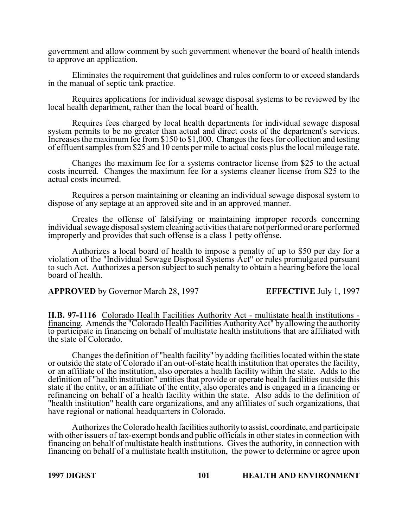government and allow comment by such government whenever the board of health intends to approve an application.

Eliminates the requirement that guidelines and rules conform to or exceed standards in the manual of septic tank practice.

Requires applications for individual sewage disposal systems to be reviewed by the local health department, rather than the local board of health.

Requires fees charged by local health departments for individual sewage disposal system permits to be no greater than actual and direct costs of the department's services. Increases the maximum fee from \$150 to \$1,000. Changes the fees for collection and testing of effluent samples from \$25 and 10 cents per mile to actual costs plus the local mileage rate.

Changes the maximum fee for a systems contractor license from \$25 to the actual costs incurred. Changes the maximum fee for a systems cleaner license from \$25 to the actual costs incurred.

Requires a person maintaining or cleaning an individual sewage disposal system to dispose of any septage at an approved site and in an approved manner.

Creates the offense of falsifying or maintaining improper records concerning individual sewage disposal systemcleaning activities that are not performed or are performed improperly and provides that such offense is a class 1 petty offense.

Authorizes a local board of health to impose a penalty of up to \$50 per day for a violation of the "Individual Sewage Disposal Systems Act" or rules promulgated pursuant to such Act. Authorizes a person subject to such penalty to obtain a hearing before the local board of health.

**APPROVED** by Governor March 28, 1997 **EFFECTIVE** July 1, 1997

**H.B. 97-1116** Colorado Health Facilities Authority Act - multistate health institutions financing. Amends the "Colorado Health Facilities Authority Act" by allowing the authority to participate in financing on behalf of multistate health institutions that are affiliated with the state of Colorado.

Changes the definition of "health facility" by adding facilities located within the state or outside the state of Colorado if an out-of-state health institution that operates the facility, or an affiliate of the institution, also operates a health facility within the state. Adds to the definition of "health institution" entities that provide or operate health facilities outside this state if the entity, or an affiliate of the entity, also operates and is engaged in a financing or refinancing on behalf of a health facility within the state. Also adds to the definition of "health institution" health care organizations, and any affiliates of such organizations, that have regional or national headquarters in Colorado.

Authorizes the Colorado health facilities authorityto assist, coordinate, and participate with other issuers of tax-exempt bonds and public officials in other states in connection with financing on behalf of multistate health institutions. Gives the authority, in connection with financing on behalf of a multistate health institution, the power to determine or agree upon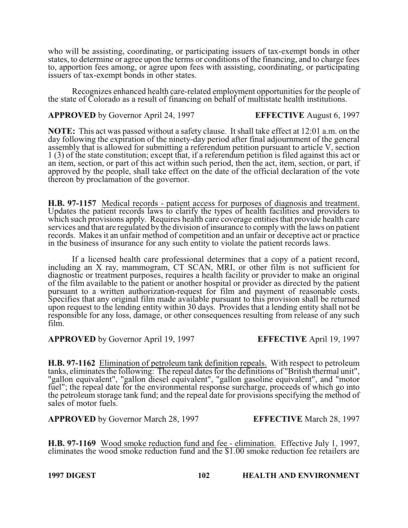who will be assisting, coordinating, or participating issuers of tax-exempt bonds in other states, to determine or agree upon the terms or conditions of the financing, and to charge fees to, apportion fees among, or agree upon fees with assisting, coordinating, or participating issuers of tax-exempt bonds in other states.

Recognizes enhanced health care-related employment opportunities for the people of the state of Colorado as a result of financing on behalf of multistate health institutions.

## **APPROVED** by Governor April 24, 1997 **EFFECTIVE** August 6, 1997

**NOTE:** This act was passed without a safety clause. It shall take effect at 12:01 a.m. on the day following the expiration of the ninety-day period after final adjournment of the general assembly that is allowed for submitting a referendum petition pursuant to article V, section 1 (3) of the state constitution; except that, if a referendum petition is filed against this act or an item, section, or part of this act within such period, then the act, item, section, or part, if approved by the people, shall take effect on the date of the official declaration of the vote thereon by proclamation of the governor.

**H.B. 97-1157** Medical records - patient access for purposes of diagnosis and treatment. Updates the patient records laws to clarify the types of health facilities and providers to which such provisions apply. Requires health care coverage entities that provide health care services and that are regulated by the division of insurance to complywith the laws on patient records. Makes it an unfair method of competition and an unfair or deceptive act or practice in the business of insurance for any such entity to violate the patient records laws.

If a licensed health care professional determines that a copy of a patient record, including an X ray, mammogram, CT SCAN, MRI, or other film is not sufficient for diagnostic or treatment purposes, requires a health facility or provider to make an original of the film available to the patient or another hospital or provider as directed by the patient pursuant to a written authorization-request for film and payment of reasonable costs. Specifies that any original film made available pursuant to this provision shall be returned upon request to the lending entity within 30 days. Provides that a lending entity shall not be responsible for any loss, damage, or other consequences resulting from release of any such film.

**APPROVED** by Governor April 19, 1997 **EFFECTIVE** April 19, 1997

**H.B. 97-1162** Elimination of petroleum tank definition repeals. With respect to petroleum tanks, eliminates the following: The repeal dates for the definitions of "British thermal unit", "gallon equivalent", "gallon diesel equivalent", "gallon gasoline equivalent", and "motor fuel"; the repeal date for the environmental response surcharge, proceeds of which go into the petroleum storage tank fund; and the repeal date for provisions specifying the method of sales of motor fuels.

**APPROVED** by Governor March 28, 1997 **EFFECTIVE** March 28, 1997

**H.B. 97-1169** Wood smoke reduction fund and fee - elimination. Effective July 1, 1997, eliminates the wood smoke reduction fund and the \$1.00 smoke reduction fee retailers are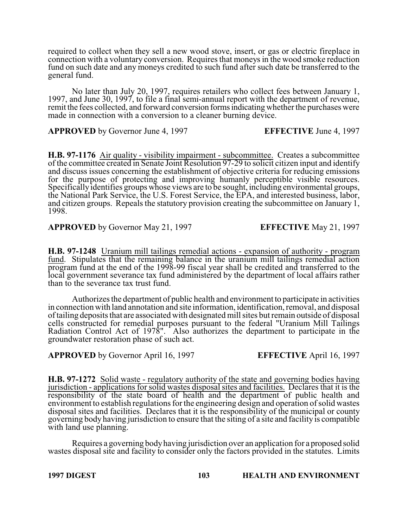required to collect when they sell a new wood stove, insert, or gas or electric fireplace in connection with a voluntary conversion. Requires that moneys in the wood smoke reduction fund on such date and any moneys credited to such fund after such date be transferred to the general fund.

No later than July 20, 1997, requires retailers who collect fees between January 1, 1997, and June 30, 1997, to file a final semi-annual report with the department of revenue, remit the fees collected, and forward conversion formsindicating whether the purchases were made in connection with a conversion to a cleaner burning device.

**APPROVED** by Governor June 4, 1997 **EFFECTIVE** June 4, 1997

**H.B. 97-1176** Air quality - visibility impairment - subcommittee. Creates a subcommittee of the committee created in Senate Joint Resolution 97-29 to solicit citizen input and identify and discuss issues concerning the establishment of objective criteria for reducing emissions for the purpose of protecting and improving humanly perceptible visible resources. Specificallyidentifies groups whose views are to be sought, including environmental groups, the National Park Service, the U.S. Forest Service, the EPA, and interested business, labor, and citizen groups. Repeals the statutory provision creating the subcommittee on January 1, 1998.

**APPROVED** by Governor May 21, 1997 **EFFECTIVE** May 21, 1997

**H.B. 97-1248** Uranium mill tailings remedial actions - expansion of authority - program fund. Stipulates that the remaining balance in the uranium mill tailings remedial action program fund at the end of the 1998-99 fiscal year shall be credited and transferred to the local government severance tax fund administered by the department of local affairs rather than to the severance tax trust fund.

Authorizes the department of public health and environment to participate in activities in connection with land annotation and site information, identification, removal, and disposal oftailing deposits that are associated with designated mill sites but remain outside of disposal cells constructed for remedial purposes pursuant to the federal "Uranium Mill Tailings Radiation Control Act of 1978". Also authorizes the department to participate in the groundwater restoration phase of such act.

**APPROVED** by Governor April 16, 1997 **EFFECTIVE** April 16, 1997

**H.B. 97-1272** Solid waste - regulatory authority of the state and governing bodies having jurisdiction - applications for solid wastes disposal sites and facilities. Declares that it is the responsibility of the state board of health and the department of public health and environment to establish regulations for the engineering design and operation of solid wastes disposal sites and facilities. Declares that it is the responsibility of the municipal or county governing body having jurisdiction to ensure that the siting of a site and facility is compatible with land use planning.

Requires a governing bodyhaving jurisdiction over an application for a proposed solid wastes disposal site and facility to consider only the factors provided in the statutes. Limits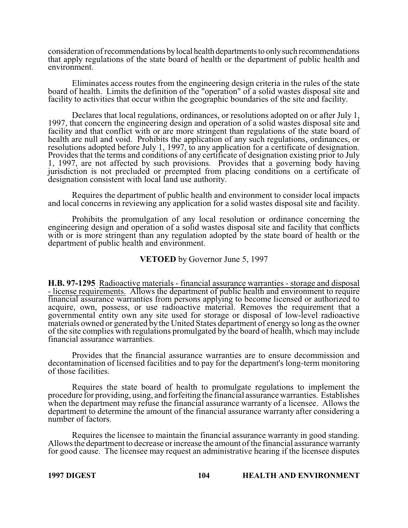consideration ofrecommendations bylocal health departmentsto onlysuch recommendations that apply regulations of the state board of health or the department of public health and environment.

Eliminates access routes from the engineering design criteria in the rules of the state board of health. Limits the definition of the "operation" of a solid wastes disposal site and facility to activities that occur within the geographic boundaries of the site and facility.

Declares that local regulations, ordinances, or resolutions adopted on or after July 1, 1997, that concern the engineering design and operation of a solid wastes disposal site and facility and that conflict with or are more stringent than regulations of the state board of health are null and void. Prohibits the application of any such regulations, ordinances, or resolutions adopted before July 1, 1997, to any application for a certificate of designation. Provides that the terms and conditions of any certificate of designation existing prior to July 1, 1997, are not affected by such provisions. Provides that a governing body having jurisdiction is not precluded or preempted from placing conditions on a certificate of designation consistent with local land use authority.

Requires the department of public health and environment to consider local impacts and local concerns in reviewing any application for a solid wastes disposal site and facility.

Prohibits the promulgation of any local resolution or ordinance concerning the engineering design and operation of a solid wastes disposal site and facility that conflicts with or is more stringent than any regulation adopted by the state board of health or the department of public health and environment.

### **VETOED** by Governor June 5, 1997

**H.B. 97-1295** Radioactive materials - financial assurance warranties - storage and disposal - license requirements. Allows the department of public health and environment to require financial assurance warranties from persons applying to become licensed or authorized to acquire, own, possess, or use radioactive material. Removes the requirement that a governmental entity own any site used for storage or disposal of low-level radioactive materials owned or generated by the United States department of energy so long as the owner of the site complies with regulations promulgated by the board of health, which may include financial assurance warranties.

Provides that the financial assurance warranties are to ensure decommission and decontamination of licensed facilities and to pay for the department's long-term monitoring of those facilities.

Requires the state board of health to promulgate regulations to implement the procedure for providing, using, and forfeiting the financial assurance warranties. Establishes when the department may refuse the financial assurance warranty of a licensee. Allows the department to determine the amount of the financial assurance warranty after considering a number of factors.

Requires the licensee to maintain the financial assurance warranty in good standing. Allows the department to decrease or increase the amount of the financial assurance warranty for good cause. The licensee may request an administrative hearing if the licensee disputes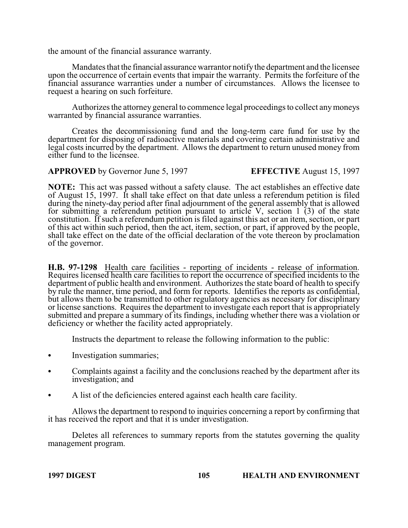the amount of the financial assurance warranty.

Mandates that the financial assurance warrantor notifythe department and the licensee upon the occurrence of certain events that impair the warranty. Permits the forfeiture of the financial assurance warranties under a number of circumstances. Allows the licensee to request a hearing on such forfeiture.

Authorizes the attorney general to commence legal proceedings to collect anymoneys warranted by financial assurance warranties.

Creates the decommissioning fund and the long-term care fund for use by the department for disposing of radioactive materials and covering certain administrative and legal costs incurred by the department. Allows the department to return unused money from either fund to the licensee.

**APPROVED** by Governor June 5, 1997 **EFFECTIVE** August 15, 1997

**NOTE:** This act was passed without a safety clause. The act establishes an effective date of August 15, 1997. It shall take effect on that date unless a referendum petition is filed during the ninety-day period after final adjournment of the general assembly that is allowed for submitting a referendum petition pursuant to article V, section 1 (3) of the state constitution. If such a referendum petition is filed against this act or an item, section, or part of this act within such period, then the act, item, section, or part, if approved by the people, shall take effect on the date of the official declaration of the vote thereon by proclamation of the governor.

**H.B. 97-1298** Health care facilities - reporting of incidents - release of information. Requires licensed health care facilities to report the occurrence of specified incidents to the department of public health and environment. Authorizes the state board of health to specify by rule the manner, time period, and form for reports. Identifies the reports as confidential, but allows them to be transmitted to other regulatory agencies as necessary for disciplinary or license sanctions. Requires the department to investigate each report that is appropriately submitted and prepare a summary of its findings, including whether there was a violation or deficiency or whether the facility acted appropriately.

Instructs the department to release the following information to the public:

- Investigation summaries;
- Complaints against a facility and the conclusions reached by the department after its investigation; and
- A list of the deficiencies entered against each health care facility.

Allows the department to respond to inquiries concerning a report by confirming that it has received the report and that it is under investigation.

Deletes all references to summary reports from the statutes governing the quality management program.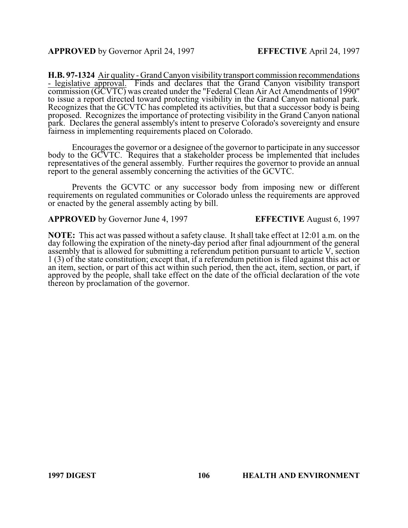**H.B. 97-1324** Air quality - Grand Canyon visibility transport commission recommendations - legislative approval. Finds and declares that the Grand Canyon visibility transport commission (GCVTC) was created under the "Federal Clean Air Act Amendments of 1990" to issue a report directed toward protecting visibility in the Grand Canyon national park. Recognizes that the GCVTC has completed its activities, but that a successor body is being proposed. Recognizes the importance of protecting visibility in the Grand Canyon national park. Declares the general assembly's intent to preserve Colorado's sovereignty and ensure fairness in implementing requirements placed on Colorado.

Encourages the governor or a designee of the governor to participate in any successor body to the GCVTC. Requires that a stakeholder process be implemented that includes representatives of the general assembly. Further requires the governor to provide an annual report to the general assembly concerning the activities of the GCVTC.

Prevents the GCVTC or any successor body from imposing new or different requirements on regulated communities or Colorado unless the requirements are approved or enacted by the general assembly acting by bill.

### **APPROVED** by Governor June 4, 1997 **EFFECTIVE** August 6, 1997

**NOTE:** This act was passed without a safety clause. It shall take effect at 12:01 a.m. on the day following the expiration of the ninety-day period after final adjournment of the general assembly that is allowed for submitting a referendum petition pursuant to article V, section 1 (3) of the state constitution; except that, if a referendum petition is filed against this act or an item, section, or part of this act within such period, then the act, item, section, or part, if approved by the people, shall take effect on the date of the official declaration of the vote thereon by proclamation of the governor.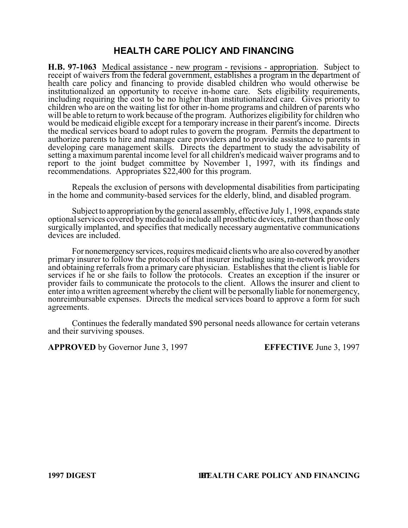# **HEALTH CARE POLICY AND FINANCING**

**H.B. 97-1063** Medical assistance - new program - revisions - appropriation. Subject to receipt of waivers from the federal government, establishes a program in the department of health care policy and financing to provide disabled children who would otherwise be institutionalized an opportunity to receive in-home care. Sets eligibility requirements, including requiring the cost to be no higher than institutionalized care. Gives priority to children who are on the waiting list for other in-home programs and children of parents who will be able to return to work because of the program. Authorizes eligibility for children who would be medicaid eligible except for a temporary increase in their parent's income. Directs the medical services board to adopt rules to govern the program. Permits the department to authorize parents to hire and manage care providers and to provide assistance to parents in developing care management skills. Directs the department to study the advisability of setting a maximum parental income level for all children's medicaid waiver programs and to report to the joint budget committee by November 1, 1997, with its findings and recommendations. Appropriates \$22,400 for this program.

Repeals the exclusion of persons with developmental disabilities from participating in the home and community-based services for the elderly, blind, and disabled program.

Subject to appropriation bythe general assembly, effective July 1, 1998, expands state optional services covered bymedicaid to include all prosthetic devices, rather than those only surgically implanted, and specifies that medically necessary augmentative communications devices are included.

For nonemergency services, requires medicaid clients who are also covered by another primary insurer to follow the protocols of that insurer including using in-network providers and obtaining referrals from a primary care physician. Establishes that the client is liable for services if he or she fails to follow the protocols. Creates an exception if the insurer or provider fails to communicate the protocols to the client. Allows the insurer and client to enter into a written agreement whereby the client will be personally liable for nonemergency, nonreimbursable expenses. Directs the medical services board to approve a form for such agreements.

Continues the federally mandated \$90 personal needs allowance for certain veterans and their surviving spouses.

**APPROVED** by Governor June 3, 1997 **EFFECTIVE** June 3, 1997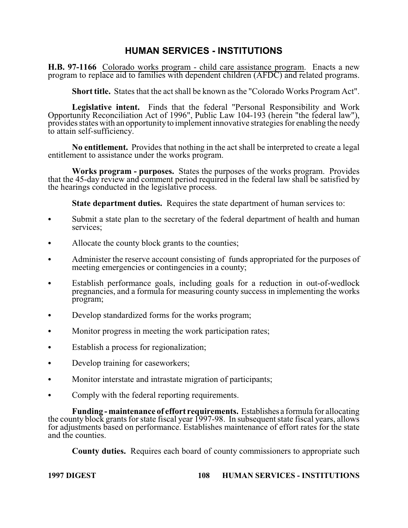# **HUMAN SERVICES - INSTITUTIONS**

**H.B. 97-1166** Colorado works program - child care assistance program. Enacts a new program to replace aid to families with dependent children (AFDC) and related programs.

**Short title.** States that the act shall be known as the "Colorado Works Program Act".

**Legislative intent.** Finds that the federal "Personal Responsibility and Work Opportunity Reconciliation Act of 1996", Public Law 104-193 (herein "the federal law"), provides states with an opportunity to implement innovative strategies for enabling the needy to attain self-sufficiency.

**No entitlement.** Provides that nothing in the act shall be interpreted to create a legal entitlement to assistance under the works program.

**Works program - purposes.** States the purposes of the works program. Provides that the 45-day review and comment period required in the federal law shall be satisfied by the hearings conducted in the legislative process.

**State department duties.** Requires the state department of human services to:

- Submit a state plan to the secretary of the federal department of health and human services;
- Allocate the county block grants to the counties;
- Administer the reserve account consisting of funds appropriated for the purposes of meeting emergencies or contingencies in a county;
- Establish performance goals, including goals for a reduction in out-of-wedlock pregnancies, and a formula for measuring county success in implementing the works program;
- Develop standardized forms for the works program;
- Monitor progress in meeting the work participation rates;
- Establish a process for regionalization;
- Develop training for caseworkers;
- Monitor interstate and intrastate migration of participants;
- Comply with the federal reporting requirements.

**Funding - maintenance of effort requirements.** Establishes a formula for allocating the county block grants for state fiscal year 1997-98. In subsequent state fiscal years, allows for adjustments based on performance. Establishes maintenance of effort rates for the state and the counties.

**County duties.** Requires each board of county commissioners to appropriate such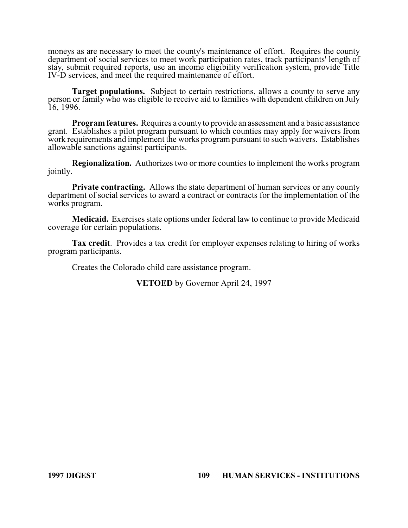moneys as are necessary to meet the county's maintenance of effort. Requires the county department of social services to meet work participation rates, track participants' length of stay, submit required reports, use an income eligibility verification system, provide Title IV-D services, and meet the required maintenance of effort.

**Target populations.** Subject to certain restrictions, allows a county to serve any person or family who was eligible to receive aid to families with dependent children on July 16, 1996.

**Program features.** Requires a countyto provide an assessment and a basic assistance grant. Establishes a pilot program pursuant to which counties may apply for waivers from work requirements and implement the works program pursuant to such waivers. Establishes allowable sanctions against participants.

**Regionalization.** Authorizes two or more counties to implement the works program jointly.

**Private contracting.** Allows the state department of human services or any county department of social services to award a contract or contracts for the implementation of the works program.

**Medicaid.** Exercises state options under federal law to continue to provide Medicaid coverage for certain populations.

**Tax credit**. Provides a tax credit for employer expenses relating to hiring of works program participants.

Creates the Colorado child care assistance program.

**VETOED** by Governor April 24, 1997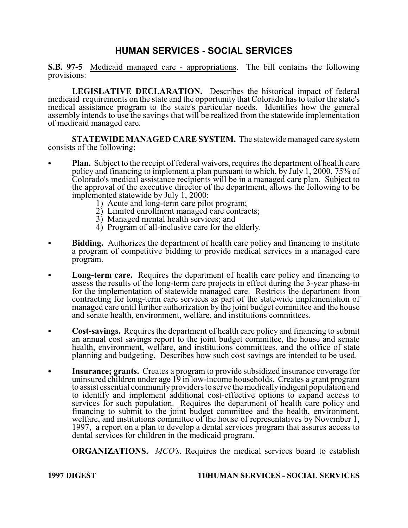# **HUMAN SERVICES - SOCIAL SERVICES**

**S.B. 97-5** Medicaid managed care - appropriations. The bill contains the following provisions:

**LEGISLATIVE DECLARATION.** Describes the historical impact of federal medicaid requirements on the state and the opportunity that Colorado has to tailor the state's medical assistance program to the state's particular needs. Identifies how the general assembly intends to use the savings that will be realized from the statewide implementation of medicaid managed care.

**STATEWIDE MANAGED CARE SYSTEM.** The statewide managed care system consists of the following:

- **Plan.** Subject to the receipt of federal waivers, requires the department of health care policy and financing to implement a plan pursuant to which, by July 1, 2000, 75% of Colorado's medical assistance recipients will be in a managed care plan. Subject to the approval of the executive director of the department, allows the following to be implemented statewide by July 1, 2000:
	- 1) Acute and long-term care pilot program;
	- 2) Limited enrollment managed care contracts;
	- 3) Managed mental health services; and
	- 4) Program of all-inclusive care for the elderly.
- **Bidding.** Authorizes the department of health care policy and financing to institute a program of competitive bidding to provide medical services in a managed care program.
- **Long-term care.** Requires the department of health care policy and financing to assess the results of the long-term care projects in effect during the 3-year phase-in for the implementation of statewide managed care. Restricts the department from contracting for long-term care services as part of the statewide implementation of managed care until further authorization by the joint budget committee and the house and senate health, environment, welfare, and institutions committees.
- **Cost-savings.** Requires the department of health care policy and financing to submit an annual cost savings report to the joint budget committee, the house and senate health, environment, welfare, and institutions committees, and the office of state planning and budgeting. Describes how such cost savings are intended to be used.
- **Insurance; grants.** Creates a program to provide subsidized insurance coverage for uninsured children under age 19 in low-income households. Creates a grant program to assist essential community providers to serve the medically indigent population and to identify and implement additional cost-effective options to expand access to services for such population. Requires the department of health care policy and financing to submit to the joint budget committee and the health, environment, welfare, and institutions committee of the house of representatives by November 1, 1997, a report on a plan to develop a dental services program that assures access to dental services for children in the medicaid program.

**ORGANIZATIONS.** *MCO's.* Requires the medical services board to establish

### **1997 DIGEST 110HUMAN SERVICES - SOCIAL SERVICES**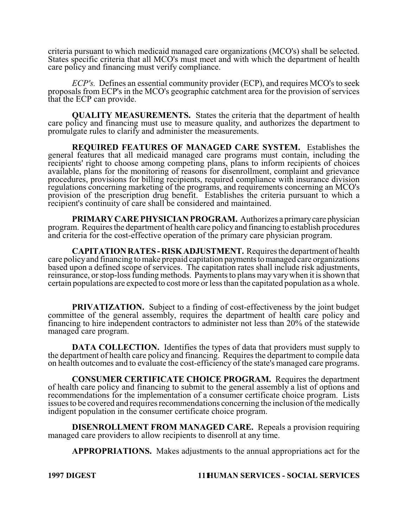criteria pursuant to which medicaid managed care organizations (MCO's) shall be selected. States specific criteria that all MCO's must meet and with which the department of health care policy and financing must verify compliance.

*ECP's.* Defines an essential community provider (ECP), and requires MCO's to seek proposals from ECP's in the MCO's geographic catchment area for the provision of services that the ECP can provide.

**QUALITY MEASUREMENTS.** States the criteria that the department of health care policy and financing must use to measure quality, and authorizes the department to promulgate rules to clarify and administer the measurements.

**REQUIRED FEATURES OF MANAGED CARE SYSTEM.** Establishes the general features that all medicaid managed care programs must contain, including the recipients' right to choose among competing plans, plans to inform recipients of choices available, plans for the monitoring of reasons for disenrollment, complaint and grievance procedures, provisions for billing recipients, required compliance with insurance division regulations concerning marketing of the programs, and requirements concerning an MCO's provision of the prescription drug benefit. Establishes the criteria pursuant to which a recipient's continuity of care shall be considered and maintained.

**PRIMARY CARE PHYSICIAN PROGRAM.** Authorizes a primarycare physician program. Requires the department of health care policyand financing to establish procedures and criteria for the cost-effective operation of the primary care physician program.

**CAPITATIONRATES-RISKADJUSTMENT.** Requires the department of health care policy and financing to make prepaid capitation payments to managed care organizations based upon a defined scope of services. The capitation rates shall include risk adjustments, reinsurance, or stop-loss funding methods. Payments to plans may varywhen it is shown that certain populations are expected to cost more or less than the capitated population as a whole.

**PRIVATIZATION.** Subject to a finding of cost-effectiveness by the joint budget committee of the general assembly, requires the department of health care policy and financing to hire independent contractors to administer not less than 20% of the statewide managed care program.

**DATA COLLECTION.** Identifies the types of data that providers must supply to the department of health care policy and financing. Requires the department to compile data on health outcomes and to evaluate the cost-efficiency of the state's managed care programs.

**CONSUMER CERTIFICATE CHOICE PROGRAM.** Requires the department of health care policy and financing to submit to the general assembly a list of options and recommendations for the implementation of a consumer certificate choice program. Lists issues to be covered and requires recommendations concerning the inclusion of the medically indigent population in the consumer certificate choice program.

**DISENROLLMENT FROM MANAGED CARE.** Repeals a provision requiring managed care providers to allow recipients to disenroll at any time.

**APPROPRIATIONS.** Makes adjustments to the annual appropriations act for the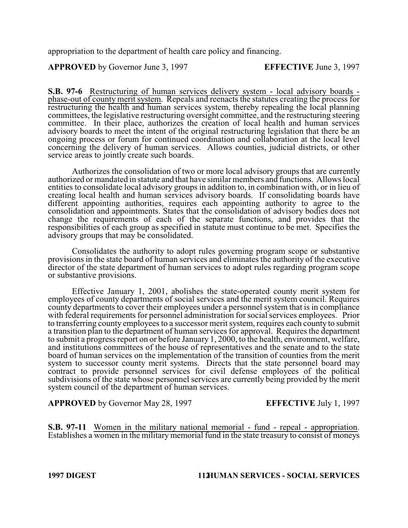appropriation to the department of health care policy and financing.

**APPROVED** by Governor June 3, 1997 **EFFECTIVE** June 3, 1997

**S.B. 97-6** Restructuring of human services delivery system - local advisory boards phase-out of county merit system. Repeals and reenacts the statutes creating the process for restructuring the health and human services system, thereby repealing the local planning committees, the legislative restructuring oversight committee, and the restructuring steering committee. In their place, authorizes the creation of local health and human services advisory boards to meet the intent of the original restructuring legislation that there be an ongoing process or forum for continued coordination and collaboration at the local level concerning the delivery of human services. Allows counties, judicial districts, or other service areas to jointly create such boards.

Authorizes the consolidation of two or more local advisory groups that are currently authorized or mandated in statute and that have similar members and functions. Allows local entities to consolidate local advisory groups in addition to, in combination with, or in lieu of creating local health and human services advisory boards. If consolidating boards have different appointing authorities, requires each appointing authority to agree to the consolidation and appointments. States that the consolidation of advisory bodies does not change the requirements of each of the separate functions, and provides that the responsibilities of each group as specified in statute must continue to be met. Specifies the advisory groups that may be consolidated.

Consolidates the authority to adopt rules governing program scope or substantive provisions in the state board of human services and eliminates the authority of the executive director of the state department of human services to adopt rules regarding program scope or substantive provisions.

Effective January 1, 2001, abolishes the state-operated county merit system for employees of county departments of social services and the merit system council. Requires county departments to cover their employees under a personnel system that is in compliance with federal requirements for personnel administration for social services employees. Prior to transferring county employees to a successor merit system, requires each county to submit a transition plan to the department of human services for approval. Requires the department to submit a progress report on or before January 1, 2000, to the health, environment, welfare, and institutions committees of the house of representatives and the senate and to the state board of human services on the implementation of the transition of counties from the merit system to successor county merit systems. Directs that the state personnel board may contract to provide personnel services for civil defense employees of the political subdivisions of the state whose personnel services are currently being provided by the merit system council of the department of human services.

**APPROVED** by Governor May 28, 1997 **EFFECTIVE** July 1, 1997

**S.B. 97-11** Women in the military national memorial - fund - repeal - appropriation. Establishes a women in the military memorial fund in the state treasury to consist of moneys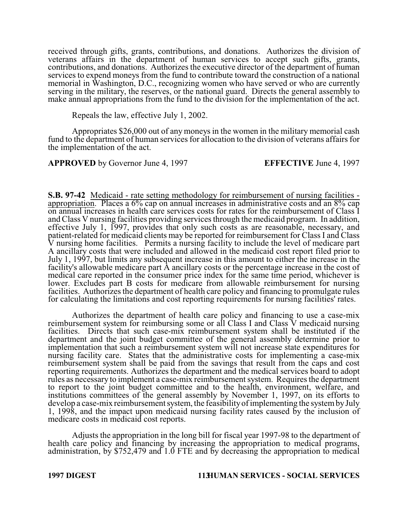received through gifts, grants, contributions, and donations. Authorizes the division of veterans affairs in the department of human services to accept such gifts, grants, contributions, and donations. Authorizes the executive director of the department of human services to expend moneys from the fund to contribute toward the construction of a national memorial in Washington, D.C., recognizing women who have served or who are currently serving in the military, the reserves, or the national guard. Directs the general assembly to make annual appropriations from the fund to the division for the implementation of the act.

Repeals the law, effective July 1, 2002.

Appropriates \$26,000 out of any moneys in the women in the military memorial cash fund to the department of human services for allocation to the division of veterans affairs for the implementation of the act.

**APPROVED** by Governor June 4, 1997 **EFFECTIVE** June 4, 1997

**S.B. 97-42** Medicaid - rate setting methodology for reimbursement of nursing facilities appropriation. Places a 6% cap on annual increases in administrative costs and an 8% cap on annual increases in health care services costs for rates for the reimbursement of Class I and Class V nursing facilities providing services through the medicaid program. In addition, effective July 1, 1997, provides that only such costs as are reasonable, necessary, and patient-related for medicaid clients may be reported for reimbursement for Class I and Class V nursing home facilities. Permits a nursing facility to include the level of medicare part A ancillary costs that were included and allowed in the medicaid cost report filed prior to July 1, 1997, but limits any subsequent increase in this amount to either the increase in the facility's allowable medicare part A ancillary costs or the percentage increase in the cost of medical care reported in the consumer price index for the same time period, whichever is lower. Excludes part B costs for medicare from allowable reimbursement for nursing facilities. Authorizes the department of health care policy and financing to promulgate rules for calculating the limitations and cost reporting requirements for nursing facilities' rates.

Authorizes the department of health care policy and financing to use a case-mix reimbursement system for reimbursing some or all Class I and Class V medicaid nursing facilities. Directs that such case-mix reimbursement system shall be instituted if the department and the joint budget committee of the general assembly determine prior to implementation that such a reimbursement system will not increase state expenditures for nursing facility care. States that the administrative costs for implementing a case-mix reimbursement system shall be paid from the savings that result from the caps and cost reporting requirements. Authorizes the department and the medical services board to adopt rules as necessary to implement a case-mix reimbursement system. Requires the department to report to the joint budget committee and to the health, environment, welfare, and institutions committees of the general assembly by November 1, 1997, on its efforts to develop a case-mix reimbursement system, the feasibility of implementing the system by July 1, 1998, and the impact upon medicaid nursing facility rates caused by the inclusion of medicare costs in medicaid cost reports.

Adjusts the appropriation in the long bill for fiscal year 1997-98 to the department of health care policy and financing by increasing the appropriation to medical programs, administration, by \$752,479 and 1.0 FTE and by decreasing the appropriation to medical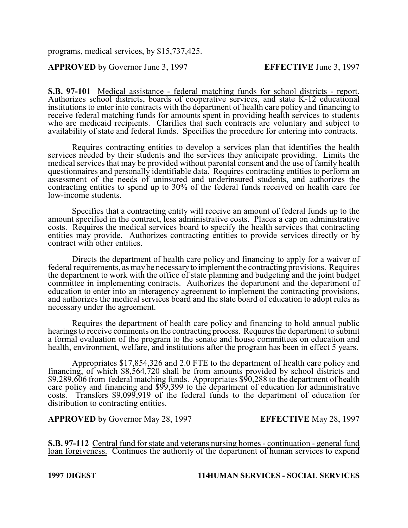programs, medical services, by \$15,737,425.

**APPROVED** by Governor June 3, 1997 **EFFECTIVE** June 3, 1997

**S.B. 97-101** Medical assistance - federal matching funds for school districts - report. Authorizes school districts, boards of cooperative services, and state K-12 educational institutions to enter into contracts with the department of health care policy and financing to receive federal matching funds for amounts spent in providing health services to students who are medicaid recipients. Clarifies that such contracts are voluntary and subject to availability of state and federal funds. Specifies the procedure for entering into contracts.

Requires contracting entities to develop a services plan that identifies the health services needed by their students and the services they anticipate providing. Limits the medical services that may be provided without parental consent and the use of family health questionnaires and personally identifiable data. Requires contracting entities to perform an assessment of the needs of uninsured and underinsured students, and authorizes the contracting entities to spend up to 30% of the federal funds received on health care for low-income students.

Specifies that a contracting entity will receive an amount of federal funds up to the amount specified in the contract, less administrative costs. Places a cap on administrative costs. Requires the medical services board to specify the health services that contracting entities may provide. Authorizes contracting entities to provide services directly or by contract with other entities.

Directs the department of health care policy and financing to apply for a waiver of federal requirements, as maybe necessaryto implement the contracting provisions. Requires the department to work with the office of state planning and budgeting and the joint budget committee in implementing contracts. Authorizes the department and the department of education to enter into an interagency agreement to implement the contracting provisions, and authorizes the medical services board and the state board of education to adopt rules as necessary under the agreement.

Requires the department of health care policy and financing to hold annual public hearings to receive comments on the contracting process. Requires the department to submit a formal evaluation of the program to the senate and house committees on education and health, environment, welfare, and institutions after the program has been in effect 5 years.

Appropriates \$17,854,326 and 2.0 FTE to the department of health care policy and financing, of which \$8,564,720 shall be from amounts provided by school districts and \$9,289,606 from federal matching funds. Appropriates \$90,288 to the department of health care policy and financing and \$99,399 to the department of education for administrative costs. Transfers \$9,099,919 of the federal funds to the department of education for distribution to contracting entities.

**APPROVED** by Governor May 28, 1997 **EFFECTIVE** May 28, 1997

**S.B. 97-112** Central fund for state and veterans nursing homes - continuation - general fund loan forgiveness. Continues the authority of the department of human services to expend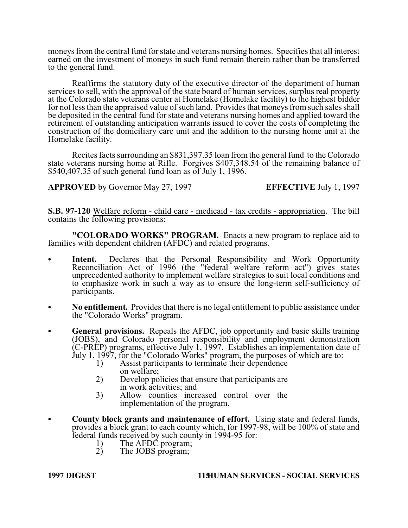moneys from the central fund for state and veterans nursing homes. Specifies that all interest earned on the investment of moneys in such fund remain therein rather than be transferred to the general fund.

Reaffirms the statutory duty of the executive director of the department of human services to sell, with the approval of the state board of human services, surplus real property at the Colorado state veterans center at Homelake (Homelake facility) to the highest bidder for not less than the appraised value of such land. Provides that moneys from such sales shall be deposited in the central fund for state and veterans nursing homes and applied toward the retirement of outstanding anticipation warrants issued to cover the costs of completing the construction of the domiciliary care unit and the addition to the nursing home unit at the Homelake facility.

Recites facts surrounding an \$831,397.35 loan from the general fund to the Colorado state veterans nursing home at Rifle. Forgives \$407,348.54 of the remaining balance of \$540,407.35 of such general fund loan as of July 1, 1996.

### **APPROVED** by Governor May 27, 1997 **EFFECTIVE** July 1, 1997

**S.B. 97-120** Welfare reform - child care - medicaid - tax credits - appropriation. The bill contains the following provisions:

**"COLORADO WORKS" PROGRAM.** Enacts a new program to replace aid to families with dependent children (AFDC) and related programs.

- **Intent.** Declares that the Personal Responsibility and Work Opportunity Reconciliation Act of 1996 (the "federal welfare reform act") gives states unprecedented authority to implement welfare strategies to suit local conditions and to emphasize work in such a way as to ensure the long-term self-sufficiency of participants.
- No entitlement. Provides that there is no legal entitlement to public assistance under the "Colorado Works" program.
- General provisions. Repeals the AFDC, job opportunity and basic skills training (JOBS), and Colorado personal responsibility and employment demonstration  $(C-PRÉP)$  programs, effective July 1, 1997. Establishes an implementation date of July 1, 1997, for the "Colorado Works" program, the purposes of which are to:<br>1) Assist participants to terminate their dependence
	- Assist participants to terminate their dependence on welfare;
	- 2) Develop policies that ensure that participants are in work activities; and
	- 3) Allow counties increased control over the implementation of the program.
- **County block grants and maintenance of effort.** Using state and federal funds, provides a block grant to each county which, for 1997-98, will be 100% of state and federal funds received by such county in 1994-95 for:
	- 1) The AFDC program;<br>2) The JOBS program;
	- The JOBS program;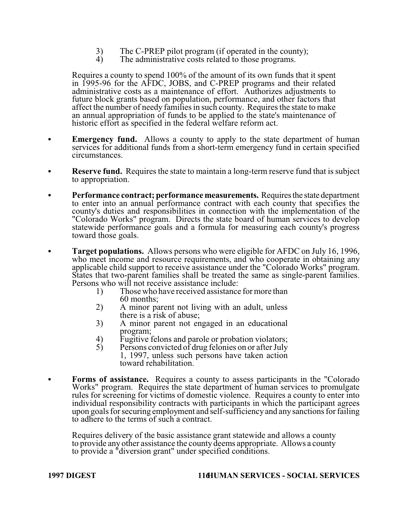- 3) The C-PREP pilot program (if operated in the county);<br>4) The administrative costs related to those programs.
- The administrative costs related to those programs.

Requires a county to spend 100% of the amount of its own funds that it spent in 1995-96 for the AFDC, JOBS, and C-PREP programs and their related administrative costs as a maintenance of effort. Authorizes adjustments to future block grants based on population, performance, and other factors that affect the number of needy families in such county. Requires the state to make an annual appropriation of funds to be applied to the state's maintenance of historic effort as specified in the federal welfare reform act.

- **Emergency fund.** Allows a county to apply to the state department of human services for additional funds from a short-term emergency fund in certain specified circumstances.
- **Reserve fund.** Requires the state to maintain a long-term reserve fund that is subject to appropriation.
- Performance contract; performance measurements. Requires the state department to enter into an annual performance contract with each county that specifies the county's duties and responsibilities in connection with the implementation of the "Colorado Works" program. Directs the state board of human services to develop statewide performance goals and a formula for measuring each county's progress toward those goals.
- **Target populations.** Allows persons who were eligible for AFDC on July 16, 1996, who meet income and resource requirements, and who cooperate in obtaining any applicable child support to receive assistance under the "Colorado Works" program. States that two-parent families shall be treated the same as single-parent families. Persons who will not receive assistance include:
	- 1) Those who have received assistance for more than 60 months;
	- 2) A minor parent not living with an adult, unless there is a risk of abuse;
	- 3) A minor parent not engaged in an educational program;
	- 4) Fugitive felons and parole or probation violators;<br>5) Persons convicted of drug felonies on or after July
	- 5) Persons convicted of drug felonies on or after July
		- 1, 1997, unless such persons have taken action toward rehabilitation.
- **Forms of assistance.** Requires a county to assess participants in the "Colorado Works" program. Requires the state department of human services to promulgate rules for screening for victims of domestic violence. Requires a county to enter into individual responsibility contracts with participants in which the participant agrees upon goals for securing employment and self-sufficiencyand anysanctions for failing to adhere to the terms of such a contract.

Requires delivery of the basic assistance grant statewide and allows a county to provide any other assistance the county deems appropriate. Allows a county to provide a "diversion grant" under specified conditions.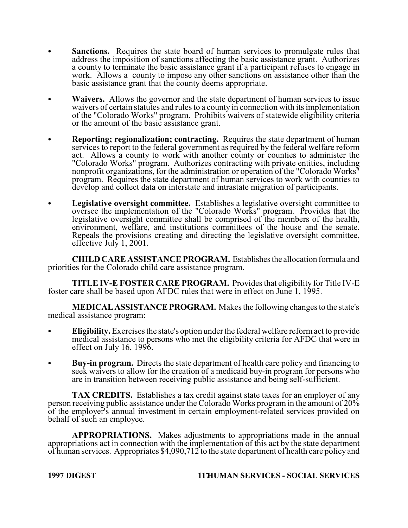- **Sanctions.** Requires the state board of human services to promulgate rules that address the imposition of sanctions affecting the basic assistance grant. Authorizes a county to terminate the basic assistance grant if a participant refuses to engage in work. Allows a county to impose any other sanctions on assistance other than the basic assistance grant that the county deems appropriate.
- **Waivers.** Allows the governor and the state department of human services to issue waivers of certain statutes and rules to a county in connection with its implementation of the "Colorado Works" program. Prohibits waivers of statewide eligibility criteria or the amount of the basic assistance grant.
- **Reporting; regionalization; contracting.** Requires the state department of human services to report to the federal government as required by the federal welfare reform act. Allows a county to work with another county or counties to administer the "Colorado Works" program. Authorizes contracting with private entities, including nonprofit organizations, for the administration or operation of the "Colorado Works" program. Requires the state department of human services to work with counties to develop and collect data on interstate and intrastate migration of participants.
- Legislative oversight committee. Establishes a legislative oversight committee to oversee the implementation of the "Colorado Works" program. Provides that the legislative oversight committee shall be comprised of the members of the health, environment, welfare, and institutions committees of the house and the senate. Repeals the provisions creating and directing the legislative oversight committee, effective July 1, 2001.

**CHILD CARE ASSISTANCE PROGRAM.** Establishesthe allocation formula and priorities for the Colorado child care assistance program.

**TITLE IV-E FOSTER CARE PROGRAM.** Provides that eligibility for Title IV-E foster care shall be based upon AFDC rules that were in effect on June 1, 1995.

**MEDICAL ASSISTANCE PROGRAM.** Makes the following changes to the state's medical assistance program:

- C **Eligibility.**Exercises the state's option under the federal welfare reformact to provide medical assistance to persons who met the eligibility criteria for AFDC that were in effect on July 16, 1996.
- **Buy-in program.** Directs the state department of health care policy and financing to seek waivers to allow for the creation of a medicaid buy-in program for persons who are in transition between receiving public assistance and being self-sufficient.

**TAX CREDITS.** Establishes a tax credit against state taxes for an employer of any person receiving public assistance under the Colorado Works program in the amount of 20% of the employer's annual investment in certain employment-related services provided on behalf of such an employee.

**APPROPRIATIONS.** Makes adjustments to appropriations made in the annual appropriations act in connection with the implementation of this act by the state department of human services. Appropriates \$4,090,712 to the state department of health care policy and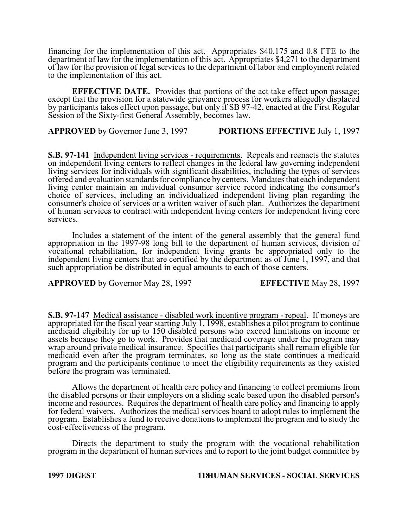financing for the implementation of this act. Appropriates \$40,175 and 0.8 FTE to the department of law for the implementation of this act. Appropriates \$4,271 to the department of law for the provision of legal services to the department of labor and employment related to the implementation of this act.

**EFFECTIVE DATE.** Provides that portions of the act take effect upon passage; except that the provision for a statewide grievance process for workers allegedly displaced by participants takes effect upon passage, but only if SB 97-42, enacted at the First Regular Session of the Sixty-first General Assembly, becomes law.

**APPROVED** by Governor June 3, 1997 **PORTIONS EFFECTIVE** July 1, 1997

**S.B. 97-141** Independent living services - requirements. Repeals and reenacts the statutes on independent living centers to reflect changes in the federal law governing independent living services for individuals with significant disabilities, including the types of services offered and evaluation standards for compliance by centers. Mandates that each independent living center maintain an individual consumer service record indicating the consumer's choice of services, including an individualized independent living plan regarding the consumer's choice of services or a written waiver of such plan. Authorizes the department of human services to contract with independent living centers for independent living core services.

Includes a statement of the intent of the general assembly that the general fund appropriation in the 1997-98 long bill to the department of human services, division of vocational rehabilitation, for independent living grants be appropriated only to the independent living centers that are certified by the department as of June 1, 1997, and that such appropriation be distributed in equal amounts to each of those centers.

**APPROVED** by Governor May 28, 1997 **EFFECTIVE** May 28, 1997

**S.B. 97-147** Medical assistance - disabled work incentive program - repeal. If moneys are appropriated for the fiscal year starting July 1, 1998, establishes a pilot program to continue medicaid eligibility for up to 150 disabled persons who exceed limitations on income or assets because they go to work. Provides that medicaid coverage under the program may wrap around private medical insurance. Specifies that participants shall remain eligible for medicaid even after the program terminates, so long as the state continues a medicaid program and the participants continue to meet the eligibility requirements as they existed before the program was terminated.

Allows the department of health care policy and financing to collect premiums from the disabled persons or their employers on a sliding scale based upon the disabled person's income and resources. Requires the department of health care policy and financing to apply for federal waivers. Authorizes the medical services board to adopt rules to implement the program. Establishes a fund to receive donations to implement the program and to study the cost-effectiveness of the program.

Directs the department to study the program with the vocational rehabilitation program in the department of human services and to report to the joint budget committee by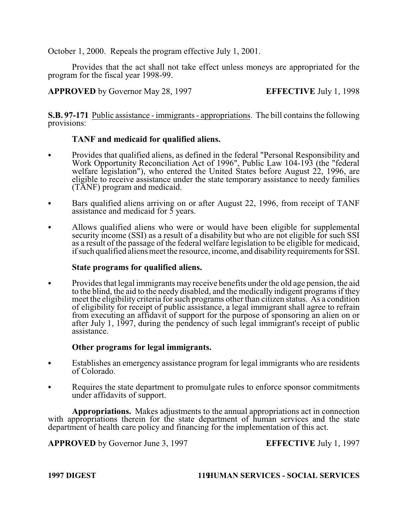October 1, 2000. Repeals the program effective July 1, 2001.

Provides that the act shall not take effect unless moneys are appropriated for the program for the fiscal year 1998-99.

## **APPROVED** by Governor May 28, 1997 **EFFECTIVE** July 1, 1998

### **S.B. 97-171** Public assistance - immigrants - appropriations. The bill contains the following provisions:

# **TANF and medicaid for qualified aliens.**

- Provides that qualified aliens, as defined in the federal "Personal Responsibility and Work Opportunity Reconciliation Act of 1996", Public Law 104-193 (the "federal welfare legislation"), who entered the United States before August 22, 1996, are eligible to receive assistance under the state temporary assistance to needy families (TANF) program and medicaid.
- Bars qualified aliens arriving on or after August 22, 1996, from receipt of TANF assistance and medicaid for 5 years.
- Allows qualified aliens who were or would have been eligible for supplemental security income (SSI) as a result of a disability but who are not eligible for such SSI as a result of the passage of the federal welfare legislation to be eligible for medicaid, ifsuch qualified aliens meet the resource, income, and disabilityrequirements for SSI.

## **State programs for qualified aliens.**

Provides that legal immigrants may receive benefits under the old age pension, the aid to the blind, the aid to the needy disabled, and the medically indigent programs if they meet the eligibility criteria for such programs other than citizen status. As a condition of eligibility for receipt of public assistance, a legal immigrant shall agree to refrain from executing an affidavit of support for the purpose of sponsoring an alien on or after July 1, 1997, during the pendency of such legal immigrant's receipt of public assistance.

## **Other programs for legal immigrants.**

- Establishes an emergency assistance program for legal immigrants who are residents of Colorado.
- Requires the state department to promulgate rules to enforce sponsor commitments under affidavits of support.

**Appropriations.** Makes adjustments to the annual appropriations act in connection with appropriations therein for the state department of human services and the state department of health care policy and financing for the implementation of this act.

**APPROVED** by Governor June 3, 1997 **EFFECTIVE** July 1, 1997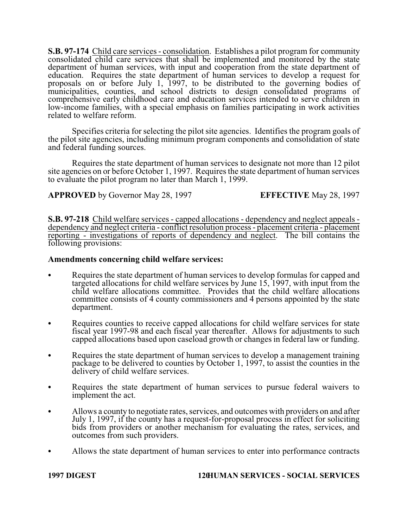**S.B. 97-174** Child care services - consolidation. Establishes a pilot program for community consolidated child care services that shall be implemented and monitored by the state department of human services, with input and cooperation from the state department of education. Requires the state department of human services to develop a request for proposals on or before July 1, 1997, to be distributed to the governing bodies of municipalities, counties, and school districts to design consolidated programs of comprehensive early childhood care and education services intended to serve children in low-income families, with a special emphasis on families participating in work activities related to welfare reform.

Specifies criteria for selecting the pilot site agencies. Identifies the program goals of the pilot site agencies, including minimum program components and consolidation of state and federal funding sources.

Requires the state department of human services to designate not more than 12 pilot site agencies on or before October 1, 1997. Requires the state department of human services to evaluate the pilot program no later than March 1, 1999.

**APPROVED** by Governor May 28, 1997 **EFFECTIVE** May 28, 1997

**S.B. 97-218** Child welfare services - capped allocations - dependency and neglect appeals dependency and neglect criteria - conflict resolution process - placement criteria - placement reporting - investigations of reports of dependency and neglect. The bill contains the following provisions:

### **Amendments concerning child welfare services:**

- Requires the state department of human services to develop formulas for capped and targeted allocations for child welfare services by June 15, 1997, with input from the child welfare allocations committee. Provides that the child welfare allocations committee consists of 4 county commissioners and 4 persons appointed by the state department.
- Requires counties to receive capped allocations for child welfare services for state fiscal year 1997-98 and each fiscal year thereafter. Allows for adjustments to such capped allocations based upon caseload growth or changes in federal law or funding.
- Requires the state department of human services to develop a management training package to be delivered to counties by October 1, 1997, to assist the counties in the delivery of child welfare services.
- Requires the state department of human services to pursue federal waivers to implement the act.
- Allows a county to negotiate rates, services, and outcomes with providers on and after July 1, 1997, if the county has a request-for-proposal process in effect for soliciting bids from providers or another mechanism for evaluating the rates, services, and outcomes from such providers.
- C Allows the state department of human services to enter into performance contracts

**1997 DIGEST 120HUMAN SERVICES - SOCIAL SERVICES**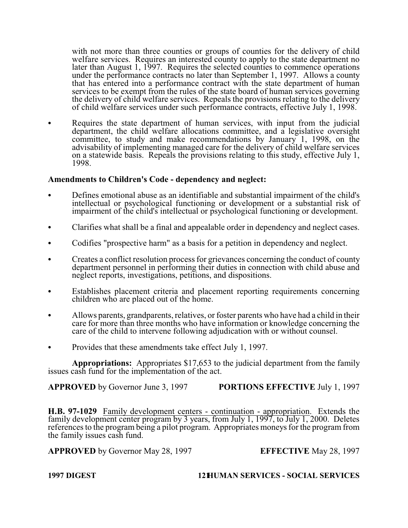with not more than three counties or groups of counties for the delivery of child welfare services. Requires an interested county to apply to the state department no later than August 1, 1997. Requires the selected counties to commence operations under the performance contracts no later than September 1, 1997. Allows a county that has entered into a performance contract with the state department of human services to be exempt from the rules of the state board of human services governing the delivery of child welfare services. Repeals the provisions relating to the delivery of child welfare services under such performance contracts, effective July 1, 1998.

Requires the state department of human services, with input from the judicial department, the child welfare allocations committee, and a legislative oversight committee, to study and make recommendations by January 1, 1998, on the advisability of implementing managed care for the delivery of child welfare services on a statewide basis. Repeals the provisions relating to this study, effective July 1, 1998.

### **Amendments to Children's Code - dependency and neglect:**

- Defines emotional abuse as an identifiable and substantial impairment of the child's intellectual or psychological functioning or development or a substantial risk of impairment of the child's intellectual or psychological functioning or development.
- Clarifies what shall be a final and appealable order in dependency and neglect cases.
- Codifies "prospective harm" as a basis for a petition in dependency and neglect.
- Creates a conflict resolution process for grievances concerning the conduct of county department personnel in performing their duties in connection with child abuse and neglect reports, investigations, petitions, and dispositions.
- C Establishes placement criteria and placement reporting requirements concerning children who are placed out of the home.
- Allows parents, grandparents, relatives, or foster parents who have had a child in their care for more than three months who have information or knowledge concerning the care of the child to intervene following adjudication with or without counsel.
- Provides that these amendments take effect July 1, 1997.

**Appropriations:** Appropriates \$17,653 to the judicial department from the family issues cash fund for the implementation of the act.

**APPROVED** by Governor June 3, 1997 **PORTIONS EFFECTIVE** July 1, 1997

**H.B. 97-1029** Family development centers - continuation - appropriation. Extends the family development center program by 3 years, from July 1, 1997, to July 1, 2000. Deletes references to the program being a pilot program. Appropriates moneys for the program from the family issues cash fund.

**APPROVED** by Governor May 28, 1997 **EFFECTIVE** May 28, 1997

### **1997 DIGEST 121HUMAN SERVICES - SOCIAL SERVICES**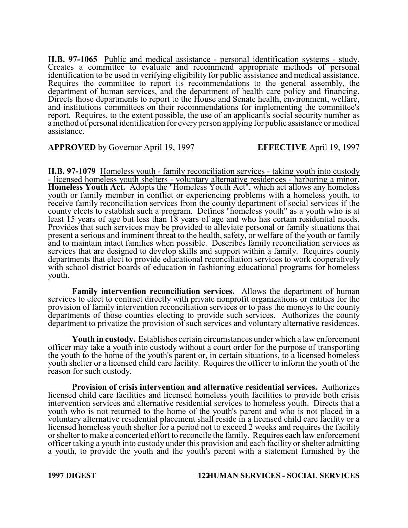**H.B. 97-1065** Public and medical assistance - personal identification systems - study. Creates a committee to evaluate and recommend appropriate methods of personal identification to be used in verifying eligibility for public assistance and medical assistance. Requires the committee to report its recommendations to the general assembly, the department of human services, and the department of health care policy and financing. Directs those departments to report to the House and Senate health, environment, welfare, and institutions committees on their recommendations for implementing the committee's report. Requires, to the extent possible, the use of an applicant's social security number as a method of personal identification for everyperson applying for public assistance or medical assistance.

**APPROVED** by Governor April 19, 1997 **EFFECTIVE** April 19, 1997

**H.B. 97-1079** Homeless youth - family reconciliation services - taking youth into custody - licensed homeless youth shelters - voluntary alternative residences - harboring a minor. **Homeless Youth Act.** Adopts the "Homeless Youth Act", which act allows any homeless youth or family member in conflict or experiencing problems with a homeless youth, to receive family reconciliation services from the county department of social services if the county elects to establish such a program. Defines "homeless youth" as a youth who is at least 15 years of age but less than 18 years of age and who has certain residential needs. Provides that such services may be provided to alleviate personal or family situations that present a serious and imminent threat to the health, safety, or welfare of the youth or family and to maintain intact families when possible. Describes family reconciliation services as services that are designed to develop skills and support within a family. Requires county departments that elect to provide educational reconciliation services to work cooperatively with school district boards of education in fashioning educational programs for homeless youth.

**Family intervention reconciliation services.** Allows the department of human services to elect to contract directly with private nonprofit organizations or entities for the provision of family intervention reconciliation services or to pass the moneys to the county departments of those counties electing to provide such services. Authorizes the county department to privatize the provision of such services and voluntary alternative residences.

**Youth in custody.** Establishes certain circumstances under which a law enforcement officer may take a youth into custody without a court order for the purpose of transporting the youth to the home of the youth's parent or, in certain situations, to a licensed homeless youth shelter or a licensed child care facility. Requires the officer to inform the youth of the reason for such custody.

**Provision of crisis intervention and alternative residential services.** Authorizes licensed child care facilities and licensed homeless youth facilities to provide both crisis intervention services and alternative residential services to homeless youth. Directs that a youth who is not returned to the home of the youth's parent and who is not placed in a voluntary alternative residential placement shall reside in a licensed child care facility or a licensed homeless youth shelter for a period not to exceed 2 weeks and requires the facility or shelter to make a concerted effort to reconcile the family. Requires each law enforcement officer taking a youth into custody under this provision and each facility or shelter admitting a youth, to provide the youth and the youth's parent with a statement furnished by the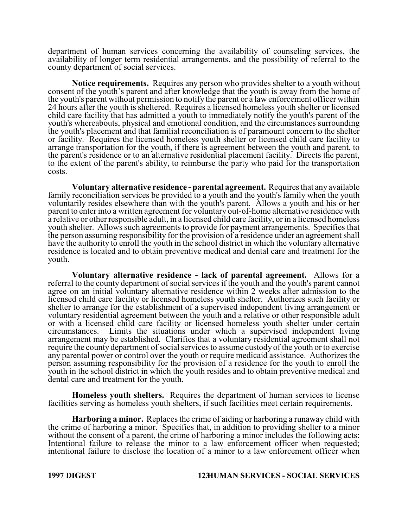department of human services concerning the availability of counseling services, the availability of longer term residential arrangements, and the possibility of referral to the county department of social services.

**Notice requirements.** Requires any person who provides shelter to a youth without consent of the youth's parent and after knowledge that the youth is away from the home of the youth's parent without permission to notify the parent or a law enforcement officer within 24 hours after the youth is sheltered. Requires a licensed homeless youth shelter or licensed child care facility that has admitted a youth to immediately notify the youth's parent of the youth's whereabouts, physical and emotional condition, and the circumstances surrounding the youth's placement and that familial reconciliation is of paramount concern to the shelter or facility. Requires the licensed homeless youth shelter or licensed child care facility to arrange transportation for the youth, if there is agreement between the youth and parent, to the parent's residence or to an alternative residential placement facility. Directs the parent, to the extent of the parent's ability, to reimburse the party who paid for the transportation costs.

**Voluntary alternative residence - parental agreement.** Requires that any available family reconciliation services be provided to a youth and the youth's family when the youth voluntarily resides elsewhere than with the youth's parent. Allows a youth and his or her parent to enter into a written agreement for voluntary out-of-home alternative residence with a relative or other responsible adult, in a licensed child care facility, or in a licensed homeless youth shelter. Allows such agreements to provide for payment arrangements. Specifies that the person assuming responsibility for the provision of a residence under an agreement shall have the authority to enroll the youth in the school district in which the voluntary alternative residence is located and to obtain preventive medical and dental care and treatment for the youth.

**Voluntary alternative residence - lack of parental agreement.** Allows for a referral to the county department of social services if the youth and the youth's parent cannot agree on an initial voluntary alternative residence within 2 weeks after admission to the licensed child care facility or licensed homeless youth shelter. Authorizes such facility or shelter to arrange for the establishment of a supervised independent living arrangement or voluntary residential agreement between the youth and a relative or other responsible adult or with a licensed child care facility or licensed homeless youth shelter under certain circumstances. Limits the situations under which a supervised independent living Limits the situations under which a supervised independent living arrangement may be established. Clarifies that a voluntary residential agreement shall not require the county department of social services to assume custody of the youth or to exercise any parental power or control over the youth or require medicaid assistance. Authorizes the person assuming responsibility for the provision of a residence for the youth to enroll the youth in the school district in which the youth resides and to obtain preventive medical and dental care and treatment for the youth.

**Homeless youth shelters.** Requires the department of human services to license facilities serving as homeless youth shelters, if such facilities meet certain requirements.

**Harboring a minor.** Replaces the crime of aiding or harboring a runaway child with the crime of harboring a minor. Specifies that, in addition to providing shelter to a minor without the consent of a parent, the crime of harboring a minor includes the following acts: Intentional failure to release the minor to a law enforcement officer when requested; intentional failure to disclose the location of a minor to a law enforcement officer when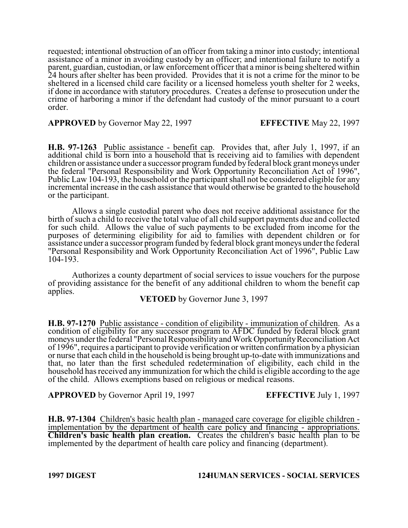requested; intentional obstruction of an officer from taking a minor into custody; intentional assistance of a minor in avoiding custody by an officer; and intentional failure to notify a parent, guardian, custodian, or law enforcement officer that a minor is being sheltered within 24 hours after shelter has been provided. Provides that it is not a crime for the minor to be sheltered in a licensed child care facility or a licensed homeless youth shelter for 2 weeks, if done in accordance with statutory procedures. Creates a defense to prosecution under the crime of harboring a minor if the defendant had custody of the minor pursuant to a court order.

### **APPROVED** by Governor May 22, 1997 **EFFECTIVE** May 22, 1997

**H.B. 97-1263** Public assistance - benefit cap. Provides that, after July 1, 1997, if an additional child is born into a household that is receiving aid to families with dependent children or assistance under a successor programfunded byfederal block grant moneys under the federal "Personal Responsibility and Work Opportunity Reconciliation Act of 1996", Public Law 104-193, the household or the participant shall not be considered eligible for any incremental increase in the cash assistance that would otherwise be granted to the household or the participant.

Allows a single custodial parent who does not receive additional assistance for the birth of such a child to receive the total value of all child support payments due and collected for such child. Allows the value of such payments to be excluded from income for the purposes of determining eligibility for aid to families with dependent children or for assistance under a successor program funded by federal block grant moneys under the federal "Personal Responsibility and Work Opportunity Reconciliation Act of 1996", Public Law 104-193.

Authorizes a county department of social services to issue vouchers for the purpose of providing assistance for the benefit of any additional children to whom the benefit cap applies.

**VETOED** by Governor June 3, 1997

H.B. 97-1270 Public assistance - condition of eligibility - immunization of children. As a condition of eligibility for any successor program to AFDC funded by federal block grant moneys under the federal "Personal Responsibility and Work Opportunity Reconciliation Act of 1996", requires a participant to provide verification or written confirmation by a physician or nurse that each child in the household is being brought up-to-date with immunizations and that, no later than the first scheduled redetermination of eligibility, each child in the household has received any immunization for which the child is eligible according to the age of the child. Allows exemptions based on religious or medical reasons.

**APPROVED** by Governor April 19, 1997 **EFFECTIVE** July 1, 1997

**H.B. 97-1304** Children's basic health plan - managed care coverage for eligible children implementation by the department of health care policy and financing - appropriations. **Children's basic health plan creation.** Creates the children's basic health plan to be implemented by the department of health care policy and financing (department).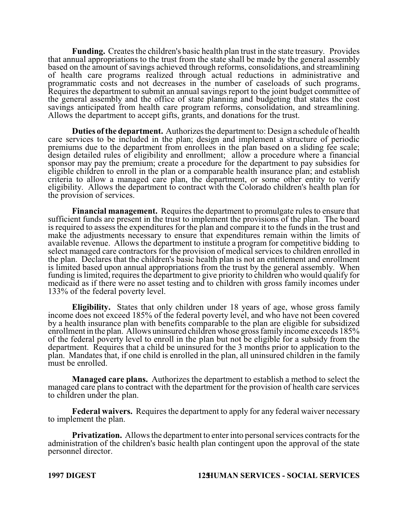**Funding.** Creates the children's basic health plan trust in the state treasury. Provides that annual appropriations to the trust from the state shall be made by the general assembly based on the amount of savings achieved through reforms, consolidations, and streamlining of health care programs realized through actual reductions in administrative and programmatic costs and not decreases in the number of caseloads of such programs. Requires the department to submit an annual savings report to the joint budget committee of the general assembly and the office of state planning and budgeting that states the cost savings anticipated from health care program reforms, consolidation, and streamlining. Allows the department to accept gifts, grants, and donations for the trust.

**Duties of the department.** Authorizes the department to: Design a schedule of health care services to be included in the plan; design and implement a structure of periodic premiums due to the department from enrollees in the plan based on a sliding fee scale; design detailed rules of eligibility and enrollment; allow a procedure where a financial sponsor may pay the premium; create a procedure for the department to pay subsidies for eligible children to enroll in the plan or a comparable health insurance plan; and establish criteria to allow a managed care plan, the department, or some other entity to verify eligibility. Allows the department to contract with the Colorado children's health plan for the provision of services.

**Financial management.** Requires the department to promulgate rules to ensure that sufficient funds are present in the trust to implement the provisions of the plan. The board is required to assess the expenditures for the plan and compare it to the funds in the trust and make the adjustments necessary to ensure that expenditures remain within the limits of available revenue. Allows the department to institute a program for competitive bidding to select managed care contractors for the provision of medical services to children enrolled in the plan. Declares that the children's basic health plan is not an entitlement and enrollment is limited based upon annual appropriations from the trust by the general assembly. When funding is limited, requires the department to give priority to children who would qualify for medicaid as if there were no asset testing and to children with gross family incomes under 133% of the federal poverty level.

**Eligibility.** States that only children under 18 years of age, whose gross family income does not exceed 185% of the federal poverty level, and who have not been covered by a health insurance plan with benefits comparable to the plan are eligible for subsidized enrollment in the plan. Allows uninsured children whose gross family income exceeds 185% of the federal poverty level to enroll in the plan but not be eligible for a subsidy from the department. Requires that a child be uninsured for the 3 months prior to application to the plan. Mandates that, if one child is enrolled in the plan, all uninsured children in the family must be enrolled.

**Managed care plans.** Authorizes the department to establish a method to select the managed care plans to contract with the department for the provision of health care services to children under the plan.

**Federal waivers.** Requires the department to apply for any federal waiver necessary to implement the plan.

**Privatization.** Allows the department to enter into personal services contracts for the administration of the children's basic health plan contingent upon the approval of the state personnel director.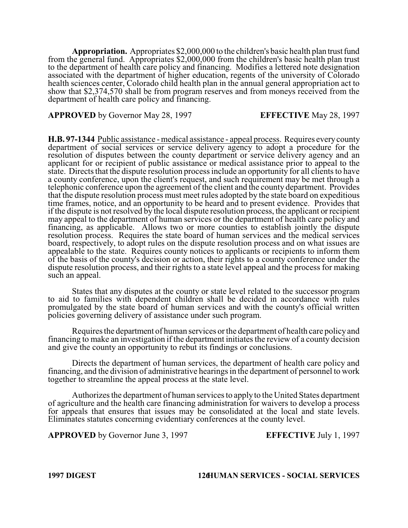**Appropriation.** Appropriates \$2,000,000 to the children's basic health plan trust fund from the general fund. Appropriates \$2,000,000 from the children's basic health plan trust to the department of health care policy and financing. Modifies a lettered note designation associated with the department of higher education, regents of the university of Colorado health sciences center, Colorado child health plan in the annual general appropriation act to show that \$2,374,570 shall be from program reserves and from moneys received from the department of health care policy and financing.

### **APPROVED** by Governor May 28, 1997 **EFFECTIVE** May 28, 1997

**H.B. 97-1344** Public assistance - medical assistance - appeal process. Requires everycounty department of social services or service delivery agency to adopt a procedure for the resolution of disputes between the county department or service delivery agency and an applicant for or recipient of public assistance or medical assistance prior to appeal to the state. Directs that the dispute resolution process include an opportunity for all clients to have a county conference, upon the client's request, and such requirement may be met through a telephonic conference upon the agreement of the client and the county department. Provides that the dispute resolution process must meet rules adopted by the state board on expeditious time frames, notice, and an opportunity to be heard and to present evidence. Provides that if the dispute is not resolved by the local dispute resolution process, the applicant or recipient may appeal to the department of human services or the department of health care policy and financing, as applicable. Allows two or more counties to establish jointly the dispute resolution process. Requires the state board of human services and the medical services board, respectively, to adopt rules on the dispute resolution process and on what issues are appealable to the state. Requires county notices to applicants or recipients to inform them of the basis of the county's decision or action, their rights to a county conference under the dispute resolution process, and their rights to a state level appeal and the process for making such an appeal.

States that any disputes at the county or state level related to the successor program to aid to families with dependent children shall be decided in accordance with rules promulgated by the state board of human services and with the county's official written policies governing delivery of assistance under such program.

Requires the department of human services or the department of health care policyand financing to make an investigation if the department initiates the review of a county decision and give the county an opportunity to rebut its findings or conclusions.

Directs the department of human services, the department of health care policy and financing, and the division of administrative hearings in the department of personnel to work together to streamline the appeal process at the state level.

Authorizes the department of human services to applyto the United States department of agriculture and the health care financing administration for waivers to develop a process for appeals that ensures that issues may be consolidated at the local and state levels. Eliminates statutes concerning evidentiary conferences at the county level.

**APPROVED** by Governor June 3, 1997 **EFFECTIVE** July 1, 1997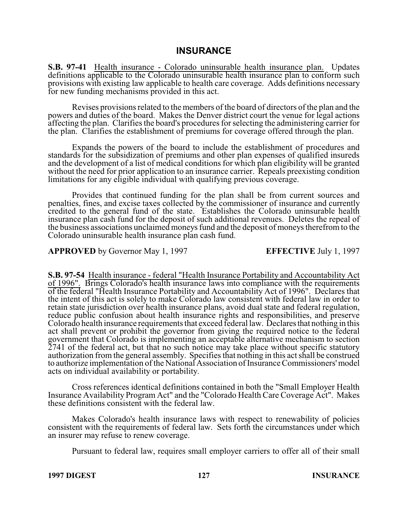## **INSURANCE**

**S.B. 97-41** Health insurance - Colorado uninsurable health insurance plan. Updates definitions applicable to the Colorado uninsurable health insurance plan to conform such provisions with existing law applicable to health care coverage. Adds definitions necessary for new funding mechanisms provided in this act.

Revises provisions related to the members of the board of directors of the plan and the powers and duties of the board. Makes the Denver district court the venue for legal actions affecting the plan. Clarifies the board's procedures for selecting the administering carrier for the plan. Clarifies the establishment of premiums for coverage offered through the plan.

Expands the powers of the board to include the establishment of procedures and standards for the subsidization of premiums and other plan expenses of qualified insureds and the development of a list of medical conditions for which plan eligibility will be granted without the need for prior application to an insurance carrier. Repeals preexisting condition limitations for any eligible individual with qualifying previous coverage.

Provides that continued funding for the plan shall be from current sources and penalties, fines, and excise taxes collected by the commissioner of insurance and currently credited to the general fund of the state. Establishes the Colorado uninsurable health insurance plan cash fund for the deposit of such additional revenues. Deletes the repeal of the business associations unclaimed moneys fund and the deposit of moneys therefrom to the Colorado uninsurable health insurance plan cash fund.

**APPROVED** by Governor May 1, 1997 **EFFECTIVE** July 1, 1997

**S.B. 97-54** Health insurance - federal "Health Insurance Portability and Accountability Act of 1996". Brings Colorado's health insurance laws into compliance with the requirements of the federal "Health Insurance Portability and Accountability Act of 1996". Declares that the intent of this act is solely to make Colorado law consistent with federal law in order to retain state jurisdiction over health insurance plans, avoid dual state and federal regulation, reduce public confusion about health insurance rights and responsibilities, and preserve Colorado health insurance requirements that exceed federal law. Declaresthat nothing in this act shall prevent or prohibit the governor from giving the required notice to the federal government that Colorado is implementing an acceptable alternative mechanism to section 2741 of the federal act, but that no such notice may take place without specific statutory authorization from the general assembly. Specifies that nothing in this act shall be construed to authorize implementation of the National Association of Insurance Commissioners' model acts on individual availability or portability.

Cross references identical definitions contained in both the "Small Employer Health Insurance Availability Program Act" and the "Colorado Health Care Coverage Act". Makes these definitions consistent with the federal law.

Makes Colorado's health insurance laws with respect to renewability of policies consistent with the requirements of federal law. Sets forth the circumstances under which an insurer may refuse to renew coverage.

Pursuant to federal law, requires small employer carriers to offer all of their small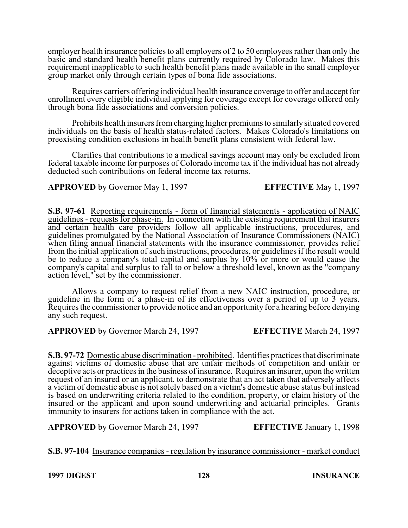employer health insurance policies to all employers of 2 to 50 employees rather than only the basic and standard health benefit plans currently required by Colorado law. Makes this requirement inapplicable to such health benefit plans made available in the small employer group market only through certain types of bona fide associations.

Requires carriers offering individual health insurance coverage to offer and accept for enrollment every eligible individual applying for coverage except for coverage offered only through bona fide associations and conversion policies.

Prohibits health insurers fromcharging higher premiums to similarly situated covered individuals on the basis of health status-related factors. Makes Colorado's limitations on preexisting condition exclusions in health benefit plans consistent with federal law.

Clarifies that contributions to a medical savings account may only be excluded from federal taxable income for purposes of Colorado income tax if the individual has not already deducted such contributions on federal income tax returns.

**APPROVED** by Governor May 1, 1997 **EFFECTIVE** May 1, 1997

**S.B. 97-61** Reporting requirements - form of financial statements - application of NAIC guidelines - requests for phase-in. In connection with the existing requirement that insurers and certain health care providers follow all applicable instructions, procedures, and guidelines promulgated by the National Association of Insurance Commissioners (NAIC) when filing annual financial statements with the insurance commissioner, provides relief from the initial application of such instructions, procedures, or guidelines if the result would be to reduce a company's total capital and surplus by 10% or more or would cause the company's capital and surplus to fall to or below a threshold level, known as the "company action level," set by the commissioner.

Allows a company to request relief from a new NAIC instruction, procedure, or guideline in the form of a phase-in of its effectiveness over a period of up to 3 years. Requires the commissioner to provide notice and an opportunity for a hearing before denying any such request.

**APPROVED** by Governor March 24, 1997 **EFFECTIVE** March 24, 1997

**S.B. 97-72** Domestic abuse discrimination - prohibited. Identifies practices that discriminate against victims of domestic abuse that are unfair methods of competition and unfair or deceptive acts or practices in the business of insurance. Requires an insurer, upon the written request of an insured or an applicant, to demonstrate that an act taken that adversely affects a victim of domestic abuse is not solely based on a victim's domestic abuse status but instead is based on underwriting criteria related to the condition, property, or claim history of the insured or the applicant and upon sound underwriting and actuarial principles. Grants immunity to insurers for actions taken in compliance with the act.

**APPROVED** by Governor March 24, 1997 **EFFECTIVE** January 1, 1998

**S.B. 97-104** Insurance companies - regulation by insurance commissioner - market conduct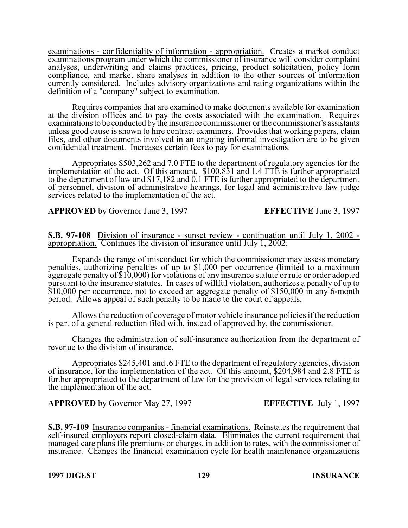examinations - confidentiality of information - appropriation. Creates a market conduct examinations program under which the commissioner of insurance will consider complaint analyses, underwriting and claims practices, pricing, product solicitation, policy form compliance, and market share analyses in addition to the other sources of information currently considered. Includes advisory organizations and rating organizations within the definition of a "company" subject to examination.

Requires companies that are examined to make documents available for examination at the division offices and to pay the costs associated with the examination. Requires examinations to be conducted by the insurance commissioner or the commissioner's assistants unless good cause is shown to hire contract examiners. Provides that working papers, claim files, and other documents involved in an ongoing informal investigation are to be given confidential treatment. Increases certain fees to pay for examinations.

Appropriates \$503,262 and 7.0 FTE to the department of regulatory agencies for the implementation of the act. Of this amount, \$100,831 and 1.4 FTE is further appropriated to the department of law and \$17,182 and 0.1 FTE is further appropriated to the department of personnel, division of administrative hearings, for legal and administrative law judge services related to the implementation of the act.

### **APPROVED** by Governor June 3, 1997 **EFFECTIVE** June 3, 1997

**S.B. 97-108** Division of insurance - sunset review - continuation until July 1, 2002 appropriation. Continues the division of insurance until July 1, 2002.

Expands the range of misconduct for which the commissioner may assess monetary penalties, authorizing penalties of up to \$1,000 per occurrence (limited to a maximum aggregate penalty of \$10,000) for violations of any insurance statute or rule or order adopted pursuant to the insurance statutes. In cases of willful violation, authorizes a penalty of up to \$10,000 per occurrence, not to exceed an aggregate penalty of \$150,000 in any 6-month period. Allows appeal of such penalty to be made to the court of appeals.

Allows the reduction of coverage of motor vehicle insurance policies if the reduction is part of a general reduction filed with, instead of approved by, the commissioner.

Changes the administration of self-insurance authorization from the department of revenue to the division of insurance.

Appropriates \$245,401 and .6 FTE to the department of regulatory agencies, division of insurance, for the implementation of the act. Of this amount, \$204,984 and 2.8 FTE is further appropriated to the department of law for the provision of legal services relating to the implementation of the act.

**APPROVED** by Governor May 27, 1997 **EFFECTIVE** July 1, 1997

**S.B. 97-109** Insurance companies - financial examinations. Reinstates the requirement that self-insured employers report closed-claim data. Eliminates the current requirement that managed care plans file premiums or charges, in addition to rates, with the commissioner of insurance. Changes the financial examination cycle for health maintenance organizations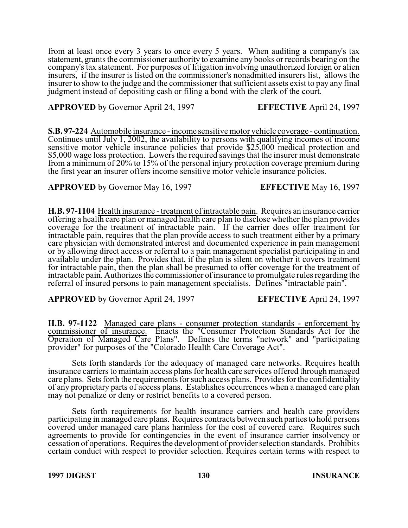from at least once every 3 years to once every 5 years. When auditing a company's tax statement, grants the commissioner authority to examine any books or records bearing on the company's tax statement. For purposes of litigation involving unauthorized foreign or alien insurers, if the insurer is listed on the commissioner's nonadmitted insurers list, allows the insurer to show to the judge and the commissioner that sufficient assets exist to pay any final judgment instead of depositing cash or filing a bond with the clerk of the court.

**APPROVED** by Governor April 24, 1997 **EFFECTIVE** April 24, 1997

**S.B. 97-224** Automobile insurance - income sensitive motor vehicle coverage - continuation. Continues until July 1, 2002, the availability to persons with qualifying incomes of income sensitive motor vehicle insurance policies that provide \$25,000 medical protection and \$5,000 wage loss protection. Lowers the required savings that the insurer must demonstrate from a minimum of 20% to 15% of the personal injury protection coverage premium during the first year an insurer offers income sensitive motor vehicle insurance policies.

**APPROVED** by Governor May 16, 1997 **EFFECTIVE** May 16, 1997

**H.B. 97-1104** Health insurance - treatment of intractable pain. Requires an insurance carrier offering a health care plan or managed health care plan to disclose whether the plan provides coverage for the treatment of intractable pain. If the carrier does offer treatment for intractable pain, requires that the plan provide access to such treatment either by a primary care physician with demonstrated interest and documented experience in pain management or by allowing direct access or referral to a pain management specialist participating in and available under the plan. Provides that, if the plan is silent on whether it covers treatment for intractable pain, then the plan shall be presumed to offer coverage for the treatment of intractable pain. Authorizes the commissioner of insurance to promulgate rules regarding the referral of insured persons to pain management specialists. Defines "intractable pain".

**APPROVED** by Governor April 24, 1997 **EFFECTIVE** April 24, 1997

**H.B. 97-1122** Managed care plans - consumer protection standards - enforcement by commissioner of insurance. Enacts the "Consumer Protection Standards Act for the Operation of Managed Care Plans". Defines the terms "network" and "participating provider" for purposes of the "Colorado Health Care Coverage Act".

Sets forth standards for the adequacy of managed care networks. Requires health insurance carriers to maintain access plans for health care services offered through managed care plans. Sets forth the requirements for such access plans. Provides for the confidentiality of any proprietary parts of access plans. Establishes occurrences when a managed care plan may not penalize or deny or restrict benefits to a covered person.

Sets forth requirements for health insurance carriers and health care providers participating in managed care plans. Requires contracts between such parties to hold persons covered under managed care plans harmless for the cost of covered care. Requires such agreements to provide for contingencies in the event of insurance carrier insolvency or cessation of operations. Requires the development of provider selection standards. Prohibits certain conduct with respect to provider selection. Requires certain terms with respect to

**1997 DIGEST 130 INSURANCE**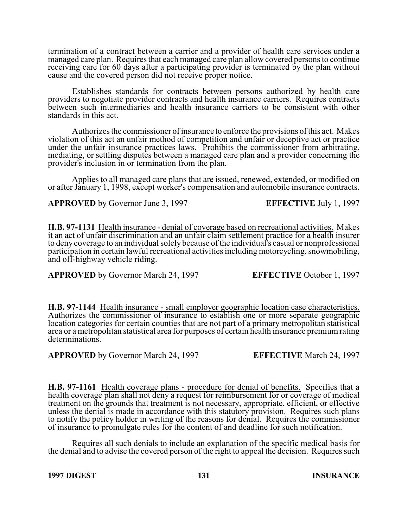termination of a contract between a carrier and a provider of health care services under a managed care plan. Requires that each managed care plan allow covered persons to continue receiving care for 60 days after a participating provider is terminated by the plan without cause and the covered person did not receive proper notice.

Establishes standards for contracts between persons authorized by health care providers to negotiate provider contracts and health insurance carriers. Requires contracts between such intermediaries and health insurance carriers to be consistent with other standards in this act.

Authorizes the commissioner ofinsurance to enforce the provisions ofthis act. Makes violation of this act an unfair method of competition and unfair or deceptive act or practice under the unfair insurance practices laws. Prohibits the commissioner from arbitrating, mediating, or settling disputes between a managed care plan and a provider concerning the provider's inclusion in or termination from the plan.

Applies to all managed care plans that are issued, renewed, extended, or modified on or after January 1, 1998, except worker's compensation and automobile insurance contracts.

**APPROVED** by Governor June 3, 1997 **EFFECTIVE** July 1, 1997

**H.B. 97-1131** Health insurance - denial of coverage based on recreational activities. Makes it an act of unfair discrimination and an unfair claim settlement practice for a health insurer to deny coverage to an individual solely because of the individual's casual or nonprofessional participation in certain lawful recreational activities including motorcycling, snowmobiling, and off-highway vehicle riding.

**APPROVED** by Governor March 24, 1997 **EFFECTIVE** October 1, 1997

**H.B. 97-1144** Health insurance - small employer geographic location case characteristics. Authorizes the commissioner of insurance to establish one or more separate geographic location categories for certain counties that are not part of a primary metropolitan statistical area or a metropolitan statistical area for purposes of certain health insurance premium rating determinations.

**APPROVED** by Governor March 24, 1997 **EFFECTIVE** March 24, 1997

**H.B. 97-1161** Health coverage plans - procedure for denial of benefits. Specifies that a health coverage plan shall not deny a request for reimbursement for or coverage of medical treatment on the grounds that treatment is not necessary, appropriate, efficient, or effective unless the denial is made in accordance with this statutory provision. Requires such plans to notify the policy holder in writing of the reasons for denial. Requires the commissioner of insurance to promulgate rules for the content of and deadline for such notification.

Requires all such denials to include an explanation of the specific medical basis for the denial and to advise the covered person of the right to appeal the decision. Requires such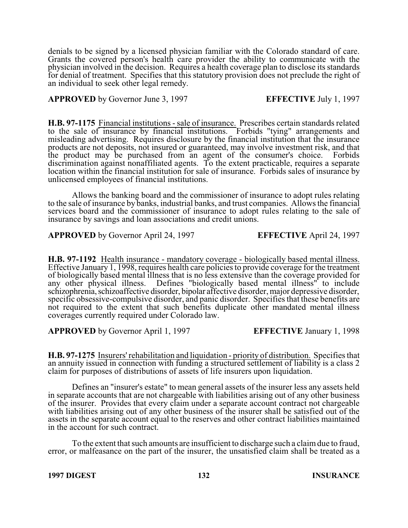denials to be signed by a licensed physician familiar with the Colorado standard of care. Grants the covered person's health care provider the ability to communicate with the physician involved in the decision. Requires a health coverage plan to disclose its standards for denial of treatment. Specifies that this statutory provision does not preclude the right of an individual to seek other legal remedy.

### **APPROVED** by Governor June 3, 1997 **EFFECTIVE** July 1, 1997

**H.B. 97-1175** Financial institutions - sale of insurance. Prescribes certain standards related to the sale of insurance by financial institutions. Forbids "tying" arrangements and misleading advertising. Requires disclosure by the financial institution that the insurance products are not deposits, not insured or guaranteed, may involve investment risk, and that the product may be purchased from an agent of the consumer's choice. Forbids discrimination against nonaffiliated agents. To the extent practicable, requires a separate location within the financial institution for sale of insurance. Forbids sales of insurance by unlicensed employees of financial institutions.

Allows the banking board and the commissioner of insurance to adopt rules relating to the sale of insurance by banks, industrial banks, and trust companies. Allows the financial services board and the commissioner of insurance to adopt rules relating to the sale of insurance by savings and loan associations and credit unions.

**APPROVED** by Governor April 24, 1997 **EFFECTIVE** April 24, 1997

**H.B. 97-1192** Health insurance - mandatory coverage - biologically based mental illness. Effective January 1, 1998, requires health care policies to provide coverage for the treatment of biologically based mental illness that is no less extensive than the coverage provided for any other physical illness. Defines "biologically based mental illness" to include schizophrenia, schizoaffective disorder, bipolar affective disorder, major depressive disorder, specific obsessive-compulsive disorder, and panic disorder. Specifies that these benefits are not required to the extent that such benefits duplicate other mandated mental illness coverages currently required under Colorado law.

**APPROVED** by Governor April 1, 1997 **EFFECTIVE** January 1, 1998

**H.B. 97-1275** Insurers'rehabilitation and liquidation - priority of distribution. Specifies that an annuity issued in connection with funding a structured settlement of liability is a class 2 claim for purposes of distributions of assets of life insurers upon liquidation.

Defines an "insurer's estate" to mean general assets of the insurer less any assets held in separate accounts that are not chargeable with liabilities arising out of any other business of the insurer. Provides that every claim under a separate account contract not chargeable with liabilities arising out of any other business of the insurer shall be satisfied out of the assets in the separate account equal to the reserves and other contract liabilities maintained in the account for such contract.

To the extent that such amounts are insufficient to discharge such a claimdue to fraud, error, or malfeasance on the part of the insurer, the unsatisfied claim shall be treated as a

**1997 DIGEST 132 INSURANCE**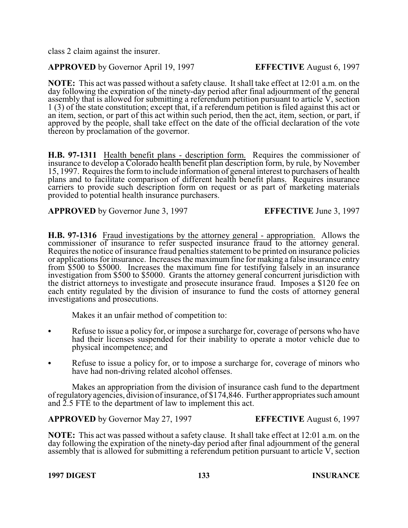class 2 claim against the insurer.

## **APPROVED** by Governor April 19, 1997 **EFFECTIVE** August 6, 1997

**NOTE:** This act was passed without a safety clause. It shall take effect at 12:01 a.m. on the day following the expiration of the ninety-day period after final adjournment of the general assembly that is allowed for submitting a referendum petition pursuant to article V, section 1 (3) of the state constitution; except that, if a referendum petition is filed against this act or an item, section, or part of this act within such period, then the act, item, section, or part, if approved by the people, shall take effect on the date of the official declaration of the vote thereon by proclamation of the governor.

**H.B. 97-1311** Health benefit plans - description form. Requires the commissioner of insurance to develop a Colorado health benefit plan description form, by rule, by November 15, 1997. Requires the formto include information of general interest to purchasers of health plans and to facilitate comparison of different health benefit plans. Requires insurance carriers to provide such description form on request or as part of marketing materials provided to potential health insurance purchasers.

**APPROVED** by Governor June 3, 1997 **EFFECTIVE** June 3, 1997

**H.B. 97-1316** Fraud investigations by the attorney general - appropriation. Allows the commissioner of insurance to refer suspected insurance fraud to the attorney general. Requires the notice of insurance fraud penalties statement to be printed on insurance policies or applications for insurance. Increases the maximum fine for making a false insurance entry from \$500 to \$5000. Increases the maximum fine for testifying falsely in an insurance investigation from \$500 to \$5000. Grants the attorney general concurrent jurisdiction with the district attorneys to investigate and prosecute insurance fraud. Imposes a \$120 fee on each entity regulated by the division of insurance to fund the costs of attorney general investigations and prosecutions.

Makes it an unfair method of competition to:

- Refuse to issue a policy for, or impose a surcharge for, coverage of persons who have had their licenses suspended for their inability to operate a motor vehicle due to physical incompetence; and
- Refuse to issue a policy for, or to impose a surcharge for, coverage of minors who have had non-driving related alcohol offenses.

Makes an appropriation from the division of insurance cash fund to the department of regulatory agencies, division of insurance, of \$174,846. Further appropriates such amount and 2.5 FTE to the department of law to implement this act.

**APPROVED** by Governor May 27, 1997 **EFFECTIVE** August 6, 1997

**NOTE:** This act was passed without a safety clause. It shall take effect at 12:01 a.m. on the day following the expiration of the ninety-day period after final adjournment of the general assembly that is allowed for submitting a referendum petition pursuant to article V, section

**1997 DIGEST 133 INSURANCE**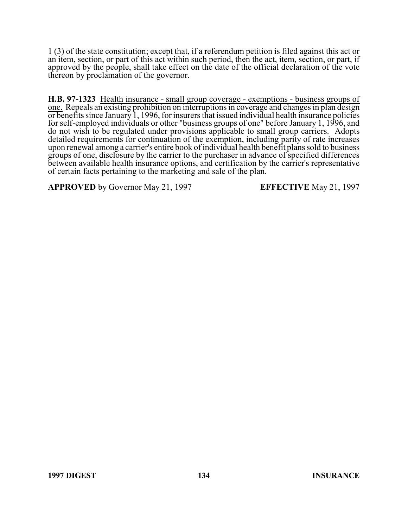1 (3) of the state constitution; except that, if a referendum petition is filed against this act or an item, section, or part of this act within such period, then the act, item, section, or part, if approved by the people, shall take effect on the date of the official declaration of the vote thereon by proclamation of the governor.

**H.B. 97-1323** Health insurance - small group coverage - exemptions - business groups of one. Repeals an existing prohibition on interruptions in coverage and changes in plan design or benefits since January 1, 1996, for insurers that issued individual health insurance policies for self-employed individuals or other "business groups of one" before January 1, 1996, and do not wish to be regulated under provisions applicable to small group carriers. Adopts detailed requirements for continuation of the exemption, including parity of rate increases upon renewal among a carrier's entire book of individual health benefit plans sold to business groups of one, disclosure by the carrier to the purchaser in advance of specified differences between available health insurance options, and certification by the carrier's representative of certain facts pertaining to the marketing and sale of the plan.

**APPROVED** by Governor May 21, 1997 **EFFECTIVE** May 21, 1997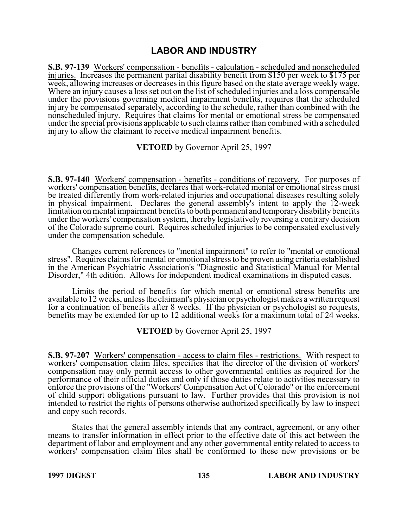# **LABOR AND INDUSTRY**

**S.B. 97-139** Workers' compensation - benefits - calculation - scheduled and nonscheduled injuries. Increases the permanent partial disability benefit from \$150 per week to \$175 per week, allowing increases or decreases in this figure based on the state average weekly wage. Where an injury causes a loss set out on the list of scheduled injuries and a loss compensable under the provisions governing medical impairment benefits, requires that the scheduled injury be compensated separately, according to the schedule, rather than combined with the nonscheduled injury. Requires that claims for mental or emotional stress be compensated under the special provisions applicable to such claims rather than combined with a scheduled injury to allow the claimant to receive medical impairment benefits.

**VETOED** by Governor April 25, 1997

**S.B. 97-140** Workers' compensation - benefits - conditions of recovery. For purposes of workers' compensation benefits, declares that work-related mental or emotional stress must be treated differently from work-related injuries and occupational diseases resulting solely in physical impairment. Declares the general assembly's intent to apply the 12-week limitation on mental impairment benefits to both permanent and temporary disability benefits under the workers' compensation system, thereby legislatively reversing a contrary decision of the Colorado supreme court. Requires scheduled injuries to be compensated exclusively under the compensation schedule.

Changes current references to "mental impairment" to refer to "mental or emotional stress". Requires claims for mental or emotional stress to be proven using criteria established in the American Psychiatric Association's "Diagnostic and Statistical Manual for Mental Disorder," 4th edition. Allows for independent medical examinations in disputed cases.

Limits the period of benefits for which mental or emotional stress benefits are available to 12 weeks, unless the claimant's physician or psychologist makes a written request for a continuation of benefits after 8 weeks. If the physician or psychologist so requests, benefits may be extended for up to 12 additional weeks for a maximum total of 24 weeks.

**VETOED** by Governor April 25, 1997

**S.B. 97-207** Workers' compensation - access to claim files - restrictions. With respect to workers' compensation claim files, specifies that the director of the division of workers' compensation may only permit access to other governmental entities as required for the performance of their official duties and only if those duties relate to activities necessary to enforce the provisions of the "Workers' Compensation Act of Colorado" or the enforcement of child support obligations pursuant to law. Further provides that this provision is not intended to restrict the rights of persons otherwise authorized specifically by law to inspect and copy such records.

States that the general assembly intends that any contract, agreement, or any other means to transfer information in effect prior to the effective date of this act between the department of labor and employment and any other governmental entity related to access to workers' compensation claim files shall be conformed to these new provisions or be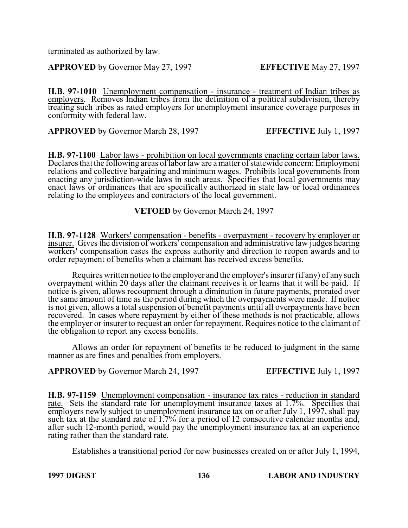terminated as authorized by law.

**APPROVED** by Governor May 27, 1997 **EFFECTIVE** May 27, 1997

**H.B. 97-1010** Unemployment compensation - insurance - treatment of Indian tribes as employers. Removes Indian tribes from the definition of a political subdivision, thereby treating such tribes as rated employers for unemployment insurance coverage purposes in conformity with federal law.

**APPROVED** by Governor March 28, 1997 **EFFECTIVE** July 1, 1997

**H.B. 97-1100** Labor laws - prohibition on local governments enacting certain labor laws. Declares that the following areas of labor law are a matter of statewide concern: Employment relations and collective bargaining and minimum wages. Prohibits local governments from enacting any jurisdiction-wide laws in such areas. Specifies that local governments may enact laws or ordinances that are specifically authorized in state law or local ordinances relating to the employees and contractors of the local government.

**VETOED** by Governor March 24, 1997

**H.B. 97-1128** Workers' compensation - benefits - overpayment - recovery by employer or insurer. Gives the division of workers' compensation and administrative law judges hearing workers' compensation cases the express authority and direction to reopen awards and to order repayment of benefits when a claimant has received excess benefits.

Requires written notice to the employer and the employer's insurer (if any) of any such overpayment within 20 days after the claimant receives it or learns that it will be paid. If notice is given, allows recoupment through a diminution in future payments, prorated over the same amount of time as the period during which the overpayments were made. If notice is not given, allows a total suspension of benefit payments until all overpayments have been recovered. In cases where repayment by either of these methods is not practicable, allows the employer or insurer to request an order for repayment. Requires notice to the claimant of the obligation to report any excess benefits.

Allows an order for repayment of benefits to be reduced to judgment in the same manner as are fines and penalties from employers.

**APPROVED** by Governor March 24, 1997 **EFFECTIVE** July 1, 1997

**H.B. 97-1159** Unemployment compensation - insurance tax rates - reduction in standard rate. Sets the standard rate for unemployment insurance taxes at 1.7%. Specifies that employers newly subject to unemployment insurance tax on or after July 1, 1997, shall pay such tax at the standard rate of 1.7% for a period of 12 consecutive calendar months and, after such 12-month period, would pay the unemployment insurance tax at an experience rating rather than the standard rate.

Establishes a transitional period for new businesses created on or after July 1, 1994,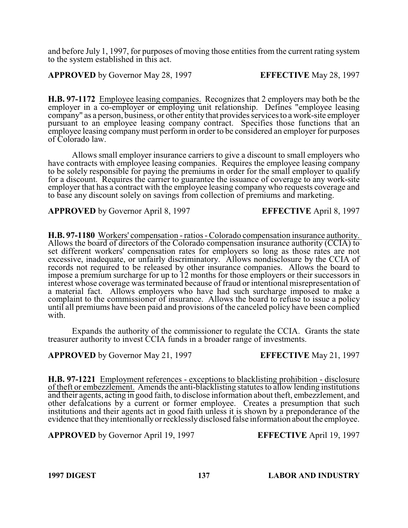and before July 1, 1997, for purposes of moving those entities from the current rating system to the system established in this act.

**APPROVED** by Governor May 28, 1997 **EFFECTIVE** May 28, 1997

**H.B. 97-1172** Employee leasing companies. Recognizes that 2 employers may both be the employer in a co-employer or employing unit relationship. Defines "employee leasing company" as a person, business, or other entitythat provides services to a work-site employer pursuant to an employee leasing company contract. Specifies those functions that an employee leasing companymust perform in order to be considered an employer for purposes of Colorado law.

Allows small employer insurance carriers to give a discount to small employers who have contracts with employee leasing companies. Requires the employee leasing company to be solely responsible for paying the premiums in order for the small employer to qualify for a discount. Requires the carrier to guarantee the issuance of coverage to any work-site employer that has a contract with the employee leasing company who requests coverage and to base any discount solely on savings from collection of premiums and marketing.

**APPROVED** by Governor April 8, 1997 **EFFECTIVE** April 8, 1997

**H.B. 97-1180** Workers' compensation - ratios - Colorado compensation insurance authority. Allows the board of directors of the Colorado compensation insurance authority (CCIA) to set different workers' compensation rates for employers so long as those rates are not excessive, inadequate, or unfairly discriminatory. Allows nondisclosure by the CCIA of records not required to be released by other insurance companies. Allows the board to impose a premium surcharge for up to 12 months for those employers or their successors in interest whose coverage was terminated because of fraud or intentional misrepresentation of a material fact. Allows employers who have had such surcharge imposed to make a complaint to the commissioner of insurance. Allows the board to refuse to issue a policy until all premiums have been paid and provisions of the canceled policy have been complied with.

Expands the authority of the commissioner to regulate the CCIA. Grants the state treasurer authority to invest CCIA funds in a broader range of investments.

**APPROVED** by Governor May 21, 1997 **EFFECTIVE** May 21, 1997

**H.B. 97-1221** Employment references - exceptions to blacklisting prohibition - disclosure of theft or embezzlement. Amends the anti-blacklisting statutes to allow lending institutions and their agents, acting in good faith, to disclose information about theft, embezzlement, and other defalcations by a current or former employee. Creates a presumption that such institutions and their agents act in good faith unless it is shown by a preponderance of the evidence that they intentionally or recklessly disclosed false information about the employee.

**APPROVED** by Governor April 19, 1997 **EFFECTIVE** April 19, 1997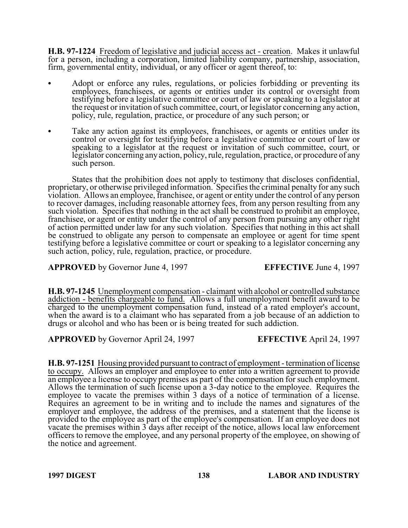**H.B. 97-1224** Freedom of legislative and judicial access act - creation. Makes it unlawful for a person, including a corporation, limited liability company, partnership, association, firm, governmental entity, individual, or any officer or agent thereof, to:

- Adopt or enforce any rules, regulations, or policies forbidding or preventing its employees, franchisees, or agents or entities under its control or oversight from testifying before a legislative committee or court of law or speaking to a legislator at the request or invitation of such committee, court, or legislator concerning any action, policy, rule, regulation, practice, or procedure of any such person; or
- Take any action against its employees, franchisees, or agents or entities under its control or oversight for testifying before a legislative committee or court of law or speaking to a legislator at the request or invitation of such committee, court, or legislator concerning any action, policy, rule, regulation, practice, or procedure of any such person.

States that the prohibition does not apply to testimony that discloses confidential, proprietary, or otherwise privileged information. Specifies the criminal penalty for any such violation. Allows an employee, franchisee, or agent or entity under the control of any person to recover damages, including reasonable attorney fees, from any person resulting from any such violation. Specifies that nothing in the act shall be construed to prohibit an employee, franchisee, or agent or entity under the control of any person from pursuing any other right of action permitted under law for any such violation. Specifies that nothing in this act shall be construed to obligate any person to compensate an employee or agent for time spent testifying before a legislative committee or court or speaking to a legislator concerning any such action, policy, rule, regulation, practice, or procedure.

**APPROVED** by Governor June 4, 1997 **EFFECTIVE** June 4, 1997

**H.B. 97-1245** Unemployment compensation - claimant with alcohol or controlled substance addiction - benefits chargeable to fund. Allows a full unemployment benefit award to be charged to the unemployment compensation fund, instead of a rated employer's account, when the award is to a claimant who has separated from a job because of an addiction to drugs or alcohol and who has been or is being treated for such addiction.

**APPROVED** by Governor April 24, 1997 **EFFECTIVE** April 24, 1997

**H.B. 97-1251** Housing provided pursuant to contract of employment - termination of license to occupy. Allows an employer and employee to enter into a written agreement to provide an employee a license to occupy premises as part of the compensation for such employment. Allows the termination of such license upon a 3-day notice to the employee. Requires the employee to vacate the premises within 3 days of a notice of termination of a license. Requires an agreement to be in writing and to include the names and signatures of the employer and employee, the address of the premises, and a statement that the license is provided to the employee as part of the employee's compensation. If an employee does not vacate the premises within 3 days after receipt of the notice, allows local law enforcement officers to remove the employee, and any personal property of the employee, on showing of the notice and agreement.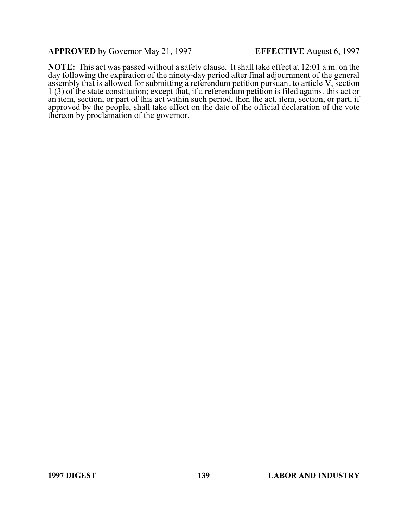### **APPROVED** by Governor May 21, 1997 **EFFECTIVE** August 6, 1997

**NOTE:** This act was passed without a safety clause. It shall take effect at 12:01 a.m. on the day following the expiration of the ninety-day period after final adjournment of the general assembly that is allowed for submitting a referendum petition pursuant to article V, section 1 (3) of the state constitution; except that, if a referendum petition is filed against this act or an item, section, or part of this act within such period, then the act, item, section, or part, if approved by the people, shall take effect on the date of the official declaration of the vote thereon by proclamation of the governor.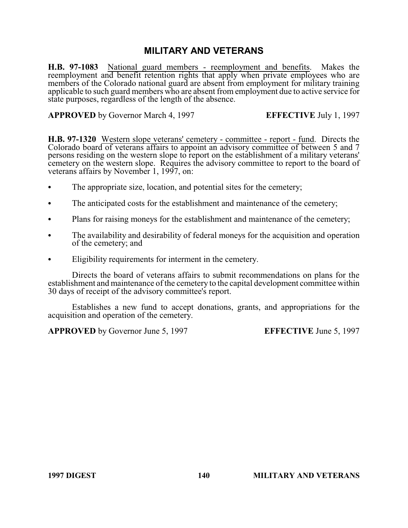# **MILITARY AND VETERANS**

**H.B. 97-1083** National guard members - reemployment and benefits. Makes the reemployment and benefit retention rights that apply when private employees who are members of the Colorado national guard are absent from employment for military training applicable to such guard members who are absent from employment due to active service for state purposes, regardless of the length of the absence.

**APPROVED** by Governor March 4, 1997 **EFFECTIVE** July 1, 1997

**H.B. 97-1320** Western slope veterans' cemetery - committee - report - fund. Directs the Colorado board of veterans affairs to appoint an advisory committee of between 5 and 7 persons residing on the western slope to report on the establishment of a military veterans' cemetery on the western slope. Requires the advisory committee to report to the board of veterans affairs by November 1, 1997, on:

- The appropriate size, location, and potential sites for the cemetery;
- The anticipated costs for the establishment and maintenance of the cemetery;
- Plans for raising moneys for the establishment and maintenance of the cemetery;
- The availability and desirability of federal moneys for the acquisition and operation of the cemetery; and
- Eligibility requirements for interment in the cemetery.

Directs the board of veterans affairs to submit recommendations on plans for the establishment and maintenance of the cemetery to the capital development committee within 30 days of receipt of the advisory committee's report.

Establishes a new fund to accept donations, grants, and appropriations for the acquisition and operation of the cemetery.

**APPROVED** by Governor June 5, 1997 **EFFECTIVE** June 5, 1997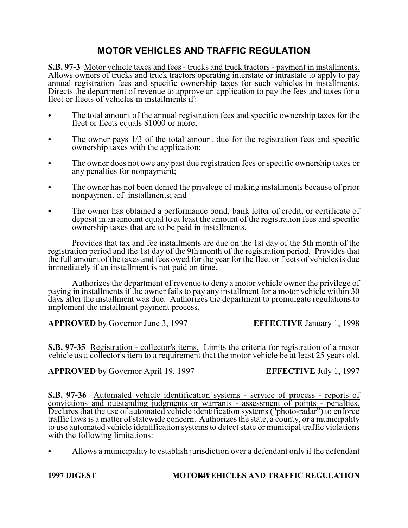# **MOTOR VEHICLES AND TRAFFIC REGULATION**

**S.B. 97-3** Motor vehicle taxes and fees - trucks and truck tractors - payment in installments. Allows owners of trucks and truck tractors operating interstate or intrastate to apply to pay annual registration fees and specific ownership taxes for such vehicles in installments. Directs the department of revenue to approve an application to pay the fees and taxes for a fleet or fleets of vehicles in installments if:

- The total amount of the annual registration fees and specific ownership taxes for the fleet or fleets equals \$1000 or more;
- The owner pays 1/3 of the total amount due for the registration fees and specific ownership taxes with the application;
- The owner does not owe any past due registration fees or specific ownership taxes or any penalties for nonpayment;
- The owner has not been denied the privilege of making installments because of prior nonpayment of installments; and
- The owner has obtained a performance bond, bank letter of credit, or certificate of deposit in an amount equal to at least the amount of the registration fees and specific ownership taxes that are to be paid in installments.

Provides that tax and fee installments are due on the 1st day of the 5th month of the registration period and the 1st day of the 9th month of the registration period. Provides that the full amount of the taxes and fees owed for the year for the fleet or fleets of vehicles is due immediately if an installment is not paid on time.

Authorizes the department of revenue to deny a motor vehicle owner the privilege of paying in installments if the owner fails to pay any installment for a motor vehicle within 30 days after the installment was due. Authorizes the department to promulgate regulations to implement the installment payment process.

**APPROVED** by Governor June 3, 1997 **EFFECTIVE** January 1, 1998

**S.B. 97-35** Registration - collector's items. Limits the criteria for registration of a motor vehicle as a collector's item to a requirement that the motor vehicle be at least 25 years old.

**APPROVED** by Governor April 19, 1997 **EFFECTIVE** July 1, 1997

**S.B. 97-36** Automated vehicle identification systems - service of process - reports of convictions and outstanding judgments or warrants - assessment of points - penalties. Declares that the use of automated vehicle identification systems ("photo-radar") to enforce traffic laws is a matter of statewide concern. Authorizes the state, a county, or a municipality to use automated vehicle identification systems to detect state or municipal traffic violations with the following limitations:

Allows a municipality to establish jurisdiction over a defendant only if the defendant

**1997 DIGEST MOTOR14 V1EHICLES AND TRAFFIC REGULATION**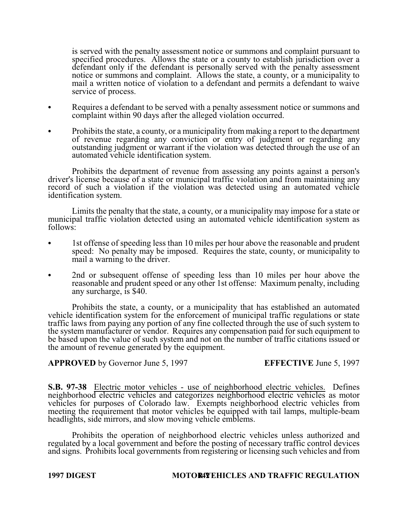is served with the penalty assessment notice or summons and complaint pursuant to specified procedures. Allows the state or a county to establish jurisdiction over a defendant only if the defendant is personally served with the penalty assessment notice or summons and complaint. Allows the state, a county, or a municipality to mail a written notice of violation to a defendant and permits a defendant to waive service of process.

- Requires a defendant to be served with a penalty assessment notice or summons and complaint within 90 days after the alleged violation occurred.
- Prohibits the state, a county, or a municipality from making a report to the department of revenue regarding any conviction or entry of judgment or regarding any outstanding judgment or warrant if the violation was detected through the use of an automated vehicle identification system.

Prohibits the department of revenue from assessing any points against a person's driver's license because of a state or municipal traffic violation and from maintaining any record of such a violation if the violation was detected using an automated vehicle identification system.

Limits the penalty that the state, a county, or a municipality may impose for a state or municipal traffic violation detected using an automated vehicle identification system as follows:

- 1st offense of speeding less than 10 miles per hour above the reasonable and prudent speed: No penalty may be imposed. Requires the state, county, or municipality to mail a warning to the driver.
- C 2nd or subsequent offense of speeding less than 10 miles per hour above the reasonable and prudent speed or any other 1st offense: Maximum penalty, including any surcharge, is \$40.

Prohibits the state, a county, or a municipality that has established an automated vehicle identification system for the enforcement of municipal traffic regulations or state traffic laws from paying any portion of any fine collected through the use of such system to the system manufacturer or vendor. Requires any compensation paid for such equipment to be based upon the value of such system and not on the number of traffic citations issued or the amount of revenue generated by the equipment.

### **APPROVED** by Governor June 5, 1997 **EFFECTIVE** June 5, 1997

**S.B. 97-38** Electric motor vehicles - use of neighborhood electric vehicles. Defines neighborhood electric vehicles and categorizes neighborhood electric vehicles as motor vehicles for purposes of Colorado law. Exempts neighborhood electric vehicles from meeting the requirement that motor vehicles be equipped with tail lamps, multiple-beam headlights, side mirrors, and slow moving vehicle emblems.

Prohibits the operation of neighborhood electric vehicles unless authorized and regulated by a local government and before the posting of necessary traffic control devices and signs. Prohibits local governments from registering or licensing such vehicles and from

### **1997 DIGEST MOTOR14 V2EHICLES AND TRAFFIC REGULATION**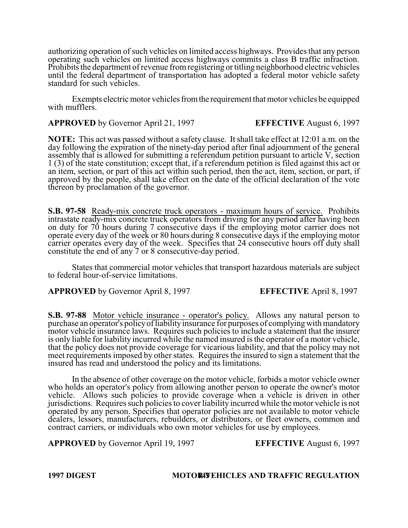authorizing operation of such vehicles on limited access highways. Provides that any person operating such vehicles on limited access highways commits a class B traffic infraction. Prohibits the department of revenue from registering or titling neighborhood electric vehicles until the federal department of transportation has adopted a federal motor vehicle safety standard for such vehicles.

Exempts electric motor vehicles from the requirement that motor vehicles be equipped with mufflers.

### **APPROVED** by Governor April 21, 1997 **EFFECTIVE** August 6, 1997

**NOTE:** This act was passed without a safety clause. It shall take effect at 12:01 a.m. on the day following the expiration of the ninety-day period after final adjournment of the general assembly that is allowed for submitting a referendum petition pursuant to article V, section 1 (3) of the state constitution; except that, if a referendum petition is filed against this act or an item, section, or part of this act within such period, then the act, item, section, or part, if approved by the people, shall take effect on the date of the official declaration of the vote thereon by proclamation of the governor.

**S.B. 97-58** Ready-mix concrete truck operators - maximum hours of service. Prohibits intrastate ready-mix concrete truck operators from driving for any period after having been on duty for 70 hours during 7 consecutive days if the employing motor carrier does not operate every day of the week or 80 hours during 8 consecutive days if the employing motor carrier operates every day of the week. Specifies that 24 consecutive hours off duty shall constitute the end of any 7 or 8 consecutive-day period.

States that commercial motor vehicles that transport hazardous materials are subject to federal hour-of-service limitations.

**APPROVED** by Governor April 8, 1997 **EFFECTIVE** April 8, 1997

**S.B. 97-88** Motor vehicle insurance - operator's policy. Allows any natural person to purchase an operator's policy of liability insurance for purposes of complying with mandatory motor vehicle insurance laws. Requires such policies to include a statement that the insurer is only liable for liability incurred while the named insured is the operator of a motor vehicle, that the policy does not provide coverage for vicarious liability, and that the policy may not meet requirements imposed by other states. Requires the insured to sign a statement that the insured has read and understood the policy and its limitations.

In the absence of other coverage on the motor vehicle, forbids a motor vehicle owner who holds an operator's policy from allowing another person to operate the owner's motor vehicle. Allows such policies to provide coverage when a vehicle is driven in other jurisdictions. Requires such policies to cover liability incurred while the motor vehicle is not operated by any person. Specifies that operator policies are not available to motor vehicle dealers, lessors, manufacturers, rebuilders, or distributors, or fleet owners, common and contract carriers, or individuals who own motor vehicles for use by employees.

**APPROVED** by Governor April 19, 1997 **EFFECTIVE** August 6, 1997

**1997 DIGEST MOTOR14 V3EHICLES AND TRAFFIC REGULATION**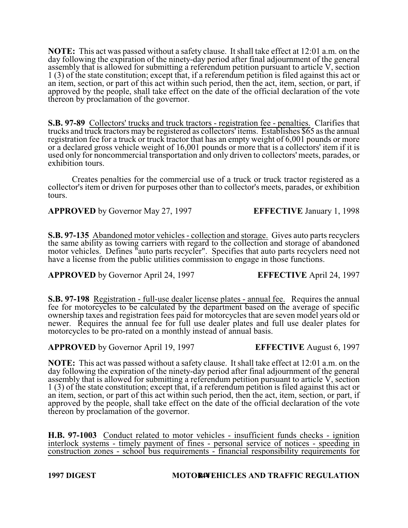**NOTE:** This act was passed without a safety clause. It shall take effect at 12:01 a.m. on the day following the expiration of the ninety-day period after final adjournment of the general assembly that is allowed for submitting a referendum petition pursuant to article V, section 1 (3) of the state constitution; except that, if a referendum petition is filed against this act or an item, section, or part of this act within such period, then the act, item, section, or part, if approved by the people, shall take effect on the date of the official declaration of the vote thereon by proclamation of the governor.

**S.B. 97-89** Collectors' trucks and truck tractors - registration fee - penalties. Clarifies that trucks and truck tractors may be registered as collectors' items. Establishes \$65 as the annual registration fee for a truck or truck tractor that has an empty weight of 6,001 pounds or more or a declared gross vehicle weight of 16,001 pounds or more that is a collectors' item if it is used only for noncommercial transportation and only driven to collectors' meets, parades, or exhibition tours.

Creates penalties for the commercial use of a truck or truck tractor registered as a collector's item or driven for purposes other than to collector's meets, parades, or exhibition tours.

**APPROVED** by Governor May 27, 1997 **EFFECTIVE** January 1, 1998

**S.B. 97-135** Abandoned motor vehicles - collection and storage. Gives auto parts recyclers the same ability as towing carriers with regard to the collection and storage of abandoned motor vehicles. Defines "auto parts recycler". Specifies that auto parts recyclers need not have a license from the public utilities commission to engage in those functions.

**APPROVED** by Governor April 24, 1997 **EFFECTIVE** April 24, 1997

**S.B. 97-198** Registration - full-use dealer license plates - annual fee. Requires the annual fee for motorcycles to be calculated by the department based on the average of specific ownership taxes and registration fees paid for motorcycles that are seven model years old or newer. Requires the annual fee for full use dealer plates and full use dealer plates for motorcycles to be pro-rated on a monthly instead of annual basis.

**APPROVED** by Governor April 19, 1997 **EFFECTIVE** August 6, 1997

**NOTE:** This act was passed without a safety clause. It shall take effect at 12:01 a.m. on the day following the expiration of the ninety-day period after final adjournment of the general assembly that is allowed for submitting a referendum petition pursuant to article V, section 1 (3) of the state constitution; except that, if a referendum petition is filed against this act or an item, section, or part of this act within such period, then the act, item, section, or part, if approved by the people, shall take effect on the date of the official declaration of the vote thereon by proclamation of the governor.

**H.B. 97-1003** Conduct related to motor vehicles - insufficient funds checks - ignition interlock systems - timely payment of fines - personal service of notices - speeding in construction zones - school bus requirements - financial responsibility requirements for

# **1997 DIGEST MOTOR14 V4EHICLES AND TRAFFIC REGULATION**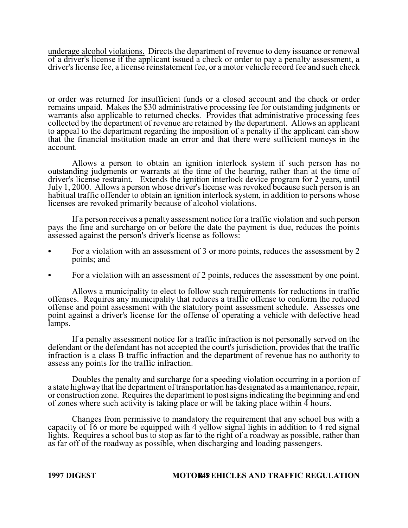underage alcohol violations. Directs the department of revenue to deny issuance or renewal of a driver's license if the applicant issued a check or order to pay a penalty assessment, a driver's license fee, a license reinstatement fee, or a motor vehicle record fee and such check

or order was returned for insufficient funds or a closed account and the check or order remains unpaid. Makes the \$30 administrative processing fee for outstanding judgments or warrants also applicable to returned checks. Provides that administrative processing fees collected by the department of revenue are retained by the department. Allows an applicant to appeal to the department regarding the imposition of a penalty if the applicant can show that the financial institution made an error and that there were sufficient moneys in the account.

Allows a person to obtain an ignition interlock system if such person has no outstanding judgments or warrants at the time of the hearing, rather than at the time of driver's license restraint. Extends the ignition interlock device program for 2 years, until July 1, 2000. Allows a person whose driver's license was revoked because such person is an habitual traffic offender to obtain an ignition interlock system, in addition to persons whose licenses are revoked primarily because of alcohol violations.

If a person receives a penalty assessment notice for a traffic violation and such person pays the fine and surcharge on or before the date the payment is due, reduces the points assessed against the person's driver's license as follows:

- For a violation with an assessment of 3 or more points, reduces the assessment by 2 points; and
- For a violation with an assessment of 2 points, reduces the assessment by one point.

Allows a municipality to elect to follow such requirements for reductions in traffic offenses. Requires any municipality that reduces a traffic offense to conform the reduced offense and point assessment with the statutory point assessment schedule. Assesses one point against a driver's license for the offense of operating a vehicle with defective head lamps.

If a penalty assessment notice for a traffic infraction is not personally served on the defendant or the defendant has not accepted the court's jurisdiction, provides that the traffic infraction is a class B traffic infraction and the department of revenue has no authority to assess any points for the traffic infraction.

Doubles the penalty and surcharge for a speeding violation occurring in a portion of a state highway that the department of transportation has designated as a maintenance, repair, or construction zone. Requires the department to post signs indicating the beginning and end of zones where such activity is taking place or will be taking place within 4 hours.

Changes from permissive to mandatory the requirement that any school bus with a capacity of 16 or more be equipped with 4 yellow signal lights in addition to 4 red signal lights. Requires a school bus to stop as far to the right of a roadway as possible, rather than as far off of the roadway as possible, when discharging and loading passengers.

### **1997 DIGEST MOTOR14 V5EHICLES AND TRAFFIC REGULATION**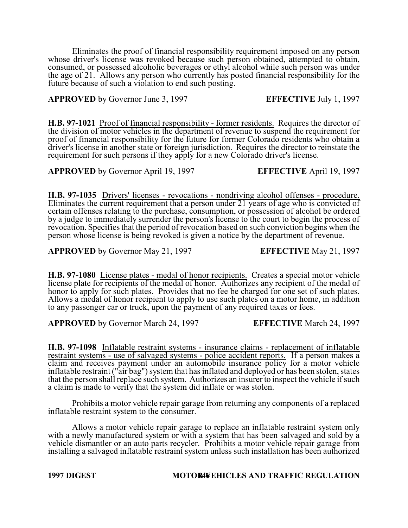Eliminates the proof of financial responsibility requirement imposed on any person whose driver's license was revoked because such person obtained, attempted to obtain, consumed, or possessed alcoholic beverages or ethyl alcohol while such person was under the age of 21. Allows any person who currently has posted financial responsibility for the future because of such a violation to end such posting.

**APPROVED** by Governor June 3, 1997 **EFFECTIVE** July 1, 1997

H.B. 97-1021 Proof of financial responsibility - former residents. Requires the director of the division of motor vehicles in the department of revenue to suspend the requirement for proof of financial responsibility for the future for former Colorado residents who obtain a driver's license in another state or foreign jurisdiction. Requires the director to reinstate the requirement for such persons if they apply for a new Colorado driver's license.

**APPROVED** by Governor April 19, 1997 **EFFECTIVE** April 19, 1997

**H.B. 97-1035** Drivers' licenses - revocations - nondriving alcohol offenses - procedure. Eliminates the current requirement that a person under 21 years of age who is convicted of certain offenses relating to the purchase, consumption, or possession of alcohol be ordered by a judge to immediately surrender the person's license to the court to begin the process of revocation. Specifies that the period of revocation based on such conviction begins when the person whose license is being revoked is given a notice by the department of revenue.

**APPROVED** by Governor May 21, 1997 **EFFECTIVE** May 21, 1997

**H.B. 97-1080** License plates - medal of honor recipients. Creates a special motor vehicle license plate for recipients of the medal of honor. Authorizes any recipient of the medal of honor to apply for such plates. Provides that no fee be charged for one set of such plates. Allows a medal of honor recipient to apply to use such plates on a motor home, in addition to any passenger car or truck, upon the payment of any required taxes or fees.

**APPROVED** by Governor March 24, 1997 **EFFECTIVE** March 24, 1997

**H.B. 97-1098** Inflatable restraint systems - insurance claims - replacement of inflatable restraint systems - use of salvaged systems - police accident reports. If a person makes a claim and receives payment under an automobile insurance policy for a motor vehicle inflatable restraint ("air bag") system that has inflated and deployed or has been stolen, states that the person shall replace such system. Authorizes an insurer to inspect the vehicle if such a claim is made to verify that the system did inflate or was stolen.

Prohibits a motor vehicle repair garage from returning any components of a replaced inflatable restraint system to the consumer.

Allows a motor vehicle repair garage to replace an inflatable restraint system only with a newly manufactured system or with a system that has been salvaged and sold by a vehicle dismantler or an auto parts recycler. Prohibits a motor vehicle repair garage from installing a salvaged inflatable restraint system unless such installation has been authorized

## **1997 DIGEST MOTOR14 V6EHICLES AND TRAFFIC REGULATION**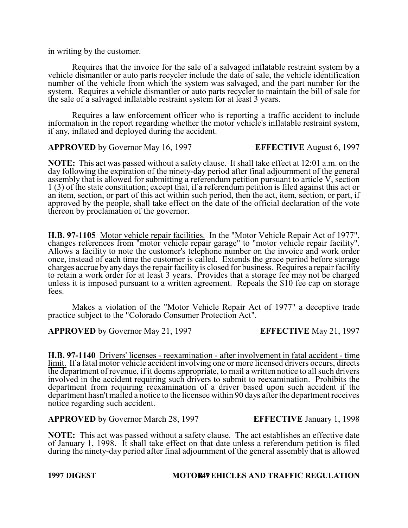in writing by the customer.

Requires that the invoice for the sale of a salvaged inflatable restraint system by a vehicle dismantler or auto parts recycler include the date of sale, the vehicle identification number of the vehicle from which the system was salvaged, and the part number for the system. Requires a vehicle dismantler or auto parts recycler to maintain the bill of sale for the sale of a salvaged inflatable restraint system for at least 3 years.

Requires a law enforcement officer who is reporting a traffic accident to include information in the report regarding whether the motor vehicle's inflatable restraint system, if any, inflated and deployed during the accident.

### **APPROVED** by Governor May 16, 1997 **EFFECTIVE** August 6, 1997

**NOTE:** This act was passed without a safety clause. It shall take effect at 12:01 a.m. on the day following the expiration of the ninety-day period after final adjournment of the general assembly that is allowed for submitting a referendum petition pursuant to article V, section 1 (3) of the state constitution; except that, if a referendum petition is filed against this act or an item, section, or part of this act within such period, then the act, item, section, or part, if approved by the people, shall take effect on the date of the official declaration of the vote thereon by proclamation of the governor.

**H.B. 97-1105** Motor vehicle repair facilities. In the "Motor Vehicle Repair Act of 1977", changes references from "motor vehicle repair garage" to "motor vehicle repair facility". Allows a facility to note the customer's telephone number on the invoice and work order once, instead of each time the customer is called. Extends the grace period before storage charges accrue by any days the repair facility is closed for business. Requires a repair facility to retain a work order for at least 3 years. Provides that a storage fee may not be charged unless it is imposed pursuant to a written agreement. Repeals the \$10 fee cap on storage fees.

Makes a violation of the "Motor Vehicle Repair Act of 1977" a deceptive trade practice subject to the "Colorado Consumer Protection Act".

**APPROVED** by Governor May 21, 1997 **EFFECTIVE** May 21, 1997

**H.B. 97-1140** Drivers' licenses - reexamination - after involvement in fatal accident - time limit. If a fatal motor vehicle accident involving one or more licensed drivers occurs, directs the department of revenue, if it deems appropriate, to mail a written notice to all such drivers involved in the accident requiring such drivers to submit to reexamination. Prohibits the department from requiring reexamination of a driver based upon such accident if the department hasn't mailed a notice to the licensee within 90 days after the department receives notice regarding such accident.

**APPROVED** by Governor March 28, 1997 **EFFECTIVE** January 1, 1998

**NOTE:** This act was passed without a safety clause. The act establishes an effective date of January 1, 1998. It shall take effect on that date unless a referendum petition is filed during the ninety-day period after final adjournment of the general assembly that is allowed

### **1997 DIGEST MOTOR4VEHICLES AND TRAFFIC REGULATION**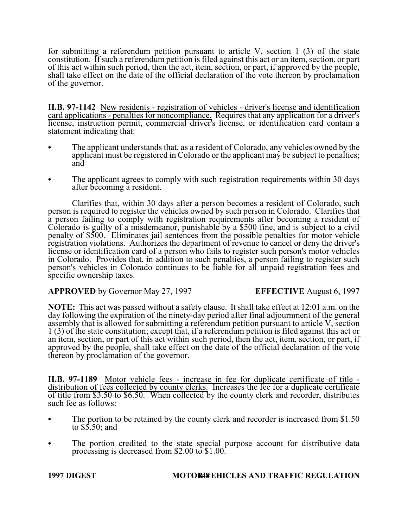for submitting a referendum petition pursuant to article V, section 1 (3) of the state constitution. If such a referendum petition is filed against this act or an item, section, or part of this act within such period, then the act, item, section, or part, if approved by the people, shall take effect on the date of the official declaration of the vote thereon by proclamation of the governor.

**H.B. 97-1142** New residents - registration of vehicles - driver's license and identification card applications - penalties for noncompliance. Requires that any application for a driver's license, instruction permit, commercial driver's license, or identification card contain a statement indicating that:

- The applicant understands that, as a resident of Colorado, any vehicles owned by the applicant must be registered in Colorado or the applicant may be subject to penalties; and
- The applicant agrees to comply with such registration requirements within 30 days after becoming a resident.

Clarifies that, within 30 days after a person becomes a resident of Colorado, such person is required to register the vehicles owned by such person in Colorado. Clarifies that a person failing to comply with registration requirements after becoming a resident of Colorado is guilty of a misdemeanor, punishable by a \$500 fine, and is subject to a civil penalty of \$500. Eliminates jail sentences from the possible penalties for motor vehicle registration violations. Authorizes the department of revenue to cancel or deny the driver's license or identification card of a person who fails to register such person's motor vehicles in Colorado. Provides that, in addition to such penalties, a person failing to register such person's vehicles in Colorado continues to be liable for all unpaid registration fees and specific ownership taxes.

# **APPROVED** by Governor May 27, 1997 **EFFECTIVE** August 6, 1997

**NOTE:** This act was passed without a safety clause. It shall take effect at 12:01 a.m. on the day following the expiration of the ninety-day period after final adjournment of the general assembly that is allowed for submitting a referendum petition pursuant to article V, section 1 (3) of the state constitution; except that, if a referendum petition is filed against this act or an item, section, or part of this act within such period, then the act, item, section, or part, if approved by the people, shall take effect on the date of the official declaration of the vote thereon by proclamation of the governor.

**H.B. 97-1189** Motor vehicle fees - increase in fee for duplicate certificate of title distribution of fees collected by county clerks. Increases the fee for a duplicate certificate of title from \$3.50 to \$6.50. When collected by the county clerk and recorder, distributes such fee as follows:

- The portion to be retained by the county clerk and recorder is increased from \$1.50 to \$5.50; and
- The portion credited to the state special purpose account for distributive data processing is decreased from \$2.00 to \$1.00.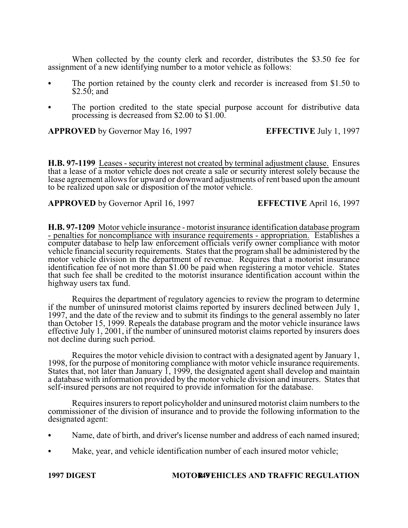When collected by the county clerk and recorder, distributes the \$3.50 fee for assignment of a new identifying number to a motor vehicle as follows:

- The portion retained by the county clerk and recorder is increased from \$1.50 to \$2.50; and
- The portion credited to the state special purpose account for distributive data processing is decreased from \$2.00 to \$1.00.

**APPROVED** by Governor May 16, 1997 **EFFECTIVE** July 1, 1997

**H.B. 97-1199** Leases - security interest not created by terminal adjustment clause. Ensures that a lease of a motor vehicle does not create a sale or security interest solely because the lease agreement allows for upward or downward adjustments of rent based upon the amount to be realized upon sale or disposition of the motor vehicle.

**APPROVED** by Governor April 16, 1997 **EFFECTIVE** April 16, 1997

**H.B. 97-1209** Motor vehicle insurance - motorist insurance identification database program - penalties for noncompliance with insurance requirements - appropriation. Establishes a computer database to help law enforcement officials verify owner compliance with motor vehicle financial security requirements. States that the program shall be administered by the motor vehicle division in the department of revenue. Requires that a motorist insurance identification fee of not more than \$1.00 be paid when registering a motor vehicle. States that such fee shall be credited to the motorist insurance identification account within the highway users tax fund.

Requires the department of regulatory agencies to review the program to determine if the number of uninsured motorist claims reported by insurers declined between July 1, 1997, and the date of the review and to submit its findings to the general assembly no later than October 15, 1999. Repeals the database program and the motor vehicle insurance laws effective July 1, 2001, if the number of uninsured motorist claims reported by insurers does not decline during such period.

Requires the motor vehicle division to contract with a designated agent by January 1, 1998, for the purpose of monitoring compliance with motor vehicle insurance requirements. States that, not later than January I, 1999, the designated agent shall develop and maintain a database with information provided by the motor vehicle division and insurers. States that self-insured persons are not required to provide information for the database.

Requires insurers to report policyholder and uninsured motorist claim numbers to the commissioner of the division of insurance and to provide the following information to the designated agent:

- Name, date of birth, and driver's license number and address of each named insured;
- Make, year, and vehicle identification number of each insured motor vehicle;

## **1997 DIGEST MOTOR4VEHICLES AND TRAFFIC REGULATION**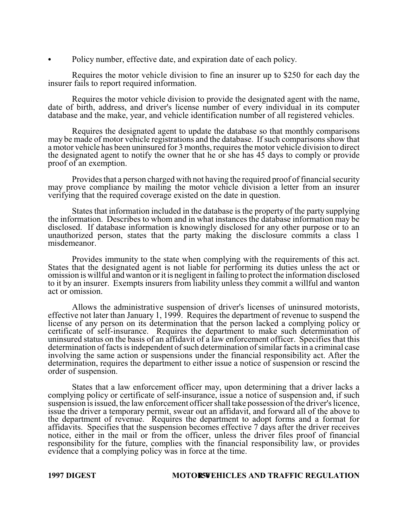Policy number, effective date, and expiration date of each policy.

Requires the motor vehicle division to fine an insurer up to \$250 for each day the insurer fails to report required information.

Requires the motor vehicle division to provide the designated agent with the name, date of birth, address, and driver's license number of every individual in its computer database and the make, year, and vehicle identification number of all registered vehicles.

Requires the designated agent to update the database so that monthly comparisons may be made of motor vehicle registrations and the database. If such comparisons show that a motor vehicle has been uninsured for 3 months, requires the motor vehicle division to direct the designated agent to notify the owner that he or she has 45 days to comply or provide proof of an exemption.

Provides that a person charged with not having the required proof of financial security may prove compliance by mailing the motor vehicle division a letter from an insurer verifying that the required coverage existed on the date in question.

States that information included in the database is the property of the party supplying the information. Describes to whom and in what instances the database information may be disclosed. If database information is knowingly disclosed for any other purpose or to an unauthorized person, states that the party making the disclosure commits a class 1 misdemeanor.

Provides immunity to the state when complying with the requirements of this act. States that the designated agent is not liable for performing its duties unless the act or omission is willful and wanton or it is negligent in failing to protect the information disclosed to it by an insurer. Exempts insurers from liability unless they commit a willful and wanton act or omission.

Allows the administrative suspension of driver's licenses of uninsured motorists, effective not later than January 1, 1999. Requires the department of revenue to suspend the license of any person on its determination that the person lacked a complying policy or certificate of self-insurance. Requires the department to make such determination of uninsured status on the basis of an affidavit of a law enforcement officer. Specifies that this determination of facts is independent of such determination of similar facts in a criminal case involving the same action or suspensions under the financial responsibility act. After the determination, requires the department to either issue a notice of suspension or rescind the order of suspension.

States that a law enforcement officer may, upon determining that a driver lacks a complying policy or certificate of self-insurance, issue a notice of suspension and, if such suspension is issued, the law enforcement officer shall take possession of the driver's licence, issue the driver a temporary permit, swear out an affidavit, and forward all of the above to the department of revenue. Requires the department to adopt forms and a format for affidavits. Specifies that the suspension becomes effective 7 days after the driver receives notice, either in the mail or from the officer, unless the driver files proof of financial responsibility for the future, complies with the financial responsibility law, or provides evidence that a complying policy was in force at the time.

### **1997 DIGEST MOTORSVEHICLES AND TRAFFIC REGULATION**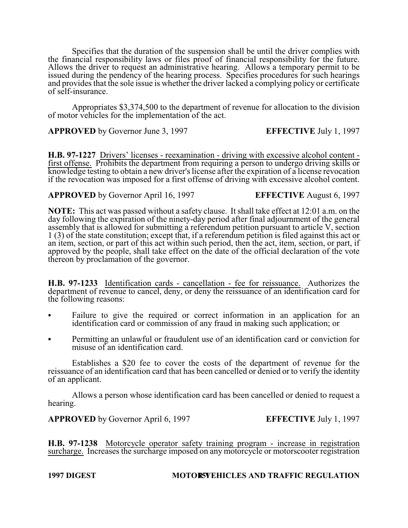Specifies that the duration of the suspension shall be until the driver complies with the financial responsibility laws or files proof of financial responsibility for the future. Allows the driver to request an administrative hearing. Allows a temporary permit to be issued during the pendency of the hearing process. Specifies procedures for such hearings and provides that the sole issue is whether the driver lacked a complying policy or certificate of self-insurance.

Appropriates \$3,374,500 to the department of revenue for allocation to the division of motor vehicles for the implementation of the act.

**APPROVED** by Governor June 3, 1997 **EFFECTIVE** July 1, 1997

**H.B. 97-1227** Drivers' licenses - reexamination - driving with excessive alcohol content first offense. Prohibits the department from requiring a person to undergo driving skills or knowledge testing to obtain a new driver's license after the expiration of a license revocation if the revocation was imposed for a first offense of driving with excessive alcohol content.

**APPROVED** by Governor April 16, 1997 **EFFECTIVE** August 6, 1997

**NOTE:** This act was passed without a safety clause. It shall take effect at 12:01 a.m. on the day following the expiration of the ninety-day period after final adjournment of the general assembly that is allowed for submitting a referendum petition pursuant to article V, section 1 (3) of the state constitution; except that, if a referendum petition is filed against this act or an item, section, or part of this act within such period, then the act, item, section, or part, if approved by the people, shall take effect on the date of the official declaration of the vote thereon by proclamation of the governor.

**H.B. 97-1233** Identification cards - cancellation - fee for reissuance. Authorizes the department of revenue to cancel, deny, or deny the reissuance of an identification card for the following reasons:

- Failure to give the required or correct information in an application for an identification card or commission of any fraud in making such application; or
- Permitting an unlawful or fraudulent use of an identification card or conviction for misuse of an identification card.

Establishes a \$20 fee to cover the costs of the department of revenue for the reissuance of an identification card that has been cancelled or denied or to verify the identity of an applicant.

Allows a person whose identification card has been cancelled or denied to request a hearing.

**APPROVED** by Governor April 6, 1997 **EFFECTIVE** July 1, 1997

**H.B. 97-1238** Motorcycle operator safety training program - increase in registration surcharge. Increases the surcharge imposed on any motorcycle or motorscooter registration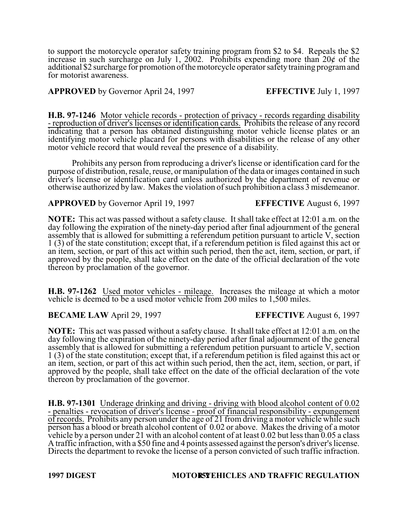to support the motorcycle operator safety training program from \$2 to \$4. Repeals the \$2 increase in such surcharge on July 1, 2002. Prohibits expending more than  $20¢$  of the additional \$2 surcharge for promotion of the motorcycle operator safety training program and for motorist awareness.

## **APPROVED** by Governor April 24, 1997 **EFFECTIVE** July 1, 1997

**H.B. 97-1246** Motor vehicle records - protection of privacy - records regarding disability - reproduction of driver's licenses or identification cards. Prohibits the release of any record indicating that a person has obtained distinguishing motor vehicle license plates or an identifying motor vehicle placard for persons with disabilities or the release of any other motor vehicle record that would reveal the presence of a disability.

Prohibits any person from reproducing a driver's license or identification card for the purpose of distribution, resale, reuse, or manipulation of the data or images contained in such driver's license or identification card unless authorized by the department of revenue or otherwise authorized by law. Makes the violation ofsuch prohibition a class 3 misdemeanor.

## **APPROVED** by Governor April 19, 1997 **EFFECTIVE** August 6, 1997

**NOTE:** This act was passed without a safety clause. It shall take effect at 12:01 a.m. on the day following the expiration of the ninety-day period after final adjournment of the general assembly that is allowed for submitting a referendum petition pursuant to article V, section 1 (3) of the state constitution; except that, if a referendum petition is filed against this act or an item, section, or part of this act within such period, then the act, item, section, or part, if approved by the people, shall take effect on the date of the official declaration of the vote thereon by proclamation of the governor.

**H.B. 97-1262** Used motor vehicles - mileage. Increases the mileage at which a motor vehicle is deemed to be a used motor vehicle from 200 miles to 1,500 miles.

**BECAME LAW** April 29, 1997 **EFFECTIVE** August 6, 1997

**NOTE:** This act was passed without a safety clause. It shall take effect at 12:01 a.m. on the day following the expiration of the ninety-day period after final adjournment of the general assembly that is allowed for submitting a referendum petition pursuant to article V, section 1 (3) of the state constitution; except that, if a referendum petition is filed against this act or an item, section, or part of this act within such period, then the act, item, section, or part, if approved by the people, shall take effect on the date of the official declaration of the vote thereon by proclamation of the governor.

**H.B. 97-1301** Underage drinking and driving - driving with blood alcohol content of 0.02 - penalties - revocation of driver's license - proof of financial responsibility - expungement of records. Prohibits any person under the age of 21 from driving a motor vehicle while such person has a blood or breath alcohol content of 0.02 or above. Makes the driving of a motor vehicle by a person under 21 with an alcohol content of at least 0.02 but less than 0.05 a class A traffic infraction, with a \$50 fine and 4 points assessed against the person's driver's license. Directs the department to revoke the license of a person convicted of such traffic infraction.

## **1997 DIGEST MOTOR15 V2EHICLES AND TRAFFIC REGULATION**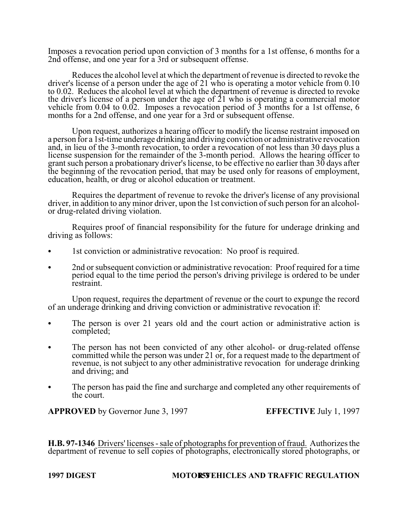Imposes a revocation period upon conviction of 3 months for a 1st offense, 6 months for a 2nd offense, and one year for a 3rd or subsequent offense.

Reduces the alcohol level at which the department of revenue is directed to revoke the driver's license of a person under the age of 21 who is operating a motor vehicle from 0.10 to 0.02. Reduces the alcohol level at which the department of revenue is directed to revoke the driver's license of a person under the age of 21 who is operating a commercial motor vehicle from 0.04 to 0.02. Imposes a revocation period of 3 months for a 1st offense, 6 months for a 2nd offense, and one year for a 3rd or subsequent offense.

Upon request, authorizes a hearing officer to modify the license restraint imposed on a person for a 1st-time underage drinking and driving conviction or administrative revocation and, in lieu of the 3-month revocation, to order a revocation of not less than 30 days plus a license suspension for the remainder of the 3-month period. Allows the hearing officer to grant such person a probationary driver's license, to be effective no earlier than 30 days after the beginning of the revocation period, that may be used only for reasons of employment, education, health, or drug or alcohol education or treatment.

Requires the department of revenue to revoke the driver's license of any provisional driver, in addition to any minor driver, upon the 1st conviction of such person for an alcoholor drug-related driving violation.

Requires proof of financial responsibility for the future for underage drinking and driving as follows:

- 1st conviction or administrative revocation: No proof is required.
- 2nd or subsequent conviction or administrative revocation: Proof required for a time period equal to the time period the person's driving privilege is ordered to be under restraint.

Upon request, requires the department of revenue or the court to expunge the record of an underage drinking and driving conviction or administrative revocation if:

- The person is over 21 years old and the court action or administrative action is completed;
- The person has not been convicted of any other alcohol- or drug-related offense committed while the person was under 21 or, for a request made to the department of revenue, is not subject to any other administrative revocation for underage drinking and driving; and
- The person has paid the fine and surcharge and completed any other requirements of the court.

**APPROVED** by Governor June 3, 1997 **EFFECTIVE** July 1, 1997

**H.B. 97-1346** Drivers' licenses - sale of photographs for prevention of fraud. Authorizes the department of revenue to sell copies of photographs, electronically stored photographs, or

### **1997 DIGEST MOTORSYEHICLES AND TRAFFIC REGULATION**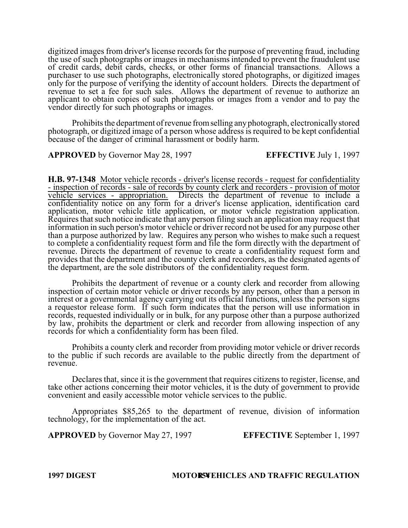digitized images from driver's license records for the purpose of preventing fraud, including the use of such photographs or images in mechanisms intended to prevent the fraudulent use of credit cards, debit cards, checks, or other forms of financial transactions. Allows a purchaser to use such photographs, electronically stored photographs, or digitized images only for the purpose of verifying the identity of account holders. Directs the department of revenue to set a fee for such sales. Allows the department of revenue to authorize an applicant to obtain copies of such photographs or images from a vendor and to pay the vendor directly for such photographs or images.

Prohibits the department of revenue fromselling anyphotograph, electronicallystored photograph, or digitized image of a person whose address is required to be kept confidential because of the danger of criminal harassment or bodily harm.

**APPROVED** by Governor May 28, 1997 **EFFECTIVE** July 1, 1997

**H.B. 97-1348** Motor vehicle records - driver's license records - request for confidentiality - inspection of records - sale of records by county clerk and recorders - provision of motor vehicle services - appropriation. Directs the department of revenue to include a confidentiality notice on any form for a driver's license application, identification card application, motor vehicle title application, or motor vehicle registration application. Requires that such notice indicate that any person filing such an application may request that information in such person's motor vehicle or driver record not be used for any purpose other than a purpose authorized by law. Requires any person who wishes to make such a request to complete a confidentiality request form and file the form directly with the department of revenue. Directs the department of revenue to create a confidentiality request form and provides that the department and the county clerk and recorders, as the designated agents of the department, are the sole distributors of the confidentiality request form.

Prohibits the department of revenue or a county clerk and recorder from allowing inspection of certain motor vehicle or driver records by any person, other than a person in interest or a governmental agency carrying out its official functions, unless the person signs a requestor release form. If such form indicates that the person will use information in records, requested individually or in bulk, for any purpose other than a purpose authorized by law, prohibits the department or clerk and recorder from allowing inspection of any records for which a confidentiality form has been filed.

Prohibits a county clerk and recorder from providing motor vehicle or driver records to the public if such records are available to the public directly from the department of revenue.

Declares that, since it is the government that requires citizens to register, license, and take other actions concerning their motor vehicles, it is the duty of government to provide convenient and easily accessible motor vehicle services to the public.

Appropriates \$85,265 to the department of revenue, division of information technology, for the implementation of the act.

**APPROVED** by Governor May 27, 1997 **EFFECTIVE** September 1, 1997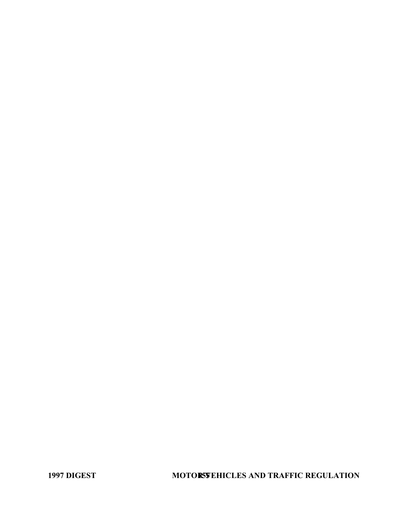# **1997 DIGEST MOTORSVEHICLES AND TRAFFIC REGULATION**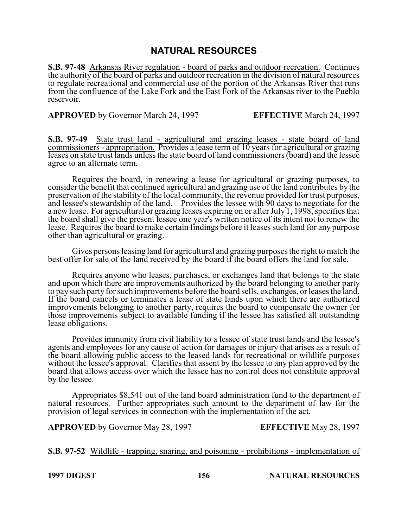# **NATURAL RESOURCES**

**S.B. 97-48** Arkansas River regulation - board of parks and outdoor recreation. Continues the authority of the board of parks and outdoor recreation in the division of natural resources to regulate recreational and commercial use of the portion of the Arkansas River that runs from the confluence of the Lake Fork and the East Fork of the Arkansas river to the Pueblo reservoir.

**APPROVED** by Governor March 24, 1997 **EFFECTIVE** March 24, 1997

**S.B. 97-49** State trust land - agricultural and grazing leases - state board of land commissioners - appropriation. Provides a lease term of 10 years for agricultural or grazing leases on state trust lands unless the state board of land commissioners (board) and the lessee agree to an alternate term.

Requires the board, in renewing a lease for agricultural or grazing purposes, to consider the benefit that continued agricultural and grazing use of the land contributes by the preservation of the stability of the local community, the revenue provided for trust purposes, and lessee's stewardship of the land. Provides the lessee with 90 days to negotiate for the a new lease. For agricultural or grazing leases expiring on or after July 1, 1998, specifies that the board shall give the present lessee one year's written notice of its intent not to renew the lease. Requires the board to make certain findings before it leases such land for any purpose other than agricultural or grazing.

Gives persons leasing land for agricultural and grazing purposes the right to match the best offer for sale of the land received by the board if the board offers the land for sale.

Requires anyone who leases, purchases, or exchanges land that belongs to the state and upon which there are improvements authorized by the board belonging to another party to pay such party for such improvements before the board sells, exchanges, or leases the land. If the board cancels or terminates a lease of state lands upon which there are authorized improvements belonging to another party, requires the board to compensate the owner for those improvements subject to available funding if the lessee has satisfied all outstanding lease obligations.

Provides immunity from civil liability to a lessee of state trust lands and the lessee's agents and employees for any cause of action for damages or injury that arises as a result of the board allowing public access to the leased lands for recreational or wildlife purposes without the lessee's approval. Clarifies that assent by the lessee to any plan approved by the board that allows access over which the lessee has no control does not constitute approval by the lessee.

Appropriates \$8,541 out of the land board administration fund to the department of natural resources. Further appropriates such amount to the department of law for the provision of legal services in connection with the implementation of the act.

**APPROVED** by Governor May 28, 1997 **EFFECTIVE** May 28, 1997

**S.B. 97-52** Wildlife - trapping, snaring, and poisoning - prohibitions - implementation of

**1997 DIGEST 156 NATURAL RESOURCES**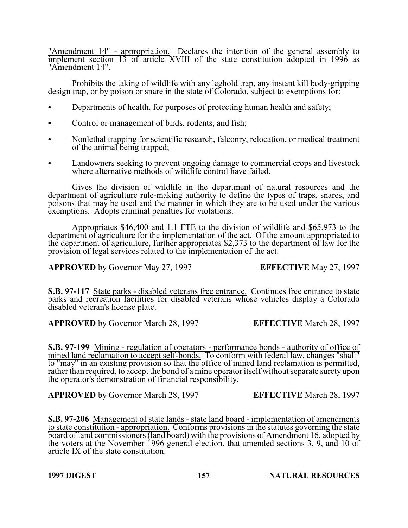"Amendment 14" - appropriation. Declares the intention of the general assembly to implement section 13 of article XVIII of the state constitution adopted in 1996 as "Amendment 14".

Prohibits the taking of wildlife with any leghold trap, any instant kill body-gripping design trap, or by poison or snare in the state of Colorado, subject to exemptions for:

- Departments of health, for purposes of protecting human health and safety;
- Control or management of birds, rodents, and fish;
- Nonlethal trapping for scientific research, falconry, relocation, or medical treatment of the animal being trapped;
- Landowners seeking to prevent ongoing damage to commercial crops and livestock where alternative methods of wildlife control have failed.

Gives the division of wildlife in the department of natural resources and the department of agriculture rule-making authority to define the types of traps, snares, and poisons that may be used and the manner in which they are to be used under the various exemptions. Adopts criminal penalties for violations.

Appropriates \$46,400 and 1.1 FTE to the division of wildlife and \$65,973 to the department of agriculture for the implementation of the act. Of the amount appropriated to the department of agriculture, further appropriates \$2,373 to the department of law for the provision of legal services related to the implementation of the act.

**APPROVED** by Governor May 27, 1997 **EFFECTIVE** May 27, 1997

**S.B. 97-117** State parks - disabled veterans free entrance. Continues free entrance to state parks and recreation facilities for disabled veterans whose vehicles display a Colorado disabled veteran's license plate.

**APPROVED** by Governor March 28, 1997 **EFFECTIVE** March 28, 1997

**S.B. 97-199** Mining - regulation of operators - performance bonds - authority of office of mined land reclamation to accept self-bonds. To conform with federal law, changes "shall" to "may" in an existing provision so that the office of mined land reclamation is permitted, rather than required, to accept the bond of a mine operator itself without separate surety upon the operator's demonstration of financial responsibility.

**APPROVED** by Governor March 28, 1997 **EFFECTIVE** March 28, 1997

**S.B. 97-206** Management of state lands - state land board - implementation of amendments to state constitution - appropriation. Conforms provisions in the statutes governing the state board of land commissioners (land board) with the provisions of Amendment 16, adopted by the voters at the November 1996 general election, that amended sections 3, 9, and 10 of article IX of the state constitution.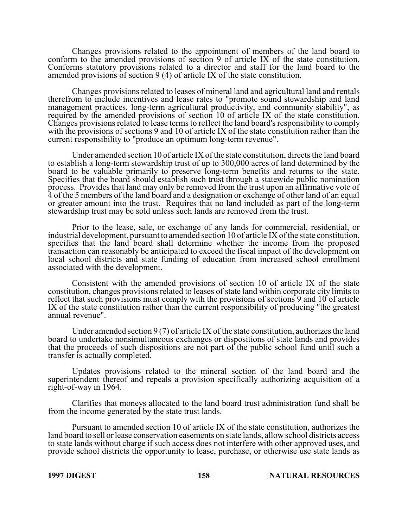Changes provisions related to the appointment of members of the land board to conform to the amended provisions of section 9 of article IX of the state constitution. Conforms statutory provisions related to a director and staff for the land board to the amended provisions of section 9 (4) of article IX of the state constitution.

Changes provisions related to leases of mineral land and agricultural land and rentals therefrom to include incentives and lease rates to "promote sound stewardship and land management practices, long-term agricultural productivity, and community stability", as required by the amended provisions of section 10 of article IX of the state constitution. Changes provisions related to lease terms to reflect the land board's responsibility to comply with the provisions of sections 9 and 10 of article IX of the state constitution rather than the current responsibility to "produce an optimum long-term revenue".

Under amended section 10 of article IX of the state constitution, directs the land board to establish a long-term stewardship trust of up to 300,000 acres of land determined by the board to be valuable primarily to preserve long-term benefits and returns to the state. Specifies that the board should establish such trust through a statewide public nomination process. Provides that land may only be removed from the trust upon an affirmative vote of 4 of the 5 members of the land board and a designation or exchange of other land of an equal or greater amount into the trust. Requires that no land included as part of the long-term stewardship trust may be sold unless such lands are removed from the trust.

Prior to the lease, sale, or exchange of any lands for commercial, residential, or industrial development, pursuant to amended section 10 of article IX of the state constitution, specifies that the land board shall determine whether the income from the proposed transaction can reasonably be anticipated to exceed the fiscal impact of the development on local school districts and state funding of education from increased school enrollment associated with the development.

Consistent with the amended provisions of section 10 of article IX of the state constitution, changes provisions related to leases of state land within corporate city limits to reflect that such provisions must comply with the provisions of sections 9 and 10 of article IX of the state constitution rather than the current responsibility of producing "the greatest annual revenue".

Under amended section 9 (7) of article IX of the state constitution, authorizes the land board to undertake nonsimultaneous exchanges or dispositions of state lands and provides that the proceeds of such dispositions are not part of the public school fund until such a transfer is actually completed.

Updates provisions related to the mineral section of the land board and the superintendent thereof and repeals a provision specifically authorizing acquisition of a right-of-way in 1964.

Clarifies that moneys allocated to the land board trust administration fund shall be from the income generated by the state trust lands.

Pursuant to amended section 10 of article IX of the state constitution, authorizes the land board to sell or lease conservation easements on state lands, allow school districts access to state lands without charge if such access does not interfere with other approved uses, and provide school districts the opportunity to lease, purchase, or otherwise use state lands as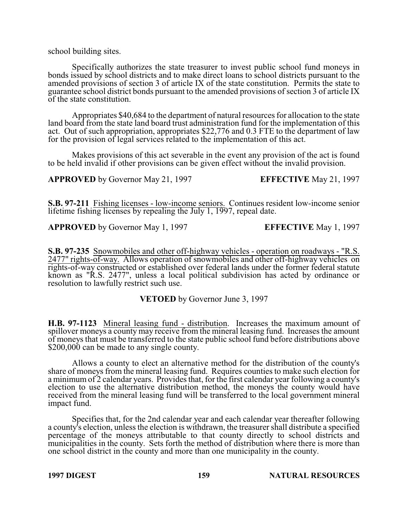school building sites.

Specifically authorizes the state treasurer to invest public school fund moneys in bonds issued by school districts and to make direct loans to school districts pursuant to the amended provisions of section 3 of article IX of the state constitution. Permits the state to guarantee school district bonds pursuant to the amended provisions of section 3 of article IX of the state constitution.

Appropriates \$40,684 to the department of natural resources for allocation to the state land board from the state land board trust administration fund for the implementation of this act. Out of such appropriation, appropriates \$22,776 and 0.3 FTE to the department of law for the provision of legal services related to the implementation of this act.

Makes provisions of this act severable in the event any provision of the act is found to be held invalid if other provisions can be given effect without the invalid provision.

**APPROVED** by Governor May 21, 1997 **EFFECTIVE** May 21, 1997

**S.B. 97-211** Fishing licenses - low-income seniors. Continues resident low-income senior lifetime fishing licenses by repealing the July 1, 1997, repeal date.

**APPROVED** by Governor May 1, 1997 **EFFECTIVE** May 1, 1997

**S.B. 97-235** Snowmobiles and other off-highway vehicles - operation on roadways - "R.S. 2477" rights-of-way. Allows operation of snowmobiles and other off-highway vehicles on rights-of-way constructed or established over federal lands under the former federal statute known as "R.S. 2477", unless a local political subdivision has acted by ordinance or resolution to lawfully restrict such use.

**VETOED** by Governor June 3, 1997

**H.B. 97-1123** Mineral leasing fund - distribution. Increases the maximum amount of spillover moneys a county may receive from the mineral leasing fund. Increases the amount of moneys that must be transferred to the state public school fund before distributions above \$200,000 can be made to any single county.

Allows a county to elect an alternative method for the distribution of the county's share of moneys from the mineral leasing fund. Requires counties to make such election for a minimum of 2 calendar years. Provides that, for the first calendar year following a county's election to use the alternative distribution method, the moneys the county would have received from the mineral leasing fund will be transferred to the local government mineral impact fund.

Specifies that, for the 2nd calendar year and each calendar year thereafter following a county's election, unless the election is withdrawn, the treasurer shall distribute a specified percentage of the moneys attributable to that county directly to school districts and municipalities in the county. Sets forth the method of distribution where there is more than one school district in the county and more than one municipality in the county.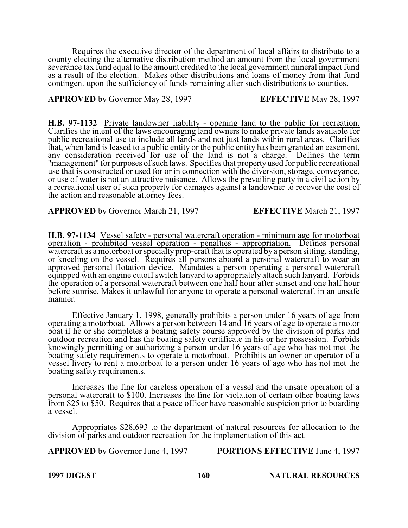Requires the executive director of the department of local affairs to distribute to a county electing the alternative distribution method an amount from the local government severance tax fund equal to the amount credited to the local government mineral impact fund as a result of the election. Makes other distributions and loans of money from that fund contingent upon the sufficiency of funds remaining after such distributions to counties.

### **APPROVED** by Governor May 28, 1997 **EFFECTIVE** May 28, 1997

**H.B. 97-1132** Private landowner liability - opening land to the public for recreation. Clarifies the intent of the laws encouraging land owners to make private lands available for public recreational use to include all lands and not just lands within rural areas. Clarifies that, when land is leased to a public entity or the public entity has been granted an easement, any consideration received for use of the land is not a charge. Defines the term "management" for purposes of such laws. Specifies that property used for public recreational use that is constructed or used for or in connection with the diversion, storage, conveyance, or use of water is not an attractive nuisance. Allows the prevailing party in a civil action by a recreational user of such property for damages against a landowner to recover the cost of the action and reasonable attorney fees.

**APPROVED** by Governor March 21, 1997 **EFFECTIVE** March 21, 1997

**H.B. 97-1134** Vessel safety - personal watercraft operation - minimum age for motorboat operation - prohibited vessel operation - penalties - appropriation. Defines personal watercraft as a motorboat or specialty prop-craft that is operated by a person sitting, standing, or kneeling on the vessel. Requires all persons aboard a personal watercraft to wear an approved personal flotation device. Mandates a person operating a personal watercraft equipped with an engine cutoff switch lanyard to appropriately attach such lanyard. Forbids the operation of a personal watercraft between one half hour after sunset and one half hour before sunrise. Makes it unlawful for anyone to operate a personal watercraft in an unsafe manner.

Effective January 1, 1998, generally prohibits a person under 16 years of age from operating a motorboat. Allows a person between 14 and 16 years of age to operate a motor boat if he or she completes a boating safety course approved by the division of parks and outdoor recreation and has the boating safety certificate in his or her possession. Forbids knowingly permitting or authorizing a person under 16 years of age who has not met the boating safety requirements to operate a motorboat. Prohibits an owner or operator of a vessel livery to rent a motorboat to a person under 16 years of age who has not met the boating safety requirements.

Increases the fine for careless operation of a vessel and the unsafe operation of a personal watercraft to \$100. Increases the fine for violation of certain other boating laws from \$25 to \$50. Requires that a peace officer have reasonable suspicion prior to boarding a vessel.

Appropriates \$28,693 to the department of natural resources for allocation to the division of parks and outdoor recreation for the implementation of this act.

**APPROVED** by Governor June 4, 1997 **PORTIONS EFFECTIVE** June 4, 1997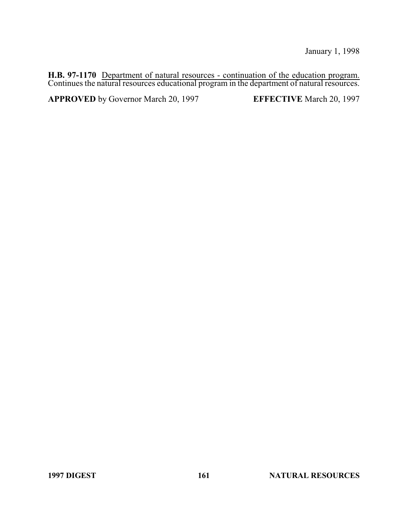January 1, 1998

**H.B. 97-1170** Department of natural resources - continuation of the education program. Continues the natural resources educational program in the department of natural resources.

**APPROVED** by Governor March 20, 1997 **EFFECTIVE** March 20, 1997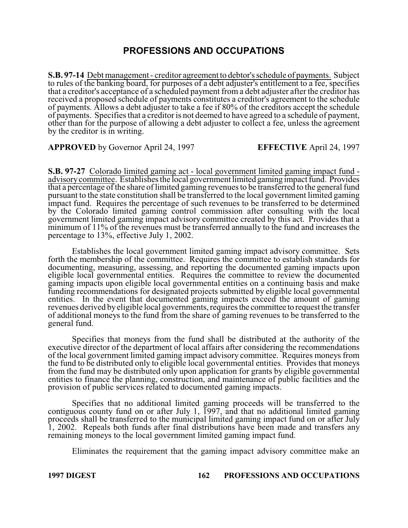# **PROFESSIONS AND OCCUPATIONS**

**S.B. 97-14** Debt management - creditor agreement to debtor's schedule of payments. Subject to rules of the banking board, for purposes of a debt adjuster's entitlement to a fee, specifies that a creditor's acceptance of a scheduled payment from a debt adjuster after the creditor has received a proposed schedule of payments constitutes a creditor's agreement to the schedule of payments. Allows a debt adjuster to take a fee if 80% of the creditors accept the schedule of payments. Specifies that a creditor is not deemed to have agreed to a schedule of payment, other than for the purpose of allowing a debt adjuster to collect a fee, unless the agreement by the creditor is in writing.

**APPROVED** by Governor April 24, 1997 **EFFECTIVE** April 24, 1997

**S.B. 97-27** Colorado limited gaming act - local government limited gaming impact fund advisorycommittee. Establishes the local government limited gaming impact fund. Provides that a percentage of the share of limited gaming revenues to be transferred to the general fund pursuant to the state constitution shall be transferred to the local government limited gaming impact fund. Requires the percentage of such revenues to be transferred to be determined by the Colorado limited gaming control commission after consulting with the local government limited gaming impact advisory committee created by this act. Provides that a minimum of 11% of the revenues must be transferred annually to the fund and increases the percentage to 13%, effective July 1, 2002.

Establishes the local government limited gaming impact advisory committee. Sets forth the membership of the committee. Requires the committee to establish standards for documenting, measuring, assessing, and reporting the documented gaming impacts upon eligible local governmental entities. Requires the committee to review the documented gaming impacts upon eligible local governmental entities on a continuing basis and make funding recommendations for designated projects submitted by eligible local governmental entities. In the event that documented gaming impacts exceed the amount of gaming revenues derived byeligible local governments, requires the committee to request the transfer of additional moneys to the fund from the share of gaming revenues to be transferred to the general fund.

Specifies that moneys from the fund shall be distributed at the authority of the executive director of the department of local affairs after considering the recommendations of the local government limited gaming impact advisory committee. Requires moneys from the fund to be distributed only to eligible local governmental entities. Provides that moneys from the fund may be distributed only upon application for grants by eligible governmental entities to finance the planning, construction, and maintenance of public facilities and the provision of public services related to documented gaming impacts.

Specifies that no additional limited gaming proceeds will be transferred to the contiguous county fund on or after July 1, 1997, and that no additional limited gaming proceeds shall be transferred to the municipal limited gaming impact fund on or after July 1, 2002. Repeals both funds after final distributions have been made and transfers any remaining moneys to the local government limited gaming impact fund.

Eliminates the requirement that the gaming impact advisory committee make an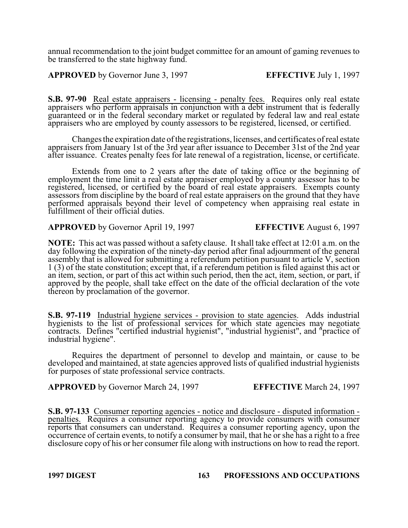annual recommendation to the joint budget committee for an amount of gaming revenues to be transferred to the state highway fund.

**APPROVED** by Governor June 3, 1997 **EFFECTIVE** July 1, 1997

**S.B. 97-90** Real estate appraisers - licensing - penalty fees. Requires only real estate appraisers who perform appraisals in conjunction with a debt instrument that is federally guaranteed or in the federal secondary market or regulated by federal law and real estate appraisers who are employed by county assessors to be registered, licensed, or certified.

Changes the expiration date ofthe registrations, licenses, and certificates of real estate appraisers from January 1st of the 3rd year after issuance to December 31st of the 2nd year after issuance. Creates penalty fees for late renewal of a registration, license, or certificate.

Extends from one to 2 years after the date of taking office or the beginning of employment the time limit a real estate appraiser employed by a county assessor has to be registered, licensed, or certified by the board of real estate appraisers. Exempts county assessors from discipline by the board of real estate appraisers on the ground that they have performed appraisals beyond their level of competency when appraising real estate in fulfillment of their official duties.

**APPROVED** by Governor April 19, 1997 **EFFECTIVE** August 6, 1997

**NOTE:** This act was passed without a safety clause. It shall take effect at 12:01 a.m. on the day following the expiration of the ninety-day period after final adjournment of the general assembly that is allowed for submitting a referendum petition pursuant to article V, section 1 (3) of the state constitution; except that, if a referendum petition is filed against this act or an item, section, or part of this act within such period, then the act, item, section, or part, if approved by the people, shall take effect on the date of the official declaration of the vote thereon by proclamation of the governor.

**S.B. 97-119** Industrial hygiene services - provision to state agencies. Adds industrial hygienists to the list of professional services for which state agencies may negotiate contracts. Defines "certified industrial hygienist", "industrial hygienist", and "practice of industrial hygiene".

Requires the department of personnel to develop and maintain, or cause to be developed and maintained, at state agencies approved lists of qualified industrial hygienists for purposes of state professional service contracts.

**APPROVED** by Governor March 24, 1997 **EFFECTIVE** March 24, 1997

**S.B. 97-133** Consumer reporting agencies - notice and disclosure - disputed information penalties. Requires a consumer reporting agency to provide consumers with consumer reports that consumers can understand. Requires a consumer reporting agency, upon the occurrence of certain events, to notify a consumer by mail, that he or she has a right to a free disclosure copy of his or her consumer file along with instructions on how to read the report.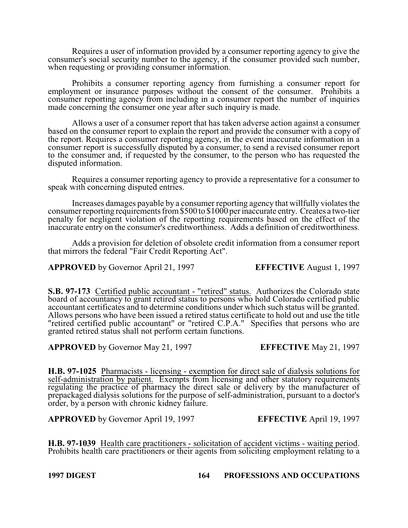Requires a user of information provided by a consumer reporting agency to give the consumer's social security number to the agency, if the consumer provided such number, when requesting or providing consumer information.

Prohibits a consumer reporting agency from furnishing a consumer report for employment or insurance purposes without the consent of the consumer. Prohibits a consumer reporting agency from including in a consumer report the number of inquiries made concerning the consumer one year after such inquiry is made.

Allows a user of a consumer report that has taken adverse action against a consumer based on the consumer report to explain the report and provide the consumer with a copy of the report. Requires a consumer reporting agency, in the event inaccurate information in a consumer report is successfully disputed by a consumer, to send a revised consumer report to the consumer and, if requested by the consumer, to the person who has requested the disputed information.

Requires a consumer reporting agency to provide a representative for a consumer to speak with concerning disputed entries.

Increases damages payable by a consumer reporting agency that willfully violates the consumer reporting requirements from\$500 to \$1000 per inaccurate entry. Creates a two-tier penalty for negligent violation of the reporting requirements based on the effect of the inaccurate entry on the consumer's creditworthiness. Adds a definition of creditworthiness.

Adds a provision for deletion of obsolete credit information from a consumer report that mirrors the federal "Fair Credit Reporting Act".

**APPROVED** by Governor April 21, 1997 **EFFECTIVE** August 1, 1997

**S.B.** 97-173 Certified public accountant - "retired" status. Authorizes the Colorado state board of accountancy to grant retired status to persons who hold Colorado certified public accountant certificates and to determine conditions under which such status will be granted. Allows persons who have been issued a retired status certificate to hold out and use the title "retired certified public accountant" or "retired C.P.A." Specifies that persons who are granted retired status shall not perform certain functions.

**APPROVED** by Governor May 21, 1997 **EFFECTIVE** May 21, 1997

**H.B. 97-1025** Pharmacists - licensing - exemption for direct sale of dialysis solutions for self-administration by patient. Exempts from licensing and other statutory requirements regulating the practice of pharmacy the direct sale or delivery by the manufacturer of prepackaged dialysis solutions for the purpose of self-administration, pursuant to a doctor's order, by a person with chronic kidney failure.

**APPROVED** by Governor April 19, 1997 **EFFECTIVE** April 19, 1997

**H.B. 97-1039** Health care practitioners - solicitation of accident victims - waiting period. Prohibits health care practitioners or their agents from soliciting employment relating to a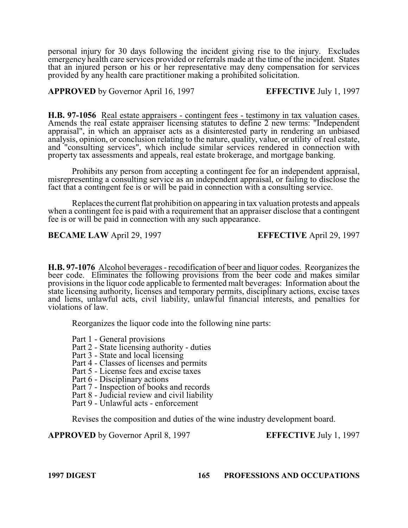personal injury for 30 days following the incident giving rise to the injury. Excludes emergency health care services provided or referrals made at the time of the incident. States that an injured person or his or her representative may deny compensation for services provided by any health care practitioner making a prohibited solicitation.

**APPROVED** by Governor April 16, 1997 **EFFECTIVE** July 1, 1997

**H.B. 97-1056** Real estate appraisers - contingent fees - testimony in tax valuation cases. Amends the real estate appraiser licensing statutes to define 2 new terms: "Independent appraisal", in which an appraiser acts as a disinterested party in rendering an unbiased analysis, opinion, or conclusion relating to the nature, quality, value, or utility of real estate, and "consulting services", which include similar services rendered in connection with property tax assessments and appeals, real estate brokerage, and mortgage banking.

Prohibits any person from accepting a contingent fee for an independent appraisal, misrepresenting a consulting service as an independent appraisal, or failing to disclose the fact that a contingent fee is or will be paid in connection with a consulting service.

Replacesthe currentflat prohibition on appearing in tax valuation protests and appeals when a contingent fee is paid with a requirement that an appraiser disclose that a contingent fee is or will be paid in connection with any such appearance.

**BECAME LAW** April 29, 1997 **EFFECTIVE** April 29, 1997

**H.B. 97-1076** Alcohol beverages - recodification of beer and liquor codes. Reorganizes the beer code. Eliminates the following provisions from the beer code and makes similar provisions in the liquor code applicable to fermented malt beverages: Information about the state licensing authority, licenses and temporary permits, disciplinary actions, excise taxes and liens, unlawful acts, civil liability, unlawful financial interests, and penalties for violations of law.

Reorganizes the liquor code into the following nine parts:

- Part 1 General provisions
- Part 2 State licensing authority duties
- Part 3 State and local licensing
- Part 4 Classes of licenses and permits
- Part 5 License fees and excise taxes
- Part 6 Disciplinary actions
- Part 7 Inspection of books and records
- Part 8 Judicial review and civil liability
- Part 9 Unlawful acts enforcement

Revises the composition and duties of the wine industry development board.

**APPROVED** by Governor April 8, 1997 **EFFECTIVE** July 1, 1997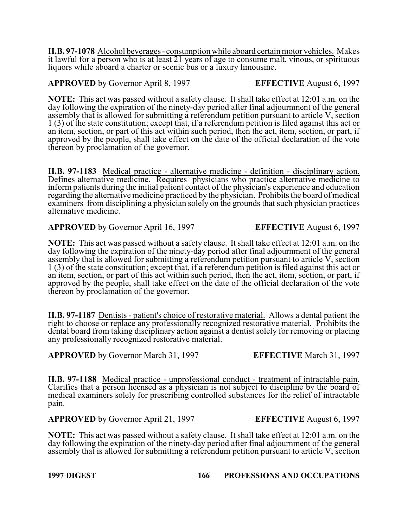**H.B. 97-1078** Alcohol beverages- consumption while aboard certain motor vehicles. Makes it lawful for a person who is at least 21 years of age to consume malt, vinous, or spirituous liquors while aboard a charter or scenic bus or a luxury limousine.

**APPROVED** by Governor April 8, 1997 **EFFECTIVE** August 6, 1997

**NOTE:** This act was passed without a safety clause. It shall take effect at 12:01 a.m. on the day following the expiration of the ninety-day period after final adjournment of the general assembly that is allowed for submitting a referendum petition pursuant to article V, section 1 (3) of the state constitution; except that, if a referendum petition is filed against this act or an item, section, or part of this act within such period, then the act, item, section, or part, if approved by the people, shall take effect on the date of the official declaration of the vote thereon by proclamation of the governor.

**H.B. 97-1183** Medical practice - alternative medicine - definition - disciplinary action. Defines alternative medicine. Requires physicians who practice alternative medicine to inform patients during the initial patient contact of the physician's experience and education regarding the alternative medicine practiced by the physician. Prohibits the board of medical examiners from disciplining a physician solely on the grounds that such physician practices alternative medicine.

**APPROVED** by Governor April 16, 1997 **EFFECTIVE** August 6, 1997

**NOTE:** This act was passed without a safety clause. It shall take effect at 12:01 a.m. on the day following the expiration of the ninety-day period after final adjournment of the general assembly that is allowed for submitting a referendum petition pursuant to article V, section 1 (3) of the state constitution; except that, if a referendum petition is filed against this act or an item, section, or part of this act within such period, then the act, item, section, or part, if approved by the people, shall take effect on the date of the official declaration of the vote thereon by proclamation of the governor.

**H.B. 97-1187** Dentists - patient's choice of restorative material. Allows a dental patient the right to choose or replace any professionally recognized restorative material. Prohibits the dental board from taking disciplinary action against a dentist solely for removing or placing any professionally recognized restorative material.

**APPROVED** by Governor March 31, 1997 **EFFECTIVE** March 31, 1997

**H.B. 97-1188** Medical practice - unprofessional conduct - treatment of intractable pain. Clarifies that a person licensed as a physician is not subject to discipline by the board of medical examiners solely for prescribing controlled substances for the relief of intractable pain.

**APPROVED** by Governor April 21, 1997 **EFFECTIVE** August 6, 1997

**NOTE:** This act was passed without a safety clause. It shall take effect at 12:01 a.m. on the day following the expiration of the ninety-day period after final adjournment of the general assembly that is allowed for submitting a referendum petition pursuant to article V, section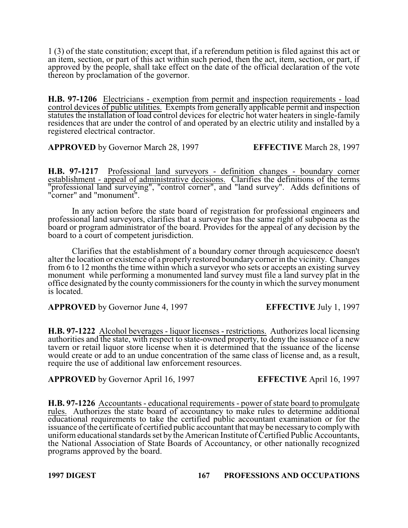1 (3) of the state constitution; except that, if a referendum petition is filed against this act or an item, section, or part of this act within such period, then the act, item, section, or part, if approved by the people, shall take effect on the date of the official declaration of the vote thereon by proclamation of the governor.

**H.B. 97-1206** Electricians - exemption from permit and inspection requirements - load control devices of public utilities. Exempts from generally applicable permit and inspection statutes the installation of load control devices for electric hot water heaters in single-family residences that are under the control of and operated by an electric utility and installed by a registered electrical contractor.

**APPROVED** by Governor March 28, 1997 **EFFECTIVE** March 28, 1997

**H.B. 97-1217** Professional land surveyors - definition changes - boundary corner establishment - appeal of administrative decisions. Clarifies the definitions of the terms "professional land surveying", "control corner", and "land survey". Adds definitions of "corner" and "monument".

In any action before the state board of registration for professional engineers and professional land surveyors, clarifies that a surveyor has the same right of subpoena as the board or program administrator of the board. Provides for the appeal of any decision by the board to a court of competent jurisdiction.

Clarifies that the establishment of a boundary corner through acquiescence doesn't alter the location or existence of a properly restored boundary corner in the vicinity. Changes from 6 to 12 months the time within which a surveyor who sets or accepts an existing survey monument while performing a monumented land survey must file a land survey plat in the office designated by the county commissioners for the county in which the surveymonument is located.

**APPROVED** by Governor June 4, 1997 **EFFECTIVE** July 1, 1997

**H.B. 97-1222** Alcohol beverages - liquor licenses - restrictions. Authorizes local licensing authorities and the state, with respect to state-owned property, to deny the issuance of a new tavern or retail liquor store license when it is determined that the issuance of the license would create or add to an undue concentration of the same class of license and, as a result, require the use of additional law enforcement resources.

**APPROVED** by Governor April 16, 1997 **EFFECTIVE** April 16, 1997

**H.B. 97-1226** Accountants - educational requirements - power of state board to promulgate rules. Authorizes the state board of accountancy to make rules to determine additional educational requirements to take the certified public accountant examination or for the issuance ofthe certificate of certified public accountant that may be necessaryto complywith uniform educational standards set by the American Institute of Certified Public Accountants, the National Association of State Boards of Accountancy, or other nationally recognized programs approved by the board.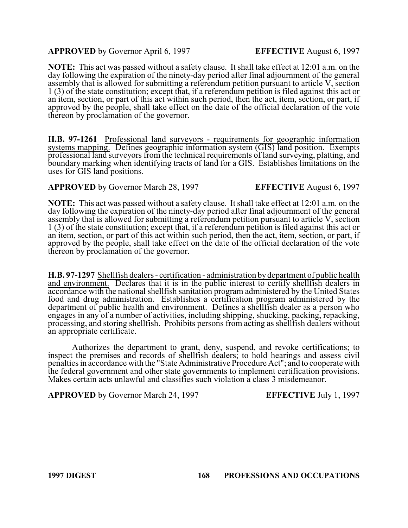## **APPROVED** by Governor April 6, 1997 **EFFECTIVE** August 6, 1997

**NOTE:** This act was passed without a safety clause. It shall take effect at 12:01 a.m. on the day following the expiration of the ninety-day period after final adjournment of the general assembly that is allowed for submitting a referendum petition pursuant to article V, section 1 (3) of the state constitution; except that, if a referendum petition is filed against this act or an item, section, or part of this act within such period, then the act, item, section, or part, if approved by the people, shall take effect on the date of the official declaration of the vote thereon by proclamation of the governor.

**H.B. 97-1261** Professional land surveyors - requirements for geographic information systems mapping. Defines geographic information system (GIS) land position. Exempts professional land surveyors from the technical requirements of land surveying, platting, and boundary marking when identifying tracts of land for a GIS. Establishes limitations on the uses for GIS land positions.

**APPROVED** by Governor March 28, 1997 **EFFECTIVE** August 6, 1997

**NOTE:** This act was passed without a safety clause. It shall take effect at 12:01 a.m. on the day following the expiration of the ninety-day period after final adjournment of the general assembly that is allowed for submitting a referendum petition pursuant to article V, section 1 (3) of the state constitution; except that, if a referendum petition is filed against this act or an item, section, or part of this act within such period, then the act, item, section, or part, if approved by the people, shall take effect on the date of the official declaration of the vote thereon by proclamation of the governor.

**H.B. 97-1297** Shellfish dealers - certification - administration bydepartment of public health and environment. Declares that it is in the public interest to certify shellfish dealers in accordance with the national shellfish sanitation program administered by the United States food and drug administration. Establishes a certification program administered by the department of public health and environment. Defines a shellfish dealer as a person who engages in any of a number of activities, including shipping, shucking, packing, repacking, processing, and storing shellfish. Prohibits persons from acting as shellfish dealers without an appropriate certificate.

Authorizes the department to grant, deny, suspend, and revoke certifications; to inspect the premises and records of shellfish dealers; to hold hearings and assess civil penalties in accordance with the "State Administrative Procedure Act"; and to cooperate with the federal government and other state governments to implement certification provisions. Makes certain acts unlawful and classifies such violation a class 3 misdemeanor.

**APPROVED** by Governor March 24, 1997 **EFFECTIVE** July 1, 1997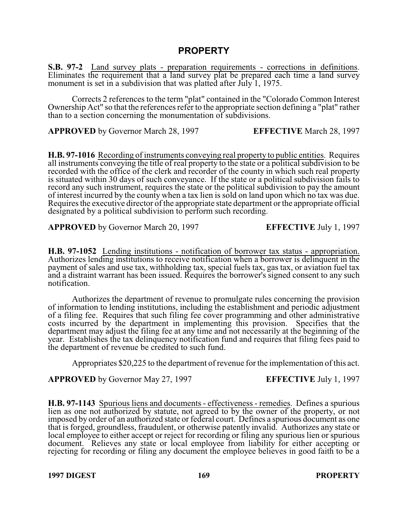# **PROPERTY**

**S.B. 97-2** Land survey plats - preparation requirements - corrections in definitions. Eliminates the requirement that a land survey plat be prepared each time a land survey monument is set in a subdivision that was platted after July 1, 1975.

Corrects 2 references to the term "plat" contained in the "Colorado Common Interest Ownership Act" so that the references refer to the appropriate section defining a "plat" rather than to a section concerning the monumentation of subdivisions.

**APPROVED** by Governor March 28, 1997 **EFFECTIVE** March 28, 1997

**H.B. 97-1016** Recording of instruments conveying real property to public entities. Requires all instruments conveying the title of real property to the state or a political subdivision to be recorded with the office of the clerk and recorder of the county in which such real property is situated within 30 days of such conveyance. If the state or a political subdivision fails to record any such instrument, requires the state or the political subdivision to pay the amount of interest incurred by the county when a tax lien is sold on land upon which no tax was due. Requires the executive director of the appropriate state department or the appropriate official designated by a political subdivision to perform such recording.

**APPROVED** by Governor March 20, 1997 **EFFECTIVE** July 1, 1997

**H.B. 97-1052** Lending institutions - notification of borrower tax status - appropriation. Authorizes lending institutions to receive notification when a borrower is delinquent in the payment of sales and use tax, withholding tax, special fuels tax, gas tax, or aviation fuel tax and a distraint warrant has been issued. Requires the borrower's signed consent to any such notification.

Authorizes the department of revenue to promulgate rules concerning the provision of information to lending institutions, including the establishment and periodic adjustment of a filing fee. Requires that such filing fee cover programming and other administrative costs incurred by the department in implementing this provision. Specifies that the department may adjust the filing fee at any time and not necessarily at the beginning of the year. Establishes the tax delinquency notification fund and requires that filing fees paid to the department of revenue be credited to such fund.

Appropriates \$20,225 to the department of revenue for the implementation of this act.

**APPROVED** by Governor May 27, 1997 **EFFECTIVE** July 1, 1997

**H.B. 97-1143** Spurious liens and documents - effectiveness - remedies. Defines a spurious lien as one not authorized by statute, not agreed to by the owner of the property, or not imposed by order of an authorized state or federal court. Defines a spurious document as one that is forged, groundless, fraudulent, or otherwise patently invalid. Authorizes any state or local employee to either accept or reject for recording or filing any spurious lien or spurious document. Relieves any state or local employee from liability for either accepting or rejecting for recording or filing any document the employee believes in good faith to be a

**1997 DIGEST 169 PROPERTY**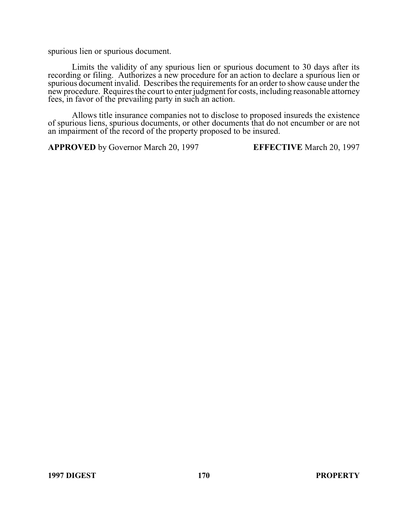spurious lien or spurious document.

Limits the validity of any spurious lien or spurious document to 30 days after its recording or filing. Authorizes a new procedure for an action to declare a spurious lien or spurious document invalid. Describes the requirements for an order to show cause under the new procedure. Requires the court to enter judgment for costs, including reasonable attorney fees, in favor of the prevailing party in such an action.

Allows title insurance companies not to disclose to proposed insureds the existence of spurious liens, spurious documents, or other documents that do not encumber or are not an impairment of the record of the property proposed to be insured.

**APPROVED** by Governor March 20, 1997 **EFFECTIVE** March 20, 1997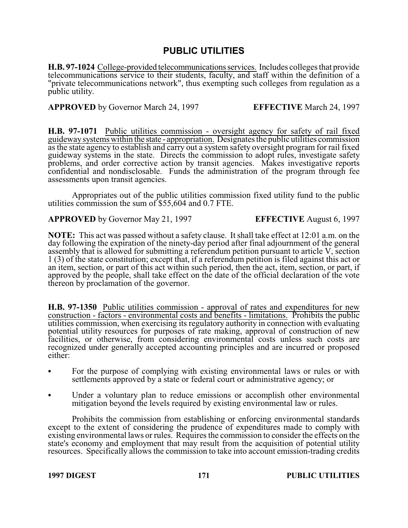# **PUBLIC UTILITIES**

**H.B. 97-1024** College-provided telecommunicationsservices. Includes colleges that provide telecommunications service to their students, faculty, and staff within the definition of a "private telecommunications network", thus exempting such colleges from regulation as a public utility.

**APPROVED** by Governor March 24, 1997 **EFFECTIVE** March 24, 1997

**H.B. 97-1071** Public utilities commission - oversight agency for safety of rail fixed guidewaysystems within the state - appropriation. Designates the public utilities commission as the state agency to establish and carry out a system safety oversight program for rail fixed guideway systems in the state. Directs the commission to adopt rules, investigate safety problems, and order corrective action by transit agencies. Makes investigative reports confidential and nondisclosable. Funds the administration of the program through fee assessments upon transit agencies.

Appropriates out of the public utilities commission fixed utility fund to the public utilities commission the sum of \$55,604 and 0.7 FTE.

**APPROVED** by Governor May 21, 1997 **EFFECTIVE** August 6, 1997

**NOTE:** This act was passed without a safety clause. It shall take effect at 12:01 a.m. on the day following the expiration of the ninety-day period after final adjournment of the general assembly that is allowed for submitting a referendum petition pursuant to article V, section 1 (3) of the state constitution; except that, if a referendum petition is filed against this act or an item, section, or part of this act within such period, then the act, item, section, or part, if approved by the people, shall take effect on the date of the official declaration of the vote thereon by proclamation of the governor.

**H.B. 97-1350** Public utilities commission - approval of rates and expenditures for new construction - factors - environmental costs and benefits - limitations. Prohibits the public utilities commission, when exercising its regulatory authority in connection with evaluating potential utility resources for purposes of rate making, approval of construction of new facilities, or otherwise, from considering environmental costs unless such costs are recognized under generally accepted accounting principles and are incurred or proposed either:

- For the purpose of complying with existing environmental laws or rules or with settlements approved by a state or federal court or administrative agency; or
- Under a voluntary plan to reduce emissions or accomplish other environmental mitigation beyond the levels required by existing environmental law or rules.

Prohibits the commission from establishing or enforcing environmental standards except to the extent of considering the prudence of expenditures made to comply with existing environmental laws or rules. Requires the commission to consider the effects on the state's economy and employment that may result from the acquisition of potential utility resources. Specifically allows the commission to take into account emission-trading credits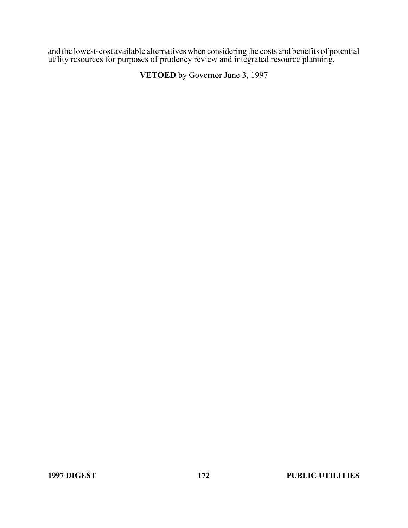and the lowest-cost available alternatives when considering the costs and benefits of potential utility resources for purposes of prudency review and integrated resource planning.

**VETOED** by Governor June 3, 1997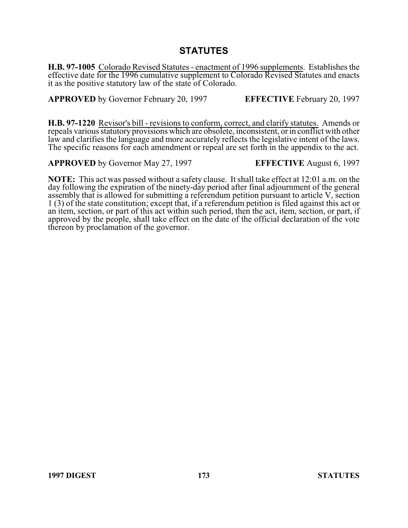# **STATUTES**

**H.B. 97-1005** Colorado Revised Statutes - enactment of 1996 supplements. Establishes the effective date for the 1996 cumulative supplement to Colorado Revised Statutes and enacts it as the positive statutory law of the state of Colorado.

**APPROVED** by Governor February 20, 1997 **EFFECTIVE** February 20, 1997

**H.B. 97-1220** Revisor's bill - revisions to conform, correct, and clarify statutes. Amends or repeals various statutory provisions which are obsolete, inconsistent, or in conflict with other law and clarifies the language and more accurately reflects the legislative intent of the laws. The specific reasons for each amendment or repeal are set forth in the appendix to the act.

**APPROVED** by Governor May 27, 1997 **EFFECTIVE** August 6, 1997

**NOTE:** This act was passed without a safety clause. It shall take effect at 12:01 a.m. on the day following the expiration of the ninety-day period after final adjournment of the general assembly that is allowed for submitting a referendum petition pursuant to article V, section 1 (3) of the state constitution; except that, if a referendum petition is filed against this act or an item, section, or part of this act within such period, then the act, item, section, or part, if approved by the people, shall take effect on the date of the official declaration of the vote thereon by proclamation of the governor.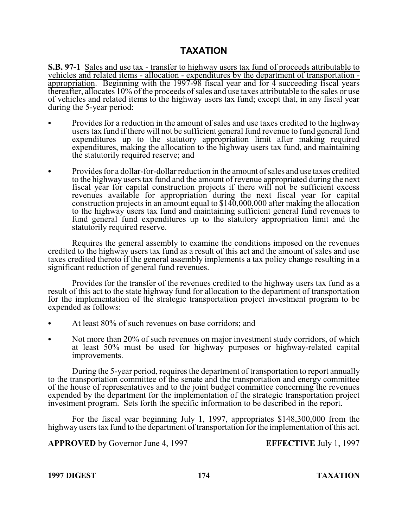# **TAXATION**

**S.B. 97-1** Sales and use tax - transfer to highway users tax fund of proceeds attributable to vehicles and related items - allocation - expenditures by the department of transportation appropriation. Beginning with the 1997-98 fiscal year and for 4 succeeding fiscal years thereafter, allocates 10% of the proceeds ofsales and use taxes attributable to the sales or use of vehicles and related items to the highway users tax fund; except that, in any fiscal year during the 5-year period:

- Provides for a reduction in the amount of sales and use taxes credited to the highway users tax fund if there will not be sufficient general fund revenue to fund general fund expenditures up to the statutory appropriation limit after making required expenditures, making the allocation to the highway users tax fund, and maintaining the statutorily required reserve; and
- Provides for a dollar-for-dollar reduction in the amount of sales and use taxes credited to the highway users tax fund and the amount of revenue appropriated during the next fiscal year for capital construction projects if there will not be sufficient excess revenues available for appropriation during the next fiscal year for capital construction projects in an amount equal to \$140,000,000 after making the allocation to the highway users tax fund and maintaining sufficient general fund revenues to fund general fund expenditures up to the statutory appropriation limit and the statutorily required reserve.

Requires the general assembly to examine the conditions imposed on the revenues credited to the highway users tax fund as a result of this act and the amount of sales and use taxes credited thereto if the general assembly implements a tax policy change resulting in a significant reduction of general fund revenues.

Provides for the transfer of the revenues credited to the highway users tax fund as a result of this act to the state highway fund for allocation to the department of transportation for the implementation of the strategic transportation project investment program to be expended as follows:

- At least 80% of such revenues on base corridors; and
- Not more than 20% of such revenues on major investment study corridors, of which at least 50% must be used for highway purposes or highway-related capital improvements.

During the 5-year period, requires the department of transportation to report annually to the transportation committee of the senate and the transportation and energy committee of the house of representatives and to the joint budget committee concerning the revenues expended by the department for the implementation of the strategic transportation project investment program. Sets forth the specific information to be described in the report.

For the fiscal year beginning July 1, 1997, appropriates \$148,300,000 from the highway users tax fund to the department of transportation for the implementation of this act.

**APPROVED** by Governor June 4, 1997 **EFFECTIVE** July 1, 1997

**1997 DIGEST 174 TAXATION**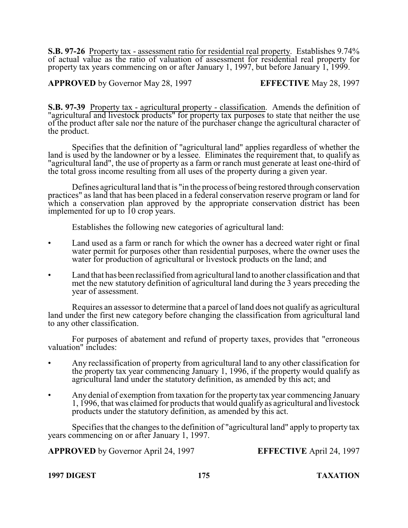**S.B. 97-26** Property tax - assessment ratio for residential real property. Establishes 9.74% of actual value as the ratio of valuation of assessment for residential real property for property tax years commencing on or after January 1, 1997, but before January 1, 1999.

**APPROVED** by Governor May 28, 1997 **EFFECTIVE** May 28, 1997

**S.B. 97-39** Property tax - agricultural property - classification. Amends the definition of "agricultural and livestock products" for property tax purposes to state that neither the use of the product after sale nor the nature of the purchaser change the agricultural character of the product.

Specifies that the definition of "agricultural land" applies regardless of whether the land is used by the landowner or by a lessee. Eliminates the requirement that, to qualify as "agricultural land", the use of property as a farm or ranch must generate at least one-third of the total gross income resulting from all uses of the property during a given year.

Defines agricultural land that is "in the process of being restored through conservation practices" as land that has been placed in a federal conservation reserve program or land for which a conservation plan approved by the appropriate conservation district has been implemented for up to 10 crop years.

Establishes the following new categories of agricultural land:

- Land used as a farm or ranch for which the owner has a decreed water right or final water permit for purposes other than residential purposes, where the owner uses the water for production of agricultural or livestock products on the land; and
- Land that has been reclassified fromagricultural land to another classification and that met the new statutory definition of agricultural land during the 3 years preceding the year of assessment.

Requires an assessor to determine that a parcel of land does not qualify as agricultural land under the first new category before changing the classification from agricultural land to any other classification.

For purposes of abatement and refund of property taxes, provides that "erroneous valuation" includes:

- Any reclassification of property from agricultural land to any other classification for the property tax year commencing January 1, 1996, if the property would qualify as agricultural land under the statutory definition, as amended by this act; and
- Any denial of exemption from taxation for the property tax year commencing January 1, 1996, that was claimed for products that would qualify as agricultural and livestock products under the statutory definition, as amended by this act.

Specifies that the changes to the definition of "agricultural land" apply to property tax years commencing on or after January 1, 1997.

**APPROVED** by Governor April 24, 1997 **EFFECTIVE** April 24, 1997

**1997 DIGEST 175 TAXATION**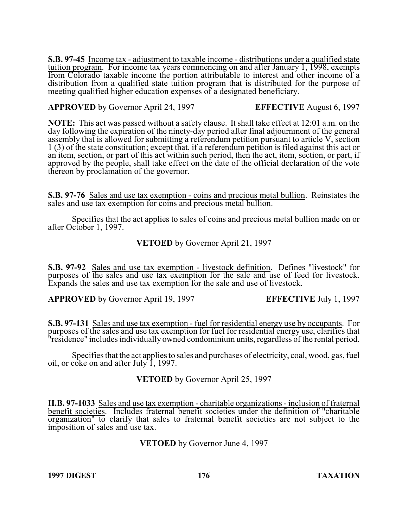**S.B. 97-45** Income tax - adjustment to taxable income - distributions under a qualified state tuition program. For income tax years commencing on and after January 1, 1998, exempts from Colorado taxable income the portion attributable to interest and other income of a distribution from a qualified state tuition program that is distributed for the purpose of meeting qualified higher education expenses of a designated beneficiary.

**APPROVED** by Governor April 24, 1997 **EFFECTIVE** August 6, 1997

**NOTE:** This act was passed without a safety clause. It shall take effect at 12:01 a.m. on the day following the expiration of the ninety-day period after final adjournment of the general assembly that is allowed for submitting a referendum petition pursuant to article V, section 1 (3) of the state constitution; except that, if a referendum petition is filed against this act or an item, section, or part of this act within such period, then the act, item, section, or part, if approved by the people, shall take effect on the date of the official declaration of the vote thereon by proclamation of the governor.

**S.B. 97-76** Sales and use tax exemption - coins and precious metal bullion. Reinstates the sales and use tax exemption for coins and precious metal bullion.

Specifies that the act applies to sales of coins and precious metal bullion made on or after October 1, 1997.

**VETOED** by Governor April 21, 1997

**S.B. 97-92** Sales and use tax exemption - livestock definition. Defines "livestock" for purposes of the sales and use tax exemption for the sale and use of feed for livestock. Expands the sales and use tax exemption for the sale and use of livestock.

**APPROVED** by Governor April 19, 1997 **EFFECTIVE** July 1, 1997

**S.B. 97-131** Sales and use tax exemption - fuel for residential energy use by occupants. For purposes of the sales and use tax exemption for fuel for residential energy use, clarifies that "residence" includes individually owned condominium units, regardless of the rental period.

Specifies that the act applies to sales and purchases of electricity, coal, wood, gas, fuel oil, or coke on and after July 1, 1997.

**VETOED** by Governor April 25, 1997

**H.B. 97-1033** Sales and use tax exemption - charitable organizations - inclusion of fraternal benefit societies. Includes fraternal benefit societies under the definition of "charitable organization" to clarify that sales to fraternal benefit societies are not subject to the imposition of sales and use tax.

**VETOED** by Governor June 4, 1997

**1997 DIGEST 176 TAXATION**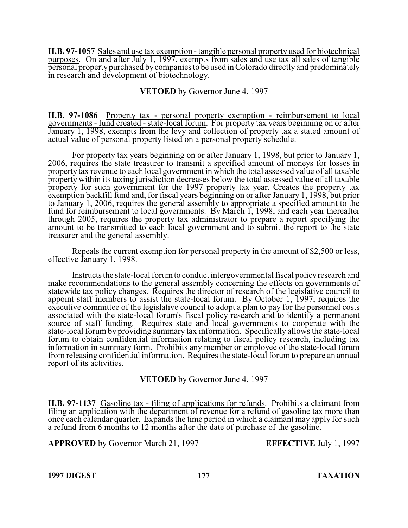**H.B. 97-1057** Sales and use tax exemption - tangible personal property used for biotechnical purposes. On and after July 1, 1997, exempts from sales and use tax all sales of tangible personal propertypurchased bycompanies to be used in Colorado directly and predominately in research and development of biotechnology.

## **VETOED** by Governor June 4, 1997

**H.B. 97-1086** Property tax - personal property exemption - reimbursement to local governments - fund created - state-local forum. For property tax years beginning on or after January 1, 1998, exempts from the levy and collection of property tax a stated amount of actual value of personal property listed on a personal property schedule.

For property tax years beginning on or after January 1, 1998, but prior to January 1, 2006, requires the state treasurer to transmit a specified amount of moneys for losses in property tax revenue to each local government in which the total assessed value of all taxable property within its taxing jurisdiction decreases below the total assessed value of all taxable property for such government for the 1997 property tax year. Creates the property tax exemption backfill fund and, for fiscal years beginning on or after January 1, 1998, but prior to January 1, 2006, requires the general assembly to appropriate a specified amount to the fund for reimbursement to local governments. By March 1, 1998, and each year thereafter through 2005, requires the property tax administrator to prepare a report specifying the amount to be transmitted to each local government and to submit the report to the state treasurer and the general assembly.

Repeals the current exemption for personal property in the amount of \$2,500 or less, effective January 1, 1998.

Instructs the state-local forumto conduct intergovernmental fiscal policyresearch and make recommendations to the general assembly concerning the effects on governments of statewide tax policy changes. Requires the director of research of the legislative council to appoint staff members to assist the state-local forum. By October 1, 1997, requires the executive committee of the legislative council to adopt a plan to pay for the personnel costs associated with the state-local forum's fiscal policy research and to identify a permanent source of staff funding. Requires state and local governments to cooperate with the state-local forum by providing summary tax information. Specifically allows the state-local forum to obtain confidential information relating to fiscal policy research, including tax information in summary form. Prohibits any member or employee of the state-local forum from releasing confidential information. Requires the state-local forum to prepare an annual report of its activities.

**VETOED** by Governor June 4, 1997

**H.B. 97-1137** Gasoline tax - filing of applications for refunds. Prohibits a claimant from filing an application with the department of revenue for a refund of gasoline tax more than once each calendar quarter. Expands the time period in which a claimant may apply for such a refund from 6 months to 12 months after the date of purchase of the gasoline.

**APPROVED** by Governor March 21, 1997 **EFFECTIVE** July 1, 1997

**1997 DIGEST 177 TAXATION**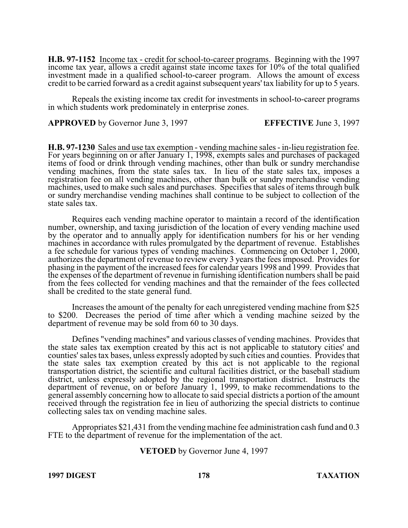**H.B. 97-1152** Income tax - credit for school-to-career programs. Beginning with the 1997 income tax year, allows a credit against state income taxes for 10% of the total qualified investment made in a qualified school-to-career program. Allows the amount of excess credit to be carried forward as a credit against subsequent years' tax liability for up to 5 years.

Repeals the existing income tax credit for investments in school-to-career programs in which students work predominately in enterprise zones.

**APPROVED** by Governor June 3, 1997 **EFFECTIVE** June 3, 1997

**H.B. 97-1230** Sales and use tax exemption - vending machine sales - in-lieu registration fee. For years beginning on or after January 1, 1998, exempts sales and purchases of packaged items of food or drink through vending machines, other than bulk or sundry merchandise vending machines, from the state sales tax. In lieu of the state sales tax, imposes a registration fee on all vending machines, other than bulk or sundry merchandise vending machines, used to make such sales and purchases. Specifies that sales of items through bulk or sundry merchandise vending machines shall continue to be subject to collection of the state sales tax.

Requires each vending machine operator to maintain a record of the identification number, ownership, and taxing jurisdiction of the location of every vending machine used by the operator and to annually apply for identification numbers for his or her vending machines in accordance with rules promulgated by the department of revenue. Establishes a fee schedule for various types of vending machines. Commencing on October 1, 2000, authorizes the department of revenue to review every 3 years the fees imposed. Provides for phasing in the payment of the increased fees for calendar years 1998 and 1999. Provides that the expenses of the department of revenue in furnishing identification numbers shall be paid from the fees collected for vending machines and that the remainder of the fees collected shall be credited to the state general fund.

Increases the amount of the penalty for each unregistered vending machine from \$25 to \$200. Decreases the period of time after which a vending machine seized by the department of revenue may be sold from 60 to 30 days.

Defines "vending machines" and various classes of vending machines. Provides that the state sales tax exemption created by this act is not applicable to statutory cities' and counties'sales tax bases, unless expressly adopted by such cities and counties. Provides that the state sales tax exemption created by this act is not applicable to the regional transportation district, the scientific and cultural facilities district, or the baseball stadium district, unless expressly adopted by the regional transportation district. Instructs the department of revenue, on or before January 1, 1999, to make recommendations to the general assembly concerning how to allocate to said special districts a portion of the amount received through the registration fee in lieu of authorizing the special districts to continue collecting sales tax on vending machine sales.

Appropriates \$21,431 fromthe vending machine fee administration cash fund and 0.3 FTE to the department of revenue for the implementation of the act.

### **VETOED** by Governor June 4, 1997

**1997 DIGEST 178 TAXATION**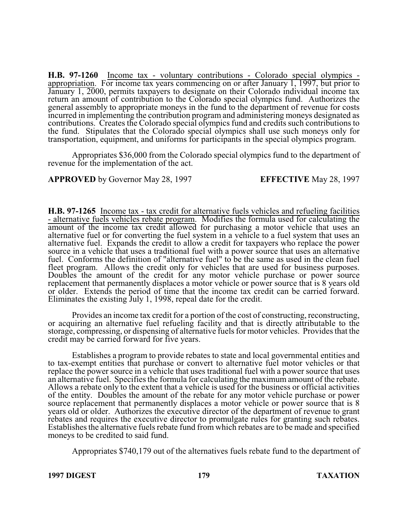**H.B. 97-1260** Income tax - voluntary contributions - Colorado special olympics appropriation. For income tax years commencing on or after January 1, 1997, but prior to January 1, 2000, permits taxpayers to designate on their Colorado individual income tax return an amount of contribution to the Colorado special olympics fund. Authorizes the general assembly to appropriate moneys in the fund to the department of revenue for costs incurred in implementing the contribution program and administering moneys designated as contributions. Creates the Colorado special olympics fund and credits such contributions to the fund. Stipulates that the Colorado special olympics shall use such moneys only for transportation, equipment, and uniforms for participants in the special olympics program.

Appropriates \$36,000 from the Colorado special olympics fund to the department of revenue for the implementation of the act.

**APPROVED** by Governor May 28, 1997 **EFFECTIVE** May 28, 1997

**H.B. 97-1265** Income tax - tax credit for alternative fuels vehicles and refueling facilities - alternative fuels vehicles rebate program. Modifies the formula used for calculating the amount of the income tax credit allowed for purchasing a motor vehicle that uses an alternative fuel or for converting the fuel system in a vehicle to a fuel system that uses an alternative fuel. Expands the credit to allow a credit for taxpayers who replace the power source in a vehicle that uses a traditional fuel with a power source that uses an alternative fuel. Conforms the definition of "alternative fuel" to be the same as used in the clean fuel fleet program. Allows the credit only for vehicles that are used for business purposes. Doubles the amount of the credit for any motor vehicle purchase or power source replacement that permanently displaces a motor vehicle or power source that is 8 years old or older. Extends the period of time that the income tax credit can be carried forward. Eliminates the existing July 1, 1998, repeal date for the credit.

Provides an income tax credit for a portion of the cost of constructing, reconstructing, or acquiring an alternative fuel refueling facility and that is directly attributable to the storage, compressing, or dispensing of alternative fuels for motor vehicles. Provides that the credit may be carried forward for five years.

Establishes a program to provide rebates to state and local governmental entities and to tax-exempt entities that purchase or convert to alternative fuel motor vehicles or that replace the power source in a vehicle that uses traditional fuel with a power source that uses an alternative fuel. Specifies the formula for calculating the maximum amount of the rebate. Allows a rebate only to the extent that a vehicle is used for the business or official activities of the entity. Doubles the amount of the rebate for any motor vehicle purchase or power source replacement that permanently displaces a motor vehicle or power source that is 8 years old or older. Authorizes the executive director of the department of revenue to grant rebates and requires the executive director to promulgate rules for granting such rebates. Establishes the alternative fuels rebate fund from which rebates are to be made and specified moneys to be credited to said fund.

Appropriates \$740,179 out of the alternatives fuels rebate fund to the department of

**1997 DIGEST 179 TAXATION**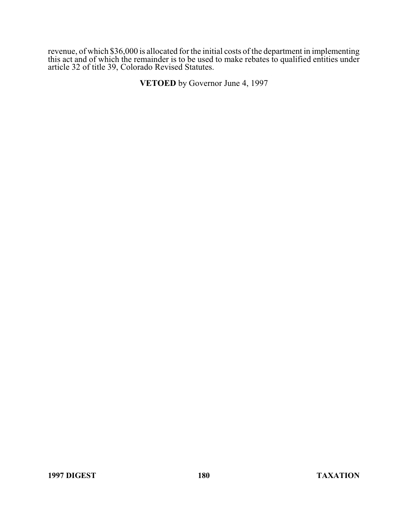revenue, of which \$36,000 is allocated for the initial costs of the department in implementing this act and of which the remainder is to be used to make rebates to qualified entities under article 32 of title 39, Colorado Revised Statutes.

**VETOED** by Governor June 4, 1997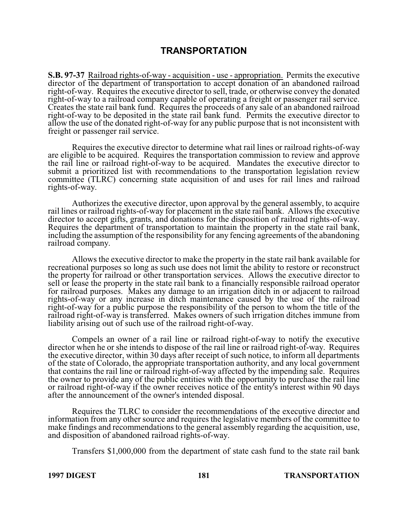### **TRANSPORTATION**

**S.B. 97-37** Railroad rights-of-way - acquisition - use - appropriation. Permits the executive director of the department of transportation to accept donation of an abandoned railroad right-of-way. Requires the executive director to sell, trade, or otherwise convey the donated right-of-way to a railroad company capable of operating a freight or passenger rail service. Creates the state rail bank fund. Requires the proceeds of any sale of an abandoned railroad right-of-way to be deposited in the state rail bank fund. Permits the executive director to allow the use of the donated right-of-way for any public purpose that is not inconsistent with freight or passenger rail service.

Requires the executive director to determine what rail lines or railroad rights-of-way are eligible to be acquired. Requires the transportation commission to review and approve the rail line or railroad right-of-way to be acquired. Mandates the executive director to submit a prioritized list with recommendations to the transportation legislation review committee (TLRC) concerning state acquisition of and uses for rail lines and railroad rights-of-way.

Authorizes the executive director, upon approval by the general assembly, to acquire rail lines or railroad rights-of-way for placement in the state rail bank. Allows the executive director to accept gifts, grants, and donations for the disposition of railroad rights-of-way. Requires the department of transportation to maintain the property in the state rail bank, including the assumption of the responsibility for any fencing agreements of the abandoning railroad company.

Allows the executive director to make the property in the state rail bank available for recreational purposes so long as such use does not limit the ability to restore or reconstruct the property for railroad or other transportation services. Allows the executive director to sell or lease the property in the state rail bank to a financially responsible railroad operator for railroad purposes. Makes any damage to an irrigation ditch in or adjacent to railroad rights-of-way or any increase in ditch maintenance caused by the use of the railroad right-of-way for a public purpose the responsibility of the person to whom the title of the railroad right-of-way is transferred. Makes owners of such irrigation ditches immune from liability arising out of such use of the railroad right-of-way.

Compels an owner of a rail line or railroad right-of-way to notify the executive director when he or she intends to dispose of the rail line or railroad right-of-way. Requires the executive director, within 30 days after receipt of such notice, to inform all departments of the state of Colorado, the appropriate transportation authority, and any local government that contains the rail line or railroad right-of-way affected by the impending sale. Requires the owner to provide any of the public entities with the opportunity to purchase the rail line or railroad right-of-way if the owner receives notice of the entity's interest within 90 days after the announcement of the owner's intended disposal.

Requires the TLRC to consider the recommendations of the executive director and information from any other source and requires the legislative members of the committee to make findings and recommendations to the general assembly regarding the acquisition, use, and disposition of abandoned railroad rights-of-way.

Transfers \$1,000,000 from the department of state cash fund to the state rail bank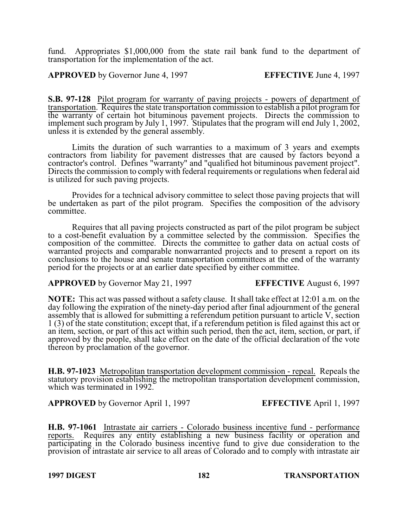fund. Appropriates \$1,000,000 from the state rail bank fund to the department of transportation for the implementation of the act.

**APPROVED** by Governor June 4, 1997 **EFFECTIVE** June 4, 1997

**S.B. 97-128** Pilot program for warranty of paving projects - powers of department of transportation. Requires the state transportation commission to establish a pilot program for the warranty of certain hot bituminous pavement projects. Directs the commission to implement such program by July 1, 1997. Stipulates that the program will end July 1, 2002, unless it is extended by the general assembly.

Limits the duration of such warranties to a maximum of 3 years and exempts contractors from liability for pavement distresses that are caused by factors beyond a contractor's control. Defines "warranty" and "qualified hot bituminous pavement project". Directs the commission to comply with federal requirements or regulations when federal aid is utilized for such paving projects.

Provides for a technical advisory committee to select those paving projects that will be undertaken as part of the pilot program. Specifies the composition of the advisory committee.

Requires that all paving projects constructed as part of the pilot program be subject to a cost-benefit evaluation by a committee selected by the commission. Specifies the composition of the committee. Directs the committee to gather data on actual costs of warranted projects and comparable nonwarranted projects and to present a report on its conclusions to the house and senate transportation committees at the end of the warranty period for the projects or at an earlier date specified by either committee.

**APPROVED** by Governor May 21, 1997 **EFFECTIVE** August 6, 1997

**NOTE:** This act was passed without a safety clause. It shall take effect at 12:01 a.m. on the day following the expiration of the ninety-day period after final adjournment of the general assembly that is allowed for submitting a referendum petition pursuant to article V, section 1 (3) of the state constitution; except that, if a referendum petition is filed against this act or an item, section, or part of this act within such period, then the act, item, section, or part, if approved by the people, shall take effect on the date of the official declaration of the vote thereon by proclamation of the governor.

**H.B. 97-1023** Metropolitan transportation development commission - repeal. Repeals the statutory provision establishing the metropolitan transportation development commission, which was terminated in 1992.

**APPROVED** by Governor April 1, 1997 **EFFECTIVE** April 1, 1997

**H.B. 97-1061** Intrastate air carriers - Colorado business incentive fund - performance reports. Requires any entity establishing a new business facility or operation and participating in the Colorado business incentive fund to give due consideration to the provision of intrastate air service to all areas of Colorado and to comply with intrastate air

**1997 DIGEST 182 TRANSPORTATION**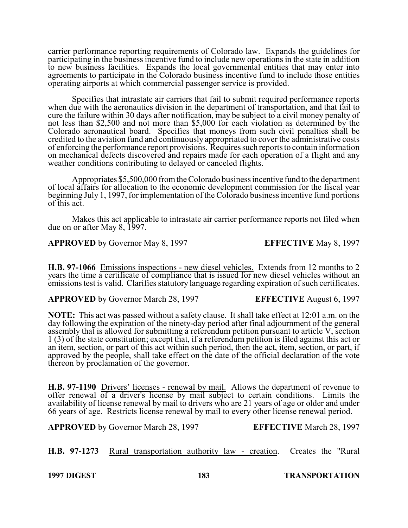carrier performance reporting requirements of Colorado law. Expands the guidelines for participating in the business incentive fund to include new operations in the state in addition to new business facilities. Expands the local governmental entities that may enter into agreements to participate in the Colorado business incentive fund to include those entities operating airports at which commercial passenger service is provided.

Specifies that intrastate air carriers that fail to submit required performance reports when due with the aeronautics division in the department of transportation, and that fail to cure the failure within 30 days after notification, may be subject to a civil money penalty of not less than \$2,500 and not more than \$5,000 for each violation as determined by the Colorado aeronautical board. Specifies that moneys from such civil penalties shall be credited to the aviation fund and continuously appropriated to cover the administrative costs of enforcing the performance report provisions. Requires such reports to contain information on mechanical defects discovered and repairs made for each operation of a flight and any weather conditions contributing to delayed or canceled flights.

Appropriates \$5,500,000 fromthe Colorado business incentive fund to the department of local affairs for allocation to the economic development commission for the fiscal year beginning July 1, 1997, for implementation of the Colorado business incentive fund portions of this act.

Makes this act applicable to intrastate air carrier performance reports not filed when due on or after May 8, 1997.

**APPROVED** by Governor May 8, 1997 **EFFECTIVE** May 8, 1997

**H.B. 97-1066** Emissions inspections - new diesel vehicles. Extends from 12 months to 2 years the time a certificate of compliance that is issued for new diesel vehicles without an emissions test is valid. Clarifies statutory language regarding expiration of such certificates.

**APPROVED** by Governor March 28, 1997 **EFFECTIVE** August 6, 1997

**NOTE:** This act was passed without a safety clause. It shall take effect at 12:01 a.m. on the day following the expiration of the ninety-day period after final adjournment of the general assembly that is allowed for submitting a referendum petition pursuant to article V, section 1 (3) of the state constitution; except that, if a referendum petition is filed against this act or an item, section, or part of this act within such period, then the act, item, section, or part, if approved by the people, shall take effect on the date of the official declaration of the vote thereon by proclamation of the governor.

**H.B. 97-1190** Drivers' licenses - renewal by mail. Allows the department of revenue to offer renewal of a driver's license by mail subject to certain conditions. Limits the availability of license renewal by mail to drivers who are 21 years of age or older and under 66 years of age. Restricts license renewal by mail to every other license renewal period.

**APPROVED** by Governor March 28, 1997 **EFFECTIVE** March 28, 1997

**H.B. 97-1273** Rural transportation authority law - creation. Creates the "Rural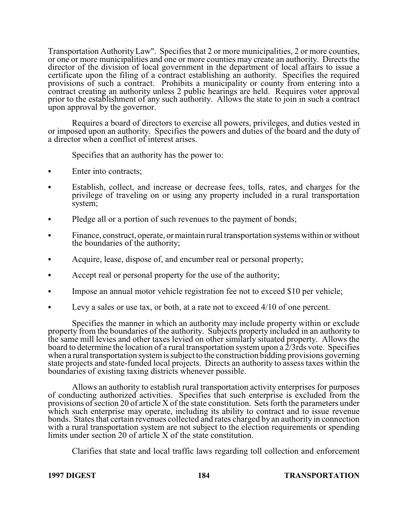Transportation Authority Law". Specifies that 2 or more municipalities, 2 or more counties, or one or more municipalities and one or more counties may create an authority. Directs the director of the division of local government in the department of local affairs to issue a certificate upon the filing of a contract establishing an authority. Specifies the required provisions of such a contract. Prohibits a municipality or county from entering into a contract creating an authority unless 2 public hearings are held. Requires voter approval prior to the establishment of any such authority. Allows the state to join in such a contract upon approval by the governor.

Requires a board of directors to exercise all powers, privileges, and duties vested in or imposed upon an authority. Specifies the powers and duties of the board and the duty of a director when a conflict of interest arises.

Specifies that an authority has the power to:

- Enter into contracts;
- Establish, collect, and increase or decrease fees, tolls, rates, and charges for the privilege of traveling on or using any property included in a rural transportation system;
- Pledge all or a portion of such revenues to the payment of bonds;
- Finance, construct, operate, or maintain rural transportation systems within or without the boundaries of the authority;
- Acquire, lease, dispose of, and encumber real or personal property;
- Accept real or personal property for the use of the authority;
- Impose an annual motor vehicle registration fee not to exceed \$10 per vehicle;
- Levy a sales or use tax, or both, at a rate not to exceed 4/10 of one percent.

Specifies the manner in which an authority may include property within or exclude property from the boundaries of the authority. Subjects property included in an authority to the same mill levies and other taxes levied on other similarly situated property. Allows the board to determine the location of a rural transportation system upon a 2/3rds vote. Specifies when a rural transportation system is subject to the construction bidding provisions governing state projects and state-funded local projects. Directs an authority to assess taxes within the boundaries of existing taxing districts whenever possible.

Allows an authority to establish rural transportation activity enterprises for purposes of conducting authorized activities. Specifies that such enterprise is excluded from the provisions of section 20 of article X of the state constitution. Sets forth the parameters under which such enterprise may operate, including its ability to contract and to issue revenue bonds. States that certain revenues collected and rates charged by an authority in connection with a rural transportation system are not subject to the election requirements or spending limits under section 20 of article X of the state constitution.

Clarifies that state and local traffic laws regarding toll collection and enforcement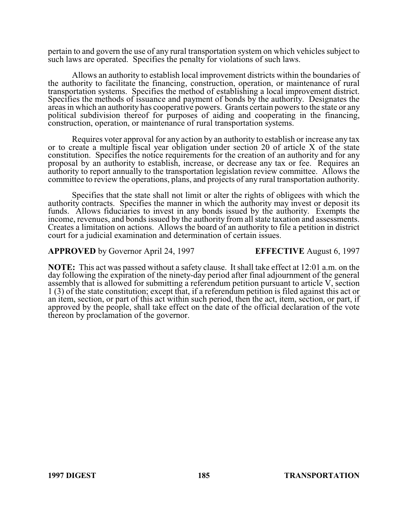pertain to and govern the use of any rural transportation system on which vehicles subject to such laws are operated. Specifies the penalty for violations of such laws.

Allows an authority to establish local improvement districts within the boundaries of the authority to facilitate the financing, construction, operation, or maintenance of rural transportation systems. Specifies the method of establishing a local improvement district. Specifies the methods of issuance and payment of bonds by the authority. Designates the areas in which an authority has cooperative powers. Grants certain powers to the state or any political subdivision thereof for purposes of aiding and cooperating in the financing, construction, operation, or maintenance of rural transportation systems.

Requires voter approval for any action by an authority to establish or increase any tax or to create a multiple fiscal year obligation under section 20 of article X of the state constitution. Specifies the notice requirements for the creation of an authority and for any proposal by an authority to establish, increase, or decrease any tax or fee. Requires an authority to report annually to the transportation legislation review committee. Allows the committee to review the operations, plans, and projects of any rural transportation authority.

Specifies that the state shall not limit or alter the rights of obligees with which the authority contracts. Specifies the manner in which the authority may invest or deposit its funds. Allows fiduciaries to invest in any bonds issued by the authority. Exempts the income, revenues, and bonds issued by the authority from all state taxation and assessments. Creates a limitation on actions. Allows the board of an authority to file a petition in district court for a judicial examination and determination of certain issues.

**APPROVED** by Governor April 24, 1997 **EFFECTIVE** August 6, 1997

**NOTE:** This act was passed without a safety clause. It shall take effect at 12:01 a.m. on the day following the expiration of the ninety-day period after final adjournment of the general assembly that is allowed for submitting a referendum petition pursuant to article V, section 1 (3) of the state constitution; except that, if a referendum petition is filed against this act or an item, section, or part of this act within such period, then the act, item, section, or part, if approved by the people, shall take effect on the date of the official declaration of the vote thereon by proclamation of the governor.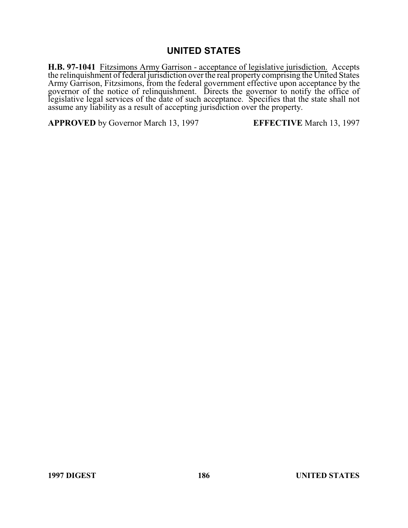## **UNITED STATES**

**H.B. 97-1041** Fitzsimons Army Garrison - acceptance of legislative jurisdiction. Accepts the relinquishment of federal jurisdiction over the real property comprising the United States Army Garrison, Fitzsimons, from the federal government effective upon acceptance by the governor of the notice of relinquishment. Directs the governor to notify the office of legislative legal services of the date of such acceptance. Specifies that the state shall not assume any liability as a result of accepting jurisdiction over the property.

**APPROVED** by Governor March 13, 1997 **EFFECTIVE** March 13, 1997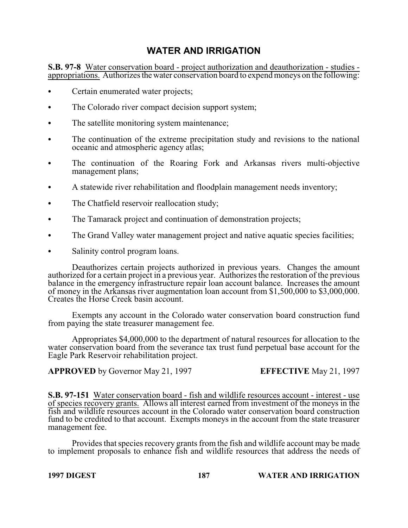## **WATER AND IRRIGATION**

**S.B. 97-8** Water conservation board - project authorization and deauthorization - studies appropriations. Authorizes thewater conservation board to expend moneys on the following:

- Certain enumerated water projects;
- The Colorado river compact decision support system;
- The satellite monitoring system maintenance;
- The continuation of the extreme precipitation study and revisions to the national oceanic and atmospheric agency atlas;
- The continuation of the Roaring Fork and Arkansas rivers multi-objective management plans;
- A statewide river rehabilitation and floodplain management needs inventory;
- The Chatfield reservoir reallocation study;
- The Tamarack project and continuation of demonstration projects;
- The Grand Valley water management project and native aquatic species facilities;
- Salinity control program loans.

Deauthorizes certain projects authorized in previous years. Changes the amount authorized for a certain project in a previous year. Authorizes the restoration of the previous balance in the emergency infrastructure repair loan account balance. Increases the amount of money in the Arkansas river augmentation loan account from \$1,500,000 to \$3,000,000. Creates the Horse Creek basin account.

Exempts any account in the Colorado water conservation board construction fund from paying the state treasurer management fee.

Appropriates \$4,000,000 to the department of natural resources for allocation to the water conservation board from the severance tax trust fund perpetual base account for the Eagle Park Reservoir rehabilitation project.

#### **APPROVED** by Governor May 21, 1997 **EFFECTIVE** May 21, 1997

**S.B. 97-151** Water conservation board - fish and wildlife resources account - interest - use of species recovery grants. Allows all interest earned from investment of the moneys in the fish and wildlife resources account in the Colorado water conservation board construction fund to be credited to that account. Exempts moneys in the account from the state treasurer management fee.

Provides that species recovery grants from the fish and wildlife account may be made to implement proposals to enhance fish and wildlife resources that address the needs of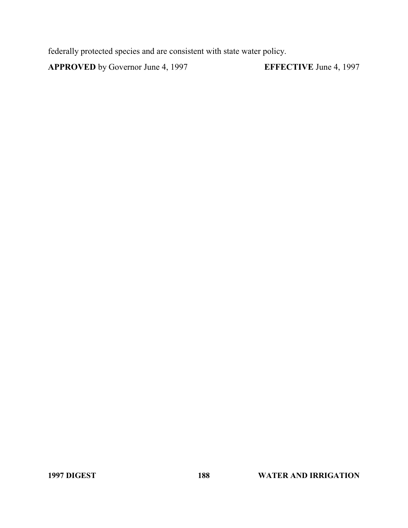federally protected species and are consistent with state water policy.

**APPROVED** by Governor June 4, 1997 **EFFECTIVE** June 4, 1997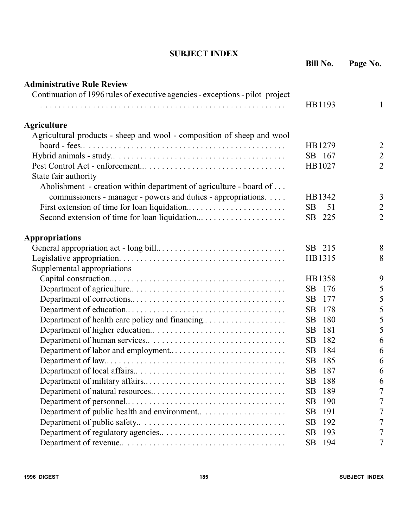### **SUBJECT INDEX**

|                                                                               | <b>Bill No.</b>  | Page No.       |
|-------------------------------------------------------------------------------|------------------|----------------|
| <b>Administrative Rule Review</b>                                             |                  |                |
| Continuation of 1996 rules of executive agencies - exceptions - pilot project |                  |                |
|                                                                               | HB1193           | $\mathbf{1}$   |
| <b>Agriculture</b>                                                            |                  |                |
| Agricultural products - sheep and wool - composition of sheep and wool        |                  |                |
|                                                                               | HB1279           | $\overline{c}$ |
|                                                                               | SB 167           | $\overline{c}$ |
|                                                                               | HB1027           | $\overline{2}$ |
| State fair authority                                                          |                  |                |
| Abolishment - creation within department of agriculture - board of            |                  |                |
| commissioners - manager - powers and duties - appropriations.                 | HB1342           | 3              |
|                                                                               | <b>SB</b><br>51  | $\overline{2}$ |
|                                                                               | SB 225           | $\overline{2}$ |
| <b>Appropriations</b>                                                         |                  |                |
|                                                                               | SB 215           | 8              |
|                                                                               | HB1315           | 8              |
| Supplemental appropriations                                                   |                  |                |
|                                                                               | HB1358           | 9              |
|                                                                               | SB.<br>-176      | 5              |
|                                                                               | <b>SB</b><br>177 | 5              |
|                                                                               | <b>SB</b><br>178 | 5              |
| Department of health care policy and financing                                | 180<br><b>SB</b> | 5              |
|                                                                               | 181<br>SB        | 5              |
|                                                                               | <b>SB</b><br>182 | 6              |
|                                                                               | <b>SB</b><br>184 | 6              |
|                                                                               | SB 185           | 6              |
|                                                                               | <b>SB</b><br>187 | 6              |
|                                                                               | <b>SB</b><br>188 | 6              |
|                                                                               | <b>SB</b><br>189 | 7              |
|                                                                               | 190<br><b>SB</b> | 7              |
|                                                                               | <b>SB</b><br>191 | 7              |
|                                                                               | <b>SB</b><br>192 | 7              |
|                                                                               | <b>SB</b><br>193 | 7              |
|                                                                               | <b>SB</b><br>194 | 7              |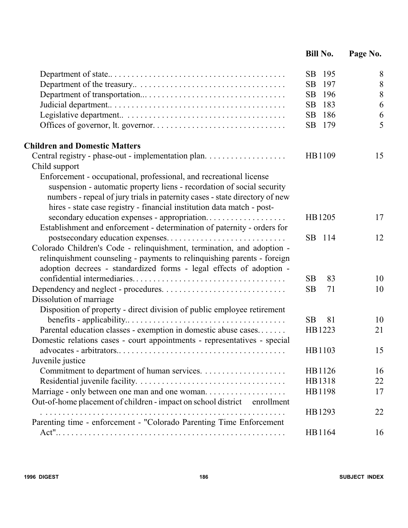|                                                                                                                                                                                                                                                                                                       | <b>Bill No.</b>  | Page No. |
|-------------------------------------------------------------------------------------------------------------------------------------------------------------------------------------------------------------------------------------------------------------------------------------------------------|------------------|----------|
|                                                                                                                                                                                                                                                                                                       | SB.<br>195       | 8        |
|                                                                                                                                                                                                                                                                                                       | <b>SB</b><br>197 | 8        |
|                                                                                                                                                                                                                                                                                                       | SB<br>196        | 8        |
|                                                                                                                                                                                                                                                                                                       | SB<br>183        | 6        |
|                                                                                                                                                                                                                                                                                                       | <b>SB</b><br>186 | 6        |
|                                                                                                                                                                                                                                                                                                       | SB<br>179        | 5        |
| <b>Children and Domestic Matters</b>                                                                                                                                                                                                                                                                  |                  |          |
| Central registry - phase-out - implementation plan.                                                                                                                                                                                                                                                   | HB1109           | 15       |
| Child support                                                                                                                                                                                                                                                                                         |                  |          |
| Enforcement - occupational, professional, and recreational license<br>suspension - automatic property liens - recordation of social security<br>numbers - repeal of jury trials in paternity cases - state directory of new<br>hires - state case registry - financial institution data match - post- |                  |          |
| secondary education expenses - appropriation<br>Establishment and enforcement - determination of paternity - orders for                                                                                                                                                                               | HB1205           | 17       |
|                                                                                                                                                                                                                                                                                                       | SB 114           | 12       |
| Colorado Children's Code - relinquishment, termination, and adoption -<br>relinquishment counseling - payments to relinquishing parents - foreign<br>adoption decrees - standardized forms - legal effects of adoption -                                                                              |                  |          |
|                                                                                                                                                                                                                                                                                                       | 83<br><b>SB</b>  | 10       |
|                                                                                                                                                                                                                                                                                                       | <b>SB</b><br>71  | 10       |
| Dissolution of marriage                                                                                                                                                                                                                                                                               |                  |          |
| Disposition of property - direct division of public employee retirement                                                                                                                                                                                                                               | <b>SB</b><br>81  | 10       |
| Parental education classes - exemption in domestic abuse cases                                                                                                                                                                                                                                        | HB1223           | 21       |
| Domestic relations cases - court appointments - representatives - special                                                                                                                                                                                                                             |                  |          |
|                                                                                                                                                                                                                                                                                                       | HB1103           | 15       |
| Juvenile justice                                                                                                                                                                                                                                                                                      |                  |          |
|                                                                                                                                                                                                                                                                                                       | HB1126           | 16       |
|                                                                                                                                                                                                                                                                                                       | HB1318           | 22       |
| Marriage - only between one man and one woman                                                                                                                                                                                                                                                         | HB1198           | 17       |
| Out-of-home placement of children - impact on school district enrollment                                                                                                                                                                                                                              |                  |          |
|                                                                                                                                                                                                                                                                                                       | HB1293           | 22       |
| Parenting time - enforcement - "Colorado Parenting Time Enforcement                                                                                                                                                                                                                                   | HB1164           | 16       |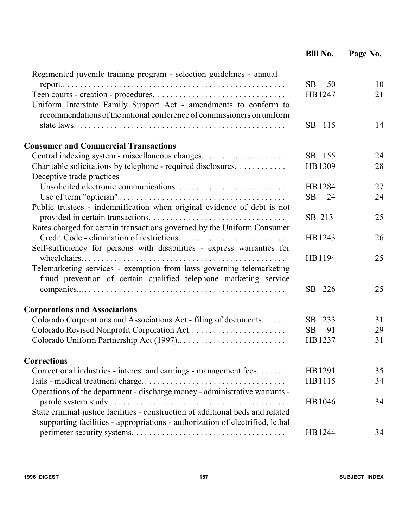|                                                                                                                                                                  | <b>Bill No.</b> | Page No. |
|------------------------------------------------------------------------------------------------------------------------------------------------------------------|-----------------|----------|
| Regimented juvenile training program - selection guidelines - annual                                                                                             | <b>SB</b><br>50 | 10       |
| Uniform Interstate Family Support Act - amendments to conform to<br>recommendations of the national conference of commissioners on uniform                       | HB1247          | 21       |
|                                                                                                                                                                  | SB 115          | 14       |
| <b>Consumer and Commercial Transactions</b>                                                                                                                      |                 |          |
| Central indexing system - miscellaneous changes                                                                                                                  | SB 155          | 24       |
| Charitable solicitations by telephone - required disclosures.<br>Deceptive trade practices                                                                       | HB1309          | 28       |
|                                                                                                                                                                  | HB1284          | 27       |
| Public trustees - indemnification when original evidence of debt is not                                                                                          | <b>SB</b><br>24 | 24       |
| Rates charged for certain transactions governed by the Uniform Consumer                                                                                          | SB 213          | 25       |
| Self-sufficiency for persons with disabilities - express warranties for                                                                                          | HB1243          | 26       |
| Telemarketing services - exemption from laws governing telemarketing<br>fraud prevention of certain qualified telephone marketing service                        | HB1194          | 25       |
|                                                                                                                                                                  | SB 226          | 25       |
| <b>Corporations and Associations</b>                                                                                                                             |                 |          |
| Colorado Corporations and Associations Act - filing of documents                                                                                                 | SB 233          | 31       |
|                                                                                                                                                                  | 91<br><b>SB</b> | 29       |
|                                                                                                                                                                  | HB1237          | 31       |
| <b>Corrections</b>                                                                                                                                               |                 |          |
| Correctional industries - interest and earnings - management fees.                                                                                               | HB1291          | 35       |
| Operations of the department - discharge money - administrative warrants -                                                                                       | HB1115          | 34       |
| State criminal justice facilities - construction of additional beds and related<br>supporting facilities - appropriations - authorization of electrified, lethal | HB1046          | 34       |
|                                                                                                                                                                  | HB1244          | 34       |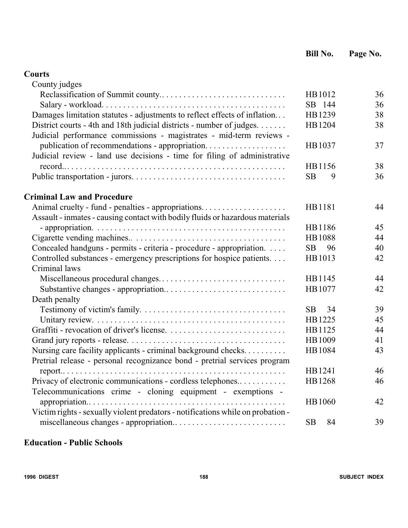### **Courts**

| County judges                                                                   |                 |    |
|---------------------------------------------------------------------------------|-----------------|----|
|                                                                                 | HB1012          | 36 |
|                                                                                 | SB 144          | 36 |
| Damages limitation statutes - adjustments to reflect effects of inflation       | HB1239          | 38 |
| District courts - 4th and 18th judicial districts - number of judges.           | HB1204          | 38 |
| Judicial performance commissions - magistrates - mid-term reviews -             |                 |    |
| publication of recommendations - appropriation.                                 | HB1037          | 37 |
| Judicial review - land use decisions - time for filing of administrative        |                 |    |
|                                                                                 | HB1156          | 38 |
|                                                                                 | SB<br>9         | 36 |
| <b>Criminal Law and Procedure</b>                                               |                 |    |
| Animal cruelty - fund - penalties - appropriations                              | HB1181          | 44 |
| Assault - inmates - causing contact with bodily fluids or hazardous materials   |                 |    |
|                                                                                 | HB1186          | 45 |
|                                                                                 | <b>HB1088</b>   | 44 |
| Concealed handguns - permits - criteria - procedure - appropriation.            | <b>SB</b><br>96 | 40 |
| Controlled substances - emergency prescriptions for hospice patients.           | HB1013          | 42 |
| Criminal laws                                                                   |                 |    |
|                                                                                 | HB1145          | 44 |
|                                                                                 | HB1077          | 42 |
| Death penalty                                                                   |                 |    |
|                                                                                 | SB<br>34        | 39 |
|                                                                                 | HB1225          | 45 |
|                                                                                 | HB1125          | 44 |
|                                                                                 | HB1009          | 41 |
| Nursing care facility applicants - criminal background checks                   | HB1084          | 43 |
| Pretrial release - personal recognizance bond - pretrial services program       |                 |    |
|                                                                                 | HB1241          | 46 |
| Privacy of electronic communications - cordless telephones                      | HB1268          | 46 |
| Telecommunications crime - cloning equipment - exemptions -                     |                 |    |
|                                                                                 | HB1060          | 42 |
| Victim rights - sexually violent predators - notifications while on probation - |                 |    |
|                                                                                 | SB<br>84        | 39 |

# **Education - Public Schools**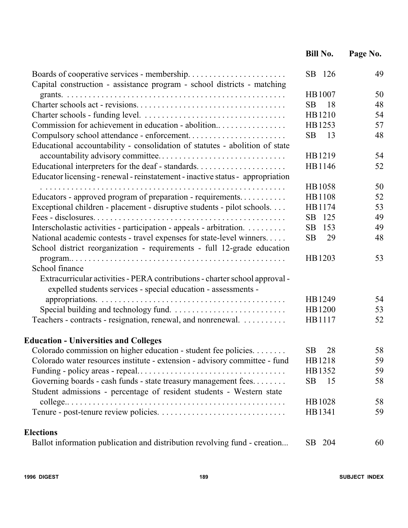|                                                                                                                                                 | <b>Bill No.</b> | Page No. |
|-------------------------------------------------------------------------------------------------------------------------------------------------|-----------------|----------|
| Capital construction - assistance program - school districts - matching                                                                         | SB 126          | 49       |
|                                                                                                                                                 | HB1007          | 50       |
|                                                                                                                                                 | <b>SB</b><br>18 | 48       |
|                                                                                                                                                 | HB1210          | 54       |
| Commission for achievement in education - abolition                                                                                             | HB1253          | 57       |
|                                                                                                                                                 | SB<br>13        | 48       |
| Educational accountability - consolidation of statutes - abolition of state                                                                     | HB1219          | 54       |
|                                                                                                                                                 |                 | 52       |
| Educator licensing - renewal - reinstatement - inactive status - appropriation                                                                  | HB1146          |          |
|                                                                                                                                                 | HB1058          | 50       |
| Educators - approved program of preparation - requirements                                                                                      | HB1108          | 52       |
| Exceptional children - placement - disruptive students - pilot schools.                                                                         | HB1174          | 53       |
|                                                                                                                                                 | SB 125          | 49       |
| Interscholastic activities - participation - appeals - arbitration.                                                                             | SB<br>153       | 49       |
| National academic contests - travel expenses for state-level winners<br>School district reorganization - requirements - full 12-grade education | SB<br>29        | 48       |
| School finance                                                                                                                                  | HB1203          | 53       |
| Extracurricular activities - PERA contributions - charter school approval -<br>expelled students services - special education - assessments -   |                 |          |
|                                                                                                                                                 | HB1249          | 54       |
|                                                                                                                                                 | HB1200          | 53       |
| Teachers - contracts - resignation, renewal, and nonrenewal.                                                                                    | HB1117          | 52       |
| <b>Education - Universities and Colleges</b>                                                                                                    |                 |          |
| Colorado commission on higher education - student fee policies.                                                                                 | SB 28           | 58       |
| Colorado water resources institute - extension - advisory committee - fund                                                                      | HB1218          | 59       |
|                                                                                                                                                 | HB1352          | 59       |
| Governing boards - cash funds - state treasury management fees<br>Student admissions - percentage of resident students - Western state          | SB<br>15        | 58       |
|                                                                                                                                                 | HB1028          | 58       |
|                                                                                                                                                 | HB1341          | 59       |
| <b>Elections</b>                                                                                                                                |                 |          |
| Ballot information publication and distribution revolving fund - creation                                                                       | SB 204          | 60       |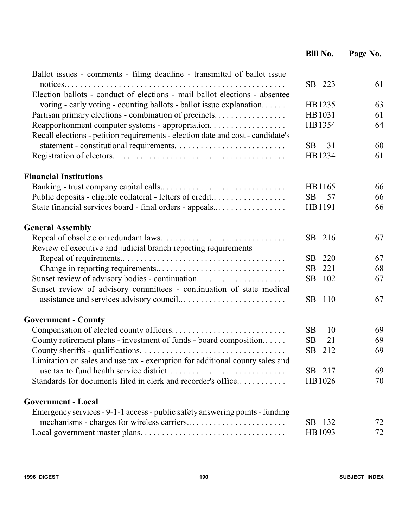|                                                                                                                                                   | <b>Bill No.</b>  | Page No. |
|---------------------------------------------------------------------------------------------------------------------------------------------------|------------------|----------|
| Ballot issues - comments - filing deadline - transmittal of ballot issue                                                                          |                  |          |
|                                                                                                                                                   | SB 223           | 61       |
| Election ballots - conduct of elections - mail ballot elections - absentee<br>voting - early voting - counting ballots - ballot issue explanation | HB1235           | 63       |
| Partisan primary elections - combination of precincts                                                                                             | HB1031           | 61       |
| Reapportionment computer systems - appropriation.                                                                                                 | HB1354           | 64       |
| Recall elections - petition requirements - election date and cost - candidate's                                                                   |                  |          |
|                                                                                                                                                   | <b>SB</b><br>31  | 60       |
|                                                                                                                                                   | HB1234           | 61       |
| <b>Financial Institutions</b>                                                                                                                     |                  |          |
|                                                                                                                                                   | HB1165           | 66       |
| Public deposits - eligible collateral - letters of credit                                                                                         | SB<br>57         | 66       |
| State financial services board - final orders - appeals                                                                                           | HB1191           | 66       |
| <b>General Assembly</b>                                                                                                                           |                  |          |
|                                                                                                                                                   | SB 216           | 67       |
| Review of executive and judicial branch reporting requirements                                                                                    |                  |          |
|                                                                                                                                                   | <b>SB</b><br>220 | 67       |
|                                                                                                                                                   | SB<br>221        | 68       |
| Sunset review of advisory bodies - continuation                                                                                                   | 102<br>SB.       | 67       |
| Sunset review of advisory committees - continuation of state medical                                                                              | SB 110           | 67       |
|                                                                                                                                                   |                  |          |
| <b>Government - County</b>                                                                                                                        |                  |          |
|                                                                                                                                                   | <b>SB</b><br>10  | 69       |
| County retirement plans - investment of funds - board composition                                                                                 | <b>SB</b><br>21  | 69       |
|                                                                                                                                                   | SB 212           | 69       |
| Limitation on sales and use tax - exemption for additional county sales and                                                                       |                  |          |
|                                                                                                                                                   | SB 217           | 69       |
| Standards for documents filed in clerk and recorder's office                                                                                      | HB1026           | 70       |
| <b>Government - Local</b>                                                                                                                         |                  |          |
| Emergency services - 9-1-1 access - public safety answering points - funding                                                                      |                  |          |
|                                                                                                                                                   | SB 132           | 72       |
|                                                                                                                                                   | HB1093           | 72       |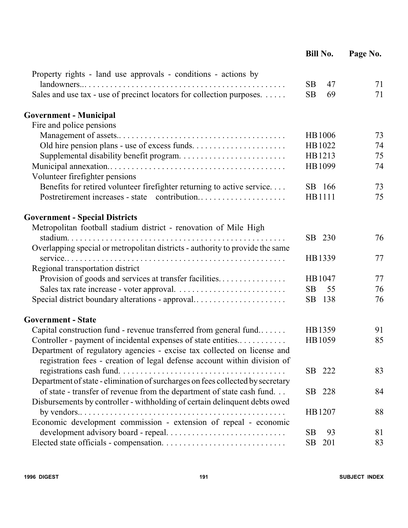|                                                                                | <b>Bill No.</b> | Page No. |
|--------------------------------------------------------------------------------|-----------------|----------|
| Property rights - land use approvals - conditions - actions by                 |                 |          |
|                                                                                | 47<br><b>SB</b> | 71       |
| Sales and use tax - use of precinct locators for collection purposes.          | <b>SB</b><br>69 | 71       |
| <b>Government - Municipal</b>                                                  |                 |          |
| Fire and police pensions                                                       |                 |          |
|                                                                                | HB1006          | 73       |
|                                                                                | HB1022          | 74       |
|                                                                                | HB1213          | 75       |
|                                                                                | HB1099          | 74       |
| Volunteer firefighter pensions                                                 |                 |          |
| Benefits for retired volunteer firefighter returning to active service         | SB 166          | 73       |
| Postretirement increases - state contribution                                  | HB1111          | 75       |
| <b>Government - Special Districts</b>                                          |                 |          |
| Metropolitan football stadium district - renovation of Mile High               |                 |          |
|                                                                                | SB 230          | 76       |
| Overlapping special or metropolitan districts - authority to provide the same  |                 |          |
|                                                                                | HB1339          | 77       |
| Regional transportation district                                               |                 |          |
| Provision of goods and services at transfer facilities                         | HB1047          | 77       |
|                                                                                | <b>SB</b><br>55 | 76       |
| Special district boundary alterations - approval                               | SB<br>138       | 76       |
| <b>Government - State</b>                                                      |                 |          |
| Capital construction fund - revenue transferred from general fund              | HB1359          | 91       |
| Controller - payment of incidental expenses of state entities                  | HB1059          | 85       |
| Department of regulatory agencies - excise tax collected on license and        |                 |          |
| registration fees - creation of legal defense account within division of       |                 |          |
|                                                                                | SB 222          | 83       |
| Department of state - elimination of surcharges on fees collected by secretary |                 |          |
| of state - transfer of revenue from the department of state cash fund          | SB 228          | 84       |
| Disbursements by controller - withholding of certain delinquent debts owed     |                 |          |
|                                                                                | HB1207          | 88       |
| Economic development commission - extension of repeal - economic               |                 |          |
|                                                                                | <b>SB</b><br>93 | 81       |
|                                                                                | SB<br>201       | 83       |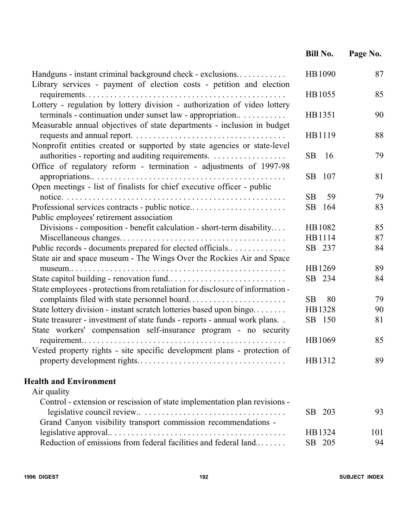|                                                                                                                                                     | <b>Bill No.</b> | Page No. |
|-----------------------------------------------------------------------------------------------------------------------------------------------------|-----------------|----------|
| Handguns - instant criminal background check - exclusions<br>Library services - payment of election costs - petition and election                   | HB1090          | 87       |
|                                                                                                                                                     | HB1055          | 85       |
| Lottery - regulation by lottery division - authorization of video lottery<br>terminals - continuation under sunset law - appropriation              | HB1351          | 90       |
| Measurable annual objectives of state departments - inclusion in budget<br>Nonprofit entities created or supported by state agencies or state-level | HB1119          | 88       |
| authorities - reporting and auditing requirements.<br>Office of regulatory reform - termination - adjustments of 1997-98                            | SB<br>16        | 79       |
| Open meetings - list of finalists for chief executive officer - public                                                                              | SB.<br>107      | 81       |
|                                                                                                                                                     | <b>SB</b><br>59 | 79       |
| Professional services contracts - public notice<br>Public employees' retirement association                                                         | 164<br>SB.      | 83       |
| Divisions - composition - benefit calculation - short-term disability                                                                               | HB1082          | 85       |
|                                                                                                                                                     | HB1114          | 87       |
| Public records - documents prepared for elected officials<br>State air and space museum - The Wings Over the Rockies Air and Space                  | SB 237          | 84       |
|                                                                                                                                                     | HB1269          | 89       |
| State employees - protections from retaliation for disclosure of information -                                                                      | SB 234          | 84       |
|                                                                                                                                                     | SB<br>80        | 79       |
| State lottery division - instant scratch lotteries based upon bingo                                                                                 | HB1328          | 90       |
| State treasurer - investment of state funds - reports - annual work plans<br>State workers' compensation self-insurance program - no security       | SB 150          | 81       |
| Vested property rights - site specific development plans - protection of                                                                            | HB1069          | 85       |
|                                                                                                                                                     | HB1312          | 89       |
| <b>Health and Environment</b>                                                                                                                       |                 |          |
| Air quality                                                                                                                                         |                 |          |
| Control - extension or rescission of state implementation plan revisions -                                                                          | SB 203          | 93       |
| Grand Canyon visibility transport commission recommendations -                                                                                      |                 |          |
|                                                                                                                                                     | HB1324          | 101      |
| Reduction of emissions from federal facilities and federal land                                                                                     | SB 205          | 94       |
|                                                                                                                                                     |                 |          |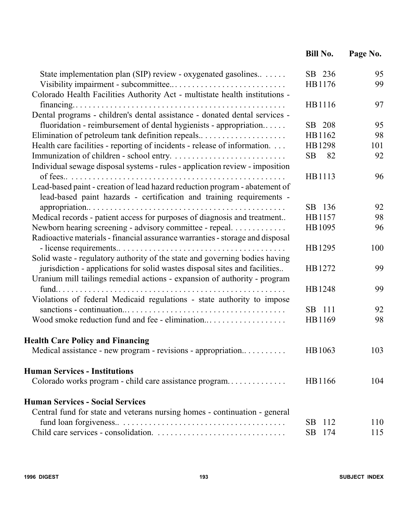|                                                                                                                                                         | <b>Bill No.</b>       | Page No. |
|---------------------------------------------------------------------------------------------------------------------------------------------------------|-----------------------|----------|
| State implementation plan (SIP) review - oxygenated gasolines                                                                                           | SB 236                | 95       |
| Colorado Health Facilities Authority Act - multistate health institutions -                                                                             | HB1176                | 99       |
| Dental programs - children's dental assistance - donated dental services -                                                                              | HB1116                | 97       |
| fluoridation - reimbursement of dental hygienists - appropriation                                                                                       | SB 208                | 95       |
| Elimination of petroleum tank definition repeals                                                                                                        | HB1162                | 98       |
| Health care facilities - reporting of incidents - release of information.                                                                               | HB1298                | 101      |
| Individual sewage disposal systems - rules - application review - imposition                                                                            | 82<br>SB <sub>1</sub> | 92       |
| Lead-based paint - creation of lead hazard reduction program - abatement of<br>lead-based paint hazards - certification and training requirements -     | HB1113                | 96       |
|                                                                                                                                                         | SB 136                | 92       |
| Medical records - patient access for purposes of diagnosis and treatment                                                                                | HB1157                | 98       |
| Newborn hearing screening - advisory committee - repeal.<br>Radioactive materials - financial assurance warranties - storage and disposal               | HB1095                | 96       |
| Solid waste - regulatory authority of the state and governing bodies having                                                                             | HB1295                | 100      |
| jurisdiction - applications for solid wastes disposal sites and facilities<br>Uranium mill tailings remedial actions - expansion of authority - program | HB1272                | 99       |
| Violations of federal Medicaid regulations - state authority to impose                                                                                  | HB1248                | 99       |
|                                                                                                                                                         | SB 111                | 92       |
| Wood smoke reduction fund and fee - elimination                                                                                                         | HB1169                | 98       |
| <b>Health Care Policy and Financing</b>                                                                                                                 |                       |          |
| Medical assistance - new program - revisions - appropriation                                                                                            | HB1063                | 103      |
| <b>Human Services - Institutions</b>                                                                                                                    |                       |          |
| Colorado works program - child care assistance program                                                                                                  | HB1166                | 104      |
| <b>Human Services - Social Services</b>                                                                                                                 |                       |          |
| Central fund for state and veterans nursing homes - continuation - general                                                                              |                       |          |
|                                                                                                                                                         | SB 112                | 110      |
|                                                                                                                                                         | SB 174                | 115      |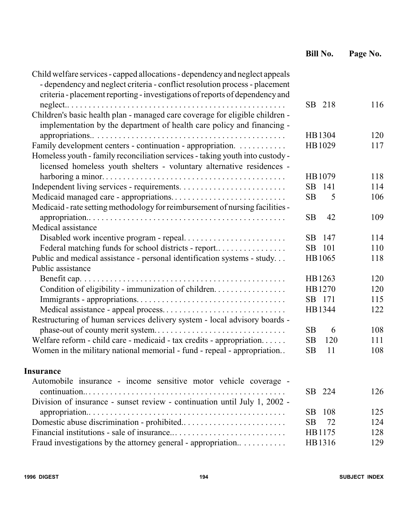|                                                                                                                                                                                                                                             | <b>Bill No.</b>  | Page No. |
|---------------------------------------------------------------------------------------------------------------------------------------------------------------------------------------------------------------------------------------------|------------------|----------|
| Child welfare services - capped allocations - dependency and neglect appeals<br>- dependency and neglect criteria - conflict resolution process - placement<br>criteria - placement reporting - investigations of reports of dependency and |                  |          |
| Children's basic health plan - managed care coverage for eligible children -<br>implementation by the department of health care policy and financing -                                                                                      | SB 218           | 116      |
|                                                                                                                                                                                                                                             | HB1304           | 120      |
| Family development centers - continuation - appropriation.                                                                                                                                                                                  | HB1029           | 117      |
| Homeless youth - family reconciliation services - taking youth into custody -<br>licensed homeless youth shelters - voluntary alternative residences -                                                                                      |                  |          |
|                                                                                                                                                                                                                                             | HB1079           | 118      |
|                                                                                                                                                                                                                                             | SB<br>141        | 114      |
|                                                                                                                                                                                                                                             | <b>SB</b><br>5   | 106      |
| Medicaid - rate setting methodology for reimbursement of nursing facilities -                                                                                                                                                               |                  |          |
|                                                                                                                                                                                                                                             | <b>SB</b><br>42  | 109      |
| Medical assistance                                                                                                                                                                                                                          |                  |          |
|                                                                                                                                                                                                                                             | SB.<br>147       | 114      |
| Federal matching funds for school districts - report                                                                                                                                                                                        | 101<br>SB.       | 110      |
| Public and medical assistance - personal identification systems - study                                                                                                                                                                     | HB1065           | 118      |
| Public assistance                                                                                                                                                                                                                           |                  |          |
|                                                                                                                                                                                                                                             | HB1263           | 120      |
| Condition of eligibility - immunization of children.                                                                                                                                                                                        | HB1270           | 120      |
|                                                                                                                                                                                                                                             | SB 171           | 115      |
|                                                                                                                                                                                                                                             | HB1344           | 122      |
| Restructuring of human services delivery system - local advisory boards -                                                                                                                                                                   |                  |          |
|                                                                                                                                                                                                                                             | SB<br>6          | 108      |
| Welfare reform - child care - medicaid - tax credits - appropriation                                                                                                                                                                        | <b>SB</b><br>120 | 111      |
| Women in the military national memorial - fund - repeal - appropriation                                                                                                                                                                     | SB<br>11         | 108      |
| <b>Insurance</b>                                                                                                                                                                                                                            |                  |          |
| Automobile insurance - income sensitive motor vehicle coverage -                                                                                                                                                                            |                  |          |
|                                                                                                                                                                                                                                             | SB 224           | 126      |
| Division of insurance - sunset review - continuation until July 1, 2002 -                                                                                                                                                                   |                  |          |
|                                                                                                                                                                                                                                             | 108<br>SB.       | 125      |
|                                                                                                                                                                                                                                             | <b>SB</b><br>72  | 124      |
|                                                                                                                                                                                                                                             | HB1175           | 128      |
| Fraud investigations by the attorney general - appropriation                                                                                                                                                                                | HB1316           | 129      |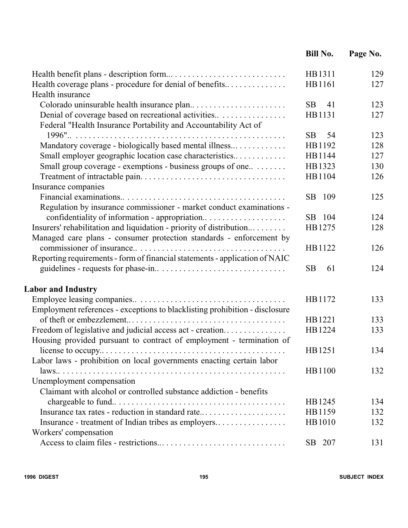|                                                                             | <b>Bill No.</b> | Page No. |
|-----------------------------------------------------------------------------|-----------------|----------|
|                                                                             | HB1311          | 129      |
| Health coverage plans - procedure for denial of benefits                    | HB1161          | 127      |
| Health insurance                                                            |                 |          |
|                                                                             | SB<br>41        | 123      |
|                                                                             | HB1131          | 127      |
| Federal "Health Insurance Portability and Accountability Act of             |                 |          |
|                                                                             | SB<br>54        | 123      |
| Mandatory coverage - biologically based mental illness                      | HB1192          | 128      |
| Small employer geographic location case characteristics                     | HB1144          | 127      |
| Small group coverage - exemptions - business groups of one                  | HB1323          | 130      |
|                                                                             | HB1104          | 126      |
| Insurance companies                                                         |                 |          |
|                                                                             | SВ<br>109       | 125      |
| Regulation by insurance commissioner - market conduct examinations -        |                 |          |
| confidentiality of information - appropriation                              | SB 104          | 124      |
| Insurers' rehabilitation and liquidation - priority of distribution         | HB1275          | 128      |
| Managed care plans - consumer protection standards - enforcement by         |                 |          |
|                                                                             | HB1122          | 126      |
| Reporting requirements - form of financial statements - application of NAIC |                 |          |
|                                                                             | <b>SB</b><br>61 | 124      |
| <b>Labor and Industry</b>                                                   |                 |          |
|                                                                             | HB1172          | 133      |
| Employment references - exceptions to blacklisting prohibition - disclosure |                 |          |
|                                                                             | HB1221          | 133      |
| Freedom of legislative and judicial access act - creation                   | HB1224          | 133      |
| Housing provided pursuant to contract of employment - termination of        |                 |          |
|                                                                             | HB1251          | 134      |
| Labor laws - prohibition on local governments enacting certain labor        |                 |          |
|                                                                             | HB1100          | 132      |
| Unemployment compensation                                                   |                 |          |
| Claimant with alcohol or controlled substance addiction - benefits          |                 |          |
|                                                                             | HB1245          | 134      |
| Insurance tax rates - reduction in standard rate                            | HB1159          | 132      |
| Insurance - treatment of Indian tribes as employers                         | HB1010          | 132      |
| Workers' compensation                                                       |                 |          |
|                                                                             | 207<br>SB       | 131      |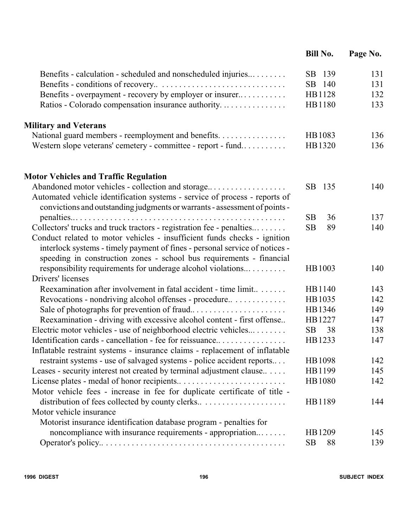|                                                                                                                                                                                                                                 | <b>Bill No.</b> | Page No. |
|---------------------------------------------------------------------------------------------------------------------------------------------------------------------------------------------------------------------------------|-----------------|----------|
| Benefits - calculation - scheduled and nonscheduled injuries                                                                                                                                                                    | SB.<br>139      | 131      |
|                                                                                                                                                                                                                                 | SB<br>140       | 131      |
| Benefits - overpayment - recovery by employer or insurer                                                                                                                                                                        | HB1128          | 132      |
| Ratios - Colorado compensation insurance authority                                                                                                                                                                              | HB1180          | 133      |
| <b>Military and Veterans</b>                                                                                                                                                                                                    |                 |          |
| National guard members - reemployment and benefits.                                                                                                                                                                             | HB1083          | 136      |
| Western slope veterans' cemetery - committee - report - fund                                                                                                                                                                    | HB1320          | 136      |
| <b>Motor Vehicles and Traffic Regulation</b>                                                                                                                                                                                    |                 |          |
| Abandoned motor vehicles - collection and storage                                                                                                                                                                               | SB 135          | 140      |
| Automated vehicle identification systems - service of process - reports of<br>convictions and outstanding judgments or warrants - assessment of points -                                                                        |                 |          |
|                                                                                                                                                                                                                                 | <b>SB</b><br>36 | 137      |
| Collectors' trucks and truck tractors - registration fee - penalties                                                                                                                                                            | <b>SB</b><br>89 | 140      |
| Conduct related to motor vehicles - insufficient funds checks - ignition<br>interlock systems - timely payment of fines - personal service of notices -<br>speeding in construction zones - school bus requirements - financial |                 |          |
| responsibility requirements for underage alcohol violations                                                                                                                                                                     | HB1003          | 140      |
| Drivers' licenses                                                                                                                                                                                                               |                 |          |
| Reexamination after involvement in fatal accident - time limit                                                                                                                                                                  | HB1140          | 143      |
| Revocations - nondriving alcohol offenses - procedure                                                                                                                                                                           | HB1035          | 142      |
|                                                                                                                                                                                                                                 | HB1346          | 149      |
| Reexamination - driving with excessive alcohol content - first offense                                                                                                                                                          | HB1227          | 147      |
| Electric motor vehicles - use of neighborhood electric vehicles                                                                                                                                                                 | 38<br><b>SB</b> | 138      |
| Identification cards - cancellation - fee for reissuance<br>Inflatable restraint systems - insurance claims - replacement of inflatable                                                                                         | HB1233          | 147      |
| restraint systems - use of salvaged systems - police accident reports                                                                                                                                                           | HB1098          | 142      |
| Leases - security interest not created by terminal adjustment clause                                                                                                                                                            | HB1199          | 145      |
|                                                                                                                                                                                                                                 | HB1080          | 142      |
| Motor vehicle fees - increase in fee for duplicate certificate of title -                                                                                                                                                       |                 |          |
|                                                                                                                                                                                                                                 | HB1189          | 144      |
| Motor vehicle insurance                                                                                                                                                                                                         |                 |          |
| Motorist insurance identification database program - penalties for                                                                                                                                                              |                 |          |
| noncompliance with insurance requirements - appropriation                                                                                                                                                                       | HB1209          | 145      |
|                                                                                                                                                                                                                                 | <b>SB</b><br>88 | 139      |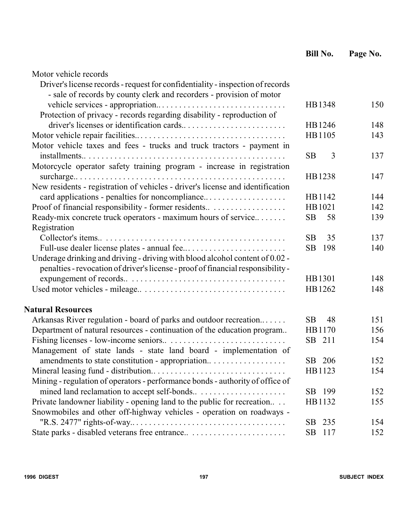|                                                                                  | <b>Bill No.</b>       | Page No. |
|----------------------------------------------------------------------------------|-----------------------|----------|
| Motor vehicle records                                                            |                       |          |
| Driver's license records - request for confidentiality - inspection of records   |                       |          |
| - sale of records by county clerk and recorders - provision of motor             |                       |          |
|                                                                                  | HB1348                | 150      |
| Protection of privacy - records regarding disability - reproduction of           |                       |          |
|                                                                                  | HB1246                | 148      |
|                                                                                  | HB1105                | 143      |
| Motor vehicle taxes and fees - trucks and truck tractors - payment in            |                       |          |
|                                                                                  | $\overline{3}$<br>SB. | 137      |
| Motorcycle operator safety training program - increase in registration           |                       |          |
|                                                                                  | HB1238                | 147      |
| New residents - registration of vehicles - driver's license and identification   |                       |          |
|                                                                                  | HB1142                | 144      |
| Proof of financial responsibility - former residents                             | HB1021                | 142      |
| Ready-mix concrete truck operators - maximum hours of service                    | SB<br>58              | 139      |
| Registration                                                                     |                       |          |
|                                                                                  | SВ<br>35              | 137      |
|                                                                                  | SB<br>198             | 140      |
| Underage drinking and driving - driving with blood alcohol content of 0.02 -     |                       |          |
| penalties - revocation of driver's license - proof of financial responsibility - |                       |          |
|                                                                                  | HB1301                | 148      |
|                                                                                  | HB1262                | 148      |
| <b>Natural Resources</b>                                                         |                       |          |
| Arkansas River regulation - board of parks and outdoor recreation                | SB.<br>48             | 151      |
| Department of natural resources - continuation of the education program          | HB1170                | 156      |
|                                                                                  | SB 211                | 154      |
| Management of state lands - state land board - implementation of                 |                       |          |
|                                                                                  | SB 206                | 152      |
|                                                                                  | HB1123                | 154      |
| Mining - regulation of operators - performance bonds - authority of office of    |                       |          |
|                                                                                  | SB 199                | 152      |
| Private landowner liability - opening land to the public for recreation          | HB1132                | 155      |
| Snowmobiles and other off-highway vehicles - operation on roadways -             |                       |          |
|                                                                                  | SB 235                | 154      |
| State parks - disabled veterans free entrance                                    | SB<br>117             | 152      |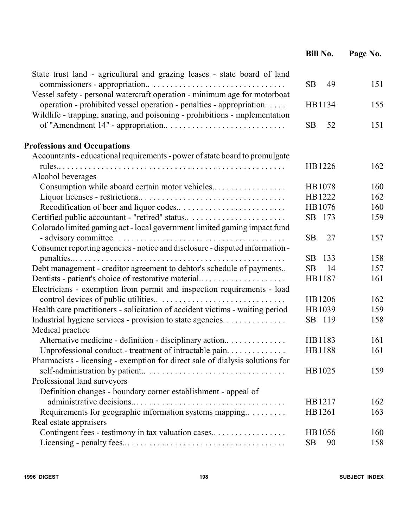|                                                                                                                                                    | <b>Bill No.</b> | Page No. |
|----------------------------------------------------------------------------------------------------------------------------------------------------|-----------------|----------|
| State trust land - agricultural and grazing leases - state board of land                                                                           |                 |          |
|                                                                                                                                                    | 49<br>SB.       | 151      |
| Vessel safety - personal watercraft operation - minimum age for motorboat                                                                          |                 |          |
| operation - prohibited vessel operation - penalties - appropriation<br>Wildlife - trapping, snaring, and poisoning - prohibitions - implementation | HB1134          | 155      |
|                                                                                                                                                    | <b>SB</b><br>52 | 151      |
|                                                                                                                                                    |                 |          |
| <b>Professions and Occupations</b>                                                                                                                 |                 |          |
| Accountants - educational requirements - power of state board to promulgate                                                                        |                 |          |
|                                                                                                                                                    | HB1226          | 162      |
| Alcohol beverages                                                                                                                                  |                 |          |
| Consumption while aboard certain motor vehicles                                                                                                    | HB1078          | 160      |
|                                                                                                                                                    | HB1222          | 162      |
|                                                                                                                                                    | HB1076          | 160      |
|                                                                                                                                                    | SB 173          | 159      |
| Colorado limited gaming act - local government limited gaming impact fund                                                                          |                 |          |
|                                                                                                                                                    | <b>SB</b><br>27 | 157      |
| Consumer reporting agencies - notice and disclosure - disputed information -                                                                       |                 |          |
|                                                                                                                                                    | SB.<br>133      | 158      |
| Debt management - creditor agreement to debtor's schedule of payments                                                                              | <b>SB</b><br>14 | 157      |
| Dentists - patient's choice of restorative material                                                                                                | HB1187          | 161      |
| Electricians - exemption from permit and inspection requirements - load                                                                            |                 |          |
|                                                                                                                                                    | HB1206          | 162      |
| Health care practitioners - solicitation of accident victims - waiting period                                                                      | HB1039          | 159      |
| Industrial hygiene services - provision to state agencies                                                                                          | SB 119          | 158      |
| Medical practice                                                                                                                                   |                 |          |
| Alternative medicine - definition - disciplinary action                                                                                            | HB1183          | 161      |
| Unprofessional conduct - treatment of intractable pain                                                                                             | HB1188          | 161      |
| Pharmacists - licensing - exemption for direct sale of dialysis solutions for                                                                      |                 |          |
|                                                                                                                                                    | HB1025          | 159      |
| Professional land surveyors                                                                                                                        |                 |          |
| Definition changes - boundary corner establishment - appeal of                                                                                     |                 |          |
|                                                                                                                                                    | HB1217          | 162      |
| Requirements for geographic information systems mapping                                                                                            | HB1261          | 163      |
| Real estate appraisers                                                                                                                             |                 |          |
| Contingent fees - testimony in tax valuation cases                                                                                                 | HB1056          | 160      |
|                                                                                                                                                    | <b>SB</b><br>90 | 158      |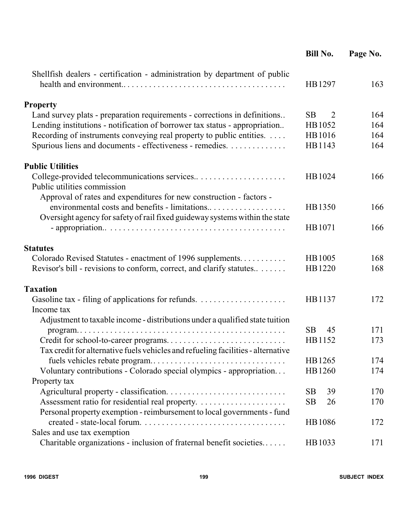|                                                                                                                       | <b>Bill No.</b>       | Page No. |
|-----------------------------------------------------------------------------------------------------------------------|-----------------------|----------|
| Shellfish dealers - certification - administration by department of public                                            | HB1297                | 163      |
| <b>Property</b>                                                                                                       |                       |          |
| Land survey plats - preparation requirements - corrections in definitions                                             | SB.<br>$\overline{2}$ | 164      |
| Lending institutions - notification of borrower tax status - appropriation                                            | HB1052                | 164      |
| Recording of instruments conveying real property to public entities.                                                  | HB1016                | 164      |
| Spurious liens and documents - effectiveness - remedies.                                                              | HB1143                | 164      |
| <b>Public Utilities</b>                                                                                               |                       |          |
| Public utilities commission                                                                                           | HB1024                | 166      |
|                                                                                                                       |                       |          |
| Approval of rates and expenditures for new construction - factors -<br>environmental costs and benefits - limitations | HB1350                | 166      |
| Oversight agency for safety of rail fixed guideway systems within the state                                           |                       |          |
|                                                                                                                       | HB1071                | 166      |
|                                                                                                                       |                       |          |
| <b>Statutes</b>                                                                                                       |                       |          |
| Colorado Revised Statutes - enactment of 1996 supplements                                                             | HB1005                | 168      |
| Revisor's bill - revisions to conform, correct, and clarify statutes                                                  | HB1220                | 168      |
| <b>Taxation</b>                                                                                                       |                       |          |
|                                                                                                                       | HB1137                | 172      |
| Income tax                                                                                                            |                       |          |
| Adjustment to taxable income - distributions under a qualified state tuition                                          |                       |          |
|                                                                                                                       | <b>SB</b><br>45       | 171      |
|                                                                                                                       | HB1152                | 173      |
| Tax credit for alternative fuels vehicles and refueling facilities - alternative                                      |                       |          |
|                                                                                                                       | HB1265                | 174      |
| Voluntary contributions - Colorado special olympics - appropriation                                                   | HB1260                | 174      |
| Property tax                                                                                                          |                       |          |
|                                                                                                                       | <b>SB</b><br>39       | 170      |
|                                                                                                                       | SB<br>26              | 170      |
| Personal property exemption - reimbursement to local governments - fund                                               |                       |          |
|                                                                                                                       | HB1086                | 172      |
| Sales and use tax exemption                                                                                           |                       |          |
| Charitable organizations - inclusion of fraternal benefit societies                                                   | HB1033                | 171      |